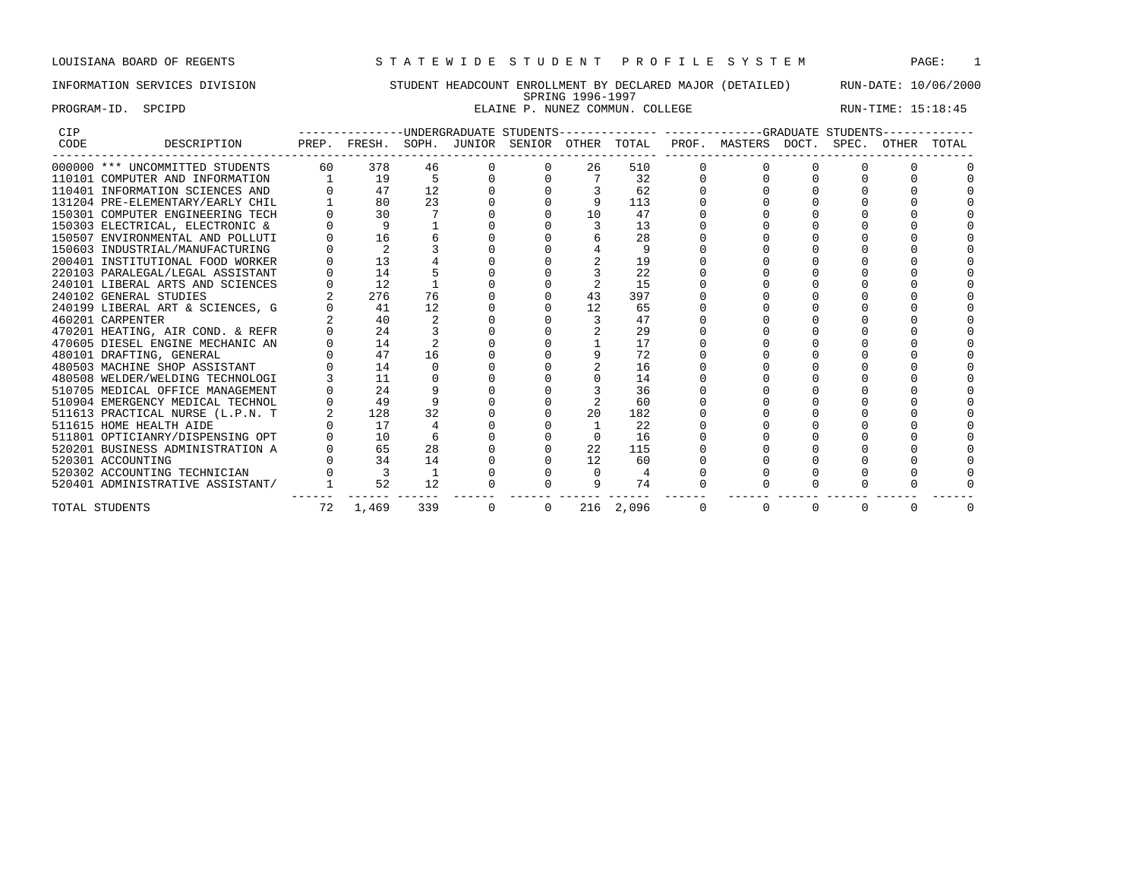## INFORMATION SERVICES DIVISION STUDENT HEADCOUNT ENROLLMENT BY DECLARED MAJOR (DETAILED) RUN-DATE: 10/06/2000 SPRING 1996-1997 PROGRAM-ID. SPCIPD **ELAINE P. NUNEZ COMMUN. COLLEGE RUN-TIME:** 15:18:45

| <b>CIP</b> |                                  |       |              |       |          | -------UNDERGRADUATE STUDENTS- |          |             |          | --------------GRADUATE STUDENTS |          |          |       |       |
|------------|----------------------------------|-------|--------------|-------|----------|--------------------------------|----------|-------------|----------|---------------------------------|----------|----------|-------|-------|
| CODE       | DESCRIPTION                      | PREP. | FRESH.       | SOPH. | JUNIOR   | SENIOR                         |          | OTHER TOTAL |          | PROF. MASTERS DOCT.             |          | SPEC.    | OTHER | TOTAL |
|            | 000000 *** UNCOMMITTED STUDENTS  | 60    | 378          | 46    |          |                                | 26       | 510         |          |                                 |          |          |       |       |
|            | 110101 COMPUTER AND INFORMATION  |       | 19           |       |          |                                |          | 32          |          |                                 |          |          |       |       |
|            | 110401 INFORMATION SCIENCES AND  |       | 47           | 12    |          |                                |          | 62          |          |                                 |          |          |       |       |
|            | 131204 PRE-ELEMENTARY/EARLY CHIL |       | 80           | 23    |          |                                |          | 113         |          |                                 |          |          |       |       |
|            | 150301 COMPUTER ENGINEERING TECH |       | 30           |       |          |                                | 10       | 47          |          |                                 |          |          |       |       |
|            | 150303 ELECTRICAL, ELECTRONIC &  |       | $\mathsf{Q}$ |       |          |                                |          | 13          |          |                                 |          |          |       |       |
|            | 150507 ENVIRONMENTAL AND POLLUTI |       | 16           |       |          |                                |          | 28          |          |                                 |          |          |       |       |
|            | 150603 INDUSTRIAL/MANUFACTURING  |       |              |       |          |                                |          | 9           |          |                                 |          |          |       |       |
|            | 200401 INSTITUTIONAL FOOD WORKER |       | 13           |       |          |                                |          | 19          |          |                                 |          |          |       |       |
|            | 220103 PARALEGAL/LEGAL ASSISTANT |       | 14           |       |          |                                |          | 22          |          |                                 |          |          |       |       |
|            | 240101 LIBERAL ARTS AND SCIENCES |       | 12           |       |          |                                |          | 15          |          |                                 |          |          |       |       |
|            | 240102 GENERAL STUDIES           |       | 276          | 76    |          |                                | 43       | 397         |          |                                 |          |          |       |       |
|            | 240199 LIBERAL ART & SCIENCES, G |       | 41           | 12    |          |                                | 12       | 65          |          |                                 |          |          |       |       |
|            | 460201 CARPENTER                 |       | 40           |       |          |                                |          | 47          |          |                                 |          |          |       |       |
|            | 470201 HEATING, AIR COND. & REFR |       | 24           |       |          |                                |          | 29          |          |                                 |          |          |       |       |
|            | 470605 DIESEL ENGINE MECHANIC AN |       | 14           |       |          |                                |          | 17          |          |                                 |          |          |       |       |
|            | 480101 DRAFTING, GENERAL         |       | 47           | 16    |          |                                |          | 72          |          |                                 |          |          |       |       |
|            | 480503 MACHINE SHOP ASSISTANT    |       | 14           |       |          |                                |          | 16          |          |                                 |          |          |       |       |
|            | 480508 WELDER/WELDING TECHNOLOGI |       | 11           |       |          |                                |          | 14          |          |                                 |          |          |       |       |
|            | 510705 MEDICAL OFFICE MANAGEMENT |       | 2.4          |       |          |                                |          | 36          |          |                                 |          |          |       |       |
|            | 510904 EMERGENCY MEDICAL TECHNOL |       | 49           |       |          |                                |          | 60          |          |                                 |          |          |       |       |
|            | 511613 PRACTICAL NURSE (L.P.N. T |       | 128          | 32    |          |                                | 20       | 182         |          |                                 |          |          |       |       |
|            | 511615 HOME HEALTH AIDE          |       | 17           |       |          |                                |          | 22          |          |                                 |          |          |       |       |
|            | 511801 OPTICIANRY/DISPENSING OPT |       | 10           |       |          |                                | $\Omega$ | 16          |          |                                 |          |          |       |       |
|            | 520201 BUSINESS ADMINISTRATION A |       | 65           | 28    |          |                                | 22       | 115         |          |                                 |          |          |       |       |
|            | 520301 ACCOUNTING                |       | 34           | 14    |          |                                | 12       | 60          |          |                                 |          |          |       |       |
|            | 520302 ACCOUNTING TECHNICIAN     |       |              |       |          |                                | $\Omega$ |             |          |                                 |          |          |       |       |
|            | 520401 ADMINISTRATIVE ASSISTANT/ |       | 52           | 12    |          |                                | 9        | 74          |          |                                 |          |          |       |       |
|            | TOTAL STUDENTS                   | 72    | 1,469        | 339   | $\Omega$ | $\Omega$                       |          | 216 2,096   | $\Omega$ | $\Omega$                        | $\Omega$ | $\Omega$ |       |       |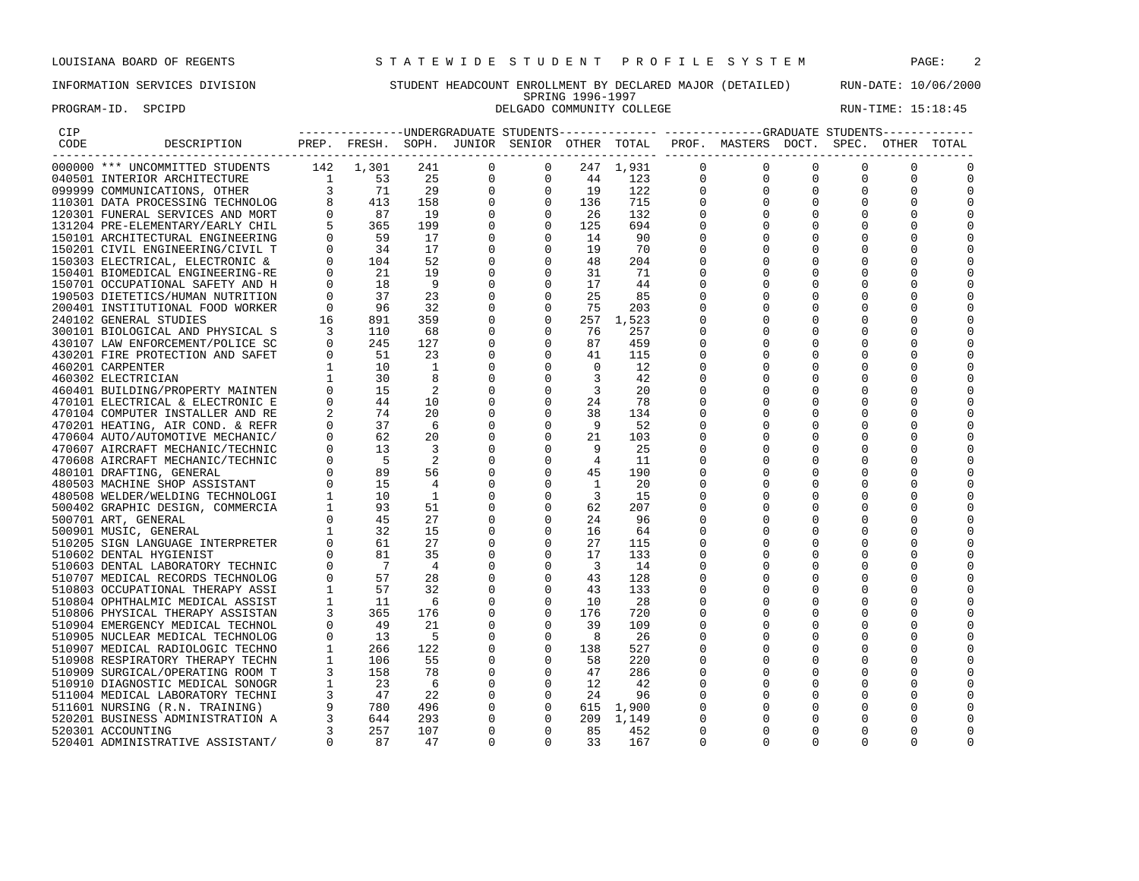### INFORMATION SERVICES DIVISION STUDENT HEADCOUNT ENROLLMENT BY DECLARED MAJOR (DETAILED) RUN-DATE: 10/06/2000 SPRING 1996-1997 PROGRAM-ID. SPCIPD **DELGADO COMMUNITY COLLEGE** RUN-TIME: 15:18:45

|                                                                                                                                                                                                                                                                                                                                                                                                                                                   |  |  |  |  | ---------------UNDERGRADUATE STUDENTS-------------- ------------GRADUATE STUDENTS------------ |  |          |
|---------------------------------------------------------------------------------------------------------------------------------------------------------------------------------------------------------------------------------------------------------------------------------------------------------------------------------------------------------------------------------------------------------------------------------------------------|--|--|--|--|-----------------------------------------------------------------------------------------------|--|----------|
|                                                                                                                                                                                                                                                                                                                                                                                                                                                   |  |  |  |  | PREP. FRESH. SOPH. JUNIOR SENIOR OTHER TOTAL PROF. MASTERS DOCT. SPEC. OTHER TOTAL            |  |          |
|                                                                                                                                                                                                                                                                                                                                                                                                                                                   |  |  |  |  |                                                                                               |  |          |
|                                                                                                                                                                                                                                                                                                                                                                                                                                                   |  |  |  |  |                                                                                               |  |          |
|                                                                                                                                                                                                                                                                                                                                                                                                                                                   |  |  |  |  |                                                                                               |  | 0        |
|                                                                                                                                                                                                                                                                                                                                                                                                                                                   |  |  |  |  |                                                                                               |  | 0        |
|                                                                                                                                                                                                                                                                                                                                                                                                                                                   |  |  |  |  |                                                                                               |  | 0        |
|                                                                                                                                                                                                                                                                                                                                                                                                                                                   |  |  |  |  |                                                                                               |  |          |
|                                                                                                                                                                                                                                                                                                                                                                                                                                                   |  |  |  |  |                                                                                               |  | $\Omega$ |
|                                                                                                                                                                                                                                                                                                                                                                                                                                                   |  |  |  |  |                                                                                               |  |          |
|                                                                                                                                                                                                                                                                                                                                                                                                                                                   |  |  |  |  |                                                                                               |  |          |
|                                                                                                                                                                                                                                                                                                                                                                                                                                                   |  |  |  |  |                                                                                               |  | $\Omega$ |
|                                                                                                                                                                                                                                                                                                                                                                                                                                                   |  |  |  |  |                                                                                               |  |          |
|                                                                                                                                                                                                                                                                                                                                                                                                                                                   |  |  |  |  |                                                                                               |  | $\Omega$ |
|                                                                                                                                                                                                                                                                                                                                                                                                                                                   |  |  |  |  |                                                                                               |  | $\Omega$ |
|                                                                                                                                                                                                                                                                                                                                                                                                                                                   |  |  |  |  |                                                                                               |  |          |
|                                                                                                                                                                                                                                                                                                                                                                                                                                                   |  |  |  |  |                                                                                               |  | 0        |
|                                                                                                                                                                                                                                                                                                                                                                                                                                                   |  |  |  |  |                                                                                               |  |          |
|                                                                                                                                                                                                                                                                                                                                                                                                                                                   |  |  |  |  |                                                                                               |  |          |
|                                                                                                                                                                                                                                                                                                                                                                                                                                                   |  |  |  |  |                                                                                               |  | $\Omega$ |
|                                                                                                                                                                                                                                                                                                                                                                                                                                                   |  |  |  |  |                                                                                               |  | $\Omega$ |
|                                                                                                                                                                                                                                                                                                                                                                                                                                                   |  |  |  |  |                                                                                               |  | $\Omega$ |
|                                                                                                                                                                                                                                                                                                                                                                                                                                                   |  |  |  |  |                                                                                               |  |          |
|                                                                                                                                                                                                                                                                                                                                                                                                                                                   |  |  |  |  |                                                                                               |  |          |
|                                                                                                                                                                                                                                                                                                                                                                                                                                                   |  |  |  |  |                                                                                               |  |          |
|                                                                                                                                                                                                                                                                                                                                                                                                                                                   |  |  |  |  |                                                                                               |  | 0        |
|                                                                                                                                                                                                                                                                                                                                                                                                                                                   |  |  |  |  |                                                                                               |  |          |
|                                                                                                                                                                                                                                                                                                                                                                                                                                                   |  |  |  |  |                                                                                               |  | $\Omega$ |
|                                                                                                                                                                                                                                                                                                                                                                                                                                                   |  |  |  |  |                                                                                               |  | $\Omega$ |
|                                                                                                                                                                                                                                                                                                                                                                                                                                                   |  |  |  |  |                                                                                               |  |          |
|                                                                                                                                                                                                                                                                                                                                                                                                                                                   |  |  |  |  |                                                                                               |  | $\Omega$ |
|                                                                                                                                                                                                                                                                                                                                                                                                                                                   |  |  |  |  |                                                                                               |  |          |
|                                                                                                                                                                                                                                                                                                                                                                                                                                                   |  |  |  |  |                                                                                               |  | 0        |
|                                                                                                                                                                                                                                                                                                                                                                                                                                                   |  |  |  |  |                                                                                               |  | C        |
|                                                                                                                                                                                                                                                                                                                                                                                                                                                   |  |  |  |  |                                                                                               |  |          |
|                                                                                                                                                                                                                                                                                                                                                                                                                                                   |  |  |  |  |                                                                                               |  | $\Omega$ |
|                                                                                                                                                                                                                                                                                                                                                                                                                                                   |  |  |  |  |                                                                                               |  | $\Omega$ |
|                                                                                                                                                                                                                                                                                                                                                                                                                                                   |  |  |  |  |                                                                                               |  | $\Omega$ |
|                                                                                                                                                                                                                                                                                                                                                                                                                                                   |  |  |  |  |                                                                                               |  | 0        |
|                                                                                                                                                                                                                                                                                                                                                                                                                                                   |  |  |  |  |                                                                                               |  | C        |
|                                                                                                                                                                                                                                                                                                                                                                                                                                                   |  |  |  |  |                                                                                               |  | $\Omega$ |
|                                                                                                                                                                                                                                                                                                                                                                                                                                                   |  |  |  |  |                                                                                               |  | $\Omega$ |
|                                                                                                                                                                                                                                                                                                                                                                                                                                                   |  |  |  |  |                                                                                               |  | 0        |
|                                                                                                                                                                                                                                                                                                                                                                                                                                                   |  |  |  |  |                                                                                               |  | $\Omega$ |
|                                                                                                                                                                                                                                                                                                                                                                                                                                                   |  |  |  |  |                                                                                               |  | $\Omega$ |
|                                                                                                                                                                                                                                                                                                                                                                                                                                                   |  |  |  |  |                                                                                               |  |          |
|                                                                                                                                                                                                                                                                                                                                                                                                                                                   |  |  |  |  |                                                                                               |  | 0        |
|                                                                                                                                                                                                                                                                                                                                                                                                                                                   |  |  |  |  |                                                                                               |  |          |
|                                                                                                                                                                                                                                                                                                                                                                                                                                                   |  |  |  |  |                                                                                               |  | $\Omega$ |
|                                                                                                                                                                                                                                                                                                                                                                                                                                                   |  |  |  |  |                                                                                               |  | $\Omega$ |
|                                                                                                                                                                                                                                                                                                                                                                                                                                                   |  |  |  |  |                                                                                               |  |          |
|                                                                                                                                                                                                                                                                                                                                                                                                                                                   |  |  |  |  |                                                                                               |  | $\Omega$ |
| $\begin{small} \textbf{1}_{\text{3}} \text{S} & \textbf{1}_{\text{3}} \text{S} & \textbf{1}_{\text{3}} \text{S} & \textbf{1}_{\text{3}} \text{S} & \textbf{1}_{\text{3}} \text{S} & \textbf{1}_{\text{3}} \text{S} & \textbf{1}_{\text{3}} \text{S} & \textbf{1}_{\text{3}} \text{S} & \textbf{1}_{\text{3}} \text{S} & \textbf{1}_{\text{3}} \text{S} & \textbf{1}_{\text{3}} \text{S} & \textbf{1}_{\text{3}} \text{S} & \textbf{1}_{\text{3}}$ |  |  |  |  |                                                                                               |  | 0        |
|                                                                                                                                                                                                                                                                                                                                                                                                                                                   |  |  |  |  |                                                                                               |  | $\Omega$ |
|                                                                                                                                                                                                                                                                                                                                                                                                                                                   |  |  |  |  |                                                                                               |  |          |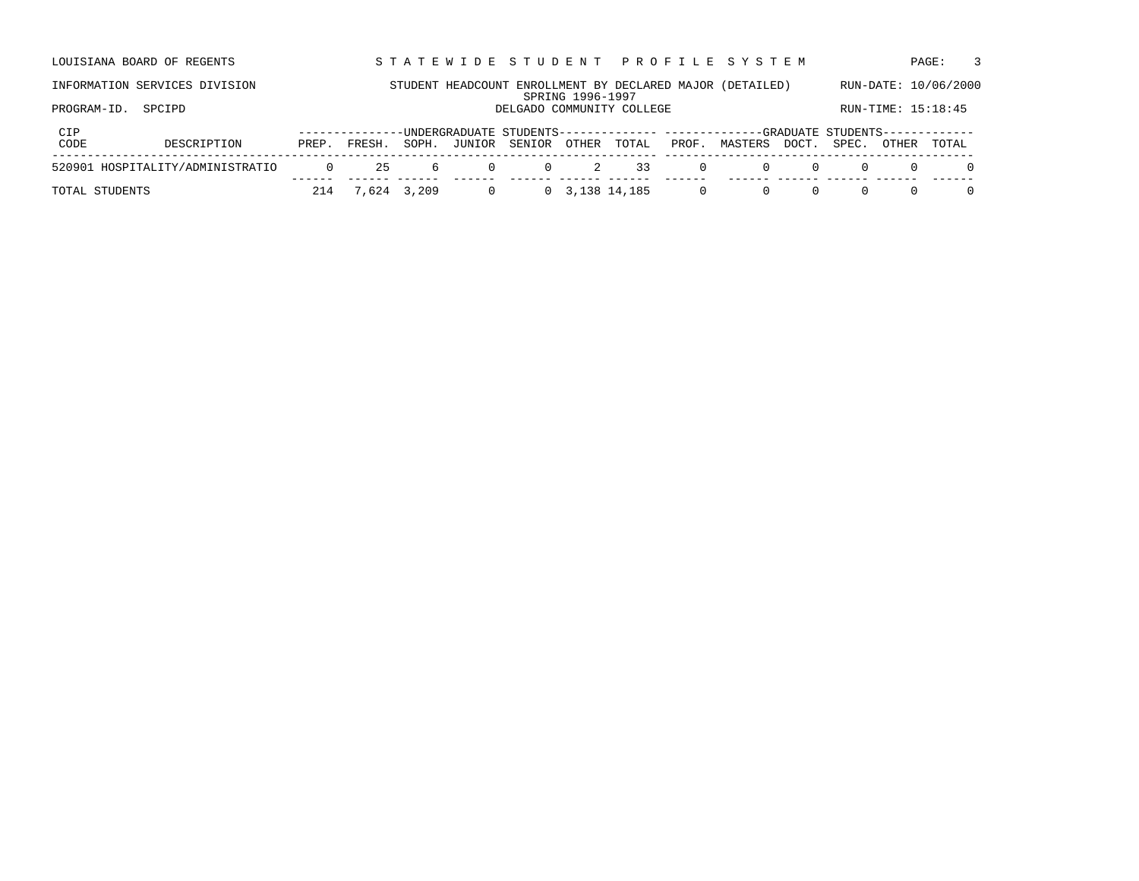|             | 520901 HOSPITALITY/ADMINISTRATIO | $\Omega$ | 25     | 6     | $\Omega$ | $\Omega$                  | $\overline{2}$   | 33    | $\Omega$ | $\Omega$                                                                                         | $\Omega$ |       |                    |                      |   |
|-------------|----------------------------------|----------|--------|-------|----------|---------------------------|------------------|-------|----------|--------------------------------------------------------------------------------------------------|----------|-------|--------------------|----------------------|---|
| CIP<br>CODE | DESCRIPTION                      | PREP.    | FRESH. | SOPH. | JUNIOR   | SENIOR OTHER              |                  | TOTAL |          | -UNDERGRADUATE STUDENTS------------- ------------GRADUATE STUDENTS-------------<br>PROF. MASTERS | DOCT.    | SPEC. | OTHER              | TOTAL                |   |
| PROGRAM-ID. | SPCIPD                           |          |        |       |          | DELGADO COMMUNITY COLLEGE |                  |       |          |                                                                                                  |          |       | RUN-TIME: 15:18:45 |                      |   |
|             | INFORMATION SERVICES DIVISION    |          |        |       |          |                           | SPRING 1996-1997 |       |          | STUDENT HEADCOUNT ENROLLMENT BY DECLARED MAJOR (DETAILED)                                        |          |       |                    | RUN-DATE: 10/06/2000 |   |
|             | LOUISIANA BOARD OF REGENTS       |          |        |       |          |                           |                  |       |          | STATEWIDE STUDENT PROFILE SYSTEM                                                                 |          |       |                    | PAGE:                | 3 |

TOTAL STUDENTS 214 7,624 3,209 0 0 3,138 14,185 0 0 0 0 0 0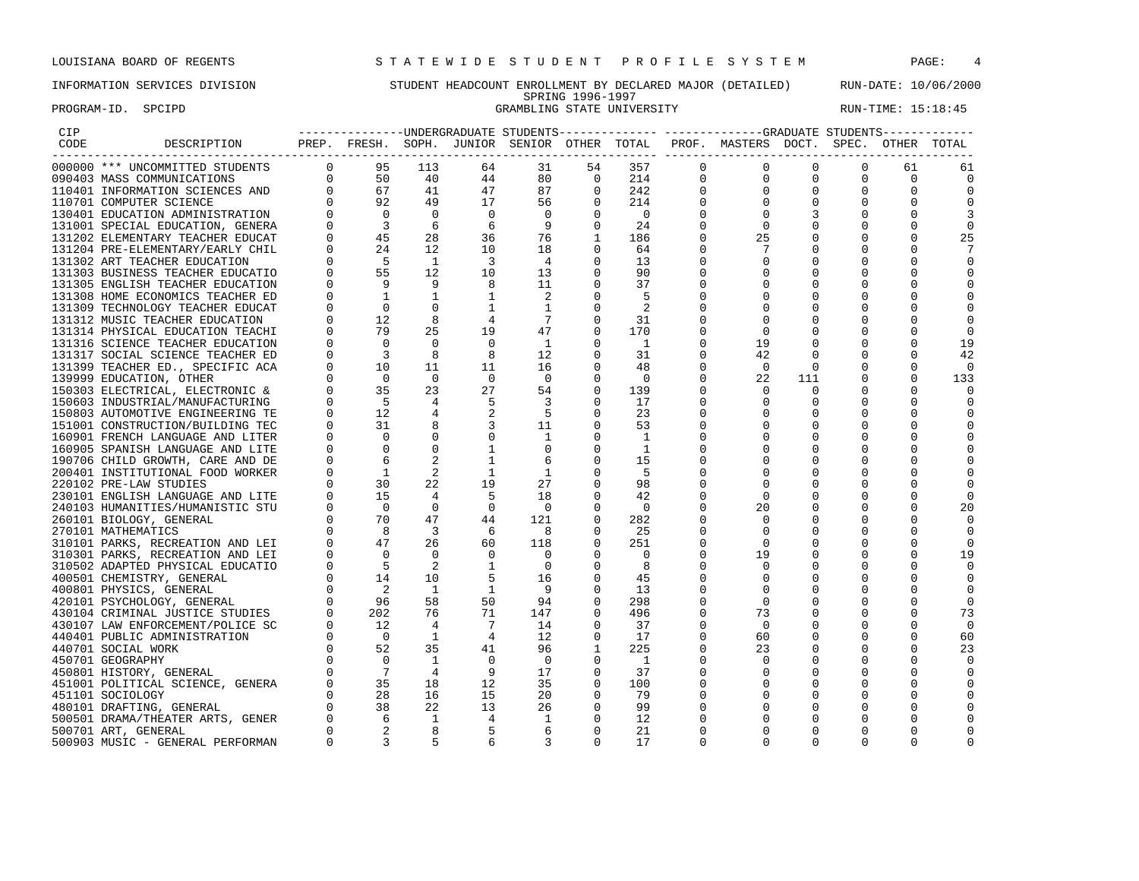PROGRAM-ID. SPCIPD STATE UNIVERSITY STATE UNIVERSITY RUN-TIME: 15:18:45

### INFORMATION SERVICES DIVISION STUDENT HEADCOUNT ENROLLMENT BY DECLARED MAJOR (DETAILED) RUN-DATE: 10/06/2000 SPRING 1996-1997

| CIP  |                                  |             |                                                                                                                         |                |                         |                         |                |                          |             |                                                                                    |          |          |              |             |
|------|----------------------------------|-------------|-------------------------------------------------------------------------------------------------------------------------|----------------|-------------------------|-------------------------|----------------|--------------------------|-------------|------------------------------------------------------------------------------------|----------|----------|--------------|-------------|
| CODE | DESCRIPTION                      |             |                                                                                                                         |                |                         |                         |                |                          |             | PREP. FRESH. SOPH. JUNIOR SENIOR OTHER TOTAL PROF. MASTERS DOCT. SPEC. OTHER TOTAL |          |          |              |             |
|      | 000000 *** UNCOMMITTED STUDENTS  |             | $\begin{bmatrix} 0 & 95 & 113 \\ 0 & 50 & 40 \\ 0 & 67 & 41 \\ 0 & 92 & 49 \\ 0 & 0 & 0 \end{bmatrix}$                  |                | 64                      | 31                      | 54             | 357                      | $\Omega$    | $\Omega$                                                                           | $\Omega$ | $\Omega$ | 61           | 61          |
|      | 090403 MASS COMMUNICATIONS       |             |                                                                                                                         |                | 44                      | 80                      | $\overline{0}$ | 214                      | $\mathbf 0$ | 0                                                                                  | 0        | 0        | 0            |             |
|      | 110401 INFORMATION SCIENCES AND  |             |                                                                                                                         |                | 47                      | 87                      | $\mathbf 0$    | 242                      | $\mathbf 0$ | 0                                                                                  |          |          | 0            |             |
|      | 110701 COMPUTER SCIENCE          |             |                                                                                                                         |                | 17                      | 56                      | $\mathbf 0$    | 214                      |             |                                                                                    |          |          |              |             |
|      | 130401 EDUCATION ADMINISTRATION  |             |                                                                                                                         |                | $\bigcirc$              | $\overline{0}$          | $\Omega$       | $\overline{\phantom{0}}$ |             | $\Omega$                                                                           |          |          |              |             |
|      | 131001 SPECIAL EDUCATION, GENERA |             | $\overline{\mathbf{3}}$                                                                                                 | - 6            | 6                       | - 9                     | 0              | 24                       |             | $\Omega$                                                                           |          |          |              |             |
|      | 131202 ELEMENTARY TEACHER EDUCAT |             | $\begin{matrix} 0 \\ 0 \end{matrix}$<br>45                                                                              | 28             | 36                      | 76                      | 1              | 186                      |             | 25                                                                                 |          |          |              | 25          |
|      | 131204 PRE-ELEMENTARY/EARLY CHIL | $\Omega$    | 24                                                                                                                      | 12             | 10                      | 18                      |                | 64                       |             |                                                                                    |          |          |              |             |
|      | 131302 ART TEACHER EDUCATION     |             | - 5                                                                                                                     | $\mathbf{1}$   | $\overline{\mathbf{3}}$ | $\overline{4}$          | $\Omega$       | 13                       |             |                                                                                    |          |          |              |             |
|      | 131303 BUSINESS TEACHER EDUCATIO |             | 55                                                                                                                      | 12             | 10                      | 13                      | $\Omega$       | 90                       |             |                                                                                    |          |          |              |             |
|      | 131305 ENGLISH TEACHER EDUCATION |             | $\frac{9}{1}$                                                                                                           | 9              | 8                       | 11                      | $\Omega$       | 37                       |             | 0                                                                                  |          |          |              |             |
|      | 131308 HOME ECONOMICS TEACHER ED |             |                                                                                                                         |                |                         | 2                       |                | 5                        |             |                                                                                    |          |          |              |             |
|      | 131309 TECHNOLOGY TEACHER EDUCAT | $\mathbf 0$ | $\mathbf 0$                                                                                                             | $\Omega$       | 1                       | 1                       | 0              | -2                       |             |                                                                                    |          |          |              |             |
|      | 131312 MUSIC TEACHER EDUCATION   | $\Omega$    | 12                                                                                                                      | -8             | 4                       | -7                      | 0              | 31                       |             |                                                                                    |          |          |              |             |
|      | 131314 PHYSICAL EDUCATION TEACHI |             | 79                                                                                                                      | 25             | 19                      | 47                      | $\Omega$       | 170                      |             | $\Omega$                                                                           |          |          |              |             |
|      | 131316 SCIENCE TEACHER EDUCATION |             | $\overline{0}$                                                                                                          | 0              | $\overline{0}$          | - 1                     | 0              | - 1                      |             | 19                                                                                 |          |          |              | 19          |
|      | 131317 SOCIAL SCIENCE TEACHER ED |             | $\overline{\phantom{a}}$                                                                                                | 8              | 8                       | 12                      | $\mathbf 0$    | 31                       |             | 42                                                                                 |          |          |              | 42          |
|      | 131399 TEACHER ED., SPECIFIC ACA | 0           | 10                                                                                                                      | 11             | 11                      | 16                      | 0              | 48                       |             | $\mathbf 0$                                                                        | 0        |          |              | $\Omega$    |
|      | 139999 EDUCATION, OTHER          |             | $\bigcirc$                                                                                                              | $\Omega$       | $\Omega$                | $\overline{\mathbf{0}}$ | $\Omega$       | - 0                      |             | 22                                                                                 | 111      |          |              | 133         |
|      | 150303 ELECTRICAL, ELECTRONIC &  |             | 35                                                                                                                      | 23             | 27                      | 54                      | $\Omega$       | 139                      |             |                                                                                    |          |          |              |             |
|      | 150603 INDUSTRIAL/MANUFACTURING  |             | - 5                                                                                                                     |                | 5                       | -3                      | 0              | 17                       |             |                                                                                    |          |          |              |             |
|      | 150803 AUTOMOTIVE ENGINEERING TE |             | 12                                                                                                                      |                |                         | - 5                     | $\mathbf 0$    | 23                       |             |                                                                                    |          |          |              |             |
|      | 151001 CONSTRUCTION/BUILDING TEC |             | 31                                                                                                                      |                |                         | 11                      | 0              | 53                       |             |                                                                                    |          |          |              |             |
|      | 160901 FRENCH LANGUAGE AND LITER |             | $\Omega$                                                                                                                | $\mathbf{0}$   |                         | -1                      | 0              | -1                       |             |                                                                                    |          |          |              |             |
|      | 160905 SPANISH LANGUAGE AND LITE |             | $\Omega$                                                                                                                | $\Omega$       |                         | $\Omega$                | $\Omega$       | 1                        |             |                                                                                    |          |          |              |             |
|      | 190706 CHILD GROWTH, CARE AND DE |             | -6                                                                                                                      |                |                         | 6                       | 0              | 15                       |             |                                                                                    |          |          |              |             |
|      | 200401 INSTITUTIONAL FOOD WORKER |             | <sup>1</sup>                                                                                                            | 2              | 1                       | $\mathbf{1}$            | 0              | - 5                      |             |                                                                                    |          |          |              |             |
|      | 220102 PRE-LAW STUDIES           |             | 30                                                                                                                      | 22             | 19                      | 27                      | 0              | 98                       |             |                                                                                    |          |          |              |             |
|      | 230101 ENGLISH LANGUAGE AND LITE |             |                                                                                                                         | $\overline{4}$ | -5                      | 18                      | $\Omega$       | 42                       |             |                                                                                    |          |          |              |             |
|      | 240103 HUMANITIES/HUMANISTIC STU |             |                                                                                                                         | $\Omega$       | $\Omega$                | - 0                     | $\Omega$       | 0                        |             | 20                                                                                 |          |          |              | 20          |
|      | 260101 BIOLOGY, GENERAL          |             |                                                                                                                         | 47             | 44                      | 121                     | $\mathbf 0$    | 282                      |             |                                                                                    |          |          |              |             |
|      | 270101 MATHEMATICS               |             |                                                                                                                         | $\overline{3}$ | 6                       | 8                       | $\Omega$       | 25                       |             |                                                                                    |          |          |              |             |
|      | 310101 PARKS, RECREATION AND LEI |             |                                                                                                                         | 26             | 60                      | 118                     | 0              | 251                      |             | $\Omega$                                                                           |          |          |              |             |
|      | 310301 PARKS, RECREATION AND LEI |             |                                                                                                                         | $\Omega$       | $\Omega$                | $\overline{0}$          |                | - 0                      |             | 19                                                                                 |          |          |              | 19          |
|      | 310502 ADAPTED PHYSICAL EDUCATIO |             |                                                                                                                         | 2              | 1                       | $\overline{0}$          | 0              | 8                        |             |                                                                                    |          |          |              |             |
|      | 400501 CHEMISTRY, GENERAL        |             |                                                                                                                         | 10             | 5                       | 16                      | $\Omega$       | 45                       |             |                                                                                    |          |          |              |             |
|      | 400801 PHYSICS, GENERAL          |             | $\begin{array}{ccc} 0 & 30 \ 0 & 15 \ 0 & 0 \ 0 & 0 \ 0 & 8 \ 0 & 47 \ 0 & 0 \ 0 & 5 \ 0 & 14 \ 0 \ 0 & 96 \end{array}$ | 1              | <sup>1</sup>            | 9                       | $\Omega$       | 13                       |             |                                                                                    |          |          |              |             |
|      | 420101 PSYCHOLOGY, GENERAL       | $\Omega$    | 96                                                                                                                      | 58             | 50                      | 94                      | 0              | 298                      |             | $\Omega$                                                                           |          |          |              |             |
|      | 430104 CRIMINAL JUSTICE STUDIES  |             | 202                                                                                                                     | 76             | 71                      | 147                     |                | 496                      |             | 73                                                                                 |          |          |              | 73          |
|      | 430107 LAW ENFORCEMENT/POLICE SC |             | 12                                                                                                                      | 4              | 7                       | 14                      | 0              | 37                       |             | 0                                                                                  |          |          |              | $\mathbf 0$ |
|      | 440401 PUBLIC ADMINISTRATION     |             | $\overline{0}$                                                                                                          | 1              | $\overline{4}$          | 12                      | 0              | 17                       |             | 60                                                                                 |          |          |              | 60          |
|      | 440701 SOCIAL WORK               | $\Omega$    | 52                                                                                                                      | 35             | 41                      | 96                      | 1              | 225                      |             | 23                                                                                 |          |          |              | 23          |
|      | 450701 GEOGRAPHY                 |             | $\Omega$                                                                                                                | -1             | $\Omega$                | - 0                     | 0              | - 1                      |             |                                                                                    |          |          |              |             |
|      | 450801 HISTORY, GENERAL          |             |                                                                                                                         | 4              | 9                       | 17                      | $\Omega$       | 37                       |             | $\Omega$                                                                           |          |          |              |             |
|      | 451001 POLITICAL SCIENCE, GENERA |             |                                                                                                                         | 18             | 12                      | 35                      | 0              | 100                      |             |                                                                                    |          |          |              |             |
|      | 451101 SOCIOLOGY                 |             |                                                                                                                         | 16             | 15                      | 20                      | $\mathbf 0$    | 79                       |             |                                                                                    |          |          |              |             |
|      | 480101 DRAFTING, GENERAL         |             |                                                                                                                         | 22             | 13                      | 26                      | 0              | 99                       |             |                                                                                    |          |          |              |             |
|      | 500501 DRAMA/THEATER ARTS, GENER |             |                                                                                                                         | 1              | 4                       | -1                      | $\Omega$       | 12                       |             |                                                                                    |          |          |              |             |
|      | 500701 ART, GENERAL              |             | $\begin{bmatrix} 0 & 0 & 7 \\ 0 & 35 & 28 \\ 0 & 28 & 38 \\ 0 & 6 & 2 \\ 0 & 2 & 2 \end{bmatrix}$                       | 8              | 5                       | 6                       | $\Omega$       | 21                       |             |                                                                                    |          |          |              |             |
|      |                                  | $\Omega$    | $\overline{3}$                                                                                                          | 5              | 6                       | 3                       | $\Omega$       | 17                       | 0           |                                                                                    |          |          | <sup>0</sup> |             |
|      | 500903 MUSIC - GENERAL PERFORMAN |             |                                                                                                                         |                |                         |                         |                |                          |             |                                                                                    |          |          |              |             |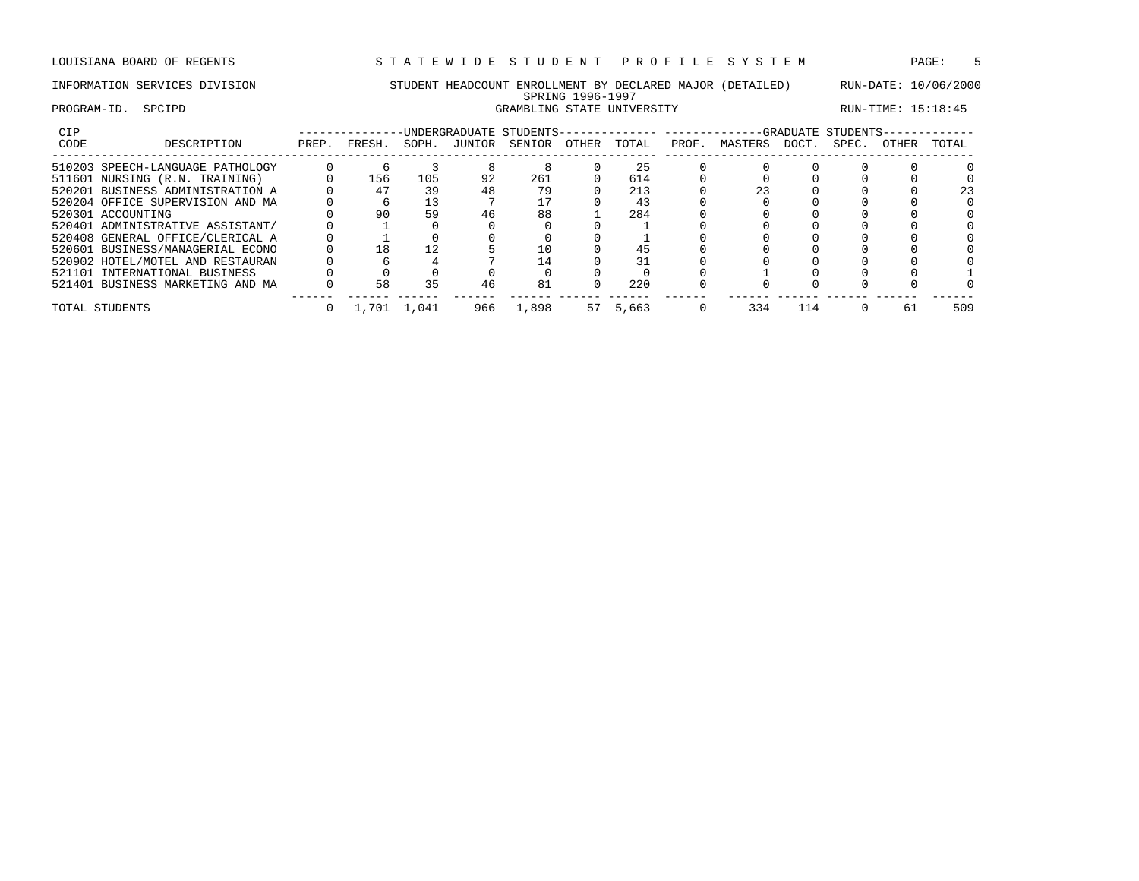## INFORMATION SERVICES DIVISION STUDENT HEADCOUNT ENROLLMENT BY DECLARED MAJOR (DETAILED) RUN-DATE: 10/06/2000 SPRING 1996-1997 PROGRAM-ID. SPCIPD GRAMBLING STATE UNIVERSITY RUN-TIME: 15:18:45

| CIP  |                                  |       |        |       | -UNDERGRADUATE STUDENTS------ |        |       |       |       |         |       | -GRADUATE STUDENTS- |       |       |
|------|----------------------------------|-------|--------|-------|-------------------------------|--------|-------|-------|-------|---------|-------|---------------------|-------|-------|
| CODE | DESCRIPTION                      | PREP. | FRESH. | SOPH. | JUNIOR                        | SENIOR | OTHER | TOTAL | PROF. | MASTERS | DOCT. | SPEC.               | OTHER | TOTAL |
|      | 510203 SPEECH-LANGUAGE PATHOLOGY |       |        |       |                               |        |       | 25    |       |         |       |                     |       |       |
|      | 511601 NURSING (R.N. TRAINING)   |       | 156    | 105   | 92                            | 261    |       | 614   |       |         |       |                     |       |       |
|      | 520201 BUSINESS ADMINISTRATION A |       | 47     | 39    | 48                            | 79     |       | 213   |       |         |       |                     |       |       |
|      | 520204 OFFICE SUPERVISION AND MA |       |        |       |                               |        |       | 43    |       |         |       |                     |       |       |
|      | 520301 ACCOUNTING                |       | 90     | 59    | 46                            | 88     |       | 284   |       |         |       |                     |       |       |
|      | 520401 ADMINISTRATIVE ASSISTANT/ |       |        |       |                               |        |       |       |       |         |       |                     |       |       |
|      | 520408 GENERAL OFFICE/CLERICAL A |       |        |       |                               |        |       |       |       |         |       |                     |       |       |
|      | 520601 BUSINESS/MANAGERIAL ECONO |       | 18     | 12    |                               |        |       | 45    |       |         |       |                     |       |       |
|      | 520902 HOTEL/MOTEL AND RESTAURAN |       |        |       |                               | 4      |       | 31    |       |         |       |                     |       |       |
|      | 521101 INTERNATIONAL BUSINESS    |       |        |       |                               |        |       |       |       |         |       |                     |       |       |
|      | 521401 BUSINESS MARKETING AND MA |       | 58     | 35    | 46                            | 81     |       | 220   |       |         |       |                     |       |       |
|      | TOTAL STUDENTS                   |       | 1,701  | 1,041 | 966                           | 1,898  | 57    | 5,663 |       | 334     | 114   |                     | 61    | 509   |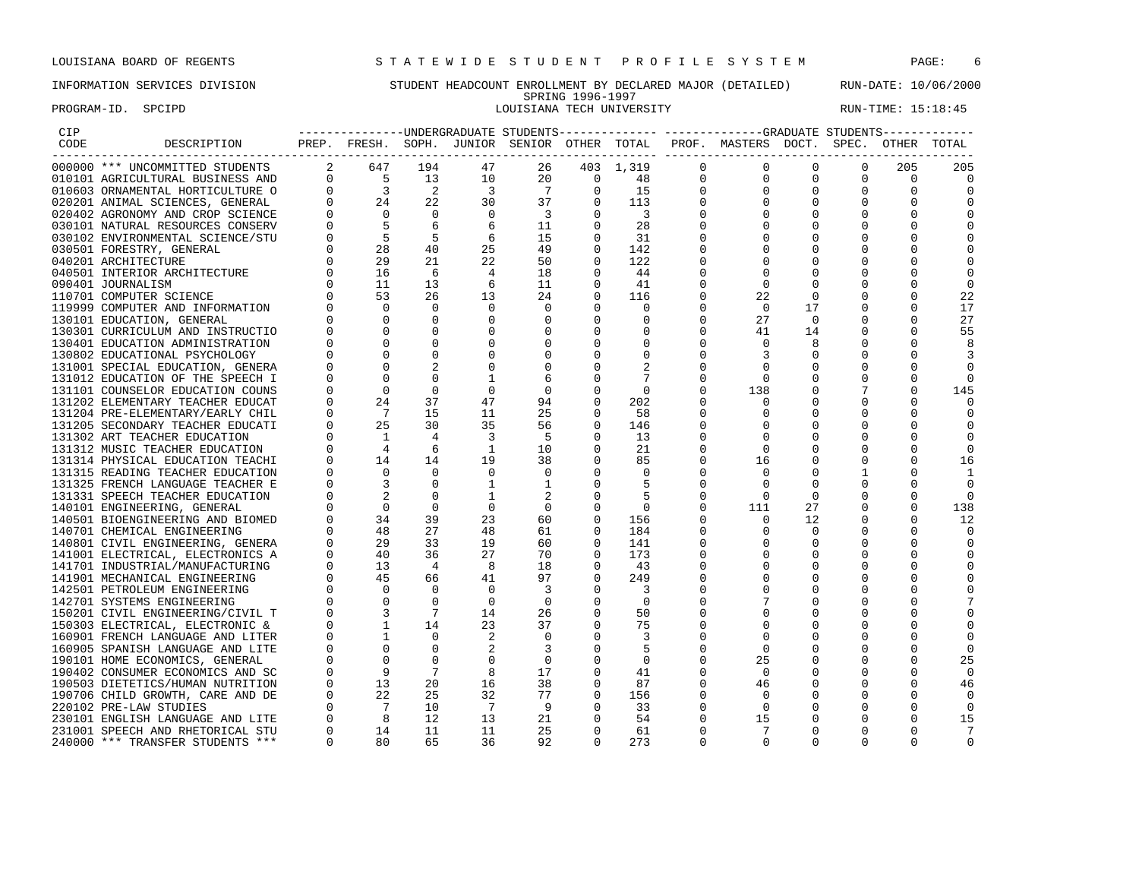PROGRAM-ID. SPCIPD SECTRO SOLUSIANA TECH UNIVERSITY RUN-TIME: 15:18:45

## INFORMATION SERVICES DIVISION STUDENT HEADCOUNT ENROLLMENT BY DECLARED MAJOR (DETAILED) RUN-DATE: 10/06/2000 SPRING 1996-1997<br>LOUISIANA TECH UNIVERSITY

| PREP. FRESH. SOPH. JUNIOR SENIOR OTHER TOTAL PROF. MASTERS DOCT. SPEC. OTHER TOTAL<br>DESCRIPTION<br>CODE<br>2 647 194<br>$\Omega$<br>000000 *** UNCOMMITTED STUDENTS<br>403 1,319<br>$\Omega$<br>$\Omega$<br>205<br>47<br>26<br>$\Omega$<br>205<br>$\begin{array}{ccc} 0 & 5 \\ 0 & 3 \\ 0 & 24 \\ 0 & 0 \end{array}$<br>13<br>10<br>20<br>$\overline{\phantom{0}}$<br>48<br>$\Omega$<br>$\mathbf 0$<br>$\Omega$<br>$\Omega$<br>$\Omega$<br>010101 AGRICULTURAL BUSINESS AND<br>$\Omega$<br>$\overline{\phantom{0}}^2$<br>$\overline{\phantom{a}}$<br>$\overline{7}$<br>15<br>$\mathbf 0$<br>$\mathbf 0$<br>010603 ORNAMENTAL HORTICULTURE O<br>$\mathbf{0}$<br>0<br>$\mathbf{0}$<br>0<br>0<br>30<br>22<br>37<br>$\mathbf 0$<br>113<br>$\mathbf 0$<br>020201 ANIMAL SCIENCES, GENERAL<br>0<br>$\mathbf{0}$<br>0<br>$\overline{0}$<br>$\overline{\phantom{0}}$<br>$\overline{\phantom{a}}$<br>$\Omega$<br>$\overline{\phantom{a}}$<br>$\mathbf 0$<br>$\mathbf 0$<br>020402 AGRONOMY AND CROP SCIENCE<br>$\Omega$<br>$\begin{array}{ccc} 0 & 0 & 0 \ 0 & 5 & 5 \ 0 & 28 & 0 \ 0 & 16 & 0 \ 0 & 0 & 0 \ 0 & 0 & 0 \end{array}$<br>6<br>6<br>11<br>$\mathbf 0$<br>28<br>030101 NATURAL RESOURCES CONSERV<br>0<br>$6\overline{6}$<br>030102 ENVIRONMENTAL SCIENCE/STU<br>5<br>15<br>0<br>-31<br>$\Omega$<br>40<br>25<br>49<br>030501 FORESTRY, GENERAL<br>$\Omega$<br>142<br>21<br>22<br>50<br>122<br>040201 ARCHITECTURE<br>$\Omega$<br>$\Omega$<br>$\Omega$<br>O<br>6<br>$\overline{4}$<br>18<br>040501 INTERIOR ARCHITECTURE<br>$\Omega$<br>44<br>0<br>13<br>6<br>11<br>41<br>$\mathbf 0$<br>090401 JOURNALISM<br>$\mathbf 0$<br>0<br>$\Omega$<br>26<br>13<br>24<br>$\mathbf 0$<br>22<br>$\mathbf 0$<br>110701 COMPUTER SCIENCE<br>116<br>$\mathbf 0$<br>22<br>$\Omega$<br>$\Omega$<br>$\Omega$<br>$\Omega$<br>$\Omega$<br>17<br>17<br>119999 COMPUTER AND INFORMATION<br>$\Omega$<br>$\Omega$<br>27<br>27<br>130101 EDUCATION, GENERAL<br>$\Omega$<br>$\Omega$<br>$\mathbf 0$<br>$\Omega$<br>0<br>$\Omega$<br>$\Omega$<br>$\overline{0}$<br>$\Omega$<br>$\Omega$<br>$\mathbf 0$<br>$\mathbf 0$<br>41<br>$\mathbf 0$<br>14<br>$\Omega$<br>55<br>130301 CURRICULUM AND INSTRUCTIO<br>$\overline{0}$<br>$\Omega$<br>$\mathbf{0}$<br>$\mathbf 0$<br>$\Omega$<br>130401 EDUCATION ADMINISTRATION<br>8<br>8<br>$\overline{0}$<br>$\mathbf 0$<br>$\mathbf 0$<br>$\mathbf 0$<br>$\mathbf 0$<br>3<br>130802 EDUCATIONAL PSYCHOLOGY<br>0<br>3<br>$\overline{0}$<br>$\mathbf 0$<br>$\mathbf{0}$<br>2<br>131001 SPECIAL EDUCATION, GENERA<br>0<br>0<br>$\Omega$<br>131012 EDUCATION OF THE SPEECH I<br>$\Omega$<br>6<br>$\Omega$<br>-7<br>$\Omega$<br>$\overline{0}$<br>$\Omega$<br>$\overline{0}$<br>131101 COUNSELOR EDUCATION COUNS<br>$\Omega$<br>$\mathbf 0$<br>$\overline{\phantom{0}}$<br>138<br>$\Omega$<br>145<br>$\begin{array}{ccc} 0 & 0 & 24 \ 0 & 2 & 7 \ 0 & 25 & 1 \ 0 & 1 & 4 \ 0 & 14 & 14 \end{array}$<br>37<br>94<br>131202 ELEMENTARY TEACHER EDUCAT<br>47<br>$\mathbf 0$<br>202<br>$\circ$<br>0<br>15<br>11<br>25<br>131204 PRE-ELEMENTARY/EARLY CHIL<br>58<br>$\Omega$<br>$\Omega$<br>$\Omega$<br>30<br>35<br>56<br>131205 SECONDARY TEACHER EDUCATI<br>$\mathbf 0$<br>146<br>0<br>131302 ART TEACHER EDUCATION<br>$\overline{4}$<br>$\overline{\phantom{a}}$<br>- 5<br>$\Omega$<br>13<br>0<br>$\Omega$<br>131312 MUSIC TEACHER EDUCATION<br>$\overline{1}$<br>10<br>$\Omega$<br>21<br>$\mathbf 0$<br>6<br>14<br>19<br>38<br>$\mathbf{0}$<br>16<br>16<br>131314 PHYSICAL EDUCATION TEACHI<br>85<br>0<br>0<br>$\overline{0}$<br>$\overline{0}$<br>$\mathbf 0$<br>$\Omega$<br>$\Omega$<br>$\Omega$<br>$\mathbf{1}$<br>131315 READING TEACHER EDUCATION<br>$\overline{\phantom{0}}$<br>0<br>1<br>$\overline{\phantom{a}}$<br>131325 FRENCH LANGUAGE TEACHER E<br>$\Omega$<br>$\mathbf{1}$<br>1<br>$\Omega$<br>.5<br>$\Omega$<br>$\Omega$<br>$\Omega$<br>$\Omega$<br>$\overline{\phantom{0}}^2$<br>5<br>131331 SPEECH TEACHER EDUCATION<br>$\Omega$<br>$\Omega$<br>$\Omega$<br>$\Omega$<br>$\Omega$<br>$\overline{0}$<br>$\begin{matrix} 0 \\ 0 \end{matrix}$<br>$\Omega$<br>$\overline{0}$<br>111<br>140101 ENGINEERING, GENERAL<br>$\mathbf 0$<br>$\mathbf 0$<br>$\overline{\phantom{0}}$<br>27<br>138<br>34<br>39<br>140501 BIOENGINEERING AND BIOMED<br>23<br>60<br>156<br>12<br>12<br>$\mathbf 0$<br>$\mathbf 0$<br>48<br>27<br>48<br>61<br>184<br>$\mathbf 0$<br>140701 CHEMICAL ENGINEERING<br>$\overline{0}$<br>0<br>$\Omega$<br>$\begin{bmatrix} 0 \\ 0 \end{bmatrix}$<br>29<br>33<br>19<br>60<br>140801 CIVIL ENGINEERING, GENERA<br>0<br>141<br>0<br>0<br>$\Omega$<br>$\Omega$<br>-40<br>36<br>27<br>70<br>173<br>141001 ELECTRICAL, ELECTRONICS A<br>$\Omega$<br>0<br>$\Omega$<br>13<br>$\overline{4}$<br>8<br>18<br>$\Omega$<br>43<br>0<br>141701 INDUSTRIAL/MANUFACTURING<br>U<br>45<br>66<br>41<br>97<br>$\Omega$<br>249<br>141901 MECHANICAL ENGINEERING<br>0<br>$\begin{matrix}0&&&-1\\0&&&0\\0&&&3\end{matrix}$<br>$\overline{0}$<br>142501 PETROLEUM ENGINEERING<br>$\Omega$<br>$\overline{3}$<br>$\mathbf 0$<br>3<br>142701 SYSTEMS ENGINEERING<br>$\Omega$<br>$\circ$<br>$\overline{0}$<br>$\overline{0}$<br>7<br>$\bigcirc$<br>0<br>$\overline{7}$<br>26<br>14<br>$\overline{0}$<br>50<br>150201 CIVIL ENGINEERING/CIVIL T<br>$\Omega$<br>$\begin{bmatrix} 1 \\ 1 \end{bmatrix}$<br>$\Omega$<br>14<br>23<br>37<br>75<br>150303 ELECTRICAL, ELECTRONIC &<br>$\Omega$<br>0<br>0<br>$\Omega$<br>$\overline{0}$<br>160901 FRENCH LANGUAGE AND LITER<br>2<br>$\Omega$<br>$\Omega$<br>$\Omega$<br>$\Omega$<br>3<br>$\Omega$<br>$\bigcap$<br>$\Omega$<br>2<br>$\Omega$<br>160905 SPANISH LANGUAGE AND LITE<br>3<br>$\Omega$<br>$\Omega$<br>5<br>$\overline{0}$<br>$\mathbf{0}$<br>$\mathbf 0$<br>25<br>25<br>190101 HOME ECONOMICS, GENERAL<br>$\overline{0}$<br>$\mathbf 0$<br>$\overline{0}$<br>0<br>0<br>$\overline{9}$<br>$7^{\circ}$<br>8<br>17<br>$\mathbf 0$<br>$\mathbf 0$<br>190402 CONSUMER ECONOMICS AND SC<br>41<br>0<br>0<br>$\Omega$<br>$\begin{bmatrix} 0 & 13 \\ 0 & 22 \\ 0 & 7 \\ 0 & 8 \\ 0 & 14 \end{bmatrix}$<br>20<br>38<br>16<br>87<br>46<br>190503 DIETETICS/HUMAN NUTRITION<br>$\mathbf{0}$<br>0<br>46<br>25<br>32<br>77<br>190706 CHILD GROWTH, CARE AND DE<br>$\overline{0}$<br>156<br>$\mathbf 0$<br>$\Omega$<br>0<br>$\Omega$<br>10<br>- 9<br>$\overline{7}$<br>$\Omega$<br>33<br>$\overline{0}$<br>220102 PRE-LAW STUDIES<br>$\Omega$<br>12<br>13<br>21<br>230101 ENGLISH LANGUAGE AND LITE<br>$\Omega$<br>54<br>15<br>$\Omega$<br>15<br>$\Omega$<br>11<br>$\mathbf 0$<br>14<br>11<br>25<br>$7\phantom{.0}$<br>231001 SPEECH AND RHETORICAL STU<br>$\overline{0}$<br>61<br>0<br>0<br>$\Omega$<br>7<br>$\Omega$<br>80<br>65<br>36<br>240000 *** TRANSFER STUDENTS ***<br>92<br>$\Omega$<br>273<br>$\Omega$<br>$\Omega$<br>$\Omega$<br>$\Omega$<br>$\Omega$ | CIP |  |  |  |  |  |  |  |
|---------------------------------------------------------------------------------------------------------------------------------------------------------------------------------------------------------------------------------------------------------------------------------------------------------------------------------------------------------------------------------------------------------------------------------------------------------------------------------------------------------------------------------------------------------------------------------------------------------------------------------------------------------------------------------------------------------------------------------------------------------------------------------------------------------------------------------------------------------------------------------------------------------------------------------------------------------------------------------------------------------------------------------------------------------------------------------------------------------------------------------------------------------------------------------------------------------------------------------------------------------------------------------------------------------------------------------------------------------------------------------------------------------------------------------------------------------------------------------------------------------------------------------------------------------------------------------------------------------------------------------------------------------------------------------------------------------------------------------------------------------------------------------------------------------------------------------------------------------------------------------------------------------------------------------------------------------------------------------------------------------------------------------------------------------------------------------------------------------------------------------------------------------------------------------------------------------------------------------------------------------------------------------------------------------------------------------------------------------------------------------------------------------------------------------------------------------------------------------------------------------------------------------------------------------------------------------------------------------------------------------------------------------------------------------------------------------------------------------------------------------------------------------------------------------------------------------------------------------------------------------------------------------------------------------------------------------------------------------------------------------------------------------------------------------------------------------------------------------------------------------------------------------------------------------------------------------------------------------------------------------------------------------------------------------------------------------------------------------------------------------------------------------------------------------------------------------------------------------------------------------------------------------------------------------------------------------------------------------------------------------------------------------------------------------------------------------------------------------------------------------------------------------------------------------------------------------------------------------------------------------------------------------------------------------------------------------------------------------------------------------------------------------------------------------------------------------------------------------------------------------------------------------------------------------------------------------------------------------------------------------------------------------------------------------------------------------------------------------------------------------------------------------------------------------------------------------------------------------------------------------------------------------------------------------------------------------------------------------------------------------------------------------------------------------------------------------------------------------------------------------------------------------------------------------------------------------------------------------------------------------------------------------------------------------------------------------------------------------------------------------------------------------------------------------------------------------------------------------------------------------------------------------------------------------------------------------------------------------------------------------------------------------------------------------------------------------------------------------------------------------------------------------------------------------------------------------------------------------------------------------------------------------------------------------------------------------------------------------------------------------------------------------------------------------------------------------------------------------------------------------------------------------------------------------------------------------------------------------------------------------------------------------------------------------------------------------------------------------------------------------------------------------------------------------------------------------------------------------------------------------------------------------------------------------------------------------------------------------------------------------------------------------------------------------------------------------------------------------------------------------------------------------------------------------------------------------------------------------------------------------------------------------------------------------------------------------------------------------------------------------------------------------------------------------------------------------------------------------------------------------------------------------------------------------------|-----|--|--|--|--|--|--|--|
|                                                                                                                                                                                                                                                                                                                                                                                                                                                                                                                                                                                                                                                                                                                                                                                                                                                                                                                                                                                                                                                                                                                                                                                                                                                                                                                                                                                                                                                                                                                                                                                                                                                                                                                                                                                                                                                                                                                                                                                                                                                                                                                                                                                                                                                                                                                                                                                                                                                                                                                                                                                                                                                                                                                                                                                                                                                                                                                                                                                                                                                                                                                                                                                                                                                                                                                                                                                                                                                                                                                                                                                                                                                                                                                                                                                                                                                                                                                                                                                                                                                                                                                                                                                                                                                                                                                                                                                                                                                                                                                                                                                                                                                                                                                                                                                                                                                                                                                                                                                                                                                                                                                                                                                                                                                                                                                                                                                                                                                                                                                                                                                                                                                                                                                                                                                                                                                                                                                                                                                                                                                                                                                                                                                                                                                                                                                                                                                                                                                                                                                                                                                                                                                                                                                                                                                                               |     |  |  |  |  |  |  |  |
|                                                                                                                                                                                                                                                                                                                                                                                                                                                                                                                                                                                                                                                                                                                                                                                                                                                                                                                                                                                                                                                                                                                                                                                                                                                                                                                                                                                                                                                                                                                                                                                                                                                                                                                                                                                                                                                                                                                                                                                                                                                                                                                                                                                                                                                                                                                                                                                                                                                                                                                                                                                                                                                                                                                                                                                                                                                                                                                                                                                                                                                                                                                                                                                                                                                                                                                                                                                                                                                                                                                                                                                                                                                                                                                                                                                                                                                                                                                                                                                                                                                                                                                                                                                                                                                                                                                                                                                                                                                                                                                                                                                                                                                                                                                                                                                                                                                                                                                                                                                                                                                                                                                                                                                                                                                                                                                                                                                                                                                                                                                                                                                                                                                                                                                                                                                                                                                                                                                                                                                                                                                                                                                                                                                                                                                                                                                                                                                                                                                                                                                                                                                                                                                                                                                                                                                                               |     |  |  |  |  |  |  |  |
|                                                                                                                                                                                                                                                                                                                                                                                                                                                                                                                                                                                                                                                                                                                                                                                                                                                                                                                                                                                                                                                                                                                                                                                                                                                                                                                                                                                                                                                                                                                                                                                                                                                                                                                                                                                                                                                                                                                                                                                                                                                                                                                                                                                                                                                                                                                                                                                                                                                                                                                                                                                                                                                                                                                                                                                                                                                                                                                                                                                                                                                                                                                                                                                                                                                                                                                                                                                                                                                                                                                                                                                                                                                                                                                                                                                                                                                                                                                                                                                                                                                                                                                                                                                                                                                                                                                                                                                                                                                                                                                                                                                                                                                                                                                                                                                                                                                                                                                                                                                                                                                                                                                                                                                                                                                                                                                                                                                                                                                                                                                                                                                                                                                                                                                                                                                                                                                                                                                                                                                                                                                                                                                                                                                                                                                                                                                                                                                                                                                                                                                                                                                                                                                                                                                                                                                                               |     |  |  |  |  |  |  |  |
|                                                                                                                                                                                                                                                                                                                                                                                                                                                                                                                                                                                                                                                                                                                                                                                                                                                                                                                                                                                                                                                                                                                                                                                                                                                                                                                                                                                                                                                                                                                                                                                                                                                                                                                                                                                                                                                                                                                                                                                                                                                                                                                                                                                                                                                                                                                                                                                                                                                                                                                                                                                                                                                                                                                                                                                                                                                                                                                                                                                                                                                                                                                                                                                                                                                                                                                                                                                                                                                                                                                                                                                                                                                                                                                                                                                                                                                                                                                                                                                                                                                                                                                                                                                                                                                                                                                                                                                                                                                                                                                                                                                                                                                                                                                                                                                                                                                                                                                                                                                                                                                                                                                                                                                                                                                                                                                                                                                                                                                                                                                                                                                                                                                                                                                                                                                                                                                                                                                                                                                                                                                                                                                                                                                                                                                                                                                                                                                                                                                                                                                                                                                                                                                                                                                                                                                                               |     |  |  |  |  |  |  |  |
|                                                                                                                                                                                                                                                                                                                                                                                                                                                                                                                                                                                                                                                                                                                                                                                                                                                                                                                                                                                                                                                                                                                                                                                                                                                                                                                                                                                                                                                                                                                                                                                                                                                                                                                                                                                                                                                                                                                                                                                                                                                                                                                                                                                                                                                                                                                                                                                                                                                                                                                                                                                                                                                                                                                                                                                                                                                                                                                                                                                                                                                                                                                                                                                                                                                                                                                                                                                                                                                                                                                                                                                                                                                                                                                                                                                                                                                                                                                                                                                                                                                                                                                                                                                                                                                                                                                                                                                                                                                                                                                                                                                                                                                                                                                                                                                                                                                                                                                                                                                                                                                                                                                                                                                                                                                                                                                                                                                                                                                                                                                                                                                                                                                                                                                                                                                                                                                                                                                                                                                                                                                                                                                                                                                                                                                                                                                                                                                                                                                                                                                                                                                                                                                                                                                                                                                                               |     |  |  |  |  |  |  |  |
|                                                                                                                                                                                                                                                                                                                                                                                                                                                                                                                                                                                                                                                                                                                                                                                                                                                                                                                                                                                                                                                                                                                                                                                                                                                                                                                                                                                                                                                                                                                                                                                                                                                                                                                                                                                                                                                                                                                                                                                                                                                                                                                                                                                                                                                                                                                                                                                                                                                                                                                                                                                                                                                                                                                                                                                                                                                                                                                                                                                                                                                                                                                                                                                                                                                                                                                                                                                                                                                                                                                                                                                                                                                                                                                                                                                                                                                                                                                                                                                                                                                                                                                                                                                                                                                                                                                                                                                                                                                                                                                                                                                                                                                                                                                                                                                                                                                                                                                                                                                                                                                                                                                                                                                                                                                                                                                                                                                                                                                                                                                                                                                                                                                                                                                                                                                                                                                                                                                                                                                                                                                                                                                                                                                                                                                                                                                                                                                                                                                                                                                                                                                                                                                                                                                                                                                                               |     |  |  |  |  |  |  |  |
|                                                                                                                                                                                                                                                                                                                                                                                                                                                                                                                                                                                                                                                                                                                                                                                                                                                                                                                                                                                                                                                                                                                                                                                                                                                                                                                                                                                                                                                                                                                                                                                                                                                                                                                                                                                                                                                                                                                                                                                                                                                                                                                                                                                                                                                                                                                                                                                                                                                                                                                                                                                                                                                                                                                                                                                                                                                                                                                                                                                                                                                                                                                                                                                                                                                                                                                                                                                                                                                                                                                                                                                                                                                                                                                                                                                                                                                                                                                                                                                                                                                                                                                                                                                                                                                                                                                                                                                                                                                                                                                                                                                                                                                                                                                                                                                                                                                                                                                                                                                                                                                                                                                                                                                                                                                                                                                                                                                                                                                                                                                                                                                                                                                                                                                                                                                                                                                                                                                                                                                                                                                                                                                                                                                                                                                                                                                                                                                                                                                                                                                                                                                                                                                                                                                                                                                                               |     |  |  |  |  |  |  |  |
|                                                                                                                                                                                                                                                                                                                                                                                                                                                                                                                                                                                                                                                                                                                                                                                                                                                                                                                                                                                                                                                                                                                                                                                                                                                                                                                                                                                                                                                                                                                                                                                                                                                                                                                                                                                                                                                                                                                                                                                                                                                                                                                                                                                                                                                                                                                                                                                                                                                                                                                                                                                                                                                                                                                                                                                                                                                                                                                                                                                                                                                                                                                                                                                                                                                                                                                                                                                                                                                                                                                                                                                                                                                                                                                                                                                                                                                                                                                                                                                                                                                                                                                                                                                                                                                                                                                                                                                                                                                                                                                                                                                                                                                                                                                                                                                                                                                                                                                                                                                                                                                                                                                                                                                                                                                                                                                                                                                                                                                                                                                                                                                                                                                                                                                                                                                                                                                                                                                                                                                                                                                                                                                                                                                                                                                                                                                                                                                                                                                                                                                                                                                                                                                                                                                                                                                                               |     |  |  |  |  |  |  |  |
|                                                                                                                                                                                                                                                                                                                                                                                                                                                                                                                                                                                                                                                                                                                                                                                                                                                                                                                                                                                                                                                                                                                                                                                                                                                                                                                                                                                                                                                                                                                                                                                                                                                                                                                                                                                                                                                                                                                                                                                                                                                                                                                                                                                                                                                                                                                                                                                                                                                                                                                                                                                                                                                                                                                                                                                                                                                                                                                                                                                                                                                                                                                                                                                                                                                                                                                                                                                                                                                                                                                                                                                                                                                                                                                                                                                                                                                                                                                                                                                                                                                                                                                                                                                                                                                                                                                                                                                                                                                                                                                                                                                                                                                                                                                                                                                                                                                                                                                                                                                                                                                                                                                                                                                                                                                                                                                                                                                                                                                                                                                                                                                                                                                                                                                                                                                                                                                                                                                                                                                                                                                                                                                                                                                                                                                                                                                                                                                                                                                                                                                                                                                                                                                                                                                                                                                                               |     |  |  |  |  |  |  |  |
|                                                                                                                                                                                                                                                                                                                                                                                                                                                                                                                                                                                                                                                                                                                                                                                                                                                                                                                                                                                                                                                                                                                                                                                                                                                                                                                                                                                                                                                                                                                                                                                                                                                                                                                                                                                                                                                                                                                                                                                                                                                                                                                                                                                                                                                                                                                                                                                                                                                                                                                                                                                                                                                                                                                                                                                                                                                                                                                                                                                                                                                                                                                                                                                                                                                                                                                                                                                                                                                                                                                                                                                                                                                                                                                                                                                                                                                                                                                                                                                                                                                                                                                                                                                                                                                                                                                                                                                                                                                                                                                                                                                                                                                                                                                                                                                                                                                                                                                                                                                                                                                                                                                                                                                                                                                                                                                                                                                                                                                                                                                                                                                                                                                                                                                                                                                                                                                                                                                                                                                                                                                                                                                                                                                                                                                                                                                                                                                                                                                                                                                                                                                                                                                                                                                                                                                                               |     |  |  |  |  |  |  |  |
|                                                                                                                                                                                                                                                                                                                                                                                                                                                                                                                                                                                                                                                                                                                                                                                                                                                                                                                                                                                                                                                                                                                                                                                                                                                                                                                                                                                                                                                                                                                                                                                                                                                                                                                                                                                                                                                                                                                                                                                                                                                                                                                                                                                                                                                                                                                                                                                                                                                                                                                                                                                                                                                                                                                                                                                                                                                                                                                                                                                                                                                                                                                                                                                                                                                                                                                                                                                                                                                                                                                                                                                                                                                                                                                                                                                                                                                                                                                                                                                                                                                                                                                                                                                                                                                                                                                                                                                                                                                                                                                                                                                                                                                                                                                                                                                                                                                                                                                                                                                                                                                                                                                                                                                                                                                                                                                                                                                                                                                                                                                                                                                                                                                                                                                                                                                                                                                                                                                                                                                                                                                                                                                                                                                                                                                                                                                                                                                                                                                                                                                                                                                                                                                                                                                                                                                                               |     |  |  |  |  |  |  |  |
|                                                                                                                                                                                                                                                                                                                                                                                                                                                                                                                                                                                                                                                                                                                                                                                                                                                                                                                                                                                                                                                                                                                                                                                                                                                                                                                                                                                                                                                                                                                                                                                                                                                                                                                                                                                                                                                                                                                                                                                                                                                                                                                                                                                                                                                                                                                                                                                                                                                                                                                                                                                                                                                                                                                                                                                                                                                                                                                                                                                                                                                                                                                                                                                                                                                                                                                                                                                                                                                                                                                                                                                                                                                                                                                                                                                                                                                                                                                                                                                                                                                                                                                                                                                                                                                                                                                                                                                                                                                                                                                                                                                                                                                                                                                                                                                                                                                                                                                                                                                                                                                                                                                                                                                                                                                                                                                                                                                                                                                                                                                                                                                                                                                                                                                                                                                                                                                                                                                                                                                                                                                                                                                                                                                                                                                                                                                                                                                                                                                                                                                                                                                                                                                                                                                                                                                                               |     |  |  |  |  |  |  |  |
|                                                                                                                                                                                                                                                                                                                                                                                                                                                                                                                                                                                                                                                                                                                                                                                                                                                                                                                                                                                                                                                                                                                                                                                                                                                                                                                                                                                                                                                                                                                                                                                                                                                                                                                                                                                                                                                                                                                                                                                                                                                                                                                                                                                                                                                                                                                                                                                                                                                                                                                                                                                                                                                                                                                                                                                                                                                                                                                                                                                                                                                                                                                                                                                                                                                                                                                                                                                                                                                                                                                                                                                                                                                                                                                                                                                                                                                                                                                                                                                                                                                                                                                                                                                                                                                                                                                                                                                                                                                                                                                                                                                                                                                                                                                                                                                                                                                                                                                                                                                                                                                                                                                                                                                                                                                                                                                                                                                                                                                                                                                                                                                                                                                                                                                                                                                                                                                                                                                                                                                                                                                                                                                                                                                                                                                                                                                                                                                                                                                                                                                                                                                                                                                                                                                                                                                                               |     |  |  |  |  |  |  |  |
|                                                                                                                                                                                                                                                                                                                                                                                                                                                                                                                                                                                                                                                                                                                                                                                                                                                                                                                                                                                                                                                                                                                                                                                                                                                                                                                                                                                                                                                                                                                                                                                                                                                                                                                                                                                                                                                                                                                                                                                                                                                                                                                                                                                                                                                                                                                                                                                                                                                                                                                                                                                                                                                                                                                                                                                                                                                                                                                                                                                                                                                                                                                                                                                                                                                                                                                                                                                                                                                                                                                                                                                                                                                                                                                                                                                                                                                                                                                                                                                                                                                                                                                                                                                                                                                                                                                                                                                                                                                                                                                                                                                                                                                                                                                                                                                                                                                                                                                                                                                                                                                                                                                                                                                                                                                                                                                                                                                                                                                                                                                                                                                                                                                                                                                                                                                                                                                                                                                                                                                                                                                                                                                                                                                                                                                                                                                                                                                                                                                                                                                                                                                                                                                                                                                                                                                                               |     |  |  |  |  |  |  |  |
|                                                                                                                                                                                                                                                                                                                                                                                                                                                                                                                                                                                                                                                                                                                                                                                                                                                                                                                                                                                                                                                                                                                                                                                                                                                                                                                                                                                                                                                                                                                                                                                                                                                                                                                                                                                                                                                                                                                                                                                                                                                                                                                                                                                                                                                                                                                                                                                                                                                                                                                                                                                                                                                                                                                                                                                                                                                                                                                                                                                                                                                                                                                                                                                                                                                                                                                                                                                                                                                                                                                                                                                                                                                                                                                                                                                                                                                                                                                                                                                                                                                                                                                                                                                                                                                                                                                                                                                                                                                                                                                                                                                                                                                                                                                                                                                                                                                                                                                                                                                                                                                                                                                                                                                                                                                                                                                                                                                                                                                                                                                                                                                                                                                                                                                                                                                                                                                                                                                                                                                                                                                                                                                                                                                                                                                                                                                                                                                                                                                                                                                                                                                                                                                                                                                                                                                                               |     |  |  |  |  |  |  |  |
|                                                                                                                                                                                                                                                                                                                                                                                                                                                                                                                                                                                                                                                                                                                                                                                                                                                                                                                                                                                                                                                                                                                                                                                                                                                                                                                                                                                                                                                                                                                                                                                                                                                                                                                                                                                                                                                                                                                                                                                                                                                                                                                                                                                                                                                                                                                                                                                                                                                                                                                                                                                                                                                                                                                                                                                                                                                                                                                                                                                                                                                                                                                                                                                                                                                                                                                                                                                                                                                                                                                                                                                                                                                                                                                                                                                                                                                                                                                                                                                                                                                                                                                                                                                                                                                                                                                                                                                                                                                                                                                                                                                                                                                                                                                                                                                                                                                                                                                                                                                                                                                                                                                                                                                                                                                                                                                                                                                                                                                                                                                                                                                                                                                                                                                                                                                                                                                                                                                                                                                                                                                                                                                                                                                                                                                                                                                                                                                                                                                                                                                                                                                                                                                                                                                                                                                                               |     |  |  |  |  |  |  |  |
|                                                                                                                                                                                                                                                                                                                                                                                                                                                                                                                                                                                                                                                                                                                                                                                                                                                                                                                                                                                                                                                                                                                                                                                                                                                                                                                                                                                                                                                                                                                                                                                                                                                                                                                                                                                                                                                                                                                                                                                                                                                                                                                                                                                                                                                                                                                                                                                                                                                                                                                                                                                                                                                                                                                                                                                                                                                                                                                                                                                                                                                                                                                                                                                                                                                                                                                                                                                                                                                                                                                                                                                                                                                                                                                                                                                                                                                                                                                                                                                                                                                                                                                                                                                                                                                                                                                                                                                                                                                                                                                                                                                                                                                                                                                                                                                                                                                                                                                                                                                                                                                                                                                                                                                                                                                                                                                                                                                                                                                                                                                                                                                                                                                                                                                                                                                                                                                                                                                                                                                                                                                                                                                                                                                                                                                                                                                                                                                                                                                                                                                                                                                                                                                                                                                                                                                                               |     |  |  |  |  |  |  |  |
|                                                                                                                                                                                                                                                                                                                                                                                                                                                                                                                                                                                                                                                                                                                                                                                                                                                                                                                                                                                                                                                                                                                                                                                                                                                                                                                                                                                                                                                                                                                                                                                                                                                                                                                                                                                                                                                                                                                                                                                                                                                                                                                                                                                                                                                                                                                                                                                                                                                                                                                                                                                                                                                                                                                                                                                                                                                                                                                                                                                                                                                                                                                                                                                                                                                                                                                                                                                                                                                                                                                                                                                                                                                                                                                                                                                                                                                                                                                                                                                                                                                                                                                                                                                                                                                                                                                                                                                                                                                                                                                                                                                                                                                                                                                                                                                                                                                                                                                                                                                                                                                                                                                                                                                                                                                                                                                                                                                                                                                                                                                                                                                                                                                                                                                                                                                                                                                                                                                                                                                                                                                                                                                                                                                                                                                                                                                                                                                                                                                                                                                                                                                                                                                                                                                                                                                                               |     |  |  |  |  |  |  |  |
|                                                                                                                                                                                                                                                                                                                                                                                                                                                                                                                                                                                                                                                                                                                                                                                                                                                                                                                                                                                                                                                                                                                                                                                                                                                                                                                                                                                                                                                                                                                                                                                                                                                                                                                                                                                                                                                                                                                                                                                                                                                                                                                                                                                                                                                                                                                                                                                                                                                                                                                                                                                                                                                                                                                                                                                                                                                                                                                                                                                                                                                                                                                                                                                                                                                                                                                                                                                                                                                                                                                                                                                                                                                                                                                                                                                                                                                                                                                                                                                                                                                                                                                                                                                                                                                                                                                                                                                                                                                                                                                                                                                                                                                                                                                                                                                                                                                                                                                                                                                                                                                                                                                                                                                                                                                                                                                                                                                                                                                                                                                                                                                                                                                                                                                                                                                                                                                                                                                                                                                                                                                                                                                                                                                                                                                                                                                                                                                                                                                                                                                                                                                                                                                                                                                                                                                                               |     |  |  |  |  |  |  |  |
|                                                                                                                                                                                                                                                                                                                                                                                                                                                                                                                                                                                                                                                                                                                                                                                                                                                                                                                                                                                                                                                                                                                                                                                                                                                                                                                                                                                                                                                                                                                                                                                                                                                                                                                                                                                                                                                                                                                                                                                                                                                                                                                                                                                                                                                                                                                                                                                                                                                                                                                                                                                                                                                                                                                                                                                                                                                                                                                                                                                                                                                                                                                                                                                                                                                                                                                                                                                                                                                                                                                                                                                                                                                                                                                                                                                                                                                                                                                                                                                                                                                                                                                                                                                                                                                                                                                                                                                                                                                                                                                                                                                                                                                                                                                                                                                                                                                                                                                                                                                                                                                                                                                                                                                                                                                                                                                                                                                                                                                                                                                                                                                                                                                                                                                                                                                                                                                                                                                                                                                                                                                                                                                                                                                                                                                                                                                                                                                                                                                                                                                                                                                                                                                                                                                                                                                                               |     |  |  |  |  |  |  |  |
|                                                                                                                                                                                                                                                                                                                                                                                                                                                                                                                                                                                                                                                                                                                                                                                                                                                                                                                                                                                                                                                                                                                                                                                                                                                                                                                                                                                                                                                                                                                                                                                                                                                                                                                                                                                                                                                                                                                                                                                                                                                                                                                                                                                                                                                                                                                                                                                                                                                                                                                                                                                                                                                                                                                                                                                                                                                                                                                                                                                                                                                                                                                                                                                                                                                                                                                                                                                                                                                                                                                                                                                                                                                                                                                                                                                                                                                                                                                                                                                                                                                                                                                                                                                                                                                                                                                                                                                                                                                                                                                                                                                                                                                                                                                                                                                                                                                                                                                                                                                                                                                                                                                                                                                                                                                                                                                                                                                                                                                                                                                                                                                                                                                                                                                                                                                                                                                                                                                                                                                                                                                                                                                                                                                                                                                                                                                                                                                                                                                                                                                                                                                                                                                                                                                                                                                                               |     |  |  |  |  |  |  |  |
|                                                                                                                                                                                                                                                                                                                                                                                                                                                                                                                                                                                                                                                                                                                                                                                                                                                                                                                                                                                                                                                                                                                                                                                                                                                                                                                                                                                                                                                                                                                                                                                                                                                                                                                                                                                                                                                                                                                                                                                                                                                                                                                                                                                                                                                                                                                                                                                                                                                                                                                                                                                                                                                                                                                                                                                                                                                                                                                                                                                                                                                                                                                                                                                                                                                                                                                                                                                                                                                                                                                                                                                                                                                                                                                                                                                                                                                                                                                                                                                                                                                                                                                                                                                                                                                                                                                                                                                                                                                                                                                                                                                                                                                                                                                                                                                                                                                                                                                                                                                                                                                                                                                                                                                                                                                                                                                                                                                                                                                                                                                                                                                                                                                                                                                                                                                                                                                                                                                                                                                                                                                                                                                                                                                                                                                                                                                                                                                                                                                                                                                                                                                                                                                                                                                                                                                                               |     |  |  |  |  |  |  |  |
|                                                                                                                                                                                                                                                                                                                                                                                                                                                                                                                                                                                                                                                                                                                                                                                                                                                                                                                                                                                                                                                                                                                                                                                                                                                                                                                                                                                                                                                                                                                                                                                                                                                                                                                                                                                                                                                                                                                                                                                                                                                                                                                                                                                                                                                                                                                                                                                                                                                                                                                                                                                                                                                                                                                                                                                                                                                                                                                                                                                                                                                                                                                                                                                                                                                                                                                                                                                                                                                                                                                                                                                                                                                                                                                                                                                                                                                                                                                                                                                                                                                                                                                                                                                                                                                                                                                                                                                                                                                                                                                                                                                                                                                                                                                                                                                                                                                                                                                                                                                                                                                                                                                                                                                                                                                                                                                                                                                                                                                                                                                                                                                                                                                                                                                                                                                                                                                                                                                                                                                                                                                                                                                                                                                                                                                                                                                                                                                                                                                                                                                                                                                                                                                                                                                                                                                                               |     |  |  |  |  |  |  |  |
|                                                                                                                                                                                                                                                                                                                                                                                                                                                                                                                                                                                                                                                                                                                                                                                                                                                                                                                                                                                                                                                                                                                                                                                                                                                                                                                                                                                                                                                                                                                                                                                                                                                                                                                                                                                                                                                                                                                                                                                                                                                                                                                                                                                                                                                                                                                                                                                                                                                                                                                                                                                                                                                                                                                                                                                                                                                                                                                                                                                                                                                                                                                                                                                                                                                                                                                                                                                                                                                                                                                                                                                                                                                                                                                                                                                                                                                                                                                                                                                                                                                                                                                                                                                                                                                                                                                                                                                                                                                                                                                                                                                                                                                                                                                                                                                                                                                                                                                                                                                                                                                                                                                                                                                                                                                                                                                                                                                                                                                                                                                                                                                                                                                                                                                                                                                                                                                                                                                                                                                                                                                                                                                                                                                                                                                                                                                                                                                                                                                                                                                                                                                                                                                                                                                                                                                                               |     |  |  |  |  |  |  |  |
|                                                                                                                                                                                                                                                                                                                                                                                                                                                                                                                                                                                                                                                                                                                                                                                                                                                                                                                                                                                                                                                                                                                                                                                                                                                                                                                                                                                                                                                                                                                                                                                                                                                                                                                                                                                                                                                                                                                                                                                                                                                                                                                                                                                                                                                                                                                                                                                                                                                                                                                                                                                                                                                                                                                                                                                                                                                                                                                                                                                                                                                                                                                                                                                                                                                                                                                                                                                                                                                                                                                                                                                                                                                                                                                                                                                                                                                                                                                                                                                                                                                                                                                                                                                                                                                                                                                                                                                                                                                                                                                                                                                                                                                                                                                                                                                                                                                                                                                                                                                                                                                                                                                                                                                                                                                                                                                                                                                                                                                                                                                                                                                                                                                                                                                                                                                                                                                                                                                                                                                                                                                                                                                                                                                                                                                                                                                                                                                                                                                                                                                                                                                                                                                                                                                                                                                                               |     |  |  |  |  |  |  |  |
|                                                                                                                                                                                                                                                                                                                                                                                                                                                                                                                                                                                                                                                                                                                                                                                                                                                                                                                                                                                                                                                                                                                                                                                                                                                                                                                                                                                                                                                                                                                                                                                                                                                                                                                                                                                                                                                                                                                                                                                                                                                                                                                                                                                                                                                                                                                                                                                                                                                                                                                                                                                                                                                                                                                                                                                                                                                                                                                                                                                                                                                                                                                                                                                                                                                                                                                                                                                                                                                                                                                                                                                                                                                                                                                                                                                                                                                                                                                                                                                                                                                                                                                                                                                                                                                                                                                                                                                                                                                                                                                                                                                                                                                                                                                                                                                                                                                                                                                                                                                                                                                                                                                                                                                                                                                                                                                                                                                                                                                                                                                                                                                                                                                                                                                                                                                                                                                                                                                                                                                                                                                                                                                                                                                                                                                                                                                                                                                                                                                                                                                                                                                                                                                                                                                                                                                                               |     |  |  |  |  |  |  |  |
|                                                                                                                                                                                                                                                                                                                                                                                                                                                                                                                                                                                                                                                                                                                                                                                                                                                                                                                                                                                                                                                                                                                                                                                                                                                                                                                                                                                                                                                                                                                                                                                                                                                                                                                                                                                                                                                                                                                                                                                                                                                                                                                                                                                                                                                                                                                                                                                                                                                                                                                                                                                                                                                                                                                                                                                                                                                                                                                                                                                                                                                                                                                                                                                                                                                                                                                                                                                                                                                                                                                                                                                                                                                                                                                                                                                                                                                                                                                                                                                                                                                                                                                                                                                                                                                                                                                                                                                                                                                                                                                                                                                                                                                                                                                                                                                                                                                                                                                                                                                                                                                                                                                                                                                                                                                                                                                                                                                                                                                                                                                                                                                                                                                                                                                                                                                                                                                                                                                                                                                                                                                                                                                                                                                                                                                                                                                                                                                                                                                                                                                                                                                                                                                                                                                                                                                                               |     |  |  |  |  |  |  |  |
|                                                                                                                                                                                                                                                                                                                                                                                                                                                                                                                                                                                                                                                                                                                                                                                                                                                                                                                                                                                                                                                                                                                                                                                                                                                                                                                                                                                                                                                                                                                                                                                                                                                                                                                                                                                                                                                                                                                                                                                                                                                                                                                                                                                                                                                                                                                                                                                                                                                                                                                                                                                                                                                                                                                                                                                                                                                                                                                                                                                                                                                                                                                                                                                                                                                                                                                                                                                                                                                                                                                                                                                                                                                                                                                                                                                                                                                                                                                                                                                                                                                                                                                                                                                                                                                                                                                                                                                                                                                                                                                                                                                                                                                                                                                                                                                                                                                                                                                                                                                                                                                                                                                                                                                                                                                                                                                                                                                                                                                                                                                                                                                                                                                                                                                                                                                                                                                                                                                                                                                                                                                                                                                                                                                                                                                                                                                                                                                                                                                                                                                                                                                                                                                                                                                                                                                                               |     |  |  |  |  |  |  |  |
|                                                                                                                                                                                                                                                                                                                                                                                                                                                                                                                                                                                                                                                                                                                                                                                                                                                                                                                                                                                                                                                                                                                                                                                                                                                                                                                                                                                                                                                                                                                                                                                                                                                                                                                                                                                                                                                                                                                                                                                                                                                                                                                                                                                                                                                                                                                                                                                                                                                                                                                                                                                                                                                                                                                                                                                                                                                                                                                                                                                                                                                                                                                                                                                                                                                                                                                                                                                                                                                                                                                                                                                                                                                                                                                                                                                                                                                                                                                                                                                                                                                                                                                                                                                                                                                                                                                                                                                                                                                                                                                                                                                                                                                                                                                                                                                                                                                                                                                                                                                                                                                                                                                                                                                                                                                                                                                                                                                                                                                                                                                                                                                                                                                                                                                                                                                                                                                                                                                                                                                                                                                                                                                                                                                                                                                                                                                                                                                                                                                                                                                                                                                                                                                                                                                                                                                                               |     |  |  |  |  |  |  |  |
|                                                                                                                                                                                                                                                                                                                                                                                                                                                                                                                                                                                                                                                                                                                                                                                                                                                                                                                                                                                                                                                                                                                                                                                                                                                                                                                                                                                                                                                                                                                                                                                                                                                                                                                                                                                                                                                                                                                                                                                                                                                                                                                                                                                                                                                                                                                                                                                                                                                                                                                                                                                                                                                                                                                                                                                                                                                                                                                                                                                                                                                                                                                                                                                                                                                                                                                                                                                                                                                                                                                                                                                                                                                                                                                                                                                                                                                                                                                                                                                                                                                                                                                                                                                                                                                                                                                                                                                                                                                                                                                                                                                                                                                                                                                                                                                                                                                                                                                                                                                                                                                                                                                                                                                                                                                                                                                                                                                                                                                                                                                                                                                                                                                                                                                                                                                                                                                                                                                                                                                                                                                                                                                                                                                                                                                                                                                                                                                                                                                                                                                                                                                                                                                                                                                                                                                                               |     |  |  |  |  |  |  |  |
|                                                                                                                                                                                                                                                                                                                                                                                                                                                                                                                                                                                                                                                                                                                                                                                                                                                                                                                                                                                                                                                                                                                                                                                                                                                                                                                                                                                                                                                                                                                                                                                                                                                                                                                                                                                                                                                                                                                                                                                                                                                                                                                                                                                                                                                                                                                                                                                                                                                                                                                                                                                                                                                                                                                                                                                                                                                                                                                                                                                                                                                                                                                                                                                                                                                                                                                                                                                                                                                                                                                                                                                                                                                                                                                                                                                                                                                                                                                                                                                                                                                                                                                                                                                                                                                                                                                                                                                                                                                                                                                                                                                                                                                                                                                                                                                                                                                                                                                                                                                                                                                                                                                                                                                                                                                                                                                                                                                                                                                                                                                                                                                                                                                                                                                                                                                                                                                                                                                                                                                                                                                                                                                                                                                                                                                                                                                                                                                                                                                                                                                                                                                                                                                                                                                                                                                                               |     |  |  |  |  |  |  |  |
|                                                                                                                                                                                                                                                                                                                                                                                                                                                                                                                                                                                                                                                                                                                                                                                                                                                                                                                                                                                                                                                                                                                                                                                                                                                                                                                                                                                                                                                                                                                                                                                                                                                                                                                                                                                                                                                                                                                                                                                                                                                                                                                                                                                                                                                                                                                                                                                                                                                                                                                                                                                                                                                                                                                                                                                                                                                                                                                                                                                                                                                                                                                                                                                                                                                                                                                                                                                                                                                                                                                                                                                                                                                                                                                                                                                                                                                                                                                                                                                                                                                                                                                                                                                                                                                                                                                                                                                                                                                                                                                                                                                                                                                                                                                                                                                                                                                                                                                                                                                                                                                                                                                                                                                                                                                                                                                                                                                                                                                                                                                                                                                                                                                                                                                                                                                                                                                                                                                                                                                                                                                                                                                                                                                                                                                                                                                                                                                                                                                                                                                                                                                                                                                                                                                                                                                                               |     |  |  |  |  |  |  |  |
|                                                                                                                                                                                                                                                                                                                                                                                                                                                                                                                                                                                                                                                                                                                                                                                                                                                                                                                                                                                                                                                                                                                                                                                                                                                                                                                                                                                                                                                                                                                                                                                                                                                                                                                                                                                                                                                                                                                                                                                                                                                                                                                                                                                                                                                                                                                                                                                                                                                                                                                                                                                                                                                                                                                                                                                                                                                                                                                                                                                                                                                                                                                                                                                                                                                                                                                                                                                                                                                                                                                                                                                                                                                                                                                                                                                                                                                                                                                                                                                                                                                                                                                                                                                                                                                                                                                                                                                                                                                                                                                                                                                                                                                                                                                                                                                                                                                                                                                                                                                                                                                                                                                                                                                                                                                                                                                                                                                                                                                                                                                                                                                                                                                                                                                                                                                                                                                                                                                                                                                                                                                                                                                                                                                                                                                                                                                                                                                                                                                                                                                                                                                                                                                                                                                                                                                                               |     |  |  |  |  |  |  |  |
|                                                                                                                                                                                                                                                                                                                                                                                                                                                                                                                                                                                                                                                                                                                                                                                                                                                                                                                                                                                                                                                                                                                                                                                                                                                                                                                                                                                                                                                                                                                                                                                                                                                                                                                                                                                                                                                                                                                                                                                                                                                                                                                                                                                                                                                                                                                                                                                                                                                                                                                                                                                                                                                                                                                                                                                                                                                                                                                                                                                                                                                                                                                                                                                                                                                                                                                                                                                                                                                                                                                                                                                                                                                                                                                                                                                                                                                                                                                                                                                                                                                                                                                                                                                                                                                                                                                                                                                                                                                                                                                                                                                                                                                                                                                                                                                                                                                                                                                                                                                                                                                                                                                                                                                                                                                                                                                                                                                                                                                                                                                                                                                                                                                                                                                                                                                                                                                                                                                                                                                                                                                                                                                                                                                                                                                                                                                                                                                                                                                                                                                                                                                                                                                                                                                                                                                                               |     |  |  |  |  |  |  |  |
|                                                                                                                                                                                                                                                                                                                                                                                                                                                                                                                                                                                                                                                                                                                                                                                                                                                                                                                                                                                                                                                                                                                                                                                                                                                                                                                                                                                                                                                                                                                                                                                                                                                                                                                                                                                                                                                                                                                                                                                                                                                                                                                                                                                                                                                                                                                                                                                                                                                                                                                                                                                                                                                                                                                                                                                                                                                                                                                                                                                                                                                                                                                                                                                                                                                                                                                                                                                                                                                                                                                                                                                                                                                                                                                                                                                                                                                                                                                                                                                                                                                                                                                                                                                                                                                                                                                                                                                                                                                                                                                                                                                                                                                                                                                                                                                                                                                                                                                                                                                                                                                                                                                                                                                                                                                                                                                                                                                                                                                                                                                                                                                                                                                                                                                                                                                                                                                                                                                                                                                                                                                                                                                                                                                                                                                                                                                                                                                                                                                                                                                                                                                                                                                                                                                                                                                                               |     |  |  |  |  |  |  |  |
|                                                                                                                                                                                                                                                                                                                                                                                                                                                                                                                                                                                                                                                                                                                                                                                                                                                                                                                                                                                                                                                                                                                                                                                                                                                                                                                                                                                                                                                                                                                                                                                                                                                                                                                                                                                                                                                                                                                                                                                                                                                                                                                                                                                                                                                                                                                                                                                                                                                                                                                                                                                                                                                                                                                                                                                                                                                                                                                                                                                                                                                                                                                                                                                                                                                                                                                                                                                                                                                                                                                                                                                                                                                                                                                                                                                                                                                                                                                                                                                                                                                                                                                                                                                                                                                                                                                                                                                                                                                                                                                                                                                                                                                                                                                                                                                                                                                                                                                                                                                                                                                                                                                                                                                                                                                                                                                                                                                                                                                                                                                                                                                                                                                                                                                                                                                                                                                                                                                                                                                                                                                                                                                                                                                                                                                                                                                                                                                                                                                                                                                                                                                                                                                                                                                                                                                                               |     |  |  |  |  |  |  |  |
|                                                                                                                                                                                                                                                                                                                                                                                                                                                                                                                                                                                                                                                                                                                                                                                                                                                                                                                                                                                                                                                                                                                                                                                                                                                                                                                                                                                                                                                                                                                                                                                                                                                                                                                                                                                                                                                                                                                                                                                                                                                                                                                                                                                                                                                                                                                                                                                                                                                                                                                                                                                                                                                                                                                                                                                                                                                                                                                                                                                                                                                                                                                                                                                                                                                                                                                                                                                                                                                                                                                                                                                                                                                                                                                                                                                                                                                                                                                                                                                                                                                                                                                                                                                                                                                                                                                                                                                                                                                                                                                                                                                                                                                                                                                                                                                                                                                                                                                                                                                                                                                                                                                                                                                                                                                                                                                                                                                                                                                                                                                                                                                                                                                                                                                                                                                                                                                                                                                                                                                                                                                                                                                                                                                                                                                                                                                                                                                                                                                                                                                                                                                                                                                                                                                                                                                                               |     |  |  |  |  |  |  |  |
|                                                                                                                                                                                                                                                                                                                                                                                                                                                                                                                                                                                                                                                                                                                                                                                                                                                                                                                                                                                                                                                                                                                                                                                                                                                                                                                                                                                                                                                                                                                                                                                                                                                                                                                                                                                                                                                                                                                                                                                                                                                                                                                                                                                                                                                                                                                                                                                                                                                                                                                                                                                                                                                                                                                                                                                                                                                                                                                                                                                                                                                                                                                                                                                                                                                                                                                                                                                                                                                                                                                                                                                                                                                                                                                                                                                                                                                                                                                                                                                                                                                                                                                                                                                                                                                                                                                                                                                                                                                                                                                                                                                                                                                                                                                                                                                                                                                                                                                                                                                                                                                                                                                                                                                                                                                                                                                                                                                                                                                                                                                                                                                                                                                                                                                                                                                                                                                                                                                                                                                                                                                                                                                                                                                                                                                                                                                                                                                                                                                                                                                                                                                                                                                                                                                                                                                                               |     |  |  |  |  |  |  |  |
|                                                                                                                                                                                                                                                                                                                                                                                                                                                                                                                                                                                                                                                                                                                                                                                                                                                                                                                                                                                                                                                                                                                                                                                                                                                                                                                                                                                                                                                                                                                                                                                                                                                                                                                                                                                                                                                                                                                                                                                                                                                                                                                                                                                                                                                                                                                                                                                                                                                                                                                                                                                                                                                                                                                                                                                                                                                                                                                                                                                                                                                                                                                                                                                                                                                                                                                                                                                                                                                                                                                                                                                                                                                                                                                                                                                                                                                                                                                                                                                                                                                                                                                                                                                                                                                                                                                                                                                                                                                                                                                                                                                                                                                                                                                                                                                                                                                                                                                                                                                                                                                                                                                                                                                                                                                                                                                                                                                                                                                                                                                                                                                                                                                                                                                                                                                                                                                                                                                                                                                                                                                                                                                                                                                                                                                                                                                                                                                                                                                                                                                                                                                                                                                                                                                                                                                                               |     |  |  |  |  |  |  |  |
|                                                                                                                                                                                                                                                                                                                                                                                                                                                                                                                                                                                                                                                                                                                                                                                                                                                                                                                                                                                                                                                                                                                                                                                                                                                                                                                                                                                                                                                                                                                                                                                                                                                                                                                                                                                                                                                                                                                                                                                                                                                                                                                                                                                                                                                                                                                                                                                                                                                                                                                                                                                                                                                                                                                                                                                                                                                                                                                                                                                                                                                                                                                                                                                                                                                                                                                                                                                                                                                                                                                                                                                                                                                                                                                                                                                                                                                                                                                                                                                                                                                                                                                                                                                                                                                                                                                                                                                                                                                                                                                                                                                                                                                                                                                                                                                                                                                                                                                                                                                                                                                                                                                                                                                                                                                                                                                                                                                                                                                                                                                                                                                                                                                                                                                                                                                                                                                                                                                                                                                                                                                                                                                                                                                                                                                                                                                                                                                                                                                                                                                                                                                                                                                                                                                                                                                                               |     |  |  |  |  |  |  |  |
|                                                                                                                                                                                                                                                                                                                                                                                                                                                                                                                                                                                                                                                                                                                                                                                                                                                                                                                                                                                                                                                                                                                                                                                                                                                                                                                                                                                                                                                                                                                                                                                                                                                                                                                                                                                                                                                                                                                                                                                                                                                                                                                                                                                                                                                                                                                                                                                                                                                                                                                                                                                                                                                                                                                                                                                                                                                                                                                                                                                                                                                                                                                                                                                                                                                                                                                                                                                                                                                                                                                                                                                                                                                                                                                                                                                                                                                                                                                                                                                                                                                                                                                                                                                                                                                                                                                                                                                                                                                                                                                                                                                                                                                                                                                                                                                                                                                                                                                                                                                                                                                                                                                                                                                                                                                                                                                                                                                                                                                                                                                                                                                                                                                                                                                                                                                                                                                                                                                                                                                                                                                                                                                                                                                                                                                                                                                                                                                                                                                                                                                                                                                                                                                                                                                                                                                                               |     |  |  |  |  |  |  |  |
|                                                                                                                                                                                                                                                                                                                                                                                                                                                                                                                                                                                                                                                                                                                                                                                                                                                                                                                                                                                                                                                                                                                                                                                                                                                                                                                                                                                                                                                                                                                                                                                                                                                                                                                                                                                                                                                                                                                                                                                                                                                                                                                                                                                                                                                                                                                                                                                                                                                                                                                                                                                                                                                                                                                                                                                                                                                                                                                                                                                                                                                                                                                                                                                                                                                                                                                                                                                                                                                                                                                                                                                                                                                                                                                                                                                                                                                                                                                                                                                                                                                                                                                                                                                                                                                                                                                                                                                                                                                                                                                                                                                                                                                                                                                                                                                                                                                                                                                                                                                                                                                                                                                                                                                                                                                                                                                                                                                                                                                                                                                                                                                                                                                                                                                                                                                                                                                                                                                                                                                                                                                                                                                                                                                                                                                                                                                                                                                                                                                                                                                                                                                                                                                                                                                                                                                                               |     |  |  |  |  |  |  |  |
|                                                                                                                                                                                                                                                                                                                                                                                                                                                                                                                                                                                                                                                                                                                                                                                                                                                                                                                                                                                                                                                                                                                                                                                                                                                                                                                                                                                                                                                                                                                                                                                                                                                                                                                                                                                                                                                                                                                                                                                                                                                                                                                                                                                                                                                                                                                                                                                                                                                                                                                                                                                                                                                                                                                                                                                                                                                                                                                                                                                                                                                                                                                                                                                                                                                                                                                                                                                                                                                                                                                                                                                                                                                                                                                                                                                                                                                                                                                                                                                                                                                                                                                                                                                                                                                                                                                                                                                                                                                                                                                                                                                                                                                                                                                                                                                                                                                                                                                                                                                                                                                                                                                                                                                                                                                                                                                                                                                                                                                                                                                                                                                                                                                                                                                                                                                                                                                                                                                                                                                                                                                                                                                                                                                                                                                                                                                                                                                                                                                                                                                                                                                                                                                                                                                                                                                                               |     |  |  |  |  |  |  |  |
|                                                                                                                                                                                                                                                                                                                                                                                                                                                                                                                                                                                                                                                                                                                                                                                                                                                                                                                                                                                                                                                                                                                                                                                                                                                                                                                                                                                                                                                                                                                                                                                                                                                                                                                                                                                                                                                                                                                                                                                                                                                                                                                                                                                                                                                                                                                                                                                                                                                                                                                                                                                                                                                                                                                                                                                                                                                                                                                                                                                                                                                                                                                                                                                                                                                                                                                                                                                                                                                                                                                                                                                                                                                                                                                                                                                                                                                                                                                                                                                                                                                                                                                                                                                                                                                                                                                                                                                                                                                                                                                                                                                                                                                                                                                                                                                                                                                                                                                                                                                                                                                                                                                                                                                                                                                                                                                                                                                                                                                                                                                                                                                                                                                                                                                                                                                                                                                                                                                                                                                                                                                                                                                                                                                                                                                                                                                                                                                                                                                                                                                                                                                                                                                                                                                                                                                                               |     |  |  |  |  |  |  |  |
|                                                                                                                                                                                                                                                                                                                                                                                                                                                                                                                                                                                                                                                                                                                                                                                                                                                                                                                                                                                                                                                                                                                                                                                                                                                                                                                                                                                                                                                                                                                                                                                                                                                                                                                                                                                                                                                                                                                                                                                                                                                                                                                                                                                                                                                                                                                                                                                                                                                                                                                                                                                                                                                                                                                                                                                                                                                                                                                                                                                                                                                                                                                                                                                                                                                                                                                                                                                                                                                                                                                                                                                                                                                                                                                                                                                                                                                                                                                                                                                                                                                                                                                                                                                                                                                                                                                                                                                                                                                                                                                                                                                                                                                                                                                                                                                                                                                                                                                                                                                                                                                                                                                                                                                                                                                                                                                                                                                                                                                                                                                                                                                                                                                                                                                                                                                                                                                                                                                                                                                                                                                                                                                                                                                                                                                                                                                                                                                                                                                                                                                                                                                                                                                                                                                                                                                                               |     |  |  |  |  |  |  |  |
|                                                                                                                                                                                                                                                                                                                                                                                                                                                                                                                                                                                                                                                                                                                                                                                                                                                                                                                                                                                                                                                                                                                                                                                                                                                                                                                                                                                                                                                                                                                                                                                                                                                                                                                                                                                                                                                                                                                                                                                                                                                                                                                                                                                                                                                                                                                                                                                                                                                                                                                                                                                                                                                                                                                                                                                                                                                                                                                                                                                                                                                                                                                                                                                                                                                                                                                                                                                                                                                                                                                                                                                                                                                                                                                                                                                                                                                                                                                                                                                                                                                                                                                                                                                                                                                                                                                                                                                                                                                                                                                                                                                                                                                                                                                                                                                                                                                                                                                                                                                                                                                                                                                                                                                                                                                                                                                                                                                                                                                                                                                                                                                                                                                                                                                                                                                                                                                                                                                                                                                                                                                                                                                                                                                                                                                                                                                                                                                                                                                                                                                                                                                                                                                                                                                                                                                                               |     |  |  |  |  |  |  |  |
|                                                                                                                                                                                                                                                                                                                                                                                                                                                                                                                                                                                                                                                                                                                                                                                                                                                                                                                                                                                                                                                                                                                                                                                                                                                                                                                                                                                                                                                                                                                                                                                                                                                                                                                                                                                                                                                                                                                                                                                                                                                                                                                                                                                                                                                                                                                                                                                                                                                                                                                                                                                                                                                                                                                                                                                                                                                                                                                                                                                                                                                                                                                                                                                                                                                                                                                                                                                                                                                                                                                                                                                                                                                                                                                                                                                                                                                                                                                                                                                                                                                                                                                                                                                                                                                                                                                                                                                                                                                                                                                                                                                                                                                                                                                                                                                                                                                                                                                                                                                                                                                                                                                                                                                                                                                                                                                                                                                                                                                                                                                                                                                                                                                                                                                                                                                                                                                                                                                                                                                                                                                                                                                                                                                                                                                                                                                                                                                                                                                                                                                                                                                                                                                                                                                                                                                                               |     |  |  |  |  |  |  |  |
|                                                                                                                                                                                                                                                                                                                                                                                                                                                                                                                                                                                                                                                                                                                                                                                                                                                                                                                                                                                                                                                                                                                                                                                                                                                                                                                                                                                                                                                                                                                                                                                                                                                                                                                                                                                                                                                                                                                                                                                                                                                                                                                                                                                                                                                                                                                                                                                                                                                                                                                                                                                                                                                                                                                                                                                                                                                                                                                                                                                                                                                                                                                                                                                                                                                                                                                                                                                                                                                                                                                                                                                                                                                                                                                                                                                                                                                                                                                                                                                                                                                                                                                                                                                                                                                                                                                                                                                                                                                                                                                                                                                                                                                                                                                                                                                                                                                                                                                                                                                                                                                                                                                                                                                                                                                                                                                                                                                                                                                                                                                                                                                                                                                                                                                                                                                                                                                                                                                                                                                                                                                                                                                                                                                                                                                                                                                                                                                                                                                                                                                                                                                                                                                                                                                                                                                                               |     |  |  |  |  |  |  |  |
|                                                                                                                                                                                                                                                                                                                                                                                                                                                                                                                                                                                                                                                                                                                                                                                                                                                                                                                                                                                                                                                                                                                                                                                                                                                                                                                                                                                                                                                                                                                                                                                                                                                                                                                                                                                                                                                                                                                                                                                                                                                                                                                                                                                                                                                                                                                                                                                                                                                                                                                                                                                                                                                                                                                                                                                                                                                                                                                                                                                                                                                                                                                                                                                                                                                                                                                                                                                                                                                                                                                                                                                                                                                                                                                                                                                                                                                                                                                                                                                                                                                                                                                                                                                                                                                                                                                                                                                                                                                                                                                                                                                                                                                                                                                                                                                                                                                                                                                                                                                                                                                                                                                                                                                                                                                                                                                                                                                                                                                                                                                                                                                                                                                                                                                                                                                                                                                                                                                                                                                                                                                                                                                                                                                                                                                                                                                                                                                                                                                                                                                                                                                                                                                                                                                                                                                                               |     |  |  |  |  |  |  |  |
|                                                                                                                                                                                                                                                                                                                                                                                                                                                                                                                                                                                                                                                                                                                                                                                                                                                                                                                                                                                                                                                                                                                                                                                                                                                                                                                                                                                                                                                                                                                                                                                                                                                                                                                                                                                                                                                                                                                                                                                                                                                                                                                                                                                                                                                                                                                                                                                                                                                                                                                                                                                                                                                                                                                                                                                                                                                                                                                                                                                                                                                                                                                                                                                                                                                                                                                                                                                                                                                                                                                                                                                                                                                                                                                                                                                                                                                                                                                                                                                                                                                                                                                                                                                                                                                                                                                                                                                                                                                                                                                                                                                                                                                                                                                                                                                                                                                                                                                                                                                                                                                                                                                                                                                                                                                                                                                                                                                                                                                                                                                                                                                                                                                                                                                                                                                                                                                                                                                                                                                                                                                                                                                                                                                                                                                                                                                                                                                                                                                                                                                                                                                                                                                                                                                                                                                                               |     |  |  |  |  |  |  |  |
|                                                                                                                                                                                                                                                                                                                                                                                                                                                                                                                                                                                                                                                                                                                                                                                                                                                                                                                                                                                                                                                                                                                                                                                                                                                                                                                                                                                                                                                                                                                                                                                                                                                                                                                                                                                                                                                                                                                                                                                                                                                                                                                                                                                                                                                                                                                                                                                                                                                                                                                                                                                                                                                                                                                                                                                                                                                                                                                                                                                                                                                                                                                                                                                                                                                                                                                                                                                                                                                                                                                                                                                                                                                                                                                                                                                                                                                                                                                                                                                                                                                                                                                                                                                                                                                                                                                                                                                                                                                                                                                                                                                                                                                                                                                                                                                                                                                                                                                                                                                                                                                                                                                                                                                                                                                                                                                                                                                                                                                                                                                                                                                                                                                                                                                                                                                                                                                                                                                                                                                                                                                                                                                                                                                                                                                                                                                                                                                                                                                                                                                                                                                                                                                                                                                                                                                                               |     |  |  |  |  |  |  |  |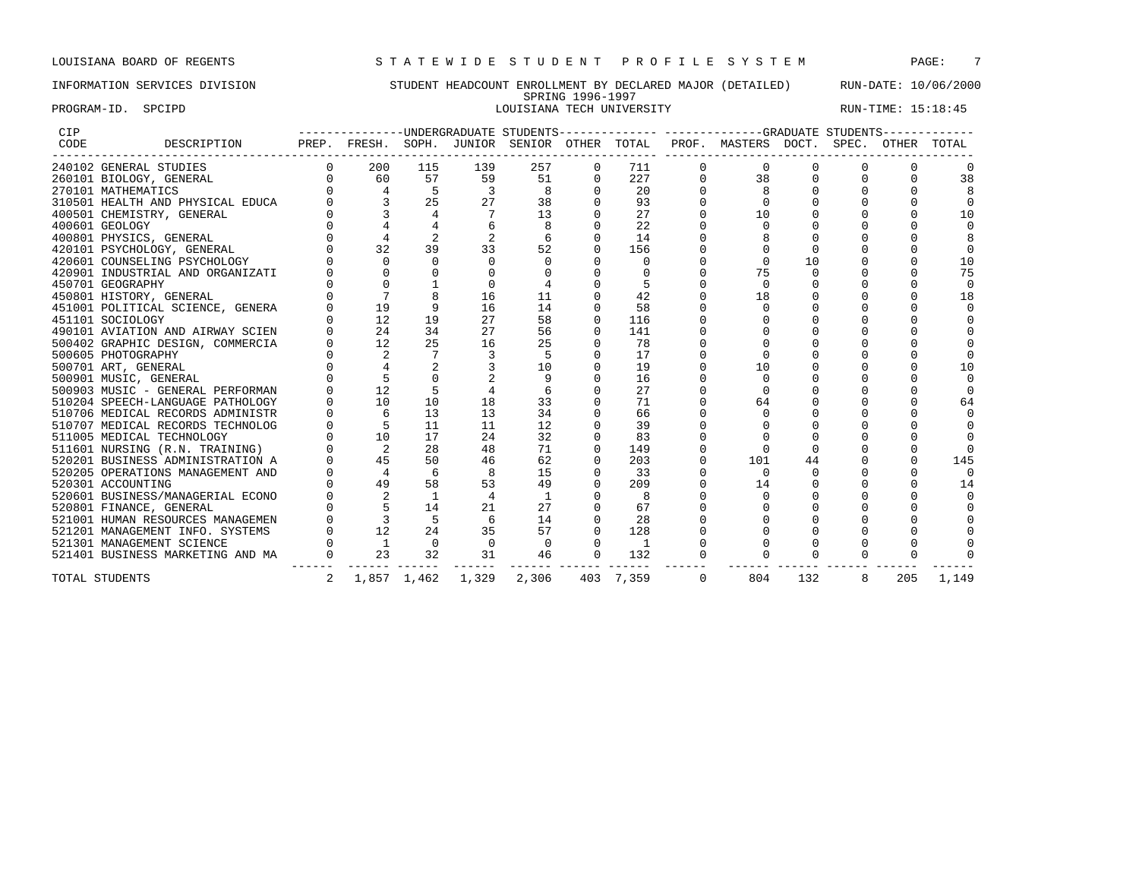## INFORMATION SERVICES DIVISION STUDENT HEADCOUNT ENROLLMENT BY DECLARED MAJOR (DETAILED) RUN-DATE: 10/06/2000 SPRING 1996-1997 PROGRAM-ID. SPCIPD SECTRO SOLUSIANA TECH UNIVERSITY RUN-TIME: 15:18:45

| CIP  |                                  |          |                |                |          |          |             |           |             | ----------------UNDERGRADUATE STUDENTS-------------- ------------GRADUATE STUDENTS------------ |     |   |             |        |
|------|----------------------------------|----------|----------------|----------------|----------|----------|-------------|-----------|-------------|------------------------------------------------------------------------------------------------|-----|---|-------------|--------|
| CODE | DESCRIPTION                      |          |                |                |          |          |             |           |             | PREP. FRESH. SOPH. JUNIOR SENIOR OTHER TOTAL PROF. MASTERS DOCT. SPEC.                         |     |   | OTHER TOTAL |        |
|      | 240102 GENERAL STUDIES           | $\Omega$ | 200            | 115            | 139      | 257      | $\Omega$    | 711       | 0           | $\Omega$                                                                                       |     |   |             |        |
|      | 260101 BIOLOGY, GENERAL          |          | 60             | 57             | 59       | 51       | $\Omega$    | 227       |             | 38                                                                                             |     |   |             | 38     |
|      | 270101 MATHEMATICS               |          | $\overline{4}$ |                | 3        | 8        | $\Omega$    | 20        |             |                                                                                                |     |   |             |        |
|      | 310501 HEALTH AND PHYSICAL EDUCA |          |                | 2.5            | 27       | 38       |             | 93        |             |                                                                                                |     |   |             |        |
|      | 400501 CHEMISTRY, GENERAL        |          |                |                |          | 13       |             | 27        |             | 10                                                                                             |     |   |             | 10     |
|      | 400601 GEOLOGY                   |          |                |                |          |          |             | 22        |             |                                                                                                |     |   |             |        |
|      | 400801 PHYSICS, GENERAL          |          |                |                |          |          |             | 14        |             |                                                                                                |     |   |             |        |
|      | 420101 PSYCHOLOGY, GENERAL       |          | 32             | 39             | 33       | 52       |             | 156       |             |                                                                                                |     |   |             |        |
|      | 420601 COUNSELING PSYCHOLOGY     |          |                |                |          |          |             | $\Omega$  |             |                                                                                                | 10  |   |             | 10     |
|      | 420901 INDUSTRIAL AND ORGANIZATI |          |                |                |          |          |             |           |             | 75                                                                                             |     |   |             | 75     |
|      | 450701 GEOGRAPHY                 |          |                |                |          |          |             |           |             |                                                                                                |     |   |             | $\cap$ |
|      | 450801 HISTORY, GENERAL          |          |                |                | 16       | 11       |             | 42        |             | 18                                                                                             |     |   |             | 18     |
|      | 451001 POLITICAL SCIENCE, GENERA |          | 19             |                | 16       | 14       | $\Omega$    | 58        |             |                                                                                                |     |   |             |        |
|      | 451101 SOCIOLOGY                 |          | 12             | 19             | 27       | 58       | $\mathbf 0$ | 116       |             |                                                                                                |     |   |             |        |
|      | 490101 AVIATION AND AIRWAY SCIEN |          | 24             | 34             | 27       | 56       |             | 141       |             |                                                                                                |     |   |             |        |
|      | 500402 GRAPHIC DESIGN, COMMERCIA |          | 12             | 25             | 16       | 25       |             | 78        |             |                                                                                                |     |   |             |        |
|      | 500605 PHOTOGRAPHY               |          |                |                |          |          |             | 17        |             |                                                                                                |     |   |             |        |
|      | 500701 ART, GENERAL              |          |                |                |          | 10       |             | 19        |             |                                                                                                |     |   |             | 10     |
|      | 500901 MUSIC, GENERAL            |          |                |                |          | 9        |             | 16        |             |                                                                                                |     |   |             |        |
|      | 500903 MUSIC - GENERAL PERFORMAN |          | 12             |                |          |          |             | 27        |             |                                                                                                |     |   |             |        |
|      | 510204 SPEECH-LANGUAGE PATHOLOGY |          | 10             | 10             | 18       | 33       |             | 71        |             | 64                                                                                             |     |   |             | 64     |
|      | 510706 MEDICAL RECORDS ADMINISTR |          |                | 13             | 13       | 34       |             | 66        |             |                                                                                                |     |   |             |        |
|      | 510707 MEDICAL RECORDS TECHNOLOG |          |                | 11             | 11       | 12       |             | 39        |             |                                                                                                |     |   |             |        |
|      | 511005 MEDICAL TECHNOLOGY        |          | 10             | 17             | 24       | 32       |             | 83        |             |                                                                                                |     |   |             |        |
|      | 511601 NURSING (R.N. TRAINING)   |          | 2              | 28             | 48       | 71       | $\Omega$    | 149       |             |                                                                                                |     |   |             |        |
|      | 520201 BUSINESS ADMINISTRATION A |          | 45             | 50             | 46       | 62       |             | 203       |             | 101                                                                                            | 44  |   |             | 145    |
|      | 520205 OPERATIONS MANAGEMENT AND |          | 4              | 6              |          | 15       |             | 33        |             | $\cap$                                                                                         |     |   |             |        |
|      | 520301 ACCOUNTING                |          | 49             | 58             | 53       | 49       |             | 209       |             | 14                                                                                             |     |   |             | 14     |
|      | 520601 BUSINESS/MANAGERIAL ECONO |          |                |                |          |          |             | 8         |             |                                                                                                |     |   |             |        |
|      | 520801 FINANCE, GENERAL          |          |                | 14             |          | 27       |             | 67        |             |                                                                                                |     |   |             |        |
|      | 521001 HUMAN RESOURCES MANAGEMEN |          |                |                | 6        | 14       |             | 28        |             |                                                                                                |     |   |             |        |
|      | 521201 MANAGEMENT INFO. SYSTEMS  |          | 12             | 2.4            | 35       | 57       | $\Omega$    | 128       |             |                                                                                                |     |   |             |        |
|      | 521301 MANAGEMENT SCIENCE        |          | $\overline{1}$ | $\overline{0}$ | $\Omega$ | $\Omega$ | $\Omega$    | -1        |             |                                                                                                |     |   |             |        |
|      | 521401 BUSINESS MARKETING AND MA | $\Omega$ | 23             | 32             | 31       | 46       | $\Omega$    | 132       |             |                                                                                                |     |   |             |        |
|      | TOTAL STUDENTS                   | 2        |                | 1,857 1,462    | 1,329    | 2,306    |             | 403 7,359 | $\mathbf 0$ | 804                                                                                            | 132 | 8 | 205         | 1,149  |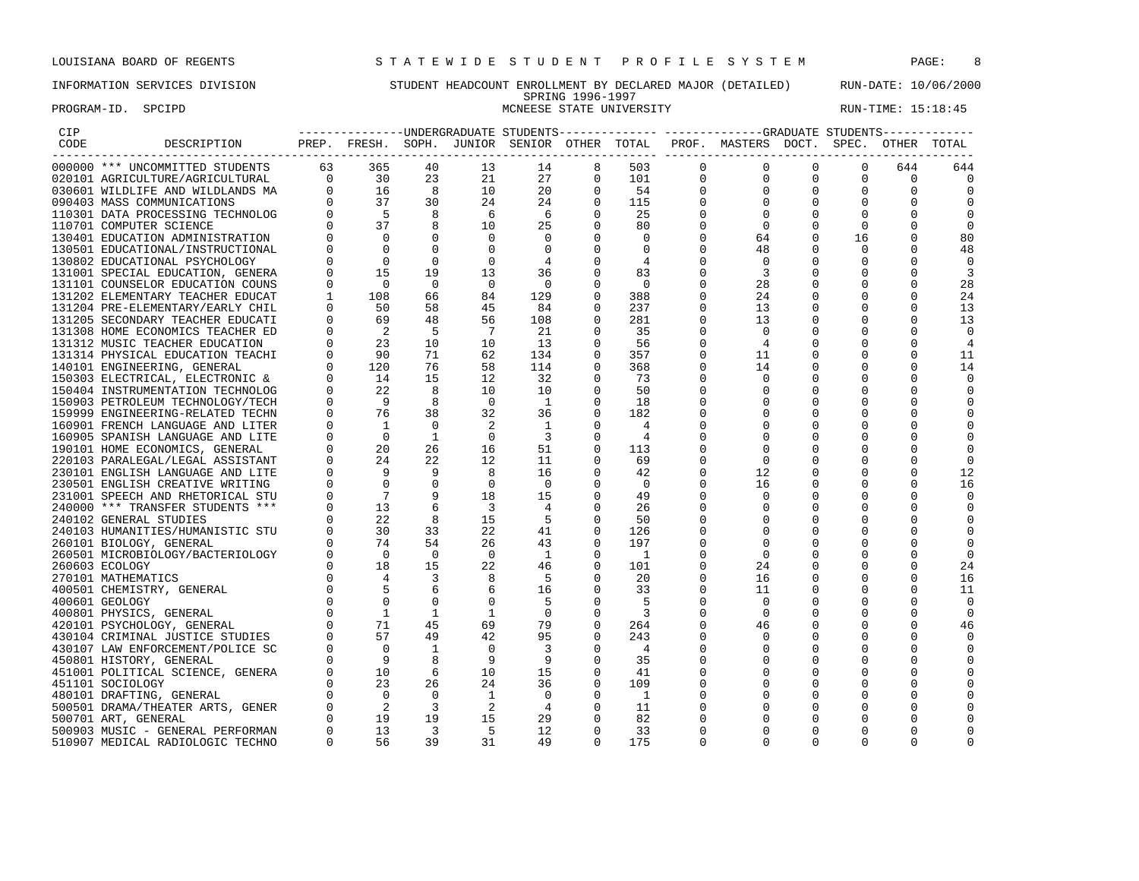PROGRAM-ID. SPCIPD SECTATION SECTATION SECTATION NUMERAL STATE UNIVERSITY STATE ON RUN-TIME: 15:18:45

## INFORMATION SERVICES DIVISION STUDENT HEADCOUNT ENROLLMENT BY DECLARED MAJOR (DETAILED) RUN-DATE: 10/06/2000 SPRING 1996-1997<br>MCNEESE STATE UNIVERSITY

| $\begin{tabular}{lllllllllll} $\textsc{CTP} & & & & & & & & \\ $\textsc{CODE}$ & & & & & & & & \\ $\textsc{100000} & * * * & \textsc{UNCOMMITTED} & \textsc{STUDENTS} & & & & & 365 \\ $\textsc{020101} & \textsc{AGRICULTURE/AGRICULTURE} & & & & & 30 \\ $\textsc{030601} & \textsc{MILDLIFE} & \textsc{AND} & \textsc{MILDLANDS} & \textsc{MA} & & & 0 & & 16 \\ $\textsc{100000} & \textsc{10000} & \textsc{1000} & & & 0 &$ |                      |                                                                                                                                                                                         |                         |                            |                          |                                                 |                          |                | PREP. FRESH. SOPH. JUNIOR SENIOR OTHER TOTAL PROF. MASTERS DOCT. SPEC. OTHER TOTAL |              |             |              |                |
|----------------------------------------------------------------------------------------------------------------------------------------------------------------------------------------------------------------------------------------------------------------------------------------------------------------------------------------------------------------------------------------------------------------------------------|----------------------|-----------------------------------------------------------------------------------------------------------------------------------------------------------------------------------------|-------------------------|----------------------------|--------------------------|-------------------------------------------------|--------------------------|----------------|------------------------------------------------------------------------------------|--------------|-------------|--------------|----------------|
|                                                                                                                                                                                                                                                                                                                                                                                                                                  |                      |                                                                                                                                                                                         | 40                      | 13                         | 14                       | 8                                               | 503                      | $\Omega$       | $\mathbf{0}$                                                                       | $\Omega$     | $\Omega$    | 644          | 644            |
|                                                                                                                                                                                                                                                                                                                                                                                                                                  |                      |                                                                                                                                                                                         | 23                      | 21                         | 27                       | $\begin{array}{c} 1 \\ 0 \\ 0 \\ 0 \end{array}$ | 101                      | $\overline{0}$ | $\mathbf{0}$                                                                       | $\mathbf{0}$ | $\Omega$    | $\Omega$     | 0              |
|                                                                                                                                                                                                                                                                                                                                                                                                                                  |                      |                                                                                                                                                                                         | 8 <sup>8</sup>          | 10                         | 20                       |                                                 | 54                       | $\mathbf 0$    | $\mathbf 0$                                                                        | $\mathbf 0$  | $\mathbf 0$ | $\mathbf 0$  | $\overline{0}$ |
|                                                                                                                                                                                                                                                                                                                                                                                                                                  |                      |                                                                                                                                                                                         | 30                      | 24                         | 24                       |                                                 | 115                      | $\Omega$       | $\mathbf 0$                                                                        | $\mathbf 0$  | $\Omega$    | $\Omega$     | $\Omega$       |
|                                                                                                                                                                                                                                                                                                                                                                                                                                  |                      |                                                                                                                                                                                         | 8 <sup>8</sup>          | 6                          | 6                        |                                                 | 25                       | 0              | $\mathbf 0$                                                                        | 0            | $\Omega$    | $\Omega$     | 0              |
|                                                                                                                                                                                                                                                                                                                                                                                                                                  |                      |                                                                                                                                                                                         | 8                       | 10                         | 25                       | $\Omega$                                        | 80                       | 0              | $\mathbf 0$                                                                        | 0            | $\mathbf 0$ | $\Omega$     | $\Omega$       |
|                                                                                                                                                                                                                                                                                                                                                                                                                                  | $\Omega$             | $\overline{0}$                                                                                                                                                                          | $\Omega$                | $\Omega$                   | $\Omega$                 | $\Omega$                                        | $\Omega$                 | $\Omega$       | 64                                                                                 | $\Omega$     |             | $\Omega$     |                |
| 130401 EDUCATION ADMINISTRATION                                                                                                                                                                                                                                                                                                                                                                                                  |                      |                                                                                                                                                                                         |                         |                            |                          |                                                 |                          |                |                                                                                    |              | 16          |              | 80             |
| 130501 EDUCATIONAL/INSTRUCTIONAL                                                                                                                                                                                                                                                                                                                                                                                                 | $\Omega$<br>$\Omega$ | $\mathbf 0$                                                                                                                                                                             | $\Omega$                | $\mathbf 0$                | $\overline{0}$           | $\mathbf 0$                                     | $\mathbf 0$              | 0              | 48                                                                                 | 0            | 0           | $\Omega$     | 48             |
| 130802 EDUCATIONAL PSYCHOLOGY                                                                                                                                                                                                                                                                                                                                                                                                    |                      | $\Omega$                                                                                                                                                                                | $\Omega$                | $\Omega$                   | $\overline{4}$           | $\Omega$                                        | 4                        | $\Omega$       | $\mathbf 0$                                                                        | 0            | $\Omega$    | $\Omega$     | $\overline{0}$ |
| 131001 SPECIAL EDUCATION, GENERA                                                                                                                                                                                                                                                                                                                                                                                                 | $\Omega$             | 15                                                                                                                                                                                      | 19                      | 13                         | 36                       | $\mathbf 0$                                     | 83                       | 0              | 3                                                                                  | 0            | 0           | $\Omega$     | 3              |
| 131101 COUNSELOR EDUCATION COUNS                                                                                                                                                                                                                                                                                                                                                                                                 | $\mathbf 0$          | $\bigcirc$                                                                                                                                                                              | $\Omega$                | $\overline{0}$             | $\overline{\phantom{0}}$ | $\Omega$                                        | $\bigcirc$               | 0              | 28                                                                                 | 0            | 0           | $\Omega$     | 28             |
| 131202 ELEMENTARY TEACHER EDUCAT                                                                                                                                                                                                                                                                                                                                                                                                 | $\mathbf{1}$         | 108                                                                                                                                                                                     | 66                      | 84                         | 129                      | $\Omega$                                        | 388                      | $\Omega$       | 24                                                                                 | $\Omega$     | $\Omega$    | $\Omega$     | 24             |
| 131204 PRE-ELEMENTARY/EARLY CHIL                                                                                                                                                                                                                                                                                                                                                                                                 |                      | 50                                                                                                                                                                                      | 58                      | 45                         | 84                       | 0                                               | 237                      | 0              | 13                                                                                 | 0            | 0           | $\mathbf 0$  | 13             |
| 131205 SECONDARY TEACHER EDUCATI                                                                                                                                                                                                                                                                                                                                                                                                 | $\Omega$             | 69                                                                                                                                                                                      | 48                      | 56                         | 108                      | $\Omega$                                        | 281                      | $\Omega$       | 13                                                                                 | 0            | $\Omega$    | $\Omega$     | 13             |
| 131308 HOME ECONOMICS TEACHER ED                                                                                                                                                                                                                                                                                                                                                                                                 | $\Omega$             | $\overline{\phantom{0}}^2$                                                                                                                                                              | - 5                     | $\overline{7}$             | 21                       | $\Omega$                                        | 35                       | $\Omega$       | $\Omega$                                                                           | $\mathbf 0$  | $\Omega$    | $\Omega$     | $\overline{0}$ |
| 131312 MUSIC TEACHER EDUCATION                                                                                                                                                                                                                                                                                                                                                                                                   | $\Omega$             | 23                                                                                                                                                                                      | 10                      | 10                         | 13                       | 0                                               | 56                       | 0              | 4                                                                                  | 0            | 0           | $\Omega$     | 4              |
| 131314 PHYSICAL EDUCATION TEACHI                                                                                                                                                                                                                                                                                                                                                                                                 | $\Omega$             | 90                                                                                                                                                                                      | 71                      | 62                         | 134                      | $\Omega$                                        | 357                      | $\Omega$       | 11                                                                                 | $\Omega$     |             | $\Omega$     | 11             |
| 140101 ENGINEERING, GENERAL                                                                                                                                                                                                                                                                                                                                                                                                      | $\Omega$             | 120                                                                                                                                                                                     | 76                      | 58                         | 114                      | 0                                               | 368                      | 0              | 14                                                                                 | 0            |             | 0            | 14             |
| 150303 ELECTRICAL, ELECTRONIC &                                                                                                                                                                                                                                                                                                                                                                                                  | $\Omega$             | 14                                                                                                                                                                                      | 15                      | 12                         | 32                       | $\Omega$                                        | 73                       | $\Omega$       | $\mathbf 0$                                                                        | 0            |             | $\Omega$     | 0              |
| 150404 INSTRUMENTATION TECHNOLOG                                                                                                                                                                                                                                                                                                                                                                                                 | $\Omega$             | 22                                                                                                                                                                                      | $\overline{8}$          | 10                         | 10                       | $\Omega$                                        | 50                       | $\Omega$       | $\mathbf 0$                                                                        | $\mathbf 0$  |             |              | 0              |
| 150903 PETROLEUM TECHNOLOGY/TECH                                                                                                                                                                                                                                                                                                                                                                                                 | $\Omega$             | 9                                                                                                                                                                                       | 8                       | $\bigcirc$                 | $\overline{1}$           | $\Omega$                                        | 18                       |                | 0                                                                                  | 0            | $\Omega$    | $\Omega$     | $\Omega$       |
| 159999 ENGINEERING-RELATED TECHN                                                                                                                                                                                                                                                                                                                                                                                                 | $\Omega$             | 76                                                                                                                                                                                      | 38                      | 32                         | 36                       | $\Omega$                                        | 182                      | O              | $\Omega$                                                                           | 0            |             | <sup>0</sup> | 0              |
| 160901 FRENCH LANGUAGE AND LITER                                                                                                                                                                                                                                                                                                                                                                                                 | $\mathbf 0$          | $\overline{1}$                                                                                                                                                                          | $\overline{0}$          | -2                         | $\overline{1}$           | $\mathbf 0$                                     | 4                        | 0              | $\mathbf 0$                                                                        | 0            |             | 0            | 0              |
| 160905 SPANISH LANGUAGE AND LITE                                                                                                                                                                                                                                                                                                                                                                                                 | $\Omega$             | $\overline{0}$                                                                                                                                                                          | $\mathbf{1}$            | $\overline{0}$             | $\overline{\phantom{a}}$ | $\mathbf 0$                                     | $\overline{4}$           | O              | $\mathbf 0$                                                                        | 0            | $\Omega$    | $\Omega$     | 0              |
| 190101 HOME ECONOMICS, GENERAL                                                                                                                                                                                                                                                                                                                                                                                                   | $\Omega$             | 20                                                                                                                                                                                      | 26                      | 16                         | 51                       | $\Omega$                                        | 113                      | $\Omega$       | $\Omega$                                                                           | $\mathbf 0$  |             | $\Omega$     | 0              |
| 220103 PARALEGAL/LEGAL ASSISTANT                                                                                                                                                                                                                                                                                                                                                                                                 | $\Omega$             | 24                                                                                                                                                                                      | 22                      | 12                         | 11                       | $\Omega$                                        | 69                       | O              | $\Omega$                                                                           | 0            | O           | <sup>0</sup> | $\Omega$       |
| 230101 ENGLISH LANGUAGE AND LITE                                                                                                                                                                                                                                                                                                                                                                                                 |                      | $\overline{9}$                                                                                                                                                                          | - 9                     | 8                          | 16                       | $\mathbf 0$                                     | 42                       | 0              | 12                                                                                 | 0            | $\Omega$    | $\Omega$     | 12             |
| 230501 ENGLISH CREATIVE WRITING                                                                                                                                                                                                                                                                                                                                                                                                  |                      | $\bigcap$                                                                                                                                                                               | $\Omega$                | $\overline{0}$             | $\overline{\phantom{0}}$ | $\Omega$                                        | $\overline{0}$           | 0              | 16                                                                                 | 0            | $\Omega$    | <sup>0</sup> | 16             |
| 231001 SPEECH AND RHETORICAL STU                                                                                                                                                                                                                                                                                                                                                                                                 |                      | $\overline{7}$                                                                                                                                                                          | 9                       | 18                         | 15                       | $\overline{0}$                                  | 49                       |                | $\mathbf 0$                                                                        | 0            | $\Omega$    | $\Omega$     | 0              |
| 240000 *** TRANSFER STUDENTS ***                                                                                                                                                                                                                                                                                                                                                                                                 | $\Omega$             | 13                                                                                                                                                                                      | 6                       | $\overline{3}$             | $\overline{4}$           | $\Omega$                                        | 26                       | 0              | $\mathbf 0$                                                                        | 0            |             |              | 0              |
| 240102 GENERAL STUDIES                                                                                                                                                                                                                                                                                                                                                                                                           |                      | 22                                                                                                                                                                                      | 8                       | 15                         | $-5$                     | $\Omega$                                        | 50                       | O              | $\Omega$                                                                           | 0            | $\cap$      | <sup>0</sup> | $\Omega$       |
| 240103 HUMANITIES/HUMANISTIC STU                                                                                                                                                                                                                                                                                                                                                                                                 | $\Omega$             | 30                                                                                                                                                                                      | 33                      | 22                         | 41                       | $\Omega$                                        | 126                      |                | $\Omega$                                                                           | $\Omega$     | $\Omega$    | <sup>0</sup> | $\Omega$       |
| 260101 BIOLOGY, GENERAL                                                                                                                                                                                                                                                                                                                                                                                                          |                      | 74                                                                                                                                                                                      | 54                      | 26                         | 43                       | $\Omega$                                        | 197                      | 0              | $\Omega$                                                                           | $\Omega$     | $\Omega$    | $\Omega$     | $\Omega$       |
| 260501 MICROBIOLOGY/BACTERIOLOGY                                                                                                                                                                                                                                                                                                                                                                                                 |                      |                                                                                                                                                                                         | $\overline{0}$          | $\bigcirc$                 | $\overline{1}$           | $\Omega$                                        | $\overline{\phantom{a}}$ | $\Omega$       | $\mathbf 0$                                                                        | 0            |             | $\Omega$     | $\mathbf 0$    |
| 260603 ECOLOGY                                                                                                                                                                                                                                                                                                                                                                                                                   |                      |                                                                                                                                                                                         | 15                      | 22                         | 46                       | $\mathbf 0$                                     | 101                      | 0              | 24                                                                                 | 0            |             | 0            | 24             |
| 270101 MATHEMATICS                                                                                                                                                                                                                                                                                                                                                                                                               |                      |                                                                                                                                                                                         | 3                       | 8                          | - 5                      | $\Omega$                                        | 20                       | $\Omega$       | 16                                                                                 | 0            | $\Omega$    | $\Omega$     | 16             |
| 400501 CHEMISTRY, GENERAL                                                                                                                                                                                                                                                                                                                                                                                                        |                      | $\begin{array}{ccccc} & & & & 0 & \\ & & & 18 & \\ 0 & & & 4 & \\ 0 & & & 5 & \\ 0 & & & \mathbf{0} & \\ \mathbf{0} & & & \mathbf{0} & \\ \mathbf{0} & & & \mathbf{0} & \\ \end{array}$ | 6                       | 6                          | 16                       | $\Omega$                                        | 33                       | $\Omega$       | 11                                                                                 | 0            |             |              | 11             |
| 400601 GEOLOGY                                                                                                                                                                                                                                                                                                                                                                                                                   |                      |                                                                                                                                                                                         | $\Omega$                | $\Omega$                   | - 5                      | $\Omega$                                        | -5                       | 0              | $\mathbf 0$                                                                        | 0            | $\Omega$    | $\Omega$     | $\Omega$       |
| 400801 PHYSICS, GENERAL                                                                                                                                                                                                                                                                                                                                                                                                          |                      | $\overline{1}$                                                                                                                                                                          | 1                       | $\mathbf{1}$               | $\overline{0}$           | $\mathbf 0$                                     | $\overline{\phantom{a}}$ | 0              | $\mathbf 0$                                                                        | 0            |             |              | 0              |
| 420101 PSYCHOLOGY, GENERAL                                                                                                                                                                                                                                                                                                                                                                                                       |                      | 71                                                                                                                                                                                      | 45                      | 69                         | 79                       | $\mathbf 0$                                     | 264                      | $\mathbf 0$    | 46                                                                                 | 0            |             | $\Omega$     | 46             |
| 430104 CRIMINAL JUSTICE STUDIES                                                                                                                                                                                                                                                                                                                                                                                                  |                      | 57                                                                                                                                                                                      | 49                      | 42                         | 95                       | $\Omega$                                        | 243                      | $\Omega$       | $\mathbf 0$                                                                        | $\mathbf 0$  | $\Omega$    | $\Omega$     | $\mathbf 0$    |
| 430107 LAW ENFORCEMENT/POLICE SC                                                                                                                                                                                                                                                                                                                                                                                                 |                      | $\Omega$                                                                                                                                                                                | $\mathbf{1}$            | $\Omega$                   | $\overline{3}$           | $\Omega$                                        | $\overline{4}$           | 0              | $\Omega$                                                                           | 0            |             | ∩            | $\Omega$       |
| 450801 HISTORY, GENERAL                                                                                                                                                                                                                                                                                                                                                                                                          |                      | - 9                                                                                                                                                                                     | 8                       | 9                          | - 9                      | $\Omega$                                        | 35                       | O              | $\Omega$                                                                           | 0            | $\Omega$    | $\Omega$     | $\Omega$       |
| 451001 POLITICAL SCIENCE, GENERA                                                                                                                                                                                                                                                                                                                                                                                                 |                      |                                                                                                                                                                                         | $6^{\circ}$             | 10                         | 15                       | $\overline{0}$                                  | 41                       | 0              | $\mathbf 0$                                                                        | 0            | 0           | 0            | 0              |
| 451101 SOCIOLOGY                                                                                                                                                                                                                                                                                                                                                                                                                 |                      | $\begin{matrix} 0 && 10 \\ 0 && 23 \\ 0 && 0 \end{matrix}$                                                                                                                              | 26                      | 24                         | 36                       | $\mathbf 0$                                     | 109                      | 0              | 0                                                                                  | 0            |             | 0            | 0              |
| 480101 DRAFTING, GENERAL                                                                                                                                                                                                                                                                                                                                                                                                         |                      |                                                                                                                                                                                         | $\bigcirc$              | $\overline{1}$             | $\overline{0}$           | $\Omega$                                        | $\overline{1}$           |                | $\mathbf 0$                                                                        | $\mathbf 0$  | $\Omega$    | $\Omega$     | 0              |
| 500501 DRAMA/THEATER ARTS, GENER                                                                                                                                                                                                                                                                                                                                                                                                 |                      | $\overline{\phantom{a}}$                                                                                                                                                                | $\overline{\mathbf{3}}$ | $\overline{\phantom{0}}^2$ | $\overline{4}$           | $\Omega$                                        | 11                       | 0              | $\mathbf 0$                                                                        | 0            |             | <sup>0</sup> | $\Omega$       |
|                                                                                                                                                                                                                                                                                                                                                                                                                                  |                      | $\begin{matrix}0\\0\end{matrix}$<br>19                                                                                                                                                  | 19                      | 15                         | 29                       | $\Omega$                                        | 82                       | O              | $\Omega$                                                                           | $\Omega$     | $\Omega$    | $\Omega$     | $\Omega$       |
| 500701 ART, GENERAL                                                                                                                                                                                                                                                                                                                                                                                                              | $\Omega$             | 13                                                                                                                                                                                      | $\overline{\mathbf{3}}$ | $-5$                       | 12                       | $\Omega$                                        | 33                       | $\Omega$       | $\Omega$                                                                           | $\Omega$     | $\Omega$    | 0            | $\Omega$       |
| 500903 MUSIC - GENERAL PERFORMAN                                                                                                                                                                                                                                                                                                                                                                                                 | $\Omega$             |                                                                                                                                                                                         |                         |                            |                          |                                                 |                          |                |                                                                                    | $\Omega$     |             | $\Omega$     |                |
| 510907 MEDICAL RADIOLOGIC TECHNO                                                                                                                                                                                                                                                                                                                                                                                                 |                      | 56                                                                                                                                                                                      | 39                      | 31                         | 49                       | $\Omega$                                        | 175                      | $\Omega$       | $\Omega$                                                                           |              | $\Omega$    |              |                |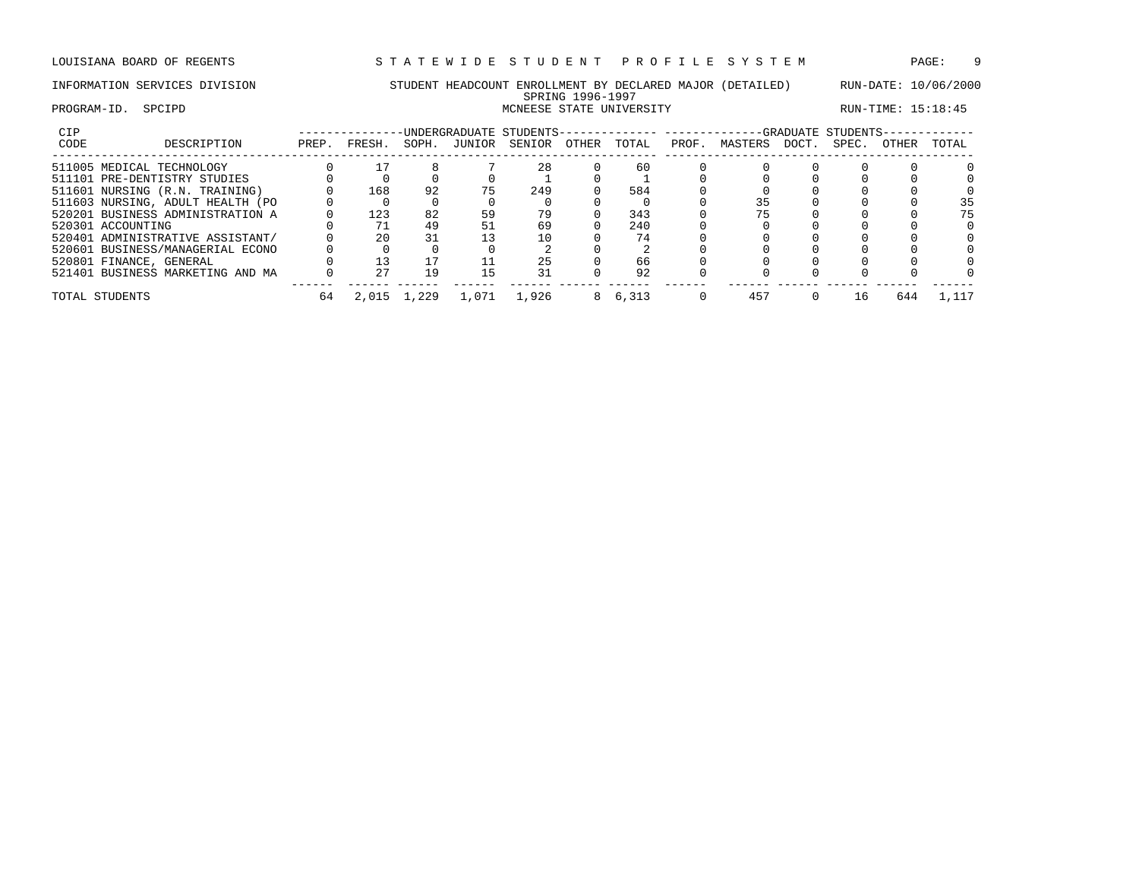## INFORMATION SERVICES DIVISION STUDENT HEADCOUNT ENROLLMENT BY DECLARED MAJOR (DETAILED) RUN-DATE: 10/06/2000 SPRING 1996-1997 PROGRAM-ID. SPCIPD SECTATION SECTATION CONSUMING STATE UNIVERSITY STATE UNIVERSITY RUN-TIME: 15:18:45

| CIP  |                                  |       |        |       |        | INDERGRADUATE STUDENTS--------- |       |       |       |         |       | -GRADUATE STUDENTS- |       |       |
|------|----------------------------------|-------|--------|-------|--------|---------------------------------|-------|-------|-------|---------|-------|---------------------|-------|-------|
| CODE | DESCRIPTION                      | PREP. | FRESH. | SOPH. | JUNIOR | SENIOR                          | OTHER | TOTAL | PROF. | MASTERS | DOCT. | SPEC.               | OTHER | TOTAL |
|      | 511005 MEDICAL TECHNOLOGY        |       |        |       |        | 28                              |       | 60    |       |         |       |                     |       |       |
|      | 511101 PRE-DENTISTRY STUDIES     |       |        |       |        |                                 |       |       |       |         |       |                     |       |       |
|      | 511601 NURSING (R.N. TRAINING)   |       | 168    | 92    | 75     | 249                             |       | 584   |       |         |       |                     |       |       |
|      | 511603 NURSING, ADULT HEALTH (PO |       |        |       |        |                                 |       |       |       |         |       |                     |       | 35    |
|      | 520201 BUSINESS ADMINISTRATION A |       | 123    | 82    | 59     | 79                              |       | 343   |       |         |       |                     |       | 75    |
|      | 520301 ACCOUNTING                |       |        | 49    |        | 69                              |       | 240   |       |         |       |                     |       |       |
|      | 520401 ADMINISTRATIVE ASSISTANT/ |       | 20     | 31    |        | 10                              |       | 74    |       |         |       |                     |       |       |
|      | 520601 BUSINESS/MANAGERIAL ECONO |       |        |       |        |                                 |       |       |       |         |       |                     |       |       |
|      | 520801 FINANCE, GENERAL          |       |        |       |        | 25                              |       | 66    |       |         |       |                     |       |       |
|      | 521401 BUSINESS MARKETING AND MA |       | 27     | 19    |        |                                 |       | 92    |       |         |       |                     |       |       |
|      | TOTAL STUDENTS                   | 64    | 2,015  | 1,229 | 1,071  | 1,926                           |       | 6,313 |       | 457     |       | L 6                 | 644   | L.117 |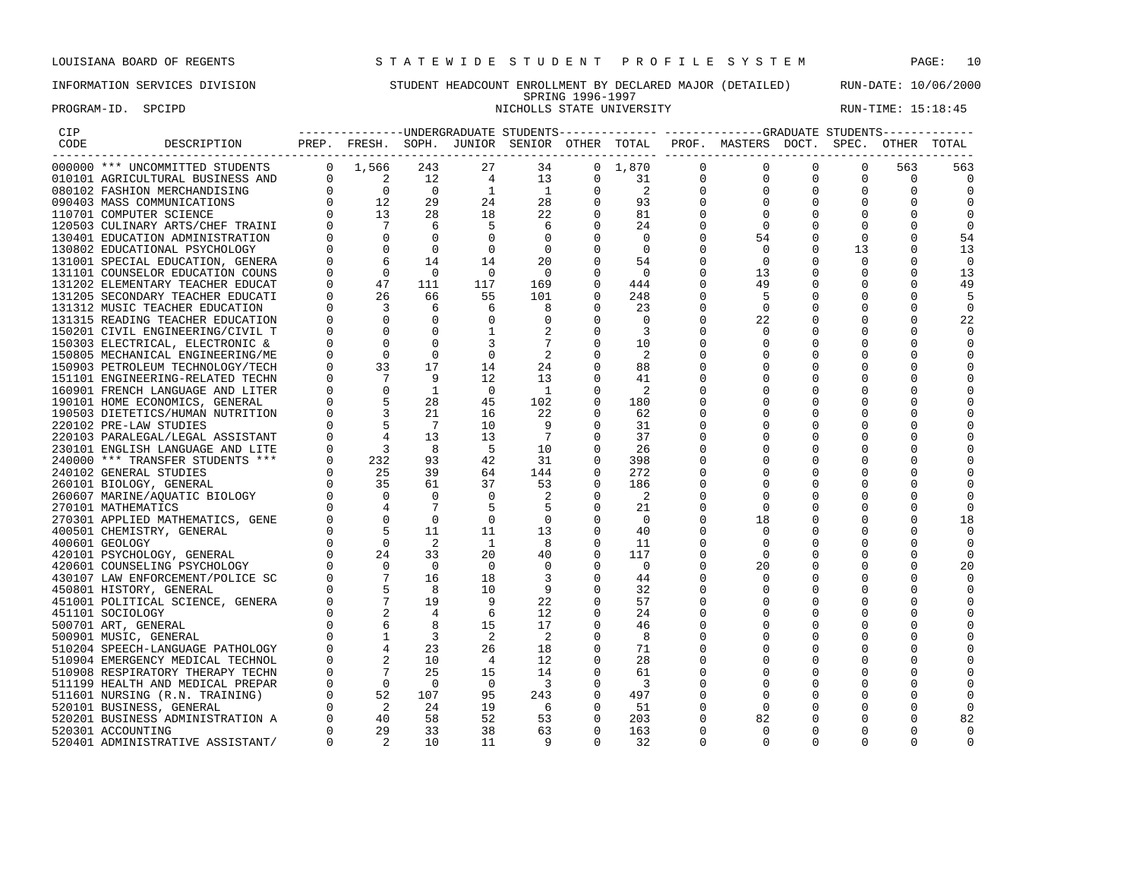## INFORMATION SERVICES DIVISION STUDENT HEADCOUNT ENROLLMENT BY DECLARED MAJOR (DETAILED) RUN-DATE: 10/06/2000 SPRING 1996-1997 PROGRAM-ID. SPCIPD SECTED SERVICE STATE UNIVERSITY STATE UNIVERSITY RUN-TIME: 15:18:45

| <b>CIP</b> |                                  |                |                                                                                                         |                          |                |                         |                |                 |          |                                                                                    |          |          |             |          |
|------------|----------------------------------|----------------|---------------------------------------------------------------------------------------------------------|--------------------------|----------------|-------------------------|----------------|-----------------|----------|------------------------------------------------------------------------------------|----------|----------|-------------|----------|
| CODE       | DESCRIPTION                      |                |                                                                                                         |                          |                |                         |                |                 |          | PREP. FRESH. SOPH. JUNIOR SENIOR OTHER TOTAL PROF. MASTERS DOCT. SPEC. OTHER TOTAL |          |          |             |          |
|            | 000000 *** UNCOMMITTED STUDENTS  |                | $0 \quad 1,566 \quad 243$                                                                               |                          | 27             | 34                      |                | $0 \quad 1,870$ | $\Omega$ | $\Omega$                                                                           | $\Omega$ | $\Omega$ | 563         | 563      |
|            | 010101 AGRICULTURAL BUSINESS AND |                | $\overline{\phantom{a}}$                                                                                | 12                       | $\overline{4}$ | 13                      | $\Omega$       | 31              | $\Omega$ | $\Omega$                                                                           | 0        | $\Omega$ | $\Omega$    | $\Omega$ |
|            | 080102 FASHION MERCHANDISING     |                | $\begin{bmatrix} 0 && 0 \ 0 && 12 \ 0 && 13 \ 0 && 7 \end{bmatrix}$                                     | $\overline{0}$           | $\overline{1}$ | $\overline{1}$          | $\mathbf 0$    | 2               |          |                                                                                    |          | 0        | $\mathbf 0$ |          |
|            | 090403 MASS COMMUNICATIONS       |                |                                                                                                         | 29                       | 24             | 28                      | 0              | 93              |          | 0                                                                                  |          |          |             |          |
|            | 110701 COMPUTER SCIENCE          |                |                                                                                                         | 28                       | 18             | 22                      |                | 81              |          |                                                                                    |          |          |             |          |
|            | 120503 CULINARY ARTS/CHEF TRAINI |                |                                                                                                         | 6                        | -5             | 6                       |                | 24              |          | 0                                                                                  |          |          |             |          |
|            | 130401 EDUCATION ADMINISTRATION  |                |                                                                                                         | $\Omega$                 | $\Omega$       | $\Omega$                |                | 0               |          | 54                                                                                 |          | $\Omega$ |             | 54       |
|            | 130802 EDUCATIONAL PSYCHOLOGY    |                |                                                                                                         | $\Omega$                 | $\Omega$       | $\Omega$                |                | 0               |          | $\Omega$                                                                           |          | 13       |             | 13       |
|            | 131001 SPECIAL EDUCATION, GENERA |                |                                                                                                         | 14                       | 14             | 20                      | 0              | 54              |          | $\mathbf 0$                                                                        |          | 0        |             | 0        |
|            | 131101 COUNSELOR EDUCATION COUNS |                |                                                                                                         | $\overline{\phantom{0}}$ | $\bigcirc$     | $\bigcirc$              |                | $\overline{0}$  |          | 13                                                                                 |          |          |             | 13       |
|            | 131202 ELEMENTARY TEACHER EDUCAT |                | 47                                                                                                      | 111                      | 117            | 169                     |                | 444             |          | 49                                                                                 |          |          |             | 49       |
|            |                                  |                |                                                                                                         |                          | 55             | 101                     | $\Omega$       | 248             |          |                                                                                    |          |          |             | .5       |
|            | 131205 SECONDARY TEACHER EDUCATI |                |                                                                                                         | 66                       |                |                         |                |                 |          | 5                                                                                  |          |          |             |          |
|            | 131312 MUSIC TEACHER EDUCATION   |                |                                                                                                         | 6                        | 6              | 8                       |                | 23              |          | $\Omega$                                                                           |          |          |             | $\Omega$ |
|            | 131315 READING TEACHER EDUCATION |                | $\begin{bmatrix} 0 & 0 & 0 \ 0 & 0 & 6 \ 0 & 0 & 47 \ 0 & 26 & 3 \ 0 & 0 & 0 \ 0 & 0 & 0 \end{bmatrix}$ |                          | $\mathbf 0$    |                         | 0              | 0               |          | 22                                                                                 |          |          | $\Omega$    | 22       |
|            | 150201 CIVIL ENGINEERING/CIVIL T |                |                                                                                                         | 0                        |                |                         | 0              | 3               |          | $\Omega$                                                                           |          |          |             |          |
|            | 150303 ELECTRICAL, ELECTRONIC &  |                |                                                                                                         |                          |                |                         |                | 10              |          |                                                                                    |          |          |             |          |
|            | 150805 MECHANICAL ENGINEERING/ME |                | $\Omega$                                                                                                | $\mathbf 0$              | $\Omega$       | -2                      |                | -2              |          |                                                                                    |          |          |             |          |
|            | 150903 PETROLEUM TECHNOLOGY/TECH |                | 33                                                                                                      | 17                       | 14             | 24                      | 0              | 88              |          |                                                                                    |          |          |             |          |
|            | 151101 ENGINEERING-RELATED TECHN |                |                                                                                                         | -9                       | 12             | 13                      |                | 41              |          |                                                                                    |          |          |             |          |
|            | 160901 FRENCH LANGUAGE AND LITER |                |                                                                                                         | 1                        | $\overline{0}$ | $\overline{1}$          | 0              | 2               |          |                                                                                    |          |          |             |          |
|            | 190101 HOME ECONOMICS, GENERAL   |                |                                                                                                         | 28                       | 45             | 102                     | 0              | 180             |          |                                                                                    |          |          |             |          |
|            | 190503 DIETETICS/HUMAN NUTRITION |                |                                                                                                         | 21                       | 16             | 22                      |                | 62              |          |                                                                                    |          |          |             |          |
|            | 220102 PRE-LAW STUDIES           |                | $\begin{array}{r} 37 \\ 70 \\ 53 \\ 3 \\ 4 \\ 32 \\ 232 \\ \end{array}$                                 | 7                        | 10             |                         | 0              | 31              |          |                                                                                    |          |          |             |          |
|            | 220103 PARALEGAL/LEGAL ASSISTANT |                |                                                                                                         | 13                       | 13             | $7\phantom{.0}$         | $\Omega$       | 37              |          |                                                                                    |          |          |             |          |
|            | 230101 ENGLISH LANGUAGE AND LITE |                |                                                                                                         | -8                       | -5             | 10                      |                | 26              |          |                                                                                    |          |          |             |          |
|            | 240000 *** TRANSFER STUDENTS *** | $\overline{0}$ |                                                                                                         | 93                       | 42             | 31                      | 0              | 398             |          |                                                                                    |          |          |             |          |
|            | 240102 GENERAL STUDIES           |                | $\begin{bmatrix} 0 & 25 \\ 0 & 35 \end{bmatrix}$                                                        | 39                       | 64             | 144                     |                | 272             |          |                                                                                    |          |          |             |          |
|            | 260101 BIOLOGY, GENERAL          |                |                                                                                                         | 61                       | 37             | 53                      | $\mathbf 0$    | 186             |          |                                                                                    |          |          |             |          |
|            | 260607 MARINE/AQUATIC BIOLOGY    |                |                                                                                                         | $\Omega$                 | $\Omega$       | 2                       | 0              | -2              |          |                                                                                    |          |          |             |          |
|            | 270101 MATHEMATICS               |                |                                                                                                         |                          | 5              | -5                      | $\Omega$       | 21              |          | O                                                                                  |          |          |             |          |
|            | 270301 APPLIED MATHEMATICS, GENE |                |                                                                                                         | $\Omega$                 | $\Omega$       | $\Omega$                | $\Omega$       | $\Omega$        |          | 18                                                                                 |          |          |             | 18       |
|            | 400501 CHEMISTRY, GENERAL        |                |                                                                                                         | 11                       | 11             | 13                      | 0              | 40              |          | 0                                                                                  |          |          |             |          |
|            | 400601 GEOLOGY                   |                |                                                                                                         | - 2                      | <sup>1</sup>   | -8                      | 0              | 11              |          |                                                                                    |          |          |             |          |
|            | 420101 PSYCHOLOGY, GENERAL       |                |                                                                                                         | 33                       | 20             | 40                      | $\overline{0}$ | 117             |          | $\Omega$                                                                           |          |          |             | $\Omega$ |
|            | 420601 COUNSELING PSYCHOLOGY     |                |                                                                                                         | $\overline{0}$           | $\Omega$       | 0                       | 0              | 0               |          | 20                                                                                 |          |          |             | 20       |
|            | 430107 LAW ENFORCEMENT/POLICE SC |                |                                                                                                         | 16                       | 18             | 3                       | $\Omega$       | 44              |          |                                                                                    |          |          |             |          |
|            | 450801 HISTORY, GENERAL          |                |                                                                                                         | $_{\rm 8}$               | 10             | 9                       | $\Omega$       | 32              |          |                                                                                    |          |          |             |          |
|            | 451001 POLITICAL SCIENCE, GENERA |                |                                                                                                         | 19                       | -9             | 22                      | 0              | 57              |          |                                                                                    |          |          |             |          |
|            | 451101 SOCIOLOGY                 |                |                                                                                                         |                          | 6              | 12                      |                | 24              |          |                                                                                    |          |          |             |          |
|            | 500701 ART, GENERAL              |                |                                                                                                         | 8                        | 15             | 17                      | 0              | 46              |          |                                                                                    |          |          |             |          |
|            | 500901 MUSIC, GENERAL            |                |                                                                                                         | $\overline{\phantom{a}}$ | 2              | -2                      | $\Omega$       | 8               |          |                                                                                    |          |          |             |          |
|            | 510204 SPEECH-LANGUAGE PATHOLOGY |                |                                                                                                         | 23                       | 26             | 18                      | $\Omega$       | 71              |          |                                                                                    |          |          |             |          |
|            | 510904 EMERGENCY MEDICAL TECHNOL |                |                                                                                                         | 10                       | $\overline{4}$ | 12                      | 0              | 28              |          |                                                                                    |          |          |             |          |
|            | 510908 RESPIRATORY THERAPY TECHN |                |                                                                                                         | 25                       | 15             | 14                      | 0              | 61              |          |                                                                                    |          |          |             |          |
|            | 511199 HEALTH AND MEDICAL PREPAR |                |                                                                                                         | $\overline{0}$           | $\overline{0}$ | $\overline{\mathbf{3}}$ |                | 3               |          |                                                                                    |          |          |             |          |
|            |                                  |                |                                                                                                         |                          | 95             |                         | $\mathbf 0$    |                 |          | O                                                                                  |          |          | $\Omega$    |          |
|            | 511601 NURSING (R.N. TRAINING)   |                |                                                                                                         | 107<br>24                | 19             | 243<br>- 6              |                | 497<br>51       |          | $\Omega$                                                                           |          |          |             |          |
|            | 520101 BUSINESS, GENERAL         |                |                                                                                                         | 58                       | 52             | 53                      | $\Omega$       | 203             |          | 82                                                                                 |          |          |             |          |
|            | 520201 BUSINESS ADMINISTRATION A |                |                                                                                                         |                          |                |                         |                |                 |          |                                                                                    |          |          |             | 82       |
|            | 520301 ACCOUNTING                |                | 29                                                                                                      | 33                       | 38             | 63<br>q                 | 0              | 163             |          | 0                                                                                  |          |          |             |          |
|            | 520401 ADMINISTRATIVE ASSISTANT/ |                | $\overline{2}$                                                                                          | 10                       | 11             |                         | $\Omega$       | 32              |          | $\Omega$                                                                           |          | $\Omega$ |             |          |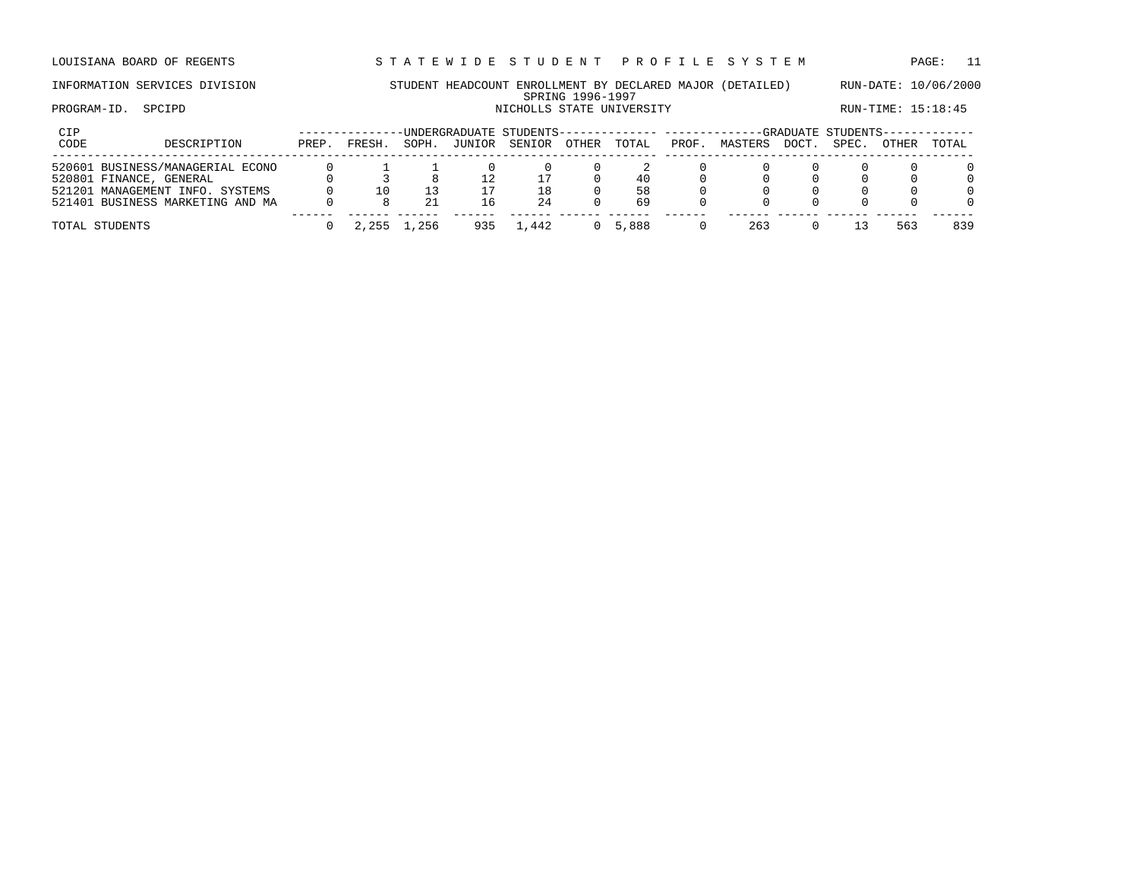LOUISIANA BOARD OF REGENTS STA TEWIDE STUDENT PROFILE SYSTEM PAGE: 11

## INFORMATION SERVICES DIVISION STUDENT HEADCOUNT ENROLLMENT BY DECLARED MAJOR (DETAILED) RUN-DATE: 10/06/2000 SPRING 1996-1997 PROGRAM-ID. SPCIPD SECTED SERVICE STATE UNIVERSITY STATE UNIVERSITY RUN-TIME: 15:18:45

| CIP<br>CODE | DESCRIPTION                                                                                                                        | PREP. | FRESH. | SOPH. | -UNDERGRADUATE STUDENTS-------------- -----------<br>JUNIOR | SENIOR   | <b>OTHER</b> | TOTAL          | PROF. | MASTERS | DOCT. | -GRADUATE STUDENTS-<br>SPEC. | OTHER | TOTAL |
|-------------|------------------------------------------------------------------------------------------------------------------------------------|-------|--------|-------|-------------------------------------------------------------|----------|--------------|----------------|-------|---------|-------|------------------------------|-------|-------|
|             | 520601 BUSINESS/MANAGERIAL ECONO<br>520801 FINANCE, GENERAL<br>521201 MANAGEMENT INFO. SYSTEMS<br>521401 BUSINESS MARKETING AND MA |       |        |       | 16                                                          | 18<br>24 |              | 40<br>58<br>69 |       |         |       |                              |       |       |
|             | TOTAL STUDENTS                                                                                                                     |       | 2,255  | . 256 | ロマロ                                                         | .442     |              | 5,888          |       | 263     |       |                              | 563   | 839   |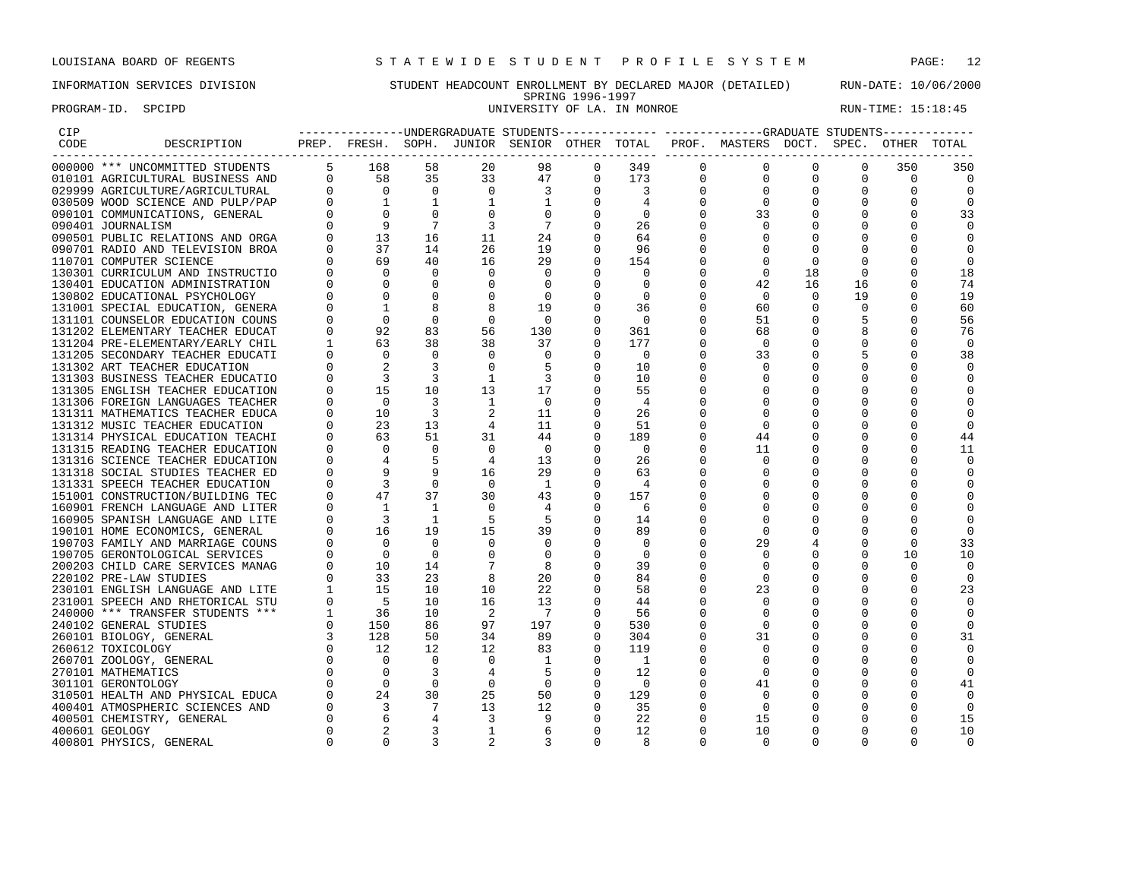PROGRAM-ID. SPCIPD SECTED SECTED SECTED SERVICES OF LA. IN MONROE RUN-TIME: 15:18:45

## INFORMATION SERVICES DIVISION STUDENT HEADCOUNT ENROLLMENT BY DECLARED MAJOR (DETAILED) RUN-DATE: 10/06/2000 SPRING 1996-1997<br>UNIVERSITY OF LA. IN MONROE

| CIP  |                                  |              |                          |                |                 |                                              |             |                         |              | -----------------WIDERGRADUATE STUDENTS-------------- ------------GRADUATE STUDENTS------------ |             |              |              |          |
|------|----------------------------------|--------------|--------------------------|----------------|-----------------|----------------------------------------------|-------------|-------------------------|--------------|-------------------------------------------------------------------------------------------------|-------------|--------------|--------------|----------|
| CODE | DESCRIPTION                      |              |                          |                |                 | PREP. FRESH. SOPH. JUNIOR SENIOR OTHER TOTAL |             |                         |              | PROF. MASTERS DOCT. SPEC. OTHER                                                                 |             |              |              | TOTAL    |
|      | 000000 *** UNCOMMITTED STUDENTS  |              | 5 168                    | 58             | 20              | 98                                           | 0           | 349                     | $\mathbf{0}$ | 0                                                                                               | 0           | 0            | 350          | 350      |
|      | 010101 AGRICULTURAL BUSINESS AND |              | $0$ 58                   | 35             | 33              | 47                                           | $\mathbf 0$ | 173                     | $\mathbf 0$  | $\mathbf{0}$                                                                                    | $\mathbf 0$ | $\mathbf 0$  | $\mathbf 0$  | $\Omega$ |
|      | 029999 AGRICULTURE/AGRICULTURAL  |              | $\Omega$                 | $\overline{0}$ | $\overline{0}$  | 3                                            | $\Omega$    | $\overline{\mathbf{3}}$ | $\Omega$     | $\mathbf 0$                                                                                     | 0           | 0            | $\Omega$     |          |
|      | 030509 WOOD SCIENCE AND PULP/PAP |              | $\overline{1}$           |                | 1               | 1                                            | $\Omega$    | 4                       | $\Omega$     | $\Omega$                                                                                        | $\Omega$    | 0            |              |          |
|      | 090101 COMMUNICATIONS, GENERAL   |              | $\Omega$                 | $\Omega$       |                 | $\Omega$                                     |             | 0                       | $\Omega$     | 33                                                                                              | 0           | $\Omega$     |              | 33       |
|      | 090401 JOURNALISM                |              |                          |                |                 | 7                                            |             | 26                      |              | $\Omega$                                                                                        |             |              |              |          |
|      | 090501 PUBLIC RELATIONS AND ORGA |              | 13                       | 16             | 11              | 24                                           | $\Omega$    | 64                      |              |                                                                                                 |             |              |              |          |
|      | 090701 RADIO AND TELEVISION BROA |              | 37                       | 14             | 26              | 19                                           |             | 96                      |              |                                                                                                 |             |              |              |          |
|      | 110701 COMPUTER SCIENCE          |              | 69                       | 40             | 16              | 29                                           | $\Omega$    | 154                     |              | $\Omega$                                                                                        | $\Omega$    | 0            |              |          |
|      | 130301 CURRICULUM AND INSTRUCTIO |              | $\Omega$                 | $\Omega$       |                 | $\Omega$                                     |             |                         |              | $\Omega$                                                                                        | 18          | $\Omega$     |              | 18       |
|      | 130401 EDUCATION ADMINISTRATION  |              | $\Omega$                 |                |                 | $\Omega$                                     |             | $\Omega$                |              | 42                                                                                              | 16          | 16           |              | 74       |
|      | 130802 EDUCATIONAL PSYCHOLOGY    |              | $\Omega$                 | $\Omega$       |                 | $\overline{0}$                               | 0           | $\Omega$                |              | $\Omega$                                                                                        | $\Omega$    | 19           |              | 19       |
|      | 131001 SPECIAL EDUCATION, GENERA |              |                          |                |                 | 19                                           |             | 36                      |              | 60                                                                                              | 0           | 0            |              | 60       |
|      | 131101 COUNSELOR EDUCATION COUNS |              | $\overline{0}$           | $\Omega$       |                 | $\overline{0}$                               |             | - 0                     |              | 51                                                                                              | 0           |              |              | 56       |
|      | 131202 ELEMENTARY TEACHER EDUCAT |              | 92                       | 83             | 56              | 130                                          |             | 361                     |              | 68                                                                                              |             |              |              | 76       |
|      | 131204 PRE-ELEMENTARY/EARLY CHIL | $\mathbf{1}$ | 63                       | 38             | 38              | 37                                           | $\Omega$    | 177                     |              | 0                                                                                               |             |              |              | $\Omega$ |
|      | 131205 SECONDARY TEACHER EDUCATI |              | $\mathbf 0$              | $\Omega$       | $\Omega$        | $\mathbf 0$                                  | $\mathbf 0$ | $\overline{0}$          |              | 33                                                                                              |             |              |              | 38       |
|      | 131302 ART TEACHER EDUCATION     |              |                          |                |                 | -5                                           |             | 10                      |              |                                                                                                 |             |              |              |          |
|      | 131303 BUSINESS TEACHER EDUCATIO |              |                          |                |                 | $\overline{\mathbf{3}}$                      | $\Omega$    | 10                      |              | $\Omega$                                                                                        |             | 0            |              |          |
|      | 131305 ENGLISH TEACHER EDUCATION |              | 15                       | 10             | 13              | 17                                           |             | 55                      |              |                                                                                                 |             |              |              |          |
|      | 131306 FOREIGN LANGUAGES TEACHER |              | $\overline{0}$           | 3              | 1               | $\Omega$                                     |             | 4                       |              |                                                                                                 |             |              |              |          |
|      | 131311 MATHEMATICS TEACHER EDUCA |              | 10                       | 3              |                 | 11                                           | $\Omega$    | 26                      |              | $\Omega$                                                                                        |             |              |              |          |
|      | 131312 MUSIC TEACHER EDUCATION   |              | 23                       | 13             | 4               | 11                                           |             | 51                      |              | $\Omega$                                                                                        |             |              |              |          |
|      | 131314 PHYSICAL EDUCATION TEACHI |              | 63                       | 51             | 31              | 44                                           |             | 189                     |              | 44                                                                                              | $\Omega$    | 0            |              | 44       |
|      | 131315 READING TEACHER EDUCATION |              | $\Omega$                 | $\Omega$       |                 | $\overline{0}$                               |             | $\Omega$                |              | 11                                                                                              |             | $\Omega$     |              | 11       |
|      | 131316 SCIENCE TEACHER EDUCATION |              | $\overline{4}$           |                | $\overline{4}$  | 13                                           | $\Omega$    | 26                      |              | $\Omega$                                                                                        |             |              |              |          |
|      | 131318 SOCIAL STUDIES TEACHER ED |              |                          |                | 16              | 29                                           | $\Omega$    | 63                      |              | $\Omega$                                                                                        |             |              |              |          |
|      | 131331 SPEECH TEACHER EDUCATION  |              | $\mathbf{3}$             | $\Omega$       | $\overline{0}$  | $\overline{1}$                               | 0           | 4                       |              | 0                                                                                               |             |              |              |          |
|      | 151001 CONSTRUCTION/BUILDING TEC |              | 47                       | 37             | 30              | 43                                           | $\Omega$    | 157                     |              | $\Omega$                                                                                        |             |              |              |          |
|      | 160901 FRENCH LANGUAGE AND LITER |              | 1                        |                |                 |                                              |             | 6                       |              |                                                                                                 |             |              |              |          |
|      | 160905 SPANISH LANGUAGE AND LITE |              | $\overline{\mathbf{3}}$  | 1              | 5               | 5                                            |             | 14                      |              |                                                                                                 |             |              |              |          |
|      | 190101 HOME ECONOMICS, GENERAL   |              | 16                       | 19             | 15              | 39                                           | $\mathbf 0$ | 89                      |              | $\Omega$                                                                                        | $\Omega$    |              |              |          |
|      | 190703 FAMILY AND MARRIAGE COUNS |              | $\bigcirc$               | $\Omega$       | $\Omega$        | $\circ$                                      | $\mathbf 0$ | $\Omega$                |              | 29                                                                                              |             |              | <sup>0</sup> | 33       |
|      | 190705 GERONTOLOGICAL SERVICES   |              | $\overline{0}$           | $\Omega$       |                 | $\Omega$                                     | $\Omega$    | $\Omega$                |              | $\Omega$                                                                                        |             |              | 10           | 10       |
|      | 200203 CHILD CARE SERVICES MANAG |              | 10                       | 14             |                 | 8                                            |             | 39                      |              |                                                                                                 |             |              | O            |          |
|      | 220102 PRE-LAW STUDIES           |              | 33                       | 23             |                 | 20                                           |             | 84                      |              | $\Omega$                                                                                        |             | $\Omega$     | <sup>0</sup> |          |
|      | 230101 ENGLISH LANGUAGE AND LITE | 1            | 15                       | 10             | 10              | 22                                           |             | 58                      |              | 23                                                                                              |             |              |              | 23       |
|      | 231001 SPEECH AND RHETORICAL STU |              | $5^{\circ}$              | 10             | 16              | 13                                           | $\Omega$    | 44                      |              |                                                                                                 |             | 0            |              |          |
|      | 240000 *** TRANSFER STUDENTS *** |              | - 36                     | 10             | 2               | $\overline{7}$                               |             | 56                      |              |                                                                                                 |             |              |              |          |
|      | 240102 GENERAL STUDIES           |              | 150                      | 86             | 97              | 197                                          |             | 530                     |              | $\Omega$                                                                                        |             |              |              |          |
|      | 260101 BIOLOGY, GENERAL          |              | 128                      | 50             | 34              | 89                                           |             | 304                     | U            | 31                                                                                              | $\Omega$    | 0            |              | 31       |
|      | 260612 TOXICOLOGY                |              | 12                       | 12             | 12 <sup>°</sup> | 83                                           | $\Omega$    | 119                     |              |                                                                                                 |             |              |              |          |
|      | 260701 ZOOLOGY, GENERAL          |              | $\overline{0}$           | $\Omega$       | $\mathbf{0}$    | 1                                            | 0           | - 1                     |              | 0                                                                                               |             |              |              |          |
|      | 270101 MATHEMATICS               |              | $\overline{\phantom{0}}$ |                | 4               | 5                                            | 0           | 12                      |              | $\Omega$                                                                                        |             | 0            |              |          |
|      | 301101 GERONTOLOGY               |              | $\overline{0}$           | $\Omega$       |                 | $\overline{0}$                               |             | $\Omega$                |              | 41                                                                                              |             |              |              | 41       |
|      | 310501 HEALTH AND PHYSICAL EDUCA |              | 24                       | 30             | 25              | 50                                           | $\mathbf 0$ | 129                     |              | $\Omega$                                                                                        | 0           | 0            |              | $\Omega$ |
|      | 400401 ATMOSPHERIC SCIENCES AND  |              | $\overline{3}$           |                | 13              | 12                                           | $\Omega$    | 35                      |              | $\Omega$                                                                                        |             |              |              |          |
|      | 400501 CHEMISTRY, GENERAL        |              |                          |                | 3               | 9                                            | $\Omega$    | 22                      |              | 15                                                                                              | $\Omega$    | 0            |              | 15       |
|      | 400601 GEOLOGY                   |              |                          | 3              | 1               | 6                                            | $\Omega$    | 12                      | U            | 10                                                                                              | $\Omega$    | <sup>0</sup> |              | 10       |
|      | 400801 PHYSICS, GENERAL          |              | $\Omega$                 |                |                 |                                              |             |                         | 0            | $\Omega$                                                                                        |             |              |              |          |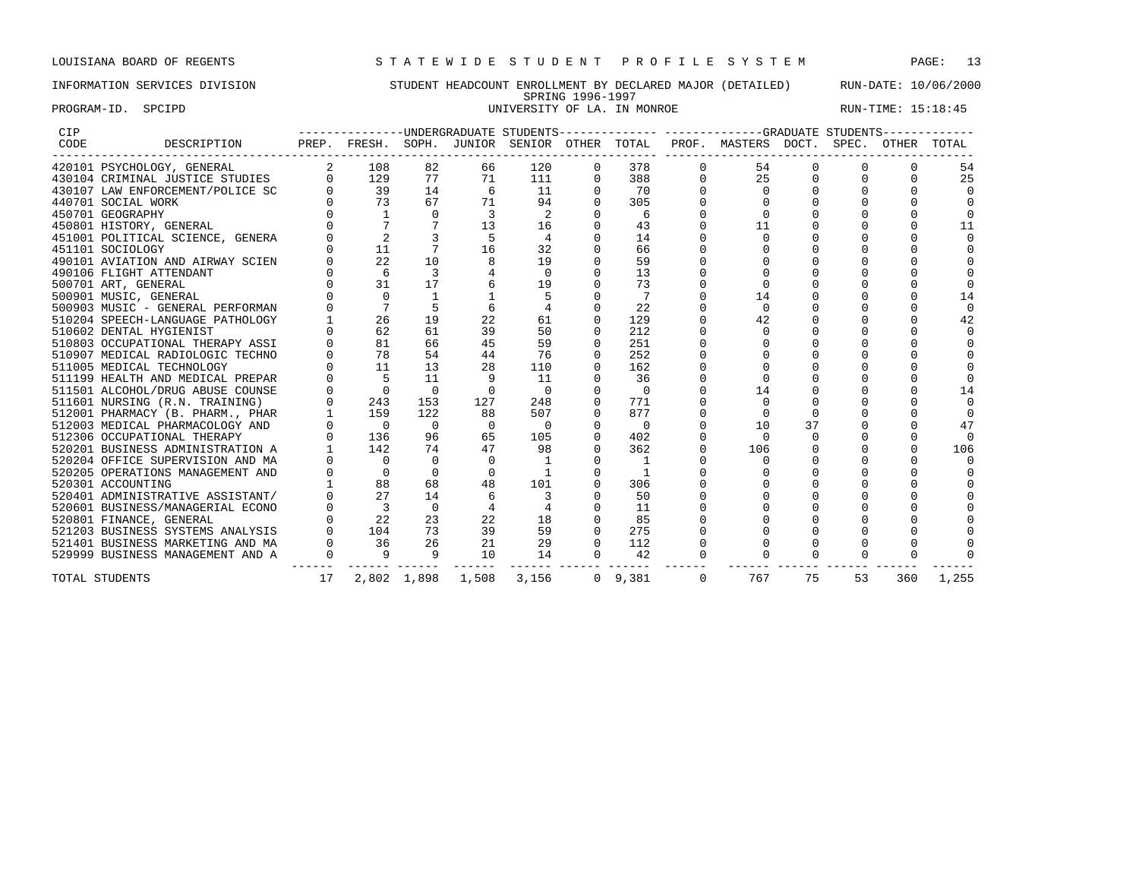## INFORMATION SERVICES DIVISION STUDENT HEADCOUNT ENROLLMENT BY DECLARED MAJOR (DETAILED) RUN-DATE: 10/06/2000 SPRING 1996-1997 PROGRAM-ID. SPCIPD SECTED SECTED SECTED SERVICES OF LA. IN MONROE RUN-TIME: 15:18:45

| CIP  |                                                                                                                                                                                                                                            |                |                                                                   |                |                   |                          |          |                |                | ---------------UNDERGRADUATE STUDENTS-------------- -----------GRADUATE STUDENTS------------ |          |          |     |        |
|------|--------------------------------------------------------------------------------------------------------------------------------------------------------------------------------------------------------------------------------------------|----------------|-------------------------------------------------------------------|----------------|-------------------|--------------------------|----------|----------------|----------------|----------------------------------------------------------------------------------------------|----------|----------|-----|--------|
| CODE | DESCRIPTION                                                                                                                                                                                                                                |                |                                                                   |                |                   |                          |          |                |                | PREP. FRESH. SOPH. JUNIOR SENIOR OTHER TOTAL PROF. MASTERS DOCT. SPEC. OTHER TOTAL           |          |          |     |        |
|      | 420101 PSYCHOLOGY, GENERAL                                                                                                                                                                                                                 |                | 2 108                                                             | 82             | 66                | 120                      | 0        | 378            | $\mathbf{0}$   | 54                                                                                           |          |          |     | 54     |
|      | 430104 CRIMINAL JUSTICE STUDIES                                                                                                                                                                                                            |                | 0<br>129                                                          | 77             | 71                | 111                      | 0        | 388            |                | 25                                                                                           |          |          |     | 25     |
|      | 430107 LAW ENFORCEMENT/POLICE SC                                                                                                                                                                                                           |                | $\begin{array}{ccc} 0 & \quad & 39 \\ 0 & \quad & 73 \end{array}$ | 14             | 6                 | 11                       |          | 70             |                |                                                                                              |          |          |     |        |
|      | 440701 SOCIAL WORK                                                                                                                                                                                                                         |                |                                                                   | 67             | 71                | 94                       | $\Omega$ | 305            |                |                                                                                              |          |          |     |        |
|      | 450701 GEOGRAPHY                                                                                                                                                                                                                           |                |                                                                   | $\Omega$       | 3                 | 2                        |          | 6              |                |                                                                                              |          |          |     |        |
|      | 450801 HISTORY, GENERAL                                                                                                                                                                                                                    |                |                                                                   |                | 13                | 16                       | $\Omega$ | 43             |                | 11                                                                                           |          |          |     | 11     |
|      | 451001 POLITICAL SCIENCE, GENERA                                                                                                                                                                                                           |                | $\overline{2}$                                                    |                | - 5               | $\overline{4}$           |          | 14             |                | $\Omega$                                                                                     |          |          |     |        |
|      | 451101 SOCIOLOGY                                                                                                                                                                                                                           |                | 11                                                                |                | 16                | 32                       |          | 66             |                |                                                                                              |          |          |     |        |
|      | 490101 AVIATION AND AIRWAY SCIEN                                                                                                                                                                                                           |                | 22                                                                | 10             |                   | 19                       |          | 59             |                |                                                                                              |          |          |     |        |
|      | 490106 FLIGHT ATTENDANT                                                                                                                                                                                                                    |                |                                                                   | $\overline{3}$ |                   | $\overline{0}$           | $\Omega$ | 13             |                |                                                                                              |          |          |     |        |
|      | 500701 ART, GENERAL                                                                                                                                                                                                                        |                | $\begin{matrix} 0 && 6 \\ 0 && 31 \end{matrix}$                   | 17             |                   | 19                       |          | 73             |                |                                                                                              |          |          |     |        |
|      | 500901 MUSIC, GENERAL                                                                                                                                                                                                                      |                | $\Omega$                                                          |                |                   |                          |          | $\overline{7}$ |                | 14                                                                                           |          |          |     | 14     |
|      | 500903 MUSIC - GENERAL PERFORMAN                                                                                                                                                                                                           |                | $7\phantom{.0}$                                                   |                |                   |                          | $\Omega$ | 22             |                | $\Omega$                                                                                     |          |          |     | $\cap$ |
|      | 510204 SPEECH-LANGUAGE PATHOLOGY                                                                                                                                                                                                           |                | 26                                                                | 19             | 22                | 61                       | $\Omega$ | 129            |                | 42                                                                                           |          |          |     | 42     |
|      | 510602 DENTAL HYGIENIST                                                                                                                                                                                                                    |                | 62                                                                | 61             | 39                | 50                       |          | 212            |                |                                                                                              |          |          |     |        |
|      | 510803 OCCUPATIONAL THERAPY ASSI                                                                                                                                                                                                           |                | 81                                                                | 66             | 45                | 59                       | $\Omega$ | 251            |                |                                                                                              |          |          |     |        |
|      | 510907 MEDICAL RADIOLOGIC TECHNO                                                                                                                                                                                                           |                | 78                                                                | 54             | 44                | 76                       |          | 252            |                |                                                                                              |          |          |     |        |
|      | 511005 MEDICAL TECHNOLOGY                                                                                                                                                                                                                  |                | 11                                                                | 13             | 28                | 110                      | $\Omega$ | 162            |                |                                                                                              |          |          |     |        |
|      | 511199 HEALTH AND MEDICAL PREPAR                                                                                                                                                                                                           |                | $-5$                                                              | 11             |                   | 11                       |          | 36             |                |                                                                                              |          |          |     |        |
|      |                                                                                                                                                                                                                                            |                | $\overline{0}$                                                    | $\overline{0}$ | $\Omega$          | $\bigcirc$               | $\Omega$ | $\bigcirc$     |                | 14                                                                                           |          |          |     | 14     |
|      |                                                                                                                                                                                                                                            |                | $\overline{0}$<br>243                                             | 153            | 127               | 248                      | $\Omega$ | 771            |                | $\Omega$                                                                                     |          |          |     |        |
|      |                                                                                                                                                                                                                                            |                | $1 \quad \blacksquare$<br>159                                     | 122            | 88                | 507                      | $\Omega$ | 877            |                |                                                                                              |          |          |     |        |
|      |                                                                                                                                                                                                                                            |                | $0\qquad \qquad 0$                                                | $\overline{0}$ | $\overline{0}$    | $\overline{0}$           | 0        | $\overline{0}$ |                | 10                                                                                           | 37       |          |     | 47     |
|      |                                                                                                                                                                                                                                            |                | $\overline{0}$<br>136                                             | 96             | 65                | 105                      | $\Omega$ | 402            |                | $\Omega$                                                                                     | $\Omega$ |          |     | $\cap$ |
|      |                                                                                                                                                                                                                                            |                | 142                                                               | 74             | 47                | 98                       | $\Omega$ | 362            | $\Omega$       | 106                                                                                          |          |          |     | 106    |
|      |                                                                                                                                                                                                                                            |                | $\overline{0}$                                                    | $\Omega$       | $\Omega$          | - 1                      |          | $\overline{1}$ |                | $\Omega$                                                                                     |          |          |     |        |
|      | 511199 HEALTH AND MEDICAL PREPAR<br>511501 ALCOHOL/DRUG ABUSE COUNSE<br>511501 NURSING (R.N. TRAINING)<br>512001 PHARMACY (B. PHARM, PHAR<br>512003 MEDICAL PHARMACOLOGY AND<br>512306 OCCUPATIONAL THERAPY<br>520201 BUSINESS ADMINISTRAT |                | $0 \qquad \qquad 0$                                               | $\Omega$       |                   |                          |          | $\overline{1}$ |                |                                                                                              |          |          |     |        |
|      |                                                                                                                                                                                                                                            |                | 88                                                                | 68             | 48                | 101                      |          | 306            |                |                                                                                              |          |          |     |        |
|      |                                                                                                                                                                                                                                            |                | 27                                                                | 14             |                   | $\overline{\phantom{a}}$ |          | 50             |                |                                                                                              |          |          |     |        |
|      |                                                                                                                                                                                                                                            |                | $0 \qquad \qquad 3$                                               | $\Omega$       |                   |                          |          | 11             |                |                                                                                              |          |          |     |        |
|      |                                                                                                                                                                                                                                            |                | $0$ 22                                                            | 23             | 22                | 18                       | $\Omega$ | 85             |                |                                                                                              |          |          |     |        |
|      |                                                                                                                                                                                                                                            |                | 104                                                               | 73             | 39                | 59                       | $\Omega$ | 275            |                |                                                                                              |          |          |     |        |
|      |                                                                                                                                                                                                                                            |                | $0$ 36                                                            | 26             | 21                | 29                       | $\Omega$ | 112            |                |                                                                                              |          |          |     |        |
|      | 529999 BUSINESS MANAGEMENT AND A                                                                                                                                                                                                           | $\overline{0}$ | $\overline{9}$                                                    | $\overline{9}$ | 10                | 14                       | $\Omega$ | 42             | $\Omega$       | $\Omega$                                                                                     | $\Omega$ | $\Omega$ |     |        |
|      | TOTAL STUDENTS                                                                                                                                                                                                                             | 17             |                                                                   |                | 2,802 1,898 1,508 | 3,156                    |          | $0 \t 9.381$   | $\overline{0}$ | 767                                                                                          | 75       | 53       | 360 | 1,255  |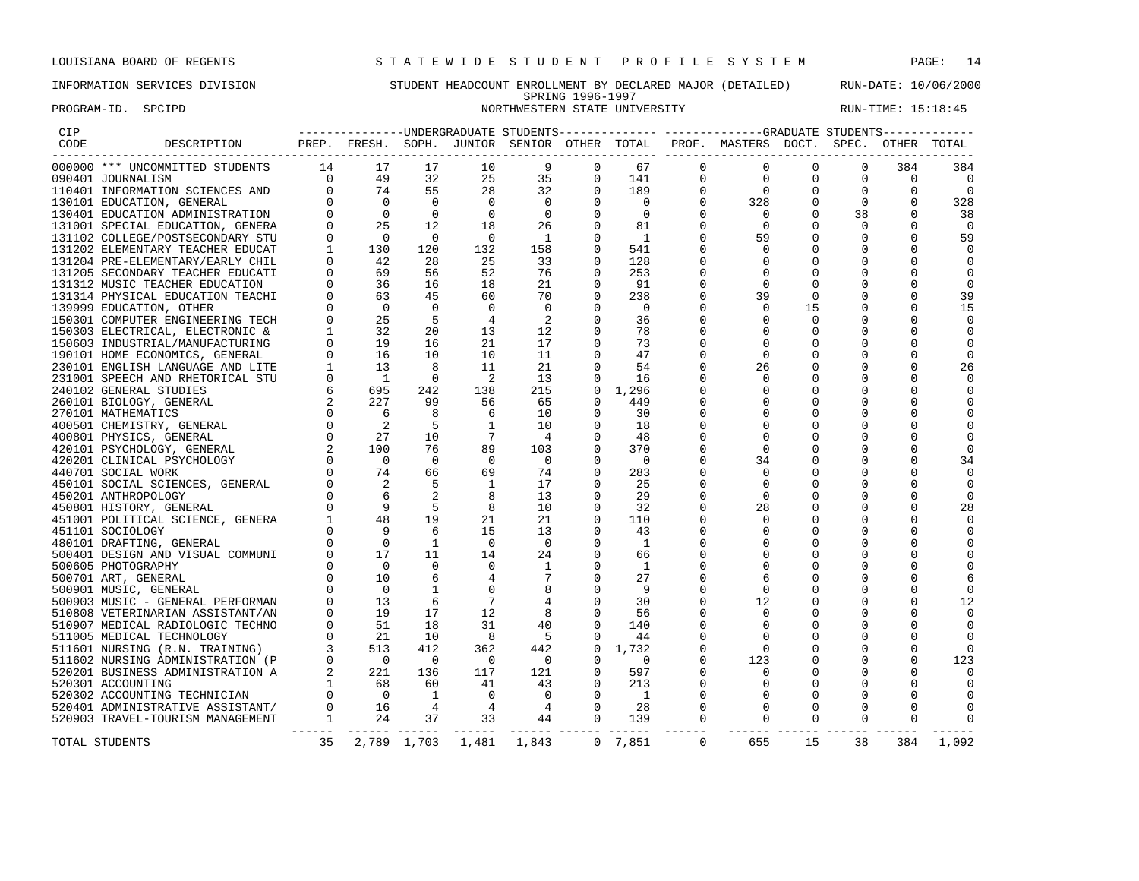### INFORMATION SERVICES DIVISION STUDENT HEADCOUNT ENROLLMENT BY DECLARED MAJOR (DETAILED) RUN-DATE: 10/06/2000 SPRING 1996-1997 PROGRAM-ID. SPCIPD NORTHWESTERN STATE UNIVERSITY RUN-TIME: 15:18:45

| CIP  |                                                                                                                                                                                                                                                                                                           |          |                                                                                                                                                                                                                                                                                                                                   |                |                            |                |                |                          |              |              |             |             |             |                |
|------|-----------------------------------------------------------------------------------------------------------------------------------------------------------------------------------------------------------------------------------------------------------------------------------------------------------|----------|-----------------------------------------------------------------------------------------------------------------------------------------------------------------------------------------------------------------------------------------------------------------------------------------------------------------------------------|----------------|----------------------------|----------------|----------------|--------------------------|--------------|--------------|-------------|-------------|-------------|----------------|
| CODE | DESCRIPTION PREP. FRESH. SOPH. JUNIOR SENIOR OTHER TOTAL PROF. MASTERS DOCT. SPEC. OTHER TOTAL                                                                                                                                                                                                            |          |                                                                                                                                                                                                                                                                                                                                   |                |                            |                |                |                          |              |              |             |             |             |                |
|      | PREP. FKESH. DUNING 1<br>TTS 14 17<br>0 49<br>ND 0 74<br>0 0 0<br>NERA 0 25<br>STU 0 0<br>UCAT 1 130<br>CHIL 0 42<br>JCATI 0 69<br>ION 0 36<br>ION 0 36<br>ION 0 36<br>ION 0 36<br>ION 0 36<br>TECH 0 25<br>TC & 1 32<br>RING 0 19<br>NRING 0 19<br>NRING 0 19<br>NRIN<br>000000 *** UNCOMMITTED STUDENTS |          |                                                                                                                                                                                                                                                                                                                                   | 17             | 10                         | 9              | $\Omega$       | 67                       | $\Omega$     | $\Omega$     | $\Omega$    |             | 384         | 384            |
|      | 090401 JOURNALISM                                                                                                                                                                                                                                                                                         |          |                                                                                                                                                                                                                                                                                                                                   | 32             | 25                         | 35             | $\mathbf 0$    | 141                      | $\mathbf 0$  | $\mathbf 0$  | $\mathbf 0$ | $\mathbf 0$ | $\mathbf 0$ | $\overline{0}$ |
|      | 110401 INFORMATION SCIENCES AND                                                                                                                                                                                                                                                                           |          |                                                                                                                                                                                                                                                                                                                                   | 55             | 28                         | 32             | $\mathbf 0$    | 189                      |              | $\mathbf{0}$ | 0           | $\mathbf 0$ | 0           | $\mathbf 0$    |
|      | 130101 EDUCATION, GENERAL                                                                                                                                                                                                                                                                                 |          |                                                                                                                                                                                                                                                                                                                                   | $\bigcap$      | $\bigcap$                  | $\overline{0}$ | $\Omega$       | $\overline{0}$           |              | 328          | $\mathbf 0$ |             |             | 328            |
|      | 130401 EDUCATION ADMINISTRATION                                                                                                                                                                                                                                                                           |          |                                                                                                                                                                                                                                                                                                                                   | $\mathbf{0}$   | $\mathbf 0$                | $\overline{0}$ | 0              | $\overline{0}$           |              | $\circ$      | 0           | 38          |             | 38             |
|      | 131001 SPECIAL EDUCATION, GENERA                                                                                                                                                                                                                                                                          |          |                                                                                                                                                                                                                                                                                                                                   | 12             | 18                         | 26             | $\Omega$       | 81                       |              | $\Omega$     |             |             |             | $\Omega$       |
|      | 131102 COLLEGE/POSTSECONDARY STU                                                                                                                                                                                                                                                                          |          |                                                                                                                                                                                                                                                                                                                                   | $\overline{0}$ | $\overline{0}$             | $\overline{1}$ | 0              | $\overline{1}$           |              | 59           |             |             |             | 59             |
|      | 131202 ELEMENTARY TEACHER EDUCAT                                                                                                                                                                                                                                                                          |          |                                                                                                                                                                                                                                                                                                                                   | 120            | 132                        | 158            | 0              | 541                      |              | 0            |             |             |             |                |
|      | 131204 PRE-ELEMENTARY/EARLY CHIL                                                                                                                                                                                                                                                                          |          |                                                                                                                                                                                                                                                                                                                                   | 28             | 25                         | 33             |                | 128                      |              |              |             |             |             | 0              |
|      | 131205 SECONDARY TEACHER EDUCATI                                                                                                                                                                                                                                                                          |          |                                                                                                                                                                                                                                                                                                                                   | 56             | 52                         | 76             |                | 253                      |              |              |             |             |             |                |
|      | 131312 MUSIC TEACHER EDUCATION                                                                                                                                                                                                                                                                            |          |                                                                                                                                                                                                                                                                                                                                   | 16             | 18                         | 21             |                | 91                       |              | $\Omega$     |             |             |             |                |
|      | 131314 PHYSICAL EDUCATION TEACHI                                                                                                                                                                                                                                                                          |          |                                                                                                                                                                                                                                                                                                                                   | 45             | 60                         | 70             | $\mathbf 0$    | 238                      |              | 39           |             |             |             | 39             |
|      | 139999 EDUCATION, OTHER                                                                                                                                                                                                                                                                                   |          |                                                                                                                                                                                                                                                                                                                                   | $\Omega$       | $\Omega$                   | $\Omega$       | $\Omega$       | $\overline{\phantom{0}}$ |              | $\Omega$     | 15          |             |             | 15             |
|      | 150301 COMPUTER ENGINEERING TECH                                                                                                                                                                                                                                                                          |          |                                                                                                                                                                                                                                                                                                                                   | - 5            | $\overline{4}$             | 2              | $\mathbf 0$    | 36                       |              | $\Omega$     | $\mathbf 0$ |             |             |                |
|      | 150303 ELECTRICAL, ELECTRONIC &                                                                                                                                                                                                                                                                           |          |                                                                                                                                                                                                                                                                                                                                   | 20             | 13                         | 12             | 0              | 78                       |              | $\Omega$     | 0           |             |             |                |
|      | 150603 INDUSTRIAL/MANUFACTURING                                                                                                                                                                                                                                                                           |          |                                                                                                                                                                                                                                                                                                                                   | 16             | 21                         | 17             |                | 73                       |              |              |             |             |             |                |
|      | 190101 HOME ECONOMICS, GENERAL                                                                                                                                                                                                                                                                            |          |                                                                                                                                                                                                                                                                                                                                   | 10             | 10                         | 11             | $\Omega$       | 47                       |              | $\Omega$     |             |             |             |                |
|      | 230101 ENGLISH LANGUAGE AND LITE                                                                                                                                                                                                                                                                          |          |                                                                                                                                                                                                                                                                                                                                   | 8              | 11                         | 21             |                | 54                       |              | 26           |             |             |             | 26             |
|      | 231001 SPEECH AND RHETORICAL STU                                                                                                                                                                                                                                                                          |          |                                                                                                                                                                                                                                                                                                                                   | $\Omega$       | $\overline{\phantom{0}}^2$ | 13             | $\Omega$       | 16                       |              | $\Omega$     |             |             |             | $\Omega$       |
|      | 240102 GENERAL STUDIES                                                                                                                                                                                                                                                                                    |          |                                                                                                                                                                                                                                                                                                                                   | 242            | 138                        | 215            | $\mathbf 0$    | 1,296                    |              |              |             |             |             |                |
|      | 260101 BIOLOGY, GENERAL                                                                                                                                                                                                                                                                                   |          |                                                                                                                                                                                                                                                                                                                                   | 99             | 56                         | 65             | $\Omega$       | 449                      |              |              |             |             |             |                |
|      | 270101 MATHEMATICS                                                                                                                                                                                                                                                                                        |          |                                                                                                                                                                                                                                                                                                                                   | 8              | 6                          | 10             | $\Omega$       | 30                       |              |              |             |             |             |                |
|      | 400501 CHEMISTRY, GENERAL                                                                                                                                                                                                                                                                                 |          |                                                                                                                                                                                                                                                                                                                                   | 5              |                            | 10             | 0              | 18                       |              |              |             |             |             |                |
|      | 400801 PHYSICS, GENERAL                                                                                                                                                                                                                                                                                   |          |                                                                                                                                                                                                                                                                                                                                   | 10             |                            | $\overline{4}$ | $\Omega$       | 48                       |              |              |             |             |             |                |
|      | 420101 PSYCHOLOGY, GENERAL                                                                                                                                                                                                                                                                                |          |                                                                                                                                                                                                                                                                                                                                   | 76             | 89                         | 103            | $\Omega$       | 370                      |              | 0            |             |             |             |                |
|      |                                                                                                                                                                                                                                                                                                           |          |                                                                                                                                                                                                                                                                                                                                   | $\Omega$       | $\overline{0}$             | $\Omega$       | $\Omega$       | $\overline{\phantom{0}}$ |              | 34           |             |             |             | 34             |
|      |                                                                                                                                                                                                                                                                                                           |          |                                                                                                                                                                                                                                                                                                                                   | 66             | 69                         | 74             | 0              | 283                      |              | $\mathbf 0$  |             |             |             | 0              |
|      |                                                                                                                                                                                                                                                                                                           |          |                                                                                                                                                                                                                                                                                                                                   |                | $\mathbf{1}$               | 17             |                | 25                       |              |              |             |             |             |                |
|      |                                                                                                                                                                                                                                                                                                           |          |                                                                                                                                                                                                                                                                                                                                   |                | 8                          | 13             | $\Omega$       | 29                       |              | $\Omega$     |             |             |             | $\Omega$       |
|      |                                                                                                                                                                                                                                                                                                           |          |                                                                                                                                                                                                                                                                                                                                   | -5             | 8                          | 10             | $\Omega$       | 32                       |              | 28           |             |             |             | 28             |
|      |                                                                                                                                                                                                                                                                                                           |          |                                                                                                                                                                                                                                                                                                                                   | 19             | 21                         | 21             | $\Omega$       | 110                      |              | $\Omega$     |             |             |             |                |
|      |                                                                                                                                                                                                                                                                                                           |          |                                                                                                                                                                                                                                                                                                                                   | 6              | 15                         | 13             | 0              | 43                       |              |              |             |             |             | $\Omega$       |
|      |                                                                                                                                                                                                                                                                                                           |          |                                                                                                                                                                                                                                                                                                                                   | 1              | $\Omega$                   | $\Omega$       |                | - 1                      |              |              |             |             |             |                |
|      |                                                                                                                                                                                                                                                                                                           |          |                                                                                                                                                                                                                                                                                                                                   | 11             | 14                         | 24             | 0              | 66                       |              |              |             |             |             |                |
|      |                                                                                                                                                                                                                                                                                                           |          |                                                                                                                                                                                                                                                                                                                                   | $\Omega$       | $\Omega$                   | 1              | 0              | 1                        |              |              |             |             |             |                |
|      |                                                                                                                                                                                                                                                                                                           |          |                                                                                                                                                                                                                                                                                                                                   |                |                            |                | 0              | 27                       |              | 6            |             |             |             |                |
|      | 440701 SOCIAL WORK<br>450101 SOCIAL SCIENCES, GENERAL<br>450101 SOCIAL SCIENCES, GENERAL<br>450201 ANTHROPOLOGY<br>450201 HISTORY, GENERAL<br>48601 HISTORY, GENERAL<br>51001 POLITICAL SCIENCE, GENERA<br>6101 DOLITICAL SCIENCE, GENERA<br>4                                                            |          |                                                                                                                                                                                                                                                                                                                                   | 1              |                            | 8              | $\mathbf 0$    | - 9                      |              | $\mathbf 0$  |             |             |             |                |
|      |                                                                                                                                                                                                                                                                                                           |          |                                                                                                                                                                                                                                                                                                                                   | 6              |                            |                | $\mathbf 0$    | 30                       |              | 12           |             |             |             | 12             |
|      |                                                                                                                                                                                                                                                                                                           |          |                                                                                                                                                                                                                                                                                                                                   | 17             | 12                         | 8              | $\mathbf 0$    | 56                       |              | $\Omega$     |             |             |             |                |
|      | 510907 MEDICAL RADIOLOGIC TECHNO                                                                                                                                                                                                                                                                          |          |                                                                                                                                                                                                                                                                                                                                   | 18             | 31                         | 40             | $\Omega$       | 140                      |              |              |             |             |             |                |
|      | 511005 MEDICAL TECHNOLOGY                                                                                                                                                                                                                                                                                 |          | $\begin{bmatrix} 0 & 0 & 1 \\ 0 & 13 & 0 \\ 0 & 51 & 0 \\ 0 & 21 & 0 \\ 3 & 513 & 0 \\ 2 & 221 & 0 \\ 1 & 0 & 0 \\ 2 & 221 & 0 \\ 3 & 0 & 0 \\ 2 & 0 & 0 \\ 3 & 0 & 0 \\ 4 & 0 & 0 \\ 5 & 0 & 0 \\ 1 & 0 & 0 \\ 2 & 0 & 0 \\ 3 & 0 & 0 \\ 4 & 0 & 0 \\ 5 & 0 & 0 \\ 6 & 0 & 0 \\ 1 & 0 & 0 \\ 3 & 0 & 0 \\ 4 & 0 & 0 \\ 5 & 0 & $ | 10             | 8                          | $5^{\circ}$    | $\mathbf 0$    | 44                       |              | 0            |             |             |             |                |
|      | 511601 NURSING (R.N. TRAINING)                                                                                                                                                                                                                                                                            |          |                                                                                                                                                                                                                                                                                                                                   | 412            | 362                        | 442            | $\Omega$       | 1,732                    |              | $\Omega$     |             |             |             |                |
|      | 511602 NURSING ADMINISTRATION (P                                                                                                                                                                                                                                                                          |          |                                                                                                                                                                                                                                                                                                                                   | $\overline{0}$ | $\overline{0}$             | $\overline{0}$ |                | $\overline{0}$           |              | 123          |             |             |             | 123            |
|      | 520201 BUSINESS ADMINISTRATION A                                                                                                                                                                                                                                                                          |          |                                                                                                                                                                                                                                                                                                                                   | 136            | 117                        | 121            | $\Omega$       | 597                      |              | $\Omega$     |             |             |             |                |
|      | 520301 ACCOUNTING                                                                                                                                                                                                                                                                                         |          |                                                                                                                                                                                                                                                                                                                                   | 60             | 41                         | 43             | 0              | 213                      |              | 0            |             |             |             |                |
|      | 520302 ACCOUNTING TECHNICIAN                                                                                                                                                                                                                                                                              |          |                                                                                                                                                                                                                                                                                                                                   | 1              | $\mathbf 0$                | $\overline{0}$ | 0              | $\overline{\phantom{a}}$ |              | 0            |             |             |             |                |
|      | 520401 ADMINISTRATIVE ASSISTANT/                                                                                                                                                                                                                                                                          |          | $\begin{array}{ccc} 1 & & 68 \\ 0 & & 0 \\ 0 & & 16 \end{array}$                                                                                                                                                                                                                                                                  | $\overline{4}$ | $\overline{4}$             | $\overline{4}$ | $\Omega$       | 28                       |              | $\Omega$     |             |             |             |                |
|      | 520903 TRAVEL-TOURISM MANAGEMENT                                                                                                                                                                                                                                                                          | $\sim$ 1 | 24                                                                                                                                                                                                                                                                                                                                | 37             | 33                         | 44             | $\overline{0}$ | 139                      | 0            |              |             |             |             |                |
|      |                                                                                                                                                                                                                                                                                                           |          |                                                                                                                                                                                                                                                                                                                                   |                |                            |                |                |                          |              |              |             |             |             |                |
|      | TOTAL STUDENTS                                                                                                                                                                                                                                                                                            | 35       |                                                                                                                                                                                                                                                                                                                                   | 2,789 1,703    |                            | 1,481 1,843    |                | $0 \quad 7,851$          | $\mathbf{0}$ | 655          | 15          | 38          | 384         | 1,092          |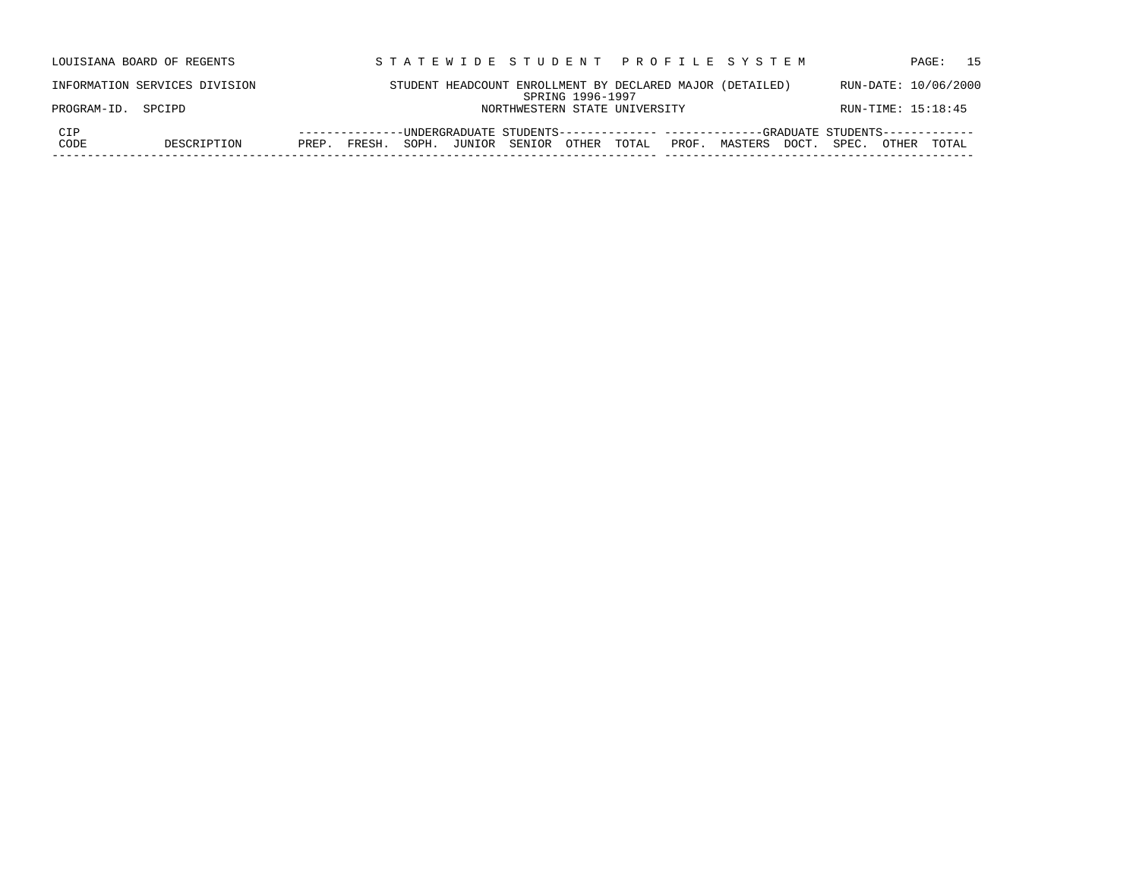| STUDENT HEADCOUNT ENROLLMENT BY DECLARED MAJOR (DETAILED)<br>RUN-DATE: 10/06/2000<br>INFORMATION SERVICES DIVISION<br>SPRING 1996-1997<br>RUN-TIME: 15:18:45<br>PROGRAM-ID. SPCIPD<br>NORTHWESTERN STATE UNIVERSITY<br>CIP<br>--UNDERGRADUATE STUDENTS-------------- -------------GRADUATE STUDENTS------------<br>--------------<br>CODE<br>PROF. MASTERS DOCT. SPEC.<br>SOPH. JUNIOR SENIOR OTHER TOTAL<br>DESCRIPTION<br>FRESH.<br>PREP.<br>TOTAI.<br>OTHER | LOUISIANA BOARD OF REGENTS | STATEWIDE STUDENT PROFILE SYSTEM | 15<br>PAGE: |
|----------------------------------------------------------------------------------------------------------------------------------------------------------------------------------------------------------------------------------------------------------------------------------------------------------------------------------------------------------------------------------------------------------------------------------------------------------------|----------------------------|----------------------------------|-------------|
|                                                                                                                                                                                                                                                                                                                                                                                                                                                                |                            |                                  |             |
|                                                                                                                                                                                                                                                                                                                                                                                                                                                                |                            |                                  |             |
|                                                                                                                                                                                                                                                                                                                                                                                                                                                                |                            |                                  |             |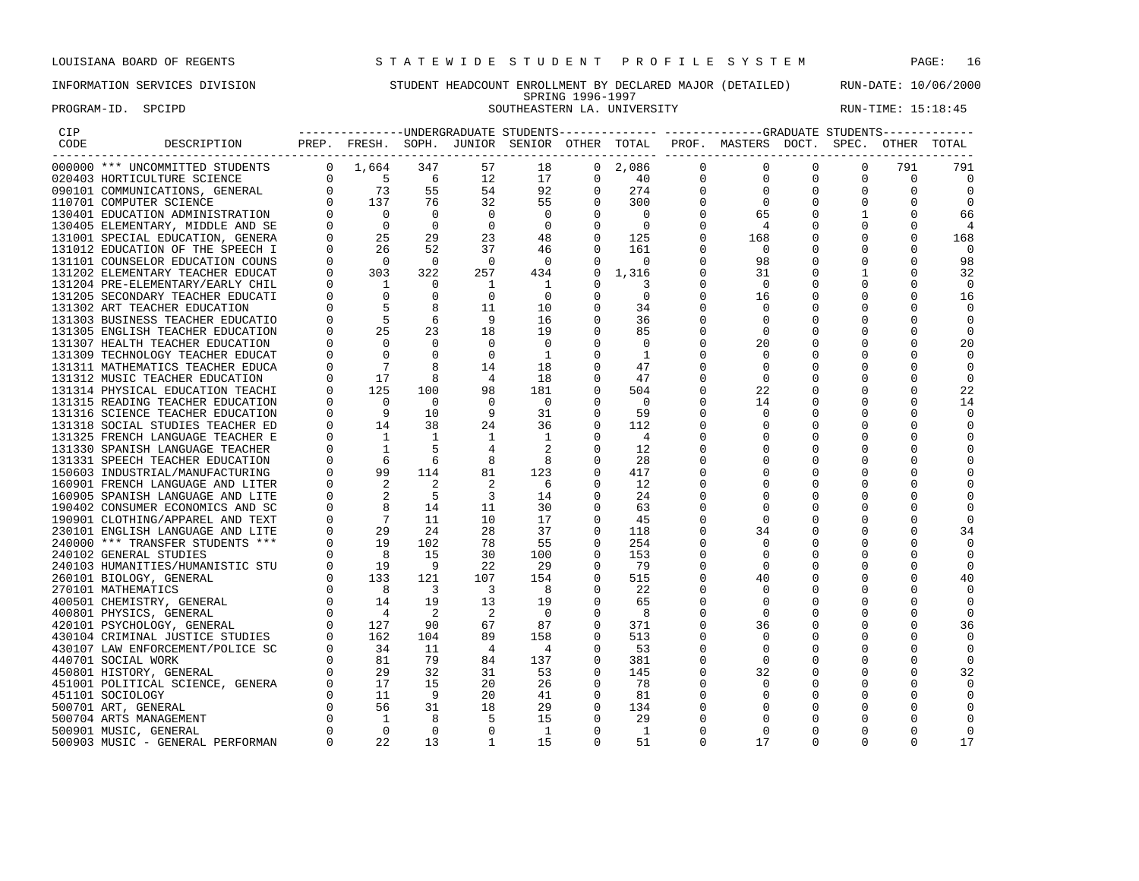PROGRAM-ID. SPCIPD SOUTHEASTERN LA. UNIVERSITY NEXT RUN-TIME: 15:18:45

## INFORMATION SERVICES DIVISION STUDENT HEADCOUNT ENROLLMENT BY DECLARED MAJOR (DETAILED) RUN-DATE: 10/06/2000 SPRING 1996-1997

| CIP  |                                                                                                                                                                                                                                                                                                                                                                                                                                                                           |          |                                                                            |                          |                            |                            |                                                |                          |              | ---------------UNDERGRADUATE STUDENTS------------- ------------GRADUATE STUDENTS------------ |              |              |             |                         |
|------|---------------------------------------------------------------------------------------------------------------------------------------------------------------------------------------------------------------------------------------------------------------------------------------------------------------------------------------------------------------------------------------------------------------------------------------------------------------------------|----------|----------------------------------------------------------------------------|--------------------------|----------------------------|----------------------------|------------------------------------------------|--------------------------|--------------|----------------------------------------------------------------------------------------------|--------------|--------------|-------------|-------------------------|
| CODE | DESCRIPTION                                                                                                                                                                                                                                                                                                                                                                                                                                                               |          |                                                                            |                          |                            |                            |                                                |                          |              | PREP. FRESH. SOPH. JUNIOR SENIOR OTHER TOTAL PROF. MASTERS DOCT. SPEC. OTHER TOTAL           |              |              |             |                         |
|      | $\begin{tabular}{l c c c c c} \hline \multicolumn{3}{c}{\multicolumn{3}{c}{\multicolumn{3}{c}{\multicolumn{3}{c}{\multicolumn{3}{c}{\multicolumn{3}{c}{\multicolumn{3}{c}{\multicolumn{3}{c}{\multicolumn{3}{c}{\multicolumn{3}{c}{\multicolumn{3}{c}{\multicolumn{3}{c}{\multicolumn{3}{c}{\multicolumn{3}{c}{\multicolumn{3}{c}{\multicolumn{3}{c}{\multicolumn{3}{c}{\multicolumn{3}{c}{\multicolumn{3}{c}{\multicolumn{3}{c}{\multicolumn{3}{c}{\multicolumn{3}{c}{\$ |          |                                                                            |                          |                            | 18                         |                                                | $0\quad 2,086$           | $\mathbf{0}$ | $\circ$                                                                                      | $\Omega$     | $\Omega$     | 791         | 791                     |
|      |                                                                                                                                                                                                                                                                                                                                                                                                                                                                           |          |                                                                            |                          |                            | 17                         |                                                | 40                       |              | $\overline{0}$<br>$\mathbf 0$                                                                | $\mathbf 0$  | $\mathbf{0}$ | $\mathbf 0$ | $\overline{\mathbf{0}}$ |
|      |                                                                                                                                                                                                                                                                                                                                                                                                                                                                           |          |                                                                            |                          |                            | 92                         | $\begin{matrix} 0 \\ 0 \\ 0 \\ 0 \end{matrix}$ | 274                      |              | $\mathbf 0$                                                                                  | $\mathbf 0$  | 0            |             | $\Omega$                |
|      |                                                                                                                                                                                                                                                                                                                                                                                                                                                                           |          |                                                                            |                          |                            | 55                         |                                                | 300                      |              | $\overline{\phantom{0}}$                                                                     | 0            | 0            |             | $\Omega$                |
|      |                                                                                                                                                                                                                                                                                                                                                                                                                                                                           |          |                                                                            |                          |                            | $\overline{0}$             |                                                | $\overline{0}$           |              | 65                                                                                           | $\Omega$     | 1            |             | 66                      |
|      |                                                                                                                                                                                                                                                                                                                                                                                                                                                                           |          |                                                                            |                          |                            | $\overline{\phantom{0}}$   |                                                | $\overline{\phantom{0}}$ |              | $\overline{4}$                                                                               | 0            | $\mathbf{0}$ |             | 4                       |
|      |                                                                                                                                                                                                                                                                                                                                                                                                                                                                           |          |                                                                            |                          |                            | 48                         | $\begin{matrix}0\\0\end{matrix}$               | 125                      |              | 168                                                                                          | 0            | $\mathbf{0}$ |             | 168                     |
|      |                                                                                                                                                                                                                                                                                                                                                                                                                                                                           |          |                                                                            |                          |                            | 46                         | $\Omega$                                       | 161                      |              | $\Omega$                                                                                     |              | 0            |             | - 0                     |
|      |                                                                                                                                                                                                                                                                                                                                                                                                                                                                           |          |                                                                            |                          |                            | $\overline{0}$             | $\Omega$                                       | $\overline{0}$           |              | 98                                                                                           | $\Omega$     | $\Omega$     |             | 98                      |
|      |                                                                                                                                                                                                                                                                                                                                                                                                                                                                           |          |                                                                            |                          |                            | 434                        | $\mathbf{0}$                                   | 1,316                    |              | 31                                                                                           |              |              |             | 32                      |
|      | 131204 PRE-ELEMENTARY/EARLY CHIL                                                                                                                                                                                                                                                                                                                                                                                                                                          |          | $\begin{bmatrix} 0 & 1 \\ 0 & 0 \\ 0 & 5 \\ 0 & 5 \\ 0 & 25 \end{bmatrix}$ | $\overline{\phantom{0}}$ | $\overline{1}$             | $\overline{\mathbf{1}}$    | $\Omega$                                       | 3                        |              | $\overline{0}$                                                                               | $\Omega$     |              |             | $\Omega$                |
|      | 131205 SECONDARY TEACHER EDUCATI                                                                                                                                                                                                                                                                                                                                                                                                                                          |          |                                                                            | $\mathbf{0}$             | $\overline{\phantom{0}}$   | $\overline{0}$             | $\mathbf 0$                                    | $\Omega$                 |              | 16                                                                                           | 0            | $\Omega$     |             | 16                      |
|      | 131302 ART TEACHER EDUCATION                                                                                                                                                                                                                                                                                                                                                                                                                                              |          |                                                                            | 8                        | - 11                       | 10                         | $\mathbf{0}$                                   | 34                       |              | $\circ$                                                                                      | 0            |              |             | $\Omega$                |
|      | 131303 BUSINESS TEACHER EDUCATIO                                                                                                                                                                                                                                                                                                                                                                                                                                          |          |                                                                            | 6                        | 9                          | 16                         | $\mathbf 0$                                    | 36                       |              | 0                                                                                            | 0            |              |             | 0                       |
|      | 131305 ENGLISH TEACHER EDUCATION                                                                                                                                                                                                                                                                                                                                                                                                                                          |          |                                                                            | 23                       | 18                         | 19                         | $\Omega$                                       | 85                       |              | 0                                                                                            |              |              |             | $\Omega$                |
|      | 131307 HEALTH TEACHER EDUCATION                                                                                                                                                                                                                                                                                                                                                                                                                                           | $\Omega$ | $\overline{0}$                                                             | $\overline{0}$           | $\overline{0}$             | $\bigcirc$                 | $\Omega$                                       | - 0                      |              | 20                                                                                           | 0            |              |             | 20                      |
|      | 131309 TECHNOLOGY TEACHER EDUCAT                                                                                                                                                                                                                                                                                                                                                                                                                                          | $\Omega$ | $\overline{0}$                                                             | $\overline{0}$           | $\overline{0}$             | $\overline{1}$             | $\Omega$                                       | <sup>1</sup>             |              | $\Omega$                                                                                     | 0            |              |             | $\Omega$                |
|      | 131311 MATHEMATICS TEACHER EDUCA                                                                                                                                                                                                                                                                                                                                                                                                                                          |          | $\overline{0}$<br>$\overline{7}$                                           | 8                        | 14                         | 18                         | 0                                              | 47                       |              | 0                                                                                            | 0            | 0            |             | $\Omega$                |
|      | 131312 MUSIC TEACHER EDUCATION                                                                                                                                                                                                                                                                                                                                                                                                                                            |          | $\begin{matrix}0&1\end{matrix}$                                            | 8                        | $\overline{4}$             | 18                         |                                                | 47                       |              | $\mathbf 0$                                                                                  | $\Omega$     |              |             | $\Omega$                |
|      | 131314 PHYSICAL EDUCATION TEACHI                                                                                                                                                                                                                                                                                                                                                                                                                                          |          | 0<br>125                                                                   | 100                      | 98                         | 181                        | $\mathbf 0$                                    | 504                      |              | 22                                                                                           |              |              |             | 22                      |
|      | 131315 READING TEACHER EDUCATION                                                                                                                                                                                                                                                                                                                                                                                                                                          |          |                                                                            | $\bigcap$                | $\overline{0}$             | $\overline{0}$             |                                                | $\overline{0}$           |              | 14                                                                                           | <sup>0</sup> |              |             | 14                      |
|      | 131316 SCIENCE TEACHER EDUCATION                                                                                                                                                                                                                                                                                                                                                                                                                                          |          |                                                                            | 10                       | 9                          | 31                         | $\mathbf 0$                                    | 59                       |              | $\mathbf 0$                                                                                  | 0            |              |             | 0                       |
|      | 131318 SOCIAL STUDIES TEACHER ED                                                                                                                                                                                                                                                                                                                                                                                                                                          |          | $\begin{bmatrix} 0 & 0 \\ 0 & 9 \\ 0 & 14 \\ 0 & 1 \end{bmatrix}$          | 38                       | 24                         | 36                         | 0                                              | 112                      |              | 0                                                                                            | 0            |              | $\Omega$    | $\Omega$                |
|      | 131325 FRENCH LANGUAGE TEACHER E                                                                                                                                                                                                                                                                                                                                                                                                                                          |          | $\Omega$<br>$\overline{\phantom{a}}$                                       | $\overline{1}$           | $\mathbf{1}$               | $\overline{1}$             | $\Omega$                                       | $\overline{4}$           |              | 0                                                                                            | $\Omega$     |              |             |                         |
|      |                                                                                                                                                                                                                                                                                                                                                                                                                                                                           |          |                                                                            | .5                       |                            | $\overline{\phantom{0}}^2$ | $\Omega$                                       | 12                       |              | $\Omega$                                                                                     | 0            |              |             |                         |
|      |                                                                                                                                                                                                                                                                                                                                                                                                                                                                           |          |                                                                            | 6                        | 8                          | 8                          | 0                                              | 28                       |              | 0                                                                                            | 0            |              |             |                         |
|      |                                                                                                                                                                                                                                                                                                                                                                                                                                                                           |          |                                                                            | 114                      | 81                         | 123                        | $\mathbf 0$                                    | 417                      |              |                                                                                              |              |              |             |                         |
|      |                                                                                                                                                                                                                                                                                                                                                                                                                                                                           |          |                                                                            | $\overline{2}$           | $\overline{2}$             | 6                          | 0                                              | 12                       |              | 0                                                                                            | 0            |              | $\Omega$    |                         |
|      |                                                                                                                                                                                                                                                                                                                                                                                                                                                                           |          |                                                                            | $5^{\circ}$              | $\overline{\phantom{a}}$   | 14                         | $\Omega$                                       | 24                       |              | $\Omega$                                                                                     |              |              |             |                         |
|      |                                                                                                                                                                                                                                                                                                                                                                                                                                                                           |          |                                                                            | 14                       | 11                         | 30                         | $\overline{0}$                                 | 63                       |              | 0                                                                                            |              |              |             |                         |
|      |                                                                                                                                                                                                                                                                                                                                                                                                                                                                           |          |                                                                            | 11                       | 10                         | 17                         | $\Omega$                                       | 45                       |              | $\mathbf 0$                                                                                  | $\Omega$     |              |             |                         |
|      |                                                                                                                                                                                                                                                                                                                                                                                                                                                                           |          |                                                                            | 24                       | 28                         | 37                         | $\Omega$                                       | 118                      |              | 34                                                                                           |              |              |             | 34                      |
|      |                                                                                                                                                                                                                                                                                                                                                                                                                                                                           |          |                                                                            | 102                      | 78                         | 55                         | $\Omega$                                       | 254                      |              | $\Omega$                                                                                     | 0            |              |             | $\Omega$                |
|      |                                                                                                                                                                                                                                                                                                                                                                                                                                                                           |          |                                                                            | 15                       | 30                         | 100                        | $\overline{0}$                                 | 153                      |              | $\mathbf 0$                                                                                  | 0            |              |             | 0                       |
|      |                                                                                                                                                                                                                                                                                                                                                                                                                                                                           |          |                                                                            | 9                        | 22                         | 29                         | 0                                              | 79                       |              | 0                                                                                            | 0            |              |             | $\Omega$                |
|      |                                                                                                                                                                                                                                                                                                                                                                                                                                                                           |          |                                                                            | 121                      | 107                        | 154                        | $\Omega$                                       | 515                      |              | 40                                                                                           | 0            | $\Omega$     |             | 40                      |
|      |                                                                                                                                                                                                                                                                                                                                                                                                                                                                           |          |                                                                            | $\overline{\mathbf{3}}$  | $\overline{\phantom{a}}$   | $_{\rm 8}$                 | $\Omega$                                       | 22                       |              | $\Omega$                                                                                     |              |              |             |                         |
|      |                                                                                                                                                                                                                                                                                                                                                                                                                                                                           |          |                                                                            | 19                       | 13                         | 19                         | $\mathbf 0$                                    | 65                       |              | 0                                                                                            | 0            |              |             | $\Omega$                |
|      |                                                                                                                                                                                                                                                                                                                                                                                                                                                                           |          |                                                                            | $\overline{2}$           | $\overline{\phantom{0}}^2$ | $\overline{0}$             | $\overline{0}$                                 | 8                        |              | 0                                                                                            | 0            |              |             | $\Omega$                |
|      |                                                                                                                                                                                                                                                                                                                                                                                                                                                                           |          |                                                                            | 90                       | 67                         | 87                         | $\mathbf{0}$                                   | 371                      |              | 36                                                                                           |              |              |             | 36                      |
|      |                                                                                                                                                                                                                                                                                                                                                                                                                                                                           |          |                                                                            | 104                      | 89                         | 158                        | $\Omega$                                       | 513                      |              | 0                                                                                            | $\Omega$     |              |             | $\Omega$                |
|      |                                                                                                                                                                                                                                                                                                                                                                                                                                                                           |          |                                                                            | 11                       | $\overline{4}$             | $\overline{4}$             | $\Omega$                                       | 53                       |              | 0                                                                                            |              |              |             | $\Omega$                |
|      |                                                                                                                                                                                                                                                                                                                                                                                                                                                                           |          |                                                                            | 79                       | 84                         | 137                        | $\mathbf 0$                                    | 381                      |              | $\mathbf 0$                                                                                  | 0            |              |             | $\Omega$                |
|      |                                                                                                                                                                                                                                                                                                                                                                                                                                                                           |          |                                                                            | 32                       | 31                         | 53                         | $\mathbf 0$                                    | 145                      |              | 32                                                                                           | 0            | $\Omega$     |             | 32                      |
|      |                                                                                                                                                                                                                                                                                                                                                                                                                                                                           |          |                                                                            | 15                       | 20                         | 26                         | $\Omega$                                       | -78                      |              | $\circ$                                                                                      | 0            | $\Omega$     |             |                         |
|      |                                                                                                                                                                                                                                                                                                                                                                                                                                                                           |          |                                                                            | - 9                      | 20                         | 41                         | $\overline{\phantom{0}}$                       | 81                       |              | 0                                                                                            | 0            |              |             |                         |
|      |                                                                                                                                                                                                                                                                                                                                                                                                                                                                           |          |                                                                            | 31                       | 18                         | 29                         | 0                                              | 134                      |              | 0                                                                                            |              |              |             |                         |
|      |                                                                                                                                                                                                                                                                                                                                                                                                                                                                           |          |                                                                            | 8 <sup>8</sup>           | -5                         | 15                         | $\Omega$                                       | 29                       |              | $\Omega$                                                                                     | $\Omega$     |              |             |                         |
|      | 131325 FRENCH SIGHAR ELECTRIC OF 14<br>131325 FRENCH LANGUAGE TEACHER E<br>131331 SPANISH LANGUAGE TEACHER E<br>131331 SPANISH LANGUAGE TEACHER 0<br>150603 INDUSTRIAL/MANUFACTURING 0<br>160901 FRENCH LANGUAGE AND LITER 0<br>160905 SP<br>500901 MUSIC, GENERAL                                                                                                                                                                                                        | $\Omega$ | $\overline{0}$                                                             | $\overline{0}$           | $\Omega$                   | $\overline{1}$             | $\Omega$                                       | $\mathbf{1}$             | $\Omega$     | $\Omega$                                                                                     | $\Omega$     | $\Omega$     |             | $\Omega$                |
|      | 500903 MUSIC - GENERAL PERFORMAN                                                                                                                                                                                                                                                                                                                                                                                                                                          | $\cap$   | 22                                                                         | 13                       | $\mathbf{1}$               | 15                         | $\Omega$                                       | 51                       | $\Omega$     | 17                                                                                           | $\Omega$     | $\Omega$     |             | 17                      |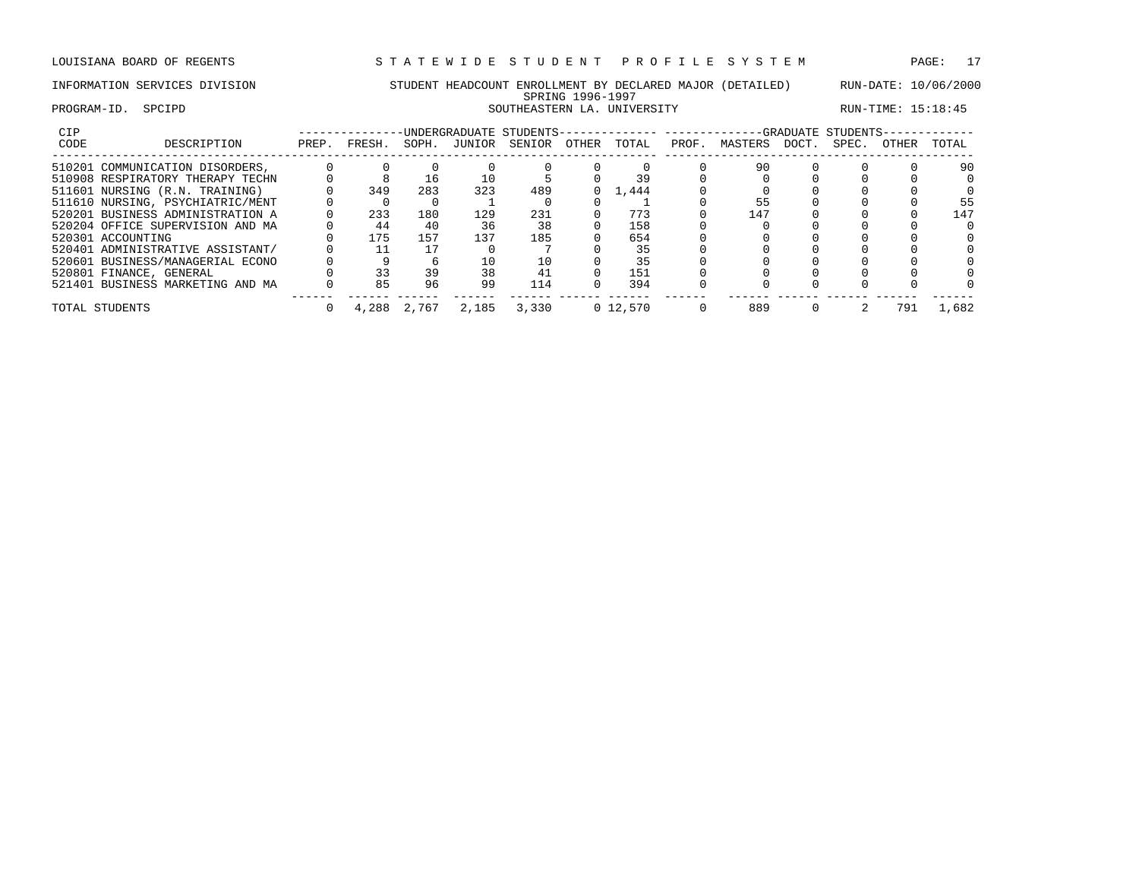## INFORMATION SERVICES DIVISION STUDENT HEADCOUNT ENROLLMENT BY DECLARED MAJOR (DETAILED) RUN-DATE: 10/06/2000 SPRING 1996-1997 PROGRAM-ID. SPCIPD SOUTHEASTERN LA. UNIVERSITY RUN-TIME: 15:18:45

| <b>CIP</b> |                                  |       |        |       | UNDERGRADUATE STUDENTS-- |        |       |            |       |         |       | -GRADUATE STUDENTS- |       |       |
|------------|----------------------------------|-------|--------|-------|--------------------------|--------|-------|------------|-------|---------|-------|---------------------|-------|-------|
| CODE       | DESCRIPTION                      | PREP. | FRESH. | SOPH. | JUNIOR                   | SENIOR | OTHER | TOTAL      | PROF. | MASTERS | DOCT. | SPEC.               | OTHER | TOTAL |
|            | 510201 COMMUNICATION DISORDERS,  |       |        |       |                          |        |       |            |       | 90      |       |                     |       | 90    |
|            | 510908 RESPIRATORY THERAPY TECHN |       |        | 16    |                          |        |       |            |       |         |       |                     |       |       |
|            | 511601 NURSING (R.N. TRAINING)   |       | 349    | 283   | 323                      | 489    |       | 1,444      |       |         |       |                     |       |       |
|            | 511610 NURSING, PSYCHIATRIC/MENT |       |        |       |                          |        |       |            |       |         |       |                     |       | 55    |
|            | 520201 BUSINESS ADMINISTRATION A |       | 233    | 180   | 129                      | 231    |       | 773        |       | 147     |       |                     |       | 147   |
|            | 520204 OFFICE SUPERVISION AND MA |       | 44     | 40    | 36                       | 38     |       | 158        |       |         |       |                     |       |       |
|            | 520301 ACCOUNTING                |       | 175    | 157   | 137                      | 185    |       | 654        |       |         |       |                     |       |       |
|            | 520401 ADMINISTRATIVE ASSISTANT/ |       |        |       |                          |        |       | 35         |       |         |       |                     |       |       |
|            | 520601 BUSINESS/MANAGERIAL ECONO |       |        |       |                          | 10     |       | 35         |       |         |       |                     |       |       |
|            | 520801 FINANCE, GENERAL          |       | 33     | 39    | 38                       |        |       | 151        |       |         |       |                     |       |       |
|            | 521401 BUSINESS MARKETING AND MA |       | 85     | 96    | 99                       | 114    |       | 394        |       |         |       |                     |       |       |
|            | TOTAL STUDENTS                   |       | 4,288  | 2,767 | 2,185                    | 3,330  |       | 0, 12, 570 |       | 889     |       |                     | 791   | 1,682 |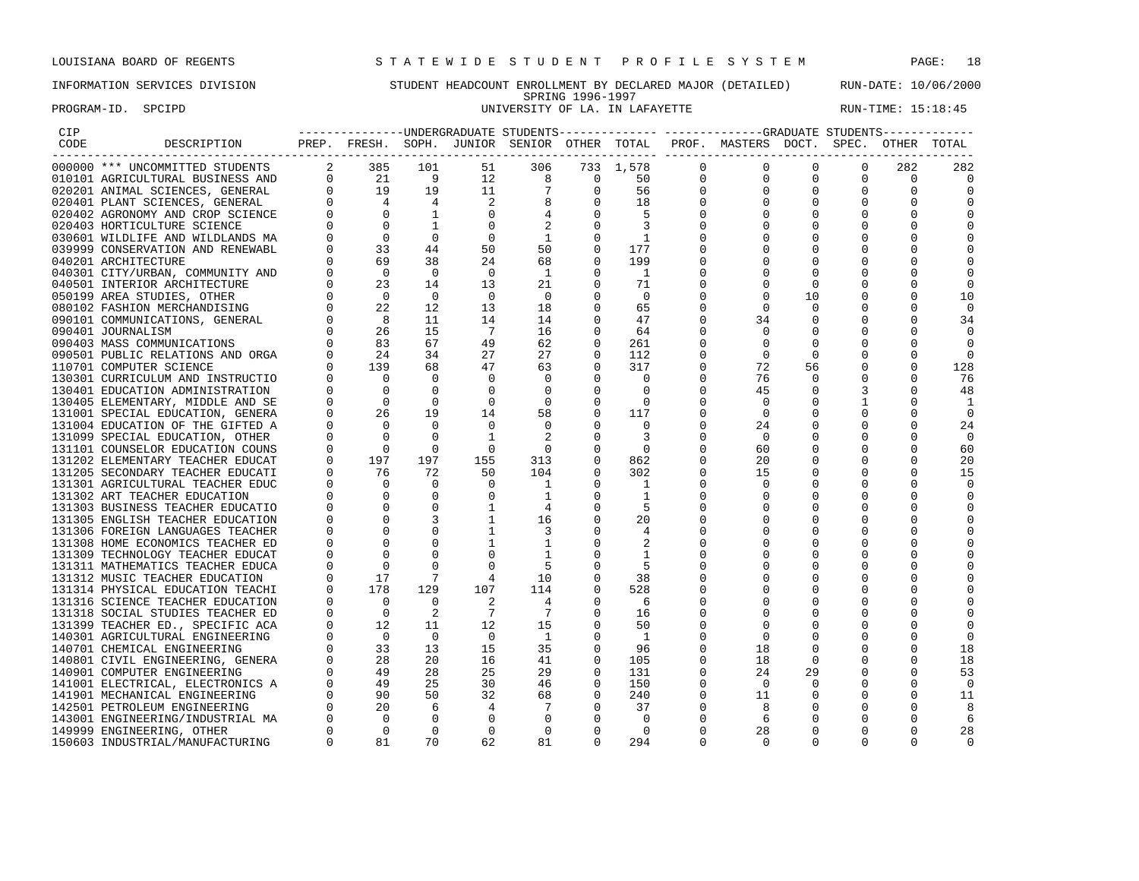PROGRAM-ID. SPCIPD **EXAM-ID.** SPCIPD **EXAM-ID. SPCIPD** UNIVERSITY OF LA. IN LAFAYETTE **RUN-TIME: 15:18:45** 

## INFORMATION SERVICES DIVISION STUDENT HEADCOUNT ENROLLMENT BY DECLARED MAJOR (DETAILED) RUN-DATE: 10/06/2000 SPRING 1996-1997

| CIP  |                                                                      |                |                                                                                                                                                                                                                                                                                                                                                   |                 |                |                            |                                                  |                                        |              |                                                                                    |             |             |              |                |
|------|----------------------------------------------------------------------|----------------|---------------------------------------------------------------------------------------------------------------------------------------------------------------------------------------------------------------------------------------------------------------------------------------------------------------------------------------------------|-----------------|----------------|----------------------------|--------------------------------------------------|----------------------------------------|--------------|------------------------------------------------------------------------------------|-------------|-------------|--------------|----------------|
| CODE | DESCRIPTION                                                          |                |                                                                                                                                                                                                                                                                                                                                                   | ------------    |                |                            |                                                  |                                        |              | PREP. FRESH. SOPH. JUNIOR SENIOR OTHER TOTAL PROF. MASTERS DOCT. SPEC. OTHER TOTAL |             |             |              |                |
|      | 000000 *** UNCOMMITTED STUDENTS                                      |                | 2 385                                                                                                                                                                                                                                                                                                                                             | 101             | 51             | 306                        |                                                  | 733 1,578                              | $\Omega$     | 0                                                                                  | $\Omega$    | $\Omega$    | 282          | 282            |
|      | 010101 AGRICULTURAL BUSINESS AND                                     |                |                                                                                                                                                                                                                                                                                                                                                   |                 | 12             |                            | $\overline{\phantom{0}}$                         | 50                                     | $\mathbf{0}$ | $\mathbf 0$                                                                        | $\Omega$    | $\Omega$    | $\Omega$     | $\Omega$       |
|      | 020201 ANIMAL SCIENCES, GENERAL                                      |                | $\begin{array}{cccc} 2 & 21 & 9 \\ 0 & 21 & 9 \\ 0 & 19 & 19 \\ 0 & 4 & 4 \\ 0 & 0 & 1 \end{array}$                                                                                                                                                                                                                                               |                 | 11             | $7\phantom{.0}$            |                                                  | 56                                     | $\mathbf{0}$ | $\mathbf 0$                                                                        | 0           | $\mathbf 0$ | $\mathbf{0}$ | 0              |
|      | 020401 PLANT SCIENCES, GENERAL                                       |                |                                                                                                                                                                                                                                                                                                                                                   |                 | $\overline{c}$ | 8                          |                                                  |                                        | $\mathbf 0$  | 0                                                                                  | 0           | $\mathbf 0$ | 0            | 0              |
|      | 020402 AGRONOMY AND CROP SCIENCE                                     |                |                                                                                                                                                                                                                                                                                                                                                   |                 | $\overline{0}$ | $\overline{4}$             |                                                  | $\begin{array}{c} 18 \\ 5 \end{array}$ | $\Omega$     | $\Omega$                                                                           | $\mathbf 0$ | $\Omega$    | 0            | 0              |
|      |                                                                      |                |                                                                                                                                                                                                                                                                                                                                                   | 1               | $\Omega$       | 2                          | $\begin{bmatrix} 0 \\ 0 \\ 0 \\ 0 \end{bmatrix}$ | $\overline{\mathbf{3}}$                | 0            |                                                                                    |             |             | 0            | $\Omega$       |
|      |                                                                      |                |                                                                                                                                                                                                                                                                                                                                                   | $\overline{0}$  | $\Omega$       | $\overline{1}$             | $\Omega$                                         | $\overline{\phantom{a}}$               | $\Omega$     | $\Omega$                                                                           | $\Omega$    |             |              | $\Omega$       |
|      |                                                                      |                |                                                                                                                                                                                                                                                                                                                                                   | 44              | 50             | 50                         | $\Omega$                                         | 177                                    |              | $\Omega$                                                                           |             |             |              | $\Omega$       |
|      |                                                                      |                |                                                                                                                                                                                                                                                                                                                                                   | 38              | 24             | 68                         | $\Omega$                                         | 199                                    | $\Omega$     | $\Omega$                                                                           | $\Omega$    | $\Omega$    | $\Omega$     | $\Omega$       |
|      |                                                                      |                |                                                                                                                                                                                                                                                                                                                                                   | $\overline{0}$  | $\Omega$       | $\overline{1}$             | $\mathbf 0$                                      | $\overline{1}$                         |              | $\Omega$                                                                           | 0           |             |              | 0              |
|      |                                                                      |                |                                                                                                                                                                                                                                                                                                                                                   | 14              | 13             | 21                         | $\mathbf 0$                                      | 71                                     |              | 0                                                                                  | $\mathbf 0$ | 0           | 0            | 0              |
|      |                                                                      |                |                                                                                                                                                                                                                                                                                                                                                   | $\overline{0}$  | $\overline{0}$ | $\overline{0}$             | $\mathbf 0$                                      | $\overline{\phantom{0}}$               | $\Omega$     | $\Omega$                                                                           | 10          | $\mathbf 0$ | 0            | 10             |
|      |                                                                      |                |                                                                                                                                                                                                                                                                                                                                                   | 12              | 13             | 18                         | $\Omega$                                         | 65                                     | $\Omega$     | $\Omega$                                                                           | $\Omega$    |             | $\Omega$     | $\Omega$       |
|      |                                                                      |                |                                                                                                                                                                                                                                                                                                                                                   | 11              | 14             | 14                         | $\Omega$                                         | 47                                     | $\Omega$     | 34                                                                                 | 0           | $\Omega$    | $\Omega$     | 34             |
|      |                                                                      |                |                                                                                                                                                                                                                                                                                                                                                   | 15              | $\overline{7}$ | 16                         | $\mathbf 0$                                      | 64                                     | $\Omega$     | $\Omega$                                                                           | $\Omega$    | $\Omega$    | $\Omega$     | $\Omega$       |
|      |                                                                      |                |                                                                                                                                                                                                                                                                                                                                                   | 67              | 49             | 62                         | $\Omega$                                         | 261                                    |              | $\Omega$                                                                           | $\Omega$    | $\Omega$    | $\Omega$     | $\Omega$       |
|      |                                                                      |                |                                                                                                                                                                                                                                                                                                                                                   | 34              | 27             | 27                         | $\Omega$                                         | 112                                    |              | $\mathbf 0$                                                                        | $\mathbf 0$ | 0           | 0            | $\mathbf 0$    |
|      |                                                                      |                |                                                                                                                                                                                                                                                                                                                                                   | 68              | 47             | 63                         | $\Omega$                                         | 317                                    | 0            | 72                                                                                 | 56          | 0           | 0            | 128            |
|      | 130301 CURRICULUM AND INSTRUCTIO                                     |                | $\begin{matrix} 0 \end{matrix} \qquad \qquad \begin{matrix} 0 \end{matrix}$                                                                                                                                                                                                                                                                       | $\overline{0}$  | $\Omega$       | $\overline{\phantom{0}}$   | $\Omega$                                         | $\overline{0}$                         | $\Omega$     | 76                                                                                 | $\Omega$    | $\Omega$    | $\Omega$     | 76             |
|      | 130401 EDUCATION ADMINISTRATION                                      |                |                                                                                                                                                                                                                                                                                                                                                   | $\overline{0}$  | $\mathbf 0$    | $\overline{0}$             | $\mathbf 0$                                      | $\Omega$                               | $\Omega$     | 45                                                                                 | $\Omega$    | 3           | $\Omega$     | 48             |
|      | 130405 ELEMENTARY, MIDDLE AND SE                                     |                |                                                                                                                                                                                                                                                                                                                                                   | $\overline{0}$  | $\mathbf 0$    | $\overline{\phantom{0}}$   | $\mathbf 0$                                      | $\overline{\phantom{0}}$               | 0            | $\overline{0}$                                                                     | 0           |             | $\Omega$     | 1              |
|      | 131001 SPECIAL EDUCATION, GENERA                                     |                | $\begin{bmatrix} 0 & 0 \\ 0 & 0 \\ 0 & 26 \end{bmatrix}$                                                                                                                                                                                                                                                                                          | 19              | 14             | 58                         | $\mathbf 0$                                      | 117                                    | $\Omega$     | $\Omega$                                                                           | $\Omega$    | $\Omega$    | $\Omega$     | 0              |
|      | 131004 EDUCATION OF THE GIFTED A                                     |                |                                                                                                                                                                                                                                                                                                                                                   | $\overline{0}$  | $\mathbf 0$    | $\mathbf 0$                | $\mathbf 0$                                      | 0                                      | 0            | 24                                                                                 |             | 0           | 0            | 24             |
|      | 131099 SPECIAL EDUCATION, OTHER                                      |                | $\begin{bmatrix} 0 & 0 \\ 0 & 0 \\ 0 & 0 \\ 0 & 197 \\ 0 & 0 \\ 0 & 0 \\ 0 & 0 \\ 0 & 0 \\ 0 & 0 \\ 0 & 0 \\ 0 & 0 \\ 0 & 0 \\ 0 & 0 \\ 0 & 0 \\ 0 & 0 \\ 0 & 0 \\ 0 & 0 \\ 0 & 0 \\ 0 & 0 \\ 0 & 0 \\ 0 & 0 \\ 0 & 0 \\ 0 & 0 \\ 0 & 0 \\ 0 & 0 \\ 0 & 0 \\ 0 & 0 \\ 0 & 0 \\ 0 & 0 \\ 0 & 0 \\ 0 & 0 \\ 0 & 0 \\ 0 & 0 \\ 0 & 0 \\ 0 & 0 \\ 0$  | $\Omega$        | $\overline{1}$ | $\overline{\phantom{0}}^2$ | $\mathbf 0$                                      | $\overline{\mathbf{3}}$                | $\Omega$     | $\overline{0}$                                                                     | 0           | 0           | $\Omega$     | $\overline{0}$ |
|      | 131101 COUNSELOR EDUCATION COUNS                                     |                |                                                                                                                                                                                                                                                                                                                                                   | $\overline{0}$  | $\Omega$       | $\overline{0}$             | $\Omega$                                         | $\overline{0}$                         |              | 60                                                                                 |             | $\Omega$    | $\Omega$     | 60             |
|      | 131202 ELEMENTARY TEACHER EDUCAT                                     |                |                                                                                                                                                                                                                                                                                                                                                   | 197             | 155            | 313                        | 0                                                | 862                                    | 0            | 20                                                                                 | 0           | 0           | 0            | 20             |
|      | 131205 SECONDARY TEACHER EDUCATI                                     |                |                                                                                                                                                                                                                                                                                                                                                   | 72              | 50             | 104                        | $\Omega$                                         | 302                                    | $\Omega$     | 15                                                                                 | 0           | $\Omega$    |              | 15             |
|      | 131301 AGRICULTURAL TEACHER EDUC                                     |                | $\begin{bmatrix} 0 & 76 \\ 0 & 0 \\ 0 & 0 \\ 0 & 0 \\ 0 & 0 \\ 0 & 0 \\ 0 & 0 \\ 0 & 0 \\ 0 & 0 \\ 0 & 0 \\ 0 & 0 \\ 0 & 0 \\ 0 & 0 \\ 0 & 0 \\ 0 & 0 \\ 0 & 0 \\ 0 & 0 \\ 0 & 0 \\ 0 & 0 \\ 0 & 0 \\ 0 & 0 \\ 0 & 0 \\ 0 & 0 \\ 0 & 0 \\ 0 & 0 \\ 0 & 0 \\ 0 & 0 \\ 0 & 0 \\ 0 & 0 \\ 0 & 0 \\ 0 & 0 \\ 0 & 0 \\ 0 & 0 \\ 0 & 0 \\ 0 & 0 \\ 0 &$ | $\Omega$        | $\Omega$       | $\overline{1}$             | $\Omega$                                         | $\mathbf{1}$                           | $\Omega$     | $\Omega$                                                                           | 0           | $\Omega$    | $\Omega$     | $\Omega$       |
|      | 131302 ART TEACHER EDUCATION                                         |                |                                                                                                                                                                                                                                                                                                                                                   | $\Omega$        | $\Omega$       | $\overline{1}$             | $\Omega$                                         | $\overline{1}$                         | $\Omega$     | $\Omega$                                                                           | $\Omega$    | $\Omega$    | $\Omega$     | $\Omega$       |
|      | 131303 BUSINESS TEACHER EDUCATIO                                     |                |                                                                                                                                                                                                                                                                                                                                                   | $\Omega$        | $\mathbf{1}$   | $\overline{4}$             | $\mathbf 0$                                      | -5                                     |              | $\Omega$                                                                           |             |             |              | $\Omega$       |
|      | 131305 ENGLISH TEACHER EDUCATION                                     |                |                                                                                                                                                                                                                                                                                                                                                   |                 | $\mathbf{1}$   | 16                         | $\mathbf 0$                                      | 20                                     |              | $\Omega$                                                                           | 0           | $\Omega$    | $\Omega$     | $\Omega$       |
|      | 131306 FOREIGN LANGUAGES TEACHER                                     |                | $\mathbf 0$                                                                                                                                                                                                                                                                                                                                       | $\overline{0}$  |                | $\overline{\phantom{a}}$   | $\mathbf 0$                                      | 4                                      | 0            | $\Omega$                                                                           | $\Omega$    | $\Omega$    | 0            | 0              |
|      |                                                                      |                | $\Omega$                                                                                                                                                                                                                                                                                                                                          | $\Omega$        |                | $\mathbf{1}$               | $\mathbf 0$                                      | 2                                      | 0            | 0                                                                                  | 0           |             | 0            | $\Omega$       |
|      | 131308 HOME ECONOMICS TEACHER ED<br>131309 TECHNOLOGY TEACHER EDUCAT | $\Omega$       | $\overline{0}$                                                                                                                                                                                                                                                                                                                                    | $\Omega$        | $\Omega$       | $\overline{1}$             | $\Omega$                                         | $\mathbf{1}$                           |              | $\Omega$                                                                           |             | $\Omega$    | $\Omega$     | $\Omega$       |
|      | 131311 MATHEMATICS TEACHER EDUCA                                     | $\overline{0}$ | $\Omega$                                                                                                                                                                                                                                                                                                                                          | $\Omega$        | $\Omega$       | 5                          | $\Omega$                                         | - 5                                    |              |                                                                                    |             |             | 0            | $\Omega$       |
|      | 131312 MUSIC TEACHER EDUCATION                                       |                |                                                                                                                                                                                                                                                                                                                                                   | 7               | 4              | 10                         | $\mathbf 0$                                      | 38                                     |              | 0                                                                                  | $\Omega$    |             | 0            | $\Omega$       |
|      | 131314 PHYSICAL EDUCATION TEACHI                                     |                | $\begin{array}{ccc} 0 & & 17 \\ 0 & & 178 \end{array}$                                                                                                                                                                                                                                                                                            | 129             | 107            | 114                        | $\mathbf 0$                                      | 528                                    |              | $\mathbf 0$                                                                        |             |             |              | $\Omega$       |
|      | 131316 SCIENCE TEACHER EDUCATION                                     |                |                                                                                                                                                                                                                                                                                                                                                   | $\overline{0}$  | 2              | $\overline{4}$             | $\mathbf 0$                                      | 6                                      | 0            | $\mathbf 0$                                                                        | 0           | $\Omega$    | 0            | 0              |
|      | 131318 SOCIAL STUDIES TEACHER ED                                     |                |                                                                                                                                                                                                                                                                                                                                                   | 2               | $\overline{7}$ | 7                          | $\mathbf 0$                                      | 16                                     |              | 0                                                                                  | 0           | 0           | $\Omega$     | 0              |
|      | 131399 TEACHER ED., SPECIFIC ACA                                     |                |                                                                                                                                                                                                                                                                                                                                                   | 11              | 12             | 15                         | $\Omega$                                         | 50                                     |              | $\Omega$                                                                           | 0           | 0           | 0            | $\Omega$       |
|      | 140301 AGRICULTURAL ENGINEERING                                      |                |                                                                                                                                                                                                                                                                                                                                                   | $\bigcirc$      | $\overline{0}$ | $\mathbf{1}$               | $\Omega$                                         | - 1                                    | $\Omega$     | $\Omega$                                                                           | 0           | $\Omega$    | $\Omega$     | $\Omega$       |
|      | 140701 CHEMICAL ENGINEERING                                          |                |                                                                                                                                                                                                                                                                                                                                                   | 13 <sup>°</sup> | 15             | 35                         | $\Omega$                                         | 96                                     | $\Omega$     | 18                                                                                 | $\Omega$    |             |              | 18             |
|      | 140801 CIVIL ENGINEERING, GENERA                                     |                |                                                                                                                                                                                                                                                                                                                                                   | 20              | 16             | 41                         | $\mathbf 0$                                      | 105                                    | 0            | 18                                                                                 | $\mathbf 0$ | 0           | 0            | 18             |
|      | 140901 COMPUTER ENGINEERING                                          |                |                                                                                                                                                                                                                                                                                                                                                   | 28              | 25             | 29                         | $\mathbf 0$                                      | 131                                    | $\mathbf 0$  | 24                                                                                 | 29          | $\mathbf 0$ | $\Omega$     | 53             |
|      | 141001 ELECTRICAL, ELECTRONICS A                                     |                |                                                                                                                                                                                                                                                                                                                                                   | 25              | 30             | 46                         | $\mathbf 0$                                      | 150                                    | 0            | $\overline{0}$                                                                     | $\mathbf 0$ |             | 0            | $\mathbf 0$    |
|      | 141901 MECHANICAL ENGINEERING                                        |                | $\begin{array}{ccc} 0 & 1/6 & 0 \ 0 & 0 & 12 \ 0 & 0 & 33 \ 0 & 0 & 328 \ 0 & 0 & 49 \ 0 & 90 \end{array}$                                                                                                                                                                                                                                        | 50              | 32             | 68                         | $\Omega$                                         | 240                                    | $\Omega$     | 11                                                                                 | $\mathbf 0$ | $\Omega$    | $\Omega$     | 11             |
|      | 142501 PETROLEUM ENGINEERING                                         |                |                                                                                                                                                                                                                                                                                                                                                   | -6              | 4              | $\overline{7}$             | $\Omega$                                         | 37                                     |              | 8                                                                                  | 0           |             |              | 8              |
|      | 143001 ENGINEERING/INDUSTRIAL MA                                     | $\Omega$       | $\frac{4}{\sqrt{2}}$                                                                                                                                                                                                                                                                                                                              | $\Omega$        | $\Omega$       | $\overline{0}$             | $\Omega$                                         | $\bigcirc$                             |              | -6                                                                                 | $\Omega$    | $\Omega$    | $\Omega$     | -6             |
|      | 149999 ENGINEERING, OTHER                                            | $\Omega$       |                                                                                                                                                                                                                                                                                                                                                   | $\mathbf{0}$    | $\mathbf 0$    | $\overline{0}$             | $\mathbf 0$                                      | 0                                      | $\Omega$     | 28                                                                                 | 0           | $\Omega$    | $\Omega$     | 28             |
|      | 150603 INDUSTRIAL/MANUFACTURING                                      | $\Omega$       | 81                                                                                                                                                                                                                                                                                                                                                | 70              | 62             | 81                         | $\Omega$                                         | 294                                    | $\Omega$     | $\Omega$                                                                           | $\Omega$    | $\Omega$    |              | $\Omega$       |
|      |                                                                      |                |                                                                                                                                                                                                                                                                                                                                                   |                 |                |                            |                                                  |                                        |              |                                                                                    |             |             |              |                |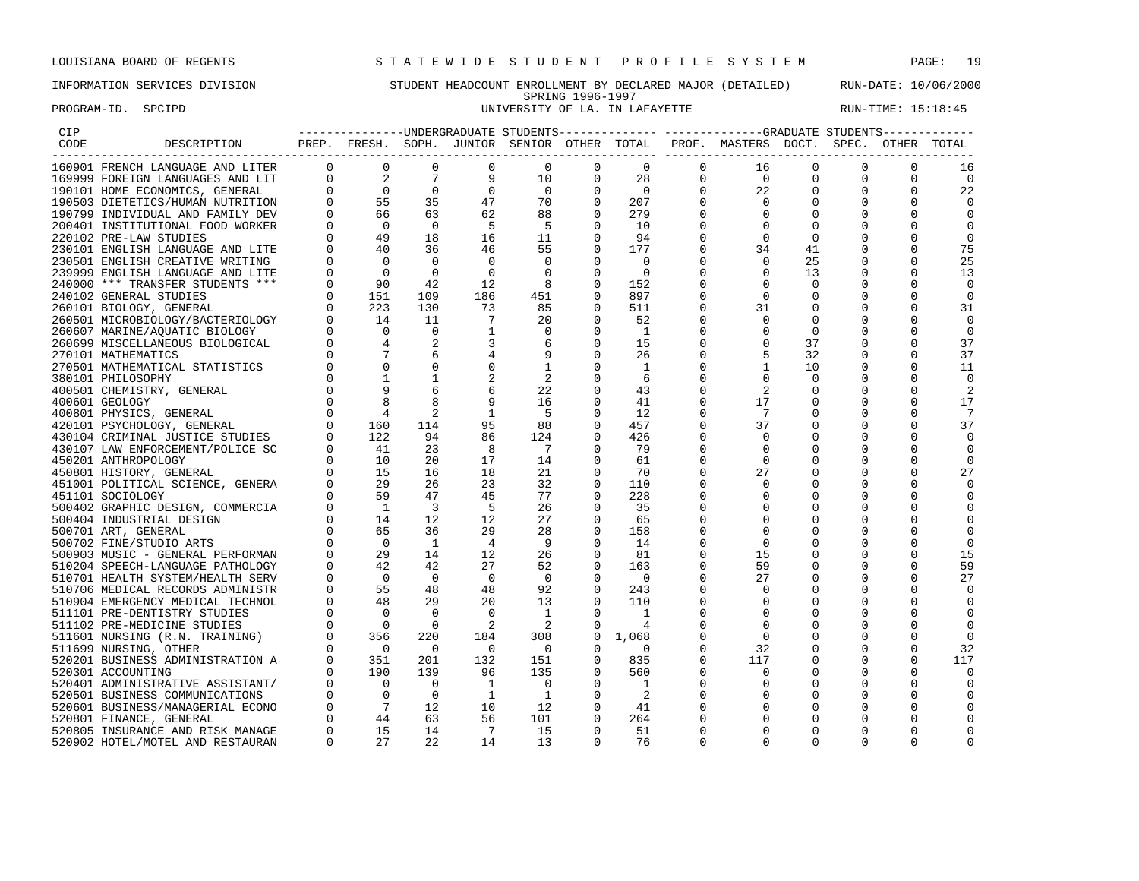## INFORMATION SERVICES DIVISION STUDENT HEADCOUNT ENROLLMENT BY DECLARED MAJOR (DETAILED) RUN-DATE: 10/06/2000 SPRING 1996-1997 PROGRAM-ID. SPCIPD **EXAM-ID.** SPCIPD **EXAM-ID. SPCIPD** UNIVERSITY OF LA. IN LAFAYETTE **RUN-TIME: 15:18:45**

| ---------------UNDERGRADUATE STUDENTS------------- ------------GRADUATE STUDENTS------------<br>PREP. FRESH. SOPH. JUNIOR SENIOR OTHER TOTAL PROF. MASTERS DOCT. SPEC. OTHER TOTAL<br>$\overline{0}$<br>$\mathbf{0}$<br>$\overline{0}$<br>$\mathbf{0}$<br>$\overline{0}$<br>$\mathbf 0$<br>16<br>0<br>16<br>$\begin{tabular}{cccc} \multicolumn{4}{c}{\begin{tabular}{c} \multicolumn{4}{c}{\begin{tabular}{c} ${{\bf DESC}}\\ ${{\bf NCH}}&{{\bf LAMUJAGE AND LITER}}&0&0&0&0 \\ \multicolumn{4}{c}{\bf NCH}&{{\bf LAMUJAGE AND LITER}}&0&0&0&0 \\ \multicolumn{4}{c}{\bf NCH}&{{\bf LAMUJAGE AND LITER}}&0&2&7&9&0 \\ \multicolumn{4}{c}{\bf SICONOMICS}&{{\bf SENRAL}&0&2&7&9&0 \\ \multicolumn{4}{c}{\bf SETMIVITONAL AND FRMITJDEN}&0&55&$<br>$\overline{0}$<br>10<br>$\mathbf 0$<br>28<br>$\overline{0}$<br>$\mathbf{0}$<br>$\mathbf 0$<br>$\mathbf 0$<br>$\overline{0}$<br>$\mathbf{0}$<br>22<br>$\begin{array}{c} 0 \\ 70 \end{array}$<br>$\mathbf 0$<br>$\overline{0}$<br>0<br>0<br>22<br>0<br>$\Omega$<br>207<br>$\Omega$<br>$\Omega$<br>$\Omega$<br>$\Omega$<br>$\Omega$<br>88<br>279<br>$\mathbf 0$<br>0<br>0<br>0<br>$\Omega$<br>$-5$<br>$\Omega$<br>10<br>$\Omega$<br>$\Omega$<br>$\Omega$<br>$\Omega$<br>11<br>$\Omega$<br>94<br>$\Omega$<br>$\Omega$<br>$\Omega$<br>$\Omega$<br>55<br>75<br>$\mathbf 0$<br>177<br>0<br>34<br>41<br>0<br>25<br>25<br>$\overline{0}$<br>$\Omega$<br>$\Omega$<br>$\overline{0}$<br>$\overline{0}$<br>$\mathbf 0$<br>$\overline{\phantom{0}}$<br>$\Omega$<br>13<br>13<br>8<br>$\Omega$<br>$\Omega$<br>152<br>$\Omega$<br>$\Omega$<br>451<br>$\mathbf 0$<br>897<br>$\mathbf 0$<br>0<br>0<br>$\mathbf 0$<br>85<br>511<br>31<br>31<br>0<br>0<br>0<br>0<br>20<br>$\Omega$<br>52<br>$\Omega$<br>$\Omega$<br>$\Omega$<br>0<br>$\mathbf 0$<br>$\overline{1}$<br>0<br>$\mathbf 0$<br>0<br>$\mathbf 0$<br>0<br>6<br>$\mathbf 0$<br>$\mathbf 0$<br>37<br>37<br>15<br>$\Omega$<br>$\Omega$<br>9<br>$\Omega$<br>32<br>37<br>26<br>$\overline{1}$<br>$\mathbf{1}$<br>$\mathbf 0$<br>10<br>11<br>$\mathbf{1}$<br>$\Omega$<br>$\Omega$<br>$\Omega$<br>$\overline{\phantom{a}}$<br>$\mathbf 0$<br>$\mathbf 0$<br>6<br>$\mathbf 0$<br>$\mathbf 0$<br>22<br>2<br>$\Omega$<br>43<br>2<br>$\mathbf 0$<br>16<br>$\Omega$<br>41<br>17<br>$\Omega$<br>$\Omega$<br>17<br>$\Omega$<br>$-5$<br>12<br>7<br>7<br>$\mathbf 0$<br>$\Omega$<br>88<br>457<br>37<br>37<br>$\mathbf 0$<br>0<br>0<br>0<br>124<br>$\Omega$<br>426<br>$\Omega$<br>0<br>0<br>$\overline{7}$<br>79<br>$\Omega$<br>$\Omega$<br>$\Omega$<br>$\Omega$<br>14<br>$\mathbf 0$<br>61<br>$\Omega$<br>0<br>$\Omega$<br>21<br>27<br>$\Omega$<br>70<br>27<br>32<br>$\Omega$<br>110<br>$\Omega$<br>$\Omega$<br>$\Omega$<br>$\Omega$<br>$\Omega$<br>77<br>$\mathbf 0$<br>228<br>0<br>0<br>0<br>26<br>35<br>$\Omega$<br>$\Omega$<br>27<br>$\Omega$<br>65<br>$\Omega$<br>$\Omega$<br>$\Omega$<br>$\begin{array}{ccc} 0 & 1 & 1 \\ 0 & 6 & 5 \\ 0 & 2 & 4 \\ 0 & 4 & 0 \\ 0 & 5 & 4 \\ 0 & 0 & 5 \end{array}$<br>28<br>$\Omega$<br>158<br>$\Omega$<br>$\Omega$<br>- 9<br>14<br>$\Omega$<br>$\Omega$<br>0<br>$\Omega$<br>26<br>$\mathbf 0$<br>81<br>15<br>15<br>$\Omega$<br>$\Omega$<br>$\Omega$<br>52<br>59<br>59<br>$\Omega$<br>163<br>0<br>$\overline{\phantom{0}}$<br>$\overline{0}$<br>$\overline{\phantom{0}}$<br>$\mathbf 0$<br>27<br>27<br>510701 HEALTH SYSTEM/HEALTH SERV<br>$\overline{0}$<br>$\Omega$<br>0<br>0<br>48<br>92<br>48<br>$\Omega$<br>243<br>510706 MEDICAL RECORDS ADMINISTR<br>$\cap$<br>29<br>20<br>13<br>110<br>510904 EMERGENCY MEDICAL TECHNOL<br>$\Omega$<br>$\Omega$<br>$\Omega$<br>$\overline{0}$<br>$\Omega$<br>$\overline{0}$<br>$\overline{0}$<br>$\overline{1}$<br>$\Omega$<br>$\overline{1}$<br>$\Omega$<br>511101 PRE-DENTISTRY STUDIES<br>$\Omega$<br>$\Omega$<br>$\begin{array}{ccc} 0 & & 0 \\ 0 & & 356 \\ 0 & & 0 \end{array}$<br>$\overline{\phantom{0}}$<br>$\overline{\phantom{0}}^2$<br>$\overline{\phantom{0}}^2$<br>$\Omega$<br>511102 PRE-MEDICINE STUDIES<br>$\mathbf 0$<br>0<br>4<br>220<br>184<br>308<br>$\mathbf 0$<br>1,068<br>$\Omega$<br>$\mathbf 0$<br>511601 NURSING (R.N. TRAINING)<br>$\Omega$<br>$\overline{0}$<br>$\overline{0}$<br>32<br>$\overline{0}$<br>$\Omega$<br>$\overline{0}$<br>$\Omega$<br>0<br>$\Omega$<br>32<br>511699 NURSING, OTHER<br>351<br>351<br>190<br>$\mathbf{0}$<br>201<br>132<br>151<br>835<br>117<br>117<br>520201 BUSINESS ADMINISTRATION A<br>$\mathbf 0$<br>$\mathbf{0}$<br>0<br>0<br>$\Omega$<br>$\mathbf 0$<br>$\Omega$<br>139<br>96<br>135<br>560<br>$\mathbf{0}$<br>$\mathbf 0$<br>520301 ACCOUNTING<br>$\mathbf 0$<br>$\Omega$<br>0<br>$\begin{bmatrix} 0 & 0 & 0 \ 0 & 0 & 7 \ 0 & 44 & 15 \end{bmatrix}$<br>$\overline{0}$<br>$\overline{\phantom{a}}$<br>$\Omega$<br>$\Omega$<br>0<br>$\Omega$<br>520401 ADMINISTRATIVE ASSISTANT/<br>$\overline{\phantom{0}}$<br>$\overline{1}$<br>0<br>$\Omega$<br>$\Omega$<br>$\overline{0}$<br>$\overline{1}$<br>$\Omega$<br>520501 BUSINESS COMMUNICATIONS<br>$\overline{1}$<br>$\overline{2}$<br>$\Omega$<br>$\Omega$<br>$\Omega$<br>$\Omega$<br>12<br>520601 BUSINESS/MANAGERIAL ECONO<br>10<br>12<br>$\mathbf 0$<br>41<br>0<br>$\Omega$<br>0<br>63<br>56<br>264<br>101<br>$\Omega$<br>$\Omega$<br>520801 FINANCE, GENERAL<br>$\Omega$<br>$\Omega$<br>$\Omega$<br>15<br>14<br>$\Omega$<br>$\overline{7}$<br>15<br>$\Omega$<br>51<br>$\Omega$<br>520805 INSURANCE AND RISK MANAGE<br>$\Omega$<br>$\Omega$<br>U |                                  |          |    |    |    |    |          |    |          |          |          |          |  |
|-----------------------------------------------------------------------------------------------------------------------------------------------------------------------------------------------------------------------------------------------------------------------------------------------------------------------------------------------------------------------------------------------------------------------------------------------------------------------------------------------------------------------------------------------------------------------------------------------------------------------------------------------------------------------------------------------------------------------------------------------------------------------------------------------------------------------------------------------------------------------------------------------------------------------------------------------------------------------------------------------------------------------------------------------------------------------------------------------------------------------------------------------------------------------------------------------------------------------------------------------------------------------------------------------------------------------------------------------------------------------------------------------------------------------------------------------------------------------------------------------------------------------------------------------------------------------------------------------------------------------------------------------------------------------------------------------------------------------------------------------------------------------------------------------------------------------------------------------------------------------------------------------------------------------------------------------------------------------------------------------------------------------------------------------------------------------------------------------------------------------------------------------------------------------------------------------------------------------------------------------------------------------------------------------------------------------------------------------------------------------------------------------------------------------------------------------------------------------------------------------------------------------------------------------------------------------------------------------------------------------------------------------------------------------------------------------------------------------------------------------------------------------------------------------------------------------------------------------------------------------------------------------------------------------------------------------------------------------------------------------------------------------------------------------------------------------------------------------------------------------------------------------------------------------------------------------------------------------------------------------------------------------------------------------------------------------------------------------------------------------------------------------------------------------------------------------------------------------------------------------------------------------------------------------------------------------------------------------------------------------------------------------------------------------------------------------------------------------------------------------------------------------------------------------------------------------------------------------------------------------------------------------------------------------------------------------------------------------------------------------------------------------------------------------------------------------------------------------------------------------------------------------------------------------------------------------------------------------------------------------------------------------------------------------------------------------------------------------------------------------------------------------------------------------------------------------------------------------------------------------------------------------------------------------------------------------------------------------------------------------------------------------------------------------------------------------------------------------------------------------------------------------------------------------------------------------------------------------------------------------------------------------------------------------------------------------------------------------------------------------------------------------------------------------------------------------------------------------------------------------------------------------------------------------------------------------------------------------------------------------------------------------------------------------------------------------------------------------------------------------------------------------------------------------------|----------------------------------|----------|----|----|----|----|----------|----|----------|----------|----------|----------|--|
|                                                                                                                                                                                                                                                                                                                                                                                                                                                                                                                                                                                                                                                                                                                                                                                                                                                                                                                                                                                                                                                                                                                                                                                                                                                                                                                                                                                                                                                                                                                                                                                                                                                                                                                                                                                                                                                                                                                                                                                                                                                                                                                                                                                                                                                                                                                                                                                                                                                                                                                                                                                                                                                                                                                                                                                                                                                                                                                                                                                                                                                                                                                                                                                                                                                                                                                                                                                                                                                                                                                                                                                                                                                                                                                                                                                                                                                                                                                                                                                                                                                                                                                                                                                                                                                                                                                                                                                                                                                                                                                                                                                                                                                                                                                                                                                                                                                                                                                                                                                                                                                                                                                                                                                                                                                                                                                                                                                                                             |                                  |          |    |    |    |    |          |    |          |          |          |          |  |
|                                                                                                                                                                                                                                                                                                                                                                                                                                                                                                                                                                                                                                                                                                                                                                                                                                                                                                                                                                                                                                                                                                                                                                                                                                                                                                                                                                                                                                                                                                                                                                                                                                                                                                                                                                                                                                                                                                                                                                                                                                                                                                                                                                                                                                                                                                                                                                                                                                                                                                                                                                                                                                                                                                                                                                                                                                                                                                                                                                                                                                                                                                                                                                                                                                                                                                                                                                                                                                                                                                                                                                                                                                                                                                                                                                                                                                                                                                                                                                                                                                                                                                                                                                                                                                                                                                                                                                                                                                                                                                                                                                                                                                                                                                                                                                                                                                                                                                                                                                                                                                                                                                                                                                                                                                                                                                                                                                                                                             |                                  |          |    |    |    |    |          |    |          |          |          |          |  |
|                                                                                                                                                                                                                                                                                                                                                                                                                                                                                                                                                                                                                                                                                                                                                                                                                                                                                                                                                                                                                                                                                                                                                                                                                                                                                                                                                                                                                                                                                                                                                                                                                                                                                                                                                                                                                                                                                                                                                                                                                                                                                                                                                                                                                                                                                                                                                                                                                                                                                                                                                                                                                                                                                                                                                                                                                                                                                                                                                                                                                                                                                                                                                                                                                                                                                                                                                                                                                                                                                                                                                                                                                                                                                                                                                                                                                                                                                                                                                                                                                                                                                                                                                                                                                                                                                                                                                                                                                                                                                                                                                                                                                                                                                                                                                                                                                                                                                                                                                                                                                                                                                                                                                                                                                                                                                                                                                                                                                             |                                  |          |    |    |    |    |          |    |          |          |          |          |  |
|                                                                                                                                                                                                                                                                                                                                                                                                                                                                                                                                                                                                                                                                                                                                                                                                                                                                                                                                                                                                                                                                                                                                                                                                                                                                                                                                                                                                                                                                                                                                                                                                                                                                                                                                                                                                                                                                                                                                                                                                                                                                                                                                                                                                                                                                                                                                                                                                                                                                                                                                                                                                                                                                                                                                                                                                                                                                                                                                                                                                                                                                                                                                                                                                                                                                                                                                                                                                                                                                                                                                                                                                                                                                                                                                                                                                                                                                                                                                                                                                                                                                                                                                                                                                                                                                                                                                                                                                                                                                                                                                                                                                                                                                                                                                                                                                                                                                                                                                                                                                                                                                                                                                                                                                                                                                                                                                                                                                                             |                                  |          |    |    |    |    |          |    |          |          |          |          |  |
|                                                                                                                                                                                                                                                                                                                                                                                                                                                                                                                                                                                                                                                                                                                                                                                                                                                                                                                                                                                                                                                                                                                                                                                                                                                                                                                                                                                                                                                                                                                                                                                                                                                                                                                                                                                                                                                                                                                                                                                                                                                                                                                                                                                                                                                                                                                                                                                                                                                                                                                                                                                                                                                                                                                                                                                                                                                                                                                                                                                                                                                                                                                                                                                                                                                                                                                                                                                                                                                                                                                                                                                                                                                                                                                                                                                                                                                                                                                                                                                                                                                                                                                                                                                                                                                                                                                                                                                                                                                                                                                                                                                                                                                                                                                                                                                                                                                                                                                                                                                                                                                                                                                                                                                                                                                                                                                                                                                                                             |                                  |          |    |    |    |    |          |    |          |          |          |          |  |
|                                                                                                                                                                                                                                                                                                                                                                                                                                                                                                                                                                                                                                                                                                                                                                                                                                                                                                                                                                                                                                                                                                                                                                                                                                                                                                                                                                                                                                                                                                                                                                                                                                                                                                                                                                                                                                                                                                                                                                                                                                                                                                                                                                                                                                                                                                                                                                                                                                                                                                                                                                                                                                                                                                                                                                                                                                                                                                                                                                                                                                                                                                                                                                                                                                                                                                                                                                                                                                                                                                                                                                                                                                                                                                                                                                                                                                                                                                                                                                                                                                                                                                                                                                                                                                                                                                                                                                                                                                                                                                                                                                                                                                                                                                                                                                                                                                                                                                                                                                                                                                                                                                                                                                                                                                                                                                                                                                                                                             |                                  |          |    |    |    |    |          |    |          |          |          |          |  |
|                                                                                                                                                                                                                                                                                                                                                                                                                                                                                                                                                                                                                                                                                                                                                                                                                                                                                                                                                                                                                                                                                                                                                                                                                                                                                                                                                                                                                                                                                                                                                                                                                                                                                                                                                                                                                                                                                                                                                                                                                                                                                                                                                                                                                                                                                                                                                                                                                                                                                                                                                                                                                                                                                                                                                                                                                                                                                                                                                                                                                                                                                                                                                                                                                                                                                                                                                                                                                                                                                                                                                                                                                                                                                                                                                                                                                                                                                                                                                                                                                                                                                                                                                                                                                                                                                                                                                                                                                                                                                                                                                                                                                                                                                                                                                                                                                                                                                                                                                                                                                                                                                                                                                                                                                                                                                                                                                                                                                             |                                  |          |    |    |    |    |          |    |          |          |          |          |  |
|                                                                                                                                                                                                                                                                                                                                                                                                                                                                                                                                                                                                                                                                                                                                                                                                                                                                                                                                                                                                                                                                                                                                                                                                                                                                                                                                                                                                                                                                                                                                                                                                                                                                                                                                                                                                                                                                                                                                                                                                                                                                                                                                                                                                                                                                                                                                                                                                                                                                                                                                                                                                                                                                                                                                                                                                                                                                                                                                                                                                                                                                                                                                                                                                                                                                                                                                                                                                                                                                                                                                                                                                                                                                                                                                                                                                                                                                                                                                                                                                                                                                                                                                                                                                                                                                                                                                                                                                                                                                                                                                                                                                                                                                                                                                                                                                                                                                                                                                                                                                                                                                                                                                                                                                                                                                                                                                                                                                                             |                                  |          |    |    |    |    |          |    |          |          |          |          |  |
|                                                                                                                                                                                                                                                                                                                                                                                                                                                                                                                                                                                                                                                                                                                                                                                                                                                                                                                                                                                                                                                                                                                                                                                                                                                                                                                                                                                                                                                                                                                                                                                                                                                                                                                                                                                                                                                                                                                                                                                                                                                                                                                                                                                                                                                                                                                                                                                                                                                                                                                                                                                                                                                                                                                                                                                                                                                                                                                                                                                                                                                                                                                                                                                                                                                                                                                                                                                                                                                                                                                                                                                                                                                                                                                                                                                                                                                                                                                                                                                                                                                                                                                                                                                                                                                                                                                                                                                                                                                                                                                                                                                                                                                                                                                                                                                                                                                                                                                                                                                                                                                                                                                                                                                                                                                                                                                                                                                                                             |                                  |          |    |    |    |    |          |    |          |          |          |          |  |
|                                                                                                                                                                                                                                                                                                                                                                                                                                                                                                                                                                                                                                                                                                                                                                                                                                                                                                                                                                                                                                                                                                                                                                                                                                                                                                                                                                                                                                                                                                                                                                                                                                                                                                                                                                                                                                                                                                                                                                                                                                                                                                                                                                                                                                                                                                                                                                                                                                                                                                                                                                                                                                                                                                                                                                                                                                                                                                                                                                                                                                                                                                                                                                                                                                                                                                                                                                                                                                                                                                                                                                                                                                                                                                                                                                                                                                                                                                                                                                                                                                                                                                                                                                                                                                                                                                                                                                                                                                                                                                                                                                                                                                                                                                                                                                                                                                                                                                                                                                                                                                                                                                                                                                                                                                                                                                                                                                                                                             |                                  |          |    |    |    |    |          |    |          |          |          |          |  |
|                                                                                                                                                                                                                                                                                                                                                                                                                                                                                                                                                                                                                                                                                                                                                                                                                                                                                                                                                                                                                                                                                                                                                                                                                                                                                                                                                                                                                                                                                                                                                                                                                                                                                                                                                                                                                                                                                                                                                                                                                                                                                                                                                                                                                                                                                                                                                                                                                                                                                                                                                                                                                                                                                                                                                                                                                                                                                                                                                                                                                                                                                                                                                                                                                                                                                                                                                                                                                                                                                                                                                                                                                                                                                                                                                                                                                                                                                                                                                                                                                                                                                                                                                                                                                                                                                                                                                                                                                                                                                                                                                                                                                                                                                                                                                                                                                                                                                                                                                                                                                                                                                                                                                                                                                                                                                                                                                                                                                             |                                  |          |    |    |    |    |          |    |          |          |          |          |  |
|                                                                                                                                                                                                                                                                                                                                                                                                                                                                                                                                                                                                                                                                                                                                                                                                                                                                                                                                                                                                                                                                                                                                                                                                                                                                                                                                                                                                                                                                                                                                                                                                                                                                                                                                                                                                                                                                                                                                                                                                                                                                                                                                                                                                                                                                                                                                                                                                                                                                                                                                                                                                                                                                                                                                                                                                                                                                                                                                                                                                                                                                                                                                                                                                                                                                                                                                                                                                                                                                                                                                                                                                                                                                                                                                                                                                                                                                                                                                                                                                                                                                                                                                                                                                                                                                                                                                                                                                                                                                                                                                                                                                                                                                                                                                                                                                                                                                                                                                                                                                                                                                                                                                                                                                                                                                                                                                                                                                                             |                                  |          |    |    |    |    |          |    |          |          |          |          |  |
|                                                                                                                                                                                                                                                                                                                                                                                                                                                                                                                                                                                                                                                                                                                                                                                                                                                                                                                                                                                                                                                                                                                                                                                                                                                                                                                                                                                                                                                                                                                                                                                                                                                                                                                                                                                                                                                                                                                                                                                                                                                                                                                                                                                                                                                                                                                                                                                                                                                                                                                                                                                                                                                                                                                                                                                                                                                                                                                                                                                                                                                                                                                                                                                                                                                                                                                                                                                                                                                                                                                                                                                                                                                                                                                                                                                                                                                                                                                                                                                                                                                                                                                                                                                                                                                                                                                                                                                                                                                                                                                                                                                                                                                                                                                                                                                                                                                                                                                                                                                                                                                                                                                                                                                                                                                                                                                                                                                                                             |                                  |          |    |    |    |    |          |    |          |          |          |          |  |
|                                                                                                                                                                                                                                                                                                                                                                                                                                                                                                                                                                                                                                                                                                                                                                                                                                                                                                                                                                                                                                                                                                                                                                                                                                                                                                                                                                                                                                                                                                                                                                                                                                                                                                                                                                                                                                                                                                                                                                                                                                                                                                                                                                                                                                                                                                                                                                                                                                                                                                                                                                                                                                                                                                                                                                                                                                                                                                                                                                                                                                                                                                                                                                                                                                                                                                                                                                                                                                                                                                                                                                                                                                                                                                                                                                                                                                                                                                                                                                                                                                                                                                                                                                                                                                                                                                                                                                                                                                                                                                                                                                                                                                                                                                                                                                                                                                                                                                                                                                                                                                                                                                                                                                                                                                                                                                                                                                                                                             |                                  |          |    |    |    |    |          |    |          |          |          |          |  |
|                                                                                                                                                                                                                                                                                                                                                                                                                                                                                                                                                                                                                                                                                                                                                                                                                                                                                                                                                                                                                                                                                                                                                                                                                                                                                                                                                                                                                                                                                                                                                                                                                                                                                                                                                                                                                                                                                                                                                                                                                                                                                                                                                                                                                                                                                                                                                                                                                                                                                                                                                                                                                                                                                                                                                                                                                                                                                                                                                                                                                                                                                                                                                                                                                                                                                                                                                                                                                                                                                                                                                                                                                                                                                                                                                                                                                                                                                                                                                                                                                                                                                                                                                                                                                                                                                                                                                                                                                                                                                                                                                                                                                                                                                                                                                                                                                                                                                                                                                                                                                                                                                                                                                                                                                                                                                                                                                                                                                             |                                  |          |    |    |    |    |          |    |          |          |          |          |  |
|                                                                                                                                                                                                                                                                                                                                                                                                                                                                                                                                                                                                                                                                                                                                                                                                                                                                                                                                                                                                                                                                                                                                                                                                                                                                                                                                                                                                                                                                                                                                                                                                                                                                                                                                                                                                                                                                                                                                                                                                                                                                                                                                                                                                                                                                                                                                                                                                                                                                                                                                                                                                                                                                                                                                                                                                                                                                                                                                                                                                                                                                                                                                                                                                                                                                                                                                                                                                                                                                                                                                                                                                                                                                                                                                                                                                                                                                                                                                                                                                                                                                                                                                                                                                                                                                                                                                                                                                                                                                                                                                                                                                                                                                                                                                                                                                                                                                                                                                                                                                                                                                                                                                                                                                                                                                                                                                                                                                                             |                                  |          |    |    |    |    |          |    |          |          |          |          |  |
|                                                                                                                                                                                                                                                                                                                                                                                                                                                                                                                                                                                                                                                                                                                                                                                                                                                                                                                                                                                                                                                                                                                                                                                                                                                                                                                                                                                                                                                                                                                                                                                                                                                                                                                                                                                                                                                                                                                                                                                                                                                                                                                                                                                                                                                                                                                                                                                                                                                                                                                                                                                                                                                                                                                                                                                                                                                                                                                                                                                                                                                                                                                                                                                                                                                                                                                                                                                                                                                                                                                                                                                                                                                                                                                                                                                                                                                                                                                                                                                                                                                                                                                                                                                                                                                                                                                                                                                                                                                                                                                                                                                                                                                                                                                                                                                                                                                                                                                                                                                                                                                                                                                                                                                                                                                                                                                                                                                                                             |                                  |          |    |    |    |    |          |    |          |          |          |          |  |
|                                                                                                                                                                                                                                                                                                                                                                                                                                                                                                                                                                                                                                                                                                                                                                                                                                                                                                                                                                                                                                                                                                                                                                                                                                                                                                                                                                                                                                                                                                                                                                                                                                                                                                                                                                                                                                                                                                                                                                                                                                                                                                                                                                                                                                                                                                                                                                                                                                                                                                                                                                                                                                                                                                                                                                                                                                                                                                                                                                                                                                                                                                                                                                                                                                                                                                                                                                                                                                                                                                                                                                                                                                                                                                                                                                                                                                                                                                                                                                                                                                                                                                                                                                                                                                                                                                                                                                                                                                                                                                                                                                                                                                                                                                                                                                                                                                                                                                                                                                                                                                                                                                                                                                                                                                                                                                                                                                                                                             |                                  |          |    |    |    |    |          |    |          |          |          |          |  |
|                                                                                                                                                                                                                                                                                                                                                                                                                                                                                                                                                                                                                                                                                                                                                                                                                                                                                                                                                                                                                                                                                                                                                                                                                                                                                                                                                                                                                                                                                                                                                                                                                                                                                                                                                                                                                                                                                                                                                                                                                                                                                                                                                                                                                                                                                                                                                                                                                                                                                                                                                                                                                                                                                                                                                                                                                                                                                                                                                                                                                                                                                                                                                                                                                                                                                                                                                                                                                                                                                                                                                                                                                                                                                                                                                                                                                                                                                                                                                                                                                                                                                                                                                                                                                                                                                                                                                                                                                                                                                                                                                                                                                                                                                                                                                                                                                                                                                                                                                                                                                                                                                                                                                                                                                                                                                                                                                                                                                             |                                  |          |    |    |    |    |          |    |          |          |          |          |  |
|                                                                                                                                                                                                                                                                                                                                                                                                                                                                                                                                                                                                                                                                                                                                                                                                                                                                                                                                                                                                                                                                                                                                                                                                                                                                                                                                                                                                                                                                                                                                                                                                                                                                                                                                                                                                                                                                                                                                                                                                                                                                                                                                                                                                                                                                                                                                                                                                                                                                                                                                                                                                                                                                                                                                                                                                                                                                                                                                                                                                                                                                                                                                                                                                                                                                                                                                                                                                                                                                                                                                                                                                                                                                                                                                                                                                                                                                                                                                                                                                                                                                                                                                                                                                                                                                                                                                                                                                                                                                                                                                                                                                                                                                                                                                                                                                                                                                                                                                                                                                                                                                                                                                                                                                                                                                                                                                                                                                                             |                                  |          |    |    |    |    |          |    |          |          |          |          |  |
|                                                                                                                                                                                                                                                                                                                                                                                                                                                                                                                                                                                                                                                                                                                                                                                                                                                                                                                                                                                                                                                                                                                                                                                                                                                                                                                                                                                                                                                                                                                                                                                                                                                                                                                                                                                                                                                                                                                                                                                                                                                                                                                                                                                                                                                                                                                                                                                                                                                                                                                                                                                                                                                                                                                                                                                                                                                                                                                                                                                                                                                                                                                                                                                                                                                                                                                                                                                                                                                                                                                                                                                                                                                                                                                                                                                                                                                                                                                                                                                                                                                                                                                                                                                                                                                                                                                                                                                                                                                                                                                                                                                                                                                                                                                                                                                                                                                                                                                                                                                                                                                                                                                                                                                                                                                                                                                                                                                                                             |                                  |          |    |    |    |    |          |    |          |          |          |          |  |
|                                                                                                                                                                                                                                                                                                                                                                                                                                                                                                                                                                                                                                                                                                                                                                                                                                                                                                                                                                                                                                                                                                                                                                                                                                                                                                                                                                                                                                                                                                                                                                                                                                                                                                                                                                                                                                                                                                                                                                                                                                                                                                                                                                                                                                                                                                                                                                                                                                                                                                                                                                                                                                                                                                                                                                                                                                                                                                                                                                                                                                                                                                                                                                                                                                                                                                                                                                                                                                                                                                                                                                                                                                                                                                                                                                                                                                                                                                                                                                                                                                                                                                                                                                                                                                                                                                                                                                                                                                                                                                                                                                                                                                                                                                                                                                                                                                                                                                                                                                                                                                                                                                                                                                                                                                                                                                                                                                                                                             |                                  |          |    |    |    |    |          |    |          |          |          |          |  |
|                                                                                                                                                                                                                                                                                                                                                                                                                                                                                                                                                                                                                                                                                                                                                                                                                                                                                                                                                                                                                                                                                                                                                                                                                                                                                                                                                                                                                                                                                                                                                                                                                                                                                                                                                                                                                                                                                                                                                                                                                                                                                                                                                                                                                                                                                                                                                                                                                                                                                                                                                                                                                                                                                                                                                                                                                                                                                                                                                                                                                                                                                                                                                                                                                                                                                                                                                                                                                                                                                                                                                                                                                                                                                                                                                                                                                                                                                                                                                                                                                                                                                                                                                                                                                                                                                                                                                                                                                                                                                                                                                                                                                                                                                                                                                                                                                                                                                                                                                                                                                                                                                                                                                                                                                                                                                                                                                                                                                             |                                  |          |    |    |    |    |          |    |          |          |          |          |  |
|                                                                                                                                                                                                                                                                                                                                                                                                                                                                                                                                                                                                                                                                                                                                                                                                                                                                                                                                                                                                                                                                                                                                                                                                                                                                                                                                                                                                                                                                                                                                                                                                                                                                                                                                                                                                                                                                                                                                                                                                                                                                                                                                                                                                                                                                                                                                                                                                                                                                                                                                                                                                                                                                                                                                                                                                                                                                                                                                                                                                                                                                                                                                                                                                                                                                                                                                                                                                                                                                                                                                                                                                                                                                                                                                                                                                                                                                                                                                                                                                                                                                                                                                                                                                                                                                                                                                                                                                                                                                                                                                                                                                                                                                                                                                                                                                                                                                                                                                                                                                                                                                                                                                                                                                                                                                                                                                                                                                                             |                                  |          |    |    |    |    |          |    |          |          |          |          |  |
|                                                                                                                                                                                                                                                                                                                                                                                                                                                                                                                                                                                                                                                                                                                                                                                                                                                                                                                                                                                                                                                                                                                                                                                                                                                                                                                                                                                                                                                                                                                                                                                                                                                                                                                                                                                                                                                                                                                                                                                                                                                                                                                                                                                                                                                                                                                                                                                                                                                                                                                                                                                                                                                                                                                                                                                                                                                                                                                                                                                                                                                                                                                                                                                                                                                                                                                                                                                                                                                                                                                                                                                                                                                                                                                                                                                                                                                                                                                                                                                                                                                                                                                                                                                                                                                                                                                                                                                                                                                                                                                                                                                                                                                                                                                                                                                                                                                                                                                                                                                                                                                                                                                                                                                                                                                                                                                                                                                                                             |                                  |          |    |    |    |    |          |    |          |          |          |          |  |
|                                                                                                                                                                                                                                                                                                                                                                                                                                                                                                                                                                                                                                                                                                                                                                                                                                                                                                                                                                                                                                                                                                                                                                                                                                                                                                                                                                                                                                                                                                                                                                                                                                                                                                                                                                                                                                                                                                                                                                                                                                                                                                                                                                                                                                                                                                                                                                                                                                                                                                                                                                                                                                                                                                                                                                                                                                                                                                                                                                                                                                                                                                                                                                                                                                                                                                                                                                                                                                                                                                                                                                                                                                                                                                                                                                                                                                                                                                                                                                                                                                                                                                                                                                                                                                                                                                                                                                                                                                                                                                                                                                                                                                                                                                                                                                                                                                                                                                                                                                                                                                                                                                                                                                                                                                                                                                                                                                                                                             |                                  |          |    |    |    |    |          |    |          |          |          |          |  |
|                                                                                                                                                                                                                                                                                                                                                                                                                                                                                                                                                                                                                                                                                                                                                                                                                                                                                                                                                                                                                                                                                                                                                                                                                                                                                                                                                                                                                                                                                                                                                                                                                                                                                                                                                                                                                                                                                                                                                                                                                                                                                                                                                                                                                                                                                                                                                                                                                                                                                                                                                                                                                                                                                                                                                                                                                                                                                                                                                                                                                                                                                                                                                                                                                                                                                                                                                                                                                                                                                                                                                                                                                                                                                                                                                                                                                                                                                                                                                                                                                                                                                                                                                                                                                                                                                                                                                                                                                                                                                                                                                                                                                                                                                                                                                                                                                                                                                                                                                                                                                                                                                                                                                                                                                                                                                                                                                                                                                             |                                  |          |    |    |    |    |          |    |          |          |          |          |  |
|                                                                                                                                                                                                                                                                                                                                                                                                                                                                                                                                                                                                                                                                                                                                                                                                                                                                                                                                                                                                                                                                                                                                                                                                                                                                                                                                                                                                                                                                                                                                                                                                                                                                                                                                                                                                                                                                                                                                                                                                                                                                                                                                                                                                                                                                                                                                                                                                                                                                                                                                                                                                                                                                                                                                                                                                                                                                                                                                                                                                                                                                                                                                                                                                                                                                                                                                                                                                                                                                                                                                                                                                                                                                                                                                                                                                                                                                                                                                                                                                                                                                                                                                                                                                                                                                                                                                                                                                                                                                                                                                                                                                                                                                                                                                                                                                                                                                                                                                                                                                                                                                                                                                                                                                                                                                                                                                                                                                                             |                                  |          |    |    |    |    |          |    |          |          |          |          |  |
|                                                                                                                                                                                                                                                                                                                                                                                                                                                                                                                                                                                                                                                                                                                                                                                                                                                                                                                                                                                                                                                                                                                                                                                                                                                                                                                                                                                                                                                                                                                                                                                                                                                                                                                                                                                                                                                                                                                                                                                                                                                                                                                                                                                                                                                                                                                                                                                                                                                                                                                                                                                                                                                                                                                                                                                                                                                                                                                                                                                                                                                                                                                                                                                                                                                                                                                                                                                                                                                                                                                                                                                                                                                                                                                                                                                                                                                                                                                                                                                                                                                                                                                                                                                                                                                                                                                                                                                                                                                                                                                                                                                                                                                                                                                                                                                                                                                                                                                                                                                                                                                                                                                                                                                                                                                                                                                                                                                                                             |                                  |          |    |    |    |    |          |    |          |          |          |          |  |
|                                                                                                                                                                                                                                                                                                                                                                                                                                                                                                                                                                                                                                                                                                                                                                                                                                                                                                                                                                                                                                                                                                                                                                                                                                                                                                                                                                                                                                                                                                                                                                                                                                                                                                                                                                                                                                                                                                                                                                                                                                                                                                                                                                                                                                                                                                                                                                                                                                                                                                                                                                                                                                                                                                                                                                                                                                                                                                                                                                                                                                                                                                                                                                                                                                                                                                                                                                                                                                                                                                                                                                                                                                                                                                                                                                                                                                                                                                                                                                                                                                                                                                                                                                                                                                                                                                                                                                                                                                                                                                                                                                                                                                                                                                                                                                                                                                                                                                                                                                                                                                                                                                                                                                                                                                                                                                                                                                                                                             |                                  |          |    |    |    |    |          |    |          |          |          |          |  |
|                                                                                                                                                                                                                                                                                                                                                                                                                                                                                                                                                                                                                                                                                                                                                                                                                                                                                                                                                                                                                                                                                                                                                                                                                                                                                                                                                                                                                                                                                                                                                                                                                                                                                                                                                                                                                                                                                                                                                                                                                                                                                                                                                                                                                                                                                                                                                                                                                                                                                                                                                                                                                                                                                                                                                                                                                                                                                                                                                                                                                                                                                                                                                                                                                                                                                                                                                                                                                                                                                                                                                                                                                                                                                                                                                                                                                                                                                                                                                                                                                                                                                                                                                                                                                                                                                                                                                                                                                                                                                                                                                                                                                                                                                                                                                                                                                                                                                                                                                                                                                                                                                                                                                                                                                                                                                                                                                                                                                             |                                  |          |    |    |    |    |          |    |          |          |          |          |  |
|                                                                                                                                                                                                                                                                                                                                                                                                                                                                                                                                                                                                                                                                                                                                                                                                                                                                                                                                                                                                                                                                                                                                                                                                                                                                                                                                                                                                                                                                                                                                                                                                                                                                                                                                                                                                                                                                                                                                                                                                                                                                                                                                                                                                                                                                                                                                                                                                                                                                                                                                                                                                                                                                                                                                                                                                                                                                                                                                                                                                                                                                                                                                                                                                                                                                                                                                                                                                                                                                                                                                                                                                                                                                                                                                                                                                                                                                                                                                                                                                                                                                                                                                                                                                                                                                                                                                                                                                                                                                                                                                                                                                                                                                                                                                                                                                                                                                                                                                                                                                                                                                                                                                                                                                                                                                                                                                                                                                                             |                                  |          |    |    |    |    |          |    |          |          |          |          |  |
|                                                                                                                                                                                                                                                                                                                                                                                                                                                                                                                                                                                                                                                                                                                                                                                                                                                                                                                                                                                                                                                                                                                                                                                                                                                                                                                                                                                                                                                                                                                                                                                                                                                                                                                                                                                                                                                                                                                                                                                                                                                                                                                                                                                                                                                                                                                                                                                                                                                                                                                                                                                                                                                                                                                                                                                                                                                                                                                                                                                                                                                                                                                                                                                                                                                                                                                                                                                                                                                                                                                                                                                                                                                                                                                                                                                                                                                                                                                                                                                                                                                                                                                                                                                                                                                                                                                                                                                                                                                                                                                                                                                                                                                                                                                                                                                                                                                                                                                                                                                                                                                                                                                                                                                                                                                                                                                                                                                                                             |                                  |          |    |    |    |    |          |    |          |          |          |          |  |
|                                                                                                                                                                                                                                                                                                                                                                                                                                                                                                                                                                                                                                                                                                                                                                                                                                                                                                                                                                                                                                                                                                                                                                                                                                                                                                                                                                                                                                                                                                                                                                                                                                                                                                                                                                                                                                                                                                                                                                                                                                                                                                                                                                                                                                                                                                                                                                                                                                                                                                                                                                                                                                                                                                                                                                                                                                                                                                                                                                                                                                                                                                                                                                                                                                                                                                                                                                                                                                                                                                                                                                                                                                                                                                                                                                                                                                                                                                                                                                                                                                                                                                                                                                                                                                                                                                                                                                                                                                                                                                                                                                                                                                                                                                                                                                                                                                                                                                                                                                                                                                                                                                                                                                                                                                                                                                                                                                                                                             |                                  |          |    |    |    |    |          |    |          |          |          |          |  |
|                                                                                                                                                                                                                                                                                                                                                                                                                                                                                                                                                                                                                                                                                                                                                                                                                                                                                                                                                                                                                                                                                                                                                                                                                                                                                                                                                                                                                                                                                                                                                                                                                                                                                                                                                                                                                                                                                                                                                                                                                                                                                                                                                                                                                                                                                                                                                                                                                                                                                                                                                                                                                                                                                                                                                                                                                                                                                                                                                                                                                                                                                                                                                                                                                                                                                                                                                                                                                                                                                                                                                                                                                                                                                                                                                                                                                                                                                                                                                                                                                                                                                                                                                                                                                                                                                                                                                                                                                                                                                                                                                                                                                                                                                                                                                                                                                                                                                                                                                                                                                                                                                                                                                                                                                                                                                                                                                                                                                             |                                  |          |    |    |    |    |          |    |          |          |          |          |  |
|                                                                                                                                                                                                                                                                                                                                                                                                                                                                                                                                                                                                                                                                                                                                                                                                                                                                                                                                                                                                                                                                                                                                                                                                                                                                                                                                                                                                                                                                                                                                                                                                                                                                                                                                                                                                                                                                                                                                                                                                                                                                                                                                                                                                                                                                                                                                                                                                                                                                                                                                                                                                                                                                                                                                                                                                                                                                                                                                                                                                                                                                                                                                                                                                                                                                                                                                                                                                                                                                                                                                                                                                                                                                                                                                                                                                                                                                                                                                                                                                                                                                                                                                                                                                                                                                                                                                                                                                                                                                                                                                                                                                                                                                                                                                                                                                                                                                                                                                                                                                                                                                                                                                                                                                                                                                                                                                                                                                                             |                                  |          |    |    |    |    |          |    |          |          |          |          |  |
|                                                                                                                                                                                                                                                                                                                                                                                                                                                                                                                                                                                                                                                                                                                                                                                                                                                                                                                                                                                                                                                                                                                                                                                                                                                                                                                                                                                                                                                                                                                                                                                                                                                                                                                                                                                                                                                                                                                                                                                                                                                                                                                                                                                                                                                                                                                                                                                                                                                                                                                                                                                                                                                                                                                                                                                                                                                                                                                                                                                                                                                                                                                                                                                                                                                                                                                                                                                                                                                                                                                                                                                                                                                                                                                                                                                                                                                                                                                                                                                                                                                                                                                                                                                                                                                                                                                                                                                                                                                                                                                                                                                                                                                                                                                                                                                                                                                                                                                                                                                                                                                                                                                                                                                                                                                                                                                                                                                                                             |                                  |          |    |    |    |    |          |    |          |          |          |          |  |
|                                                                                                                                                                                                                                                                                                                                                                                                                                                                                                                                                                                                                                                                                                                                                                                                                                                                                                                                                                                                                                                                                                                                                                                                                                                                                                                                                                                                                                                                                                                                                                                                                                                                                                                                                                                                                                                                                                                                                                                                                                                                                                                                                                                                                                                                                                                                                                                                                                                                                                                                                                                                                                                                                                                                                                                                                                                                                                                                                                                                                                                                                                                                                                                                                                                                                                                                                                                                                                                                                                                                                                                                                                                                                                                                                                                                                                                                                                                                                                                                                                                                                                                                                                                                                                                                                                                                                                                                                                                                                                                                                                                                                                                                                                                                                                                                                                                                                                                                                                                                                                                                                                                                                                                                                                                                                                                                                                                                                             |                                  |          |    |    |    |    |          |    |          |          |          |          |  |
|                                                                                                                                                                                                                                                                                                                                                                                                                                                                                                                                                                                                                                                                                                                                                                                                                                                                                                                                                                                                                                                                                                                                                                                                                                                                                                                                                                                                                                                                                                                                                                                                                                                                                                                                                                                                                                                                                                                                                                                                                                                                                                                                                                                                                                                                                                                                                                                                                                                                                                                                                                                                                                                                                                                                                                                                                                                                                                                                                                                                                                                                                                                                                                                                                                                                                                                                                                                                                                                                                                                                                                                                                                                                                                                                                                                                                                                                                                                                                                                                                                                                                                                                                                                                                                                                                                                                                                                                                                                                                                                                                                                                                                                                                                                                                                                                                                                                                                                                                                                                                                                                                                                                                                                                                                                                                                                                                                                                                             |                                  |          |    |    |    |    |          |    |          |          |          |          |  |
|                                                                                                                                                                                                                                                                                                                                                                                                                                                                                                                                                                                                                                                                                                                                                                                                                                                                                                                                                                                                                                                                                                                                                                                                                                                                                                                                                                                                                                                                                                                                                                                                                                                                                                                                                                                                                                                                                                                                                                                                                                                                                                                                                                                                                                                                                                                                                                                                                                                                                                                                                                                                                                                                                                                                                                                                                                                                                                                                                                                                                                                                                                                                                                                                                                                                                                                                                                                                                                                                                                                                                                                                                                                                                                                                                                                                                                                                                                                                                                                                                                                                                                                                                                                                                                                                                                                                                                                                                                                                                                                                                                                                                                                                                                                                                                                                                                                                                                                                                                                                                                                                                                                                                                                                                                                                                                                                                                                                                             |                                  |          |    |    |    |    |          |    |          |          |          |          |  |
|                                                                                                                                                                                                                                                                                                                                                                                                                                                                                                                                                                                                                                                                                                                                                                                                                                                                                                                                                                                                                                                                                                                                                                                                                                                                                                                                                                                                                                                                                                                                                                                                                                                                                                                                                                                                                                                                                                                                                                                                                                                                                                                                                                                                                                                                                                                                                                                                                                                                                                                                                                                                                                                                                                                                                                                                                                                                                                                                                                                                                                                                                                                                                                                                                                                                                                                                                                                                                                                                                                                                                                                                                                                                                                                                                                                                                                                                                                                                                                                                                                                                                                                                                                                                                                                                                                                                                                                                                                                                                                                                                                                                                                                                                                                                                                                                                                                                                                                                                                                                                                                                                                                                                                                                                                                                                                                                                                                                                             |                                  |          |    |    |    |    |          |    |          |          |          |          |  |
|                                                                                                                                                                                                                                                                                                                                                                                                                                                                                                                                                                                                                                                                                                                                                                                                                                                                                                                                                                                                                                                                                                                                                                                                                                                                                                                                                                                                                                                                                                                                                                                                                                                                                                                                                                                                                                                                                                                                                                                                                                                                                                                                                                                                                                                                                                                                                                                                                                                                                                                                                                                                                                                                                                                                                                                                                                                                                                                                                                                                                                                                                                                                                                                                                                                                                                                                                                                                                                                                                                                                                                                                                                                                                                                                                                                                                                                                                                                                                                                                                                                                                                                                                                                                                                                                                                                                                                                                                                                                                                                                                                                                                                                                                                                                                                                                                                                                                                                                                                                                                                                                                                                                                                                                                                                                                                                                                                                                                             |                                  |          |    |    |    |    |          |    |          |          |          |          |  |
|                                                                                                                                                                                                                                                                                                                                                                                                                                                                                                                                                                                                                                                                                                                                                                                                                                                                                                                                                                                                                                                                                                                                                                                                                                                                                                                                                                                                                                                                                                                                                                                                                                                                                                                                                                                                                                                                                                                                                                                                                                                                                                                                                                                                                                                                                                                                                                                                                                                                                                                                                                                                                                                                                                                                                                                                                                                                                                                                                                                                                                                                                                                                                                                                                                                                                                                                                                                                                                                                                                                                                                                                                                                                                                                                                                                                                                                                                                                                                                                                                                                                                                                                                                                                                                                                                                                                                                                                                                                                                                                                                                                                                                                                                                                                                                                                                                                                                                                                                                                                                                                                                                                                                                                                                                                                                                                                                                                                                             |                                  |          |    |    |    |    |          |    |          |          |          |          |  |
|                                                                                                                                                                                                                                                                                                                                                                                                                                                                                                                                                                                                                                                                                                                                                                                                                                                                                                                                                                                                                                                                                                                                                                                                                                                                                                                                                                                                                                                                                                                                                                                                                                                                                                                                                                                                                                                                                                                                                                                                                                                                                                                                                                                                                                                                                                                                                                                                                                                                                                                                                                                                                                                                                                                                                                                                                                                                                                                                                                                                                                                                                                                                                                                                                                                                                                                                                                                                                                                                                                                                                                                                                                                                                                                                                                                                                                                                                                                                                                                                                                                                                                                                                                                                                                                                                                                                                                                                                                                                                                                                                                                                                                                                                                                                                                                                                                                                                                                                                                                                                                                                                                                                                                                                                                                                                                                                                                                                                             |                                  |          |    |    |    |    |          |    |          |          |          |          |  |
|                                                                                                                                                                                                                                                                                                                                                                                                                                                                                                                                                                                                                                                                                                                                                                                                                                                                                                                                                                                                                                                                                                                                                                                                                                                                                                                                                                                                                                                                                                                                                                                                                                                                                                                                                                                                                                                                                                                                                                                                                                                                                                                                                                                                                                                                                                                                                                                                                                                                                                                                                                                                                                                                                                                                                                                                                                                                                                                                                                                                                                                                                                                                                                                                                                                                                                                                                                                                                                                                                                                                                                                                                                                                                                                                                                                                                                                                                                                                                                                                                                                                                                                                                                                                                                                                                                                                                                                                                                                                                                                                                                                                                                                                                                                                                                                                                                                                                                                                                                                                                                                                                                                                                                                                                                                                                                                                                                                                                             |                                  |          |    |    |    |    |          |    |          |          |          |          |  |
|                                                                                                                                                                                                                                                                                                                                                                                                                                                                                                                                                                                                                                                                                                                                                                                                                                                                                                                                                                                                                                                                                                                                                                                                                                                                                                                                                                                                                                                                                                                                                                                                                                                                                                                                                                                                                                                                                                                                                                                                                                                                                                                                                                                                                                                                                                                                                                                                                                                                                                                                                                                                                                                                                                                                                                                                                                                                                                                                                                                                                                                                                                                                                                                                                                                                                                                                                                                                                                                                                                                                                                                                                                                                                                                                                                                                                                                                                                                                                                                                                                                                                                                                                                                                                                                                                                                                                                                                                                                                                                                                                                                                                                                                                                                                                                                                                                                                                                                                                                                                                                                                                                                                                                                                                                                                                                                                                                                                                             |                                  |          |    |    |    |    |          |    |          |          |          |          |  |
|                                                                                                                                                                                                                                                                                                                                                                                                                                                                                                                                                                                                                                                                                                                                                                                                                                                                                                                                                                                                                                                                                                                                                                                                                                                                                                                                                                                                                                                                                                                                                                                                                                                                                                                                                                                                                                                                                                                                                                                                                                                                                                                                                                                                                                                                                                                                                                                                                                                                                                                                                                                                                                                                                                                                                                                                                                                                                                                                                                                                                                                                                                                                                                                                                                                                                                                                                                                                                                                                                                                                                                                                                                                                                                                                                                                                                                                                                                                                                                                                                                                                                                                                                                                                                                                                                                                                                                                                                                                                                                                                                                                                                                                                                                                                                                                                                                                                                                                                                                                                                                                                                                                                                                                                                                                                                                                                                                                                                             |                                  |          |    |    |    |    |          |    |          |          |          |          |  |
|                                                                                                                                                                                                                                                                                                                                                                                                                                                                                                                                                                                                                                                                                                                                                                                                                                                                                                                                                                                                                                                                                                                                                                                                                                                                                                                                                                                                                                                                                                                                                                                                                                                                                                                                                                                                                                                                                                                                                                                                                                                                                                                                                                                                                                                                                                                                                                                                                                                                                                                                                                                                                                                                                                                                                                                                                                                                                                                                                                                                                                                                                                                                                                                                                                                                                                                                                                                                                                                                                                                                                                                                                                                                                                                                                                                                                                                                                                                                                                                                                                                                                                                                                                                                                                                                                                                                                                                                                                                                                                                                                                                                                                                                                                                                                                                                                                                                                                                                                                                                                                                                                                                                                                                                                                                                                                                                                                                                                             |                                  |          |    |    |    |    |          |    |          |          |          |          |  |
|                                                                                                                                                                                                                                                                                                                                                                                                                                                                                                                                                                                                                                                                                                                                                                                                                                                                                                                                                                                                                                                                                                                                                                                                                                                                                                                                                                                                                                                                                                                                                                                                                                                                                                                                                                                                                                                                                                                                                                                                                                                                                                                                                                                                                                                                                                                                                                                                                                                                                                                                                                                                                                                                                                                                                                                                                                                                                                                                                                                                                                                                                                                                                                                                                                                                                                                                                                                                                                                                                                                                                                                                                                                                                                                                                                                                                                                                                                                                                                                                                                                                                                                                                                                                                                                                                                                                                                                                                                                                                                                                                                                                                                                                                                                                                                                                                                                                                                                                                                                                                                                                                                                                                                                                                                                                                                                                                                                                                             |                                  |          |    |    |    |    |          |    |          |          |          |          |  |
|                                                                                                                                                                                                                                                                                                                                                                                                                                                                                                                                                                                                                                                                                                                                                                                                                                                                                                                                                                                                                                                                                                                                                                                                                                                                                                                                                                                                                                                                                                                                                                                                                                                                                                                                                                                                                                                                                                                                                                                                                                                                                                                                                                                                                                                                                                                                                                                                                                                                                                                                                                                                                                                                                                                                                                                                                                                                                                                                                                                                                                                                                                                                                                                                                                                                                                                                                                                                                                                                                                                                                                                                                                                                                                                                                                                                                                                                                                                                                                                                                                                                                                                                                                                                                                                                                                                                                                                                                                                                                                                                                                                                                                                                                                                                                                                                                                                                                                                                                                                                                                                                                                                                                                                                                                                                                                                                                                                                                             | 520902 HOTEL/MOTEL AND RESTAURAN | $\Omega$ | 27 | 22 | 14 | 13 | $\Omega$ | 76 | $\Omega$ | $\Omega$ | $\Omega$ | $\Omega$ |  |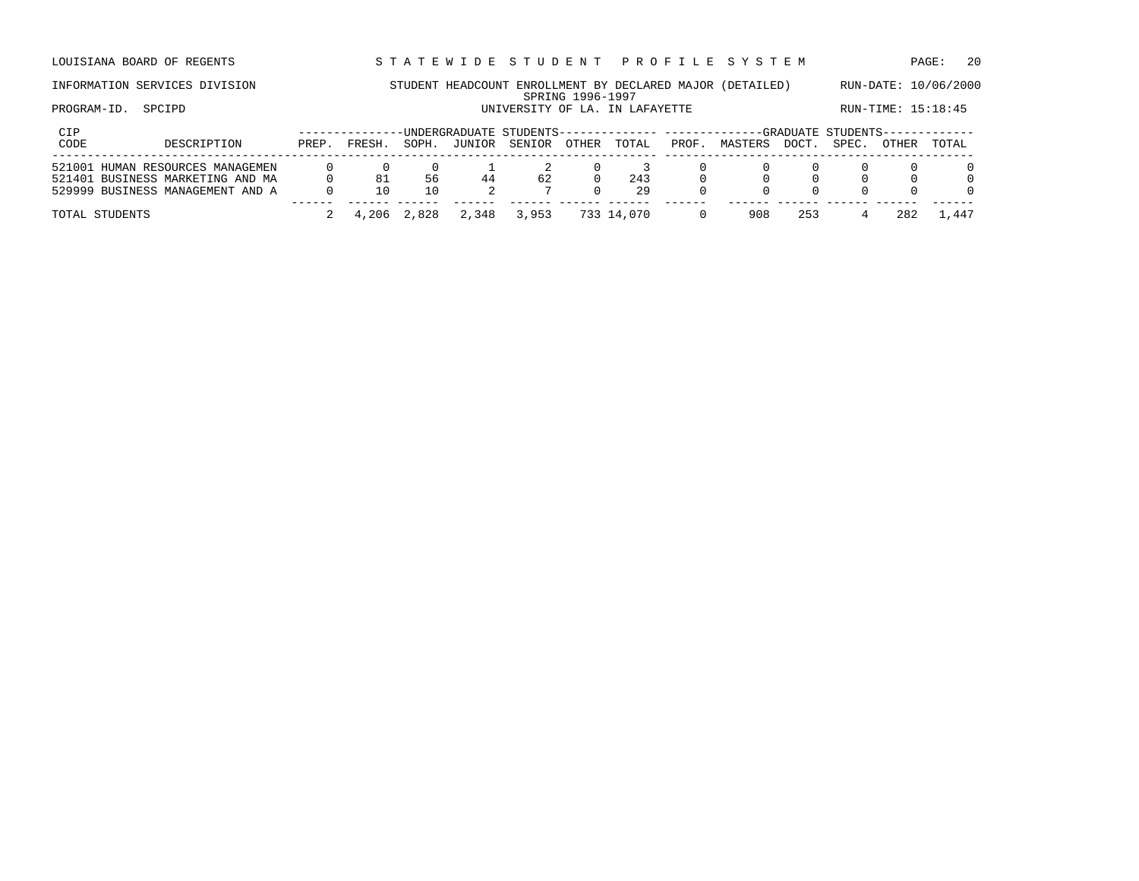LOUISIANA BOARD OF REGENTS STA TEWIDE STUDENT PROFILE SYSTEM PAGE: 20

## INFORMATION SERVICES DIVISION STUDENT HEADCOUNT ENROLLMENT BY DECLARED MAJOR (DETAILED) RUN-DATE: 10/06/2000 SPRING 1996-1997 PROGRAM-ID. SPCIPD **EXALLE STATE UNIVERSITY OF LA. IN LAFAYETTE** RUN-TIME: 15:18:45

| CIP<br>CODE | DESCRIPTION                      | PREP. | FRESH. | SOPH.       | JUNIOR | -UNDERGRADUATE STUDENTS-------------- ----------<br>SENIOR | OTHER | TOTAL      | PROF. | MASTERS | DOCT. | --GRADUATE STUDENTS--<br>SPEC. | OTHER | TOTAL    |
|-------------|----------------------------------|-------|--------|-------------|--------|------------------------------------------------------------|-------|------------|-------|---------|-------|--------------------------------|-------|----------|
|             | 521001 HUMAN RESOURCES MANAGEMEN |       |        |             |        |                                                            |       |            |       |         |       |                                |       |          |
|             | 521401 BUSINESS MARKETING AND MA |       | 81     | 56          | 44     | 62                                                         |       | 243        |       |         |       |                                |       | $\Omega$ |
|             | 529999 BUSINESS MANAGEMENT AND A |       |        |             |        |                                                            |       | 29         |       |         |       |                                |       | $\Omega$ |
|             | TOTAL STUDENTS                   |       |        | 4,206 2,828 | 2,348  | 3,953                                                      |       | 733 14,070 |       | 908     | 253   |                                | 282   | 1,447    |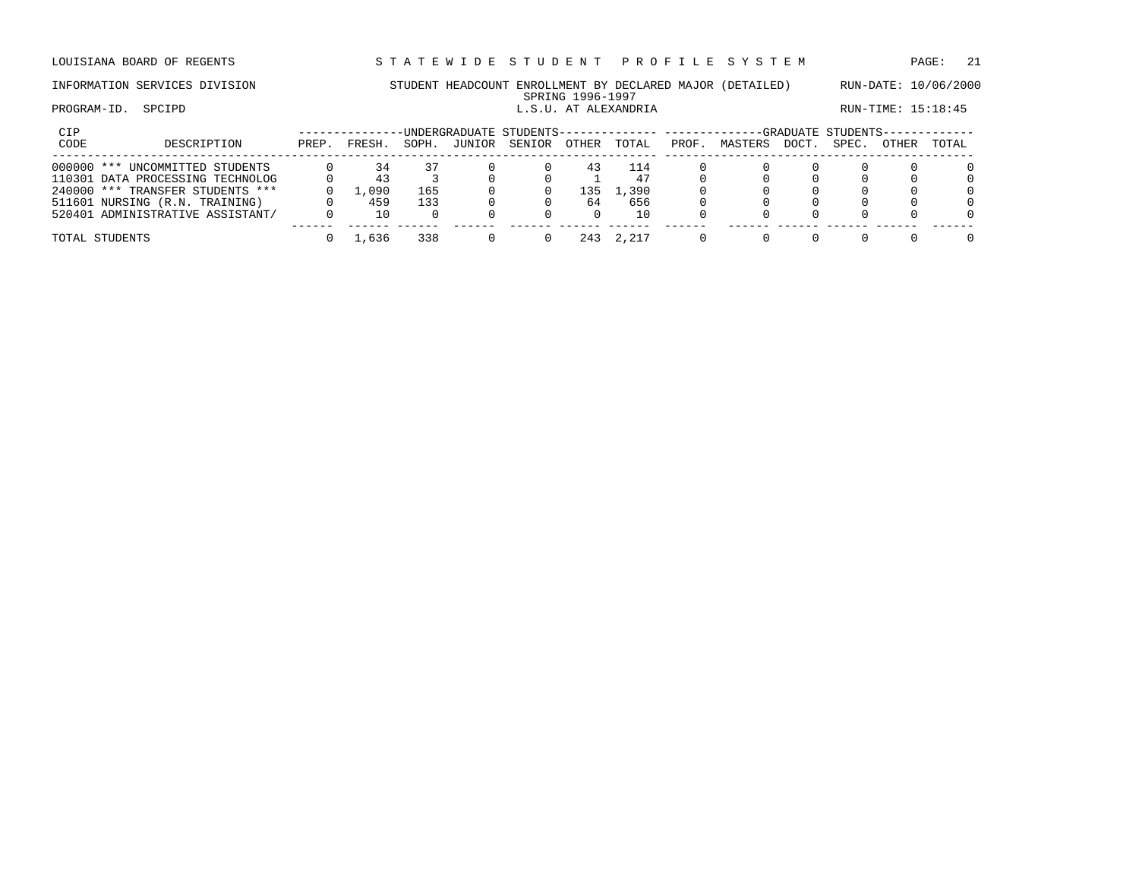# INFORMATION SERVICES DIVISION STUDENT HEADCOUNT ENROLLMENT BY DECLARED MAJOR (DETAILED) RUN-DATE: 10/06/2000

## SPRING 1996-1997<br>L.S.U. AT ALEXANDRIA PROGRAM-ID. SPCIPD **EXAMICLE SPEIPD L.S.U. AT ALEXANDRIA** RUN-TIME: 15:18:45

| CIP  |                                  |       |       |       |        | -UNDERGRADUATE STUDENTS-------------- ---------- |              |       |       |         |       | -GRADUATE STUDENTS- |       |          |
|------|----------------------------------|-------|-------|-------|--------|--------------------------------------------------|--------------|-------|-------|---------|-------|---------------------|-------|----------|
| CODE | DESCRIPTION                      | PREP. | FRESH | SOPH. | JUNIOR | SENIOR                                           | <b>OTHER</b> | TOTAL | PROF. | MASTERS | DOCT. | SPEC.               | OTHER | TOTAL    |
|      | 000000 *** UNCOMMITTED STUDENTS  |       | 34    |       |        |                                                  | 43           | 114   |       |         |       |                     |       | 0        |
|      | 110301 DATA PROCESSING TECHNOLOG |       | 43    |       |        |                                                  |              | 47    |       |         |       |                     |       | $\Omega$ |
|      | 240000 *** TRANSFER STUDENTS *** |       | 1,090 | 165   |        |                                                  | 135          | ,390  |       |         |       |                     |       | $\Omega$ |
|      | 511601 NURSING (R.N. TRAINING)   |       | 459   | 133   |        |                                                  | 64           | 656   |       |         |       |                     |       | $\Omega$ |
|      | 520401 ADMINISTRATIVE ASSISTANT/ |       |       |       |        |                                                  |              | 10    |       |         |       |                     |       | $\Omega$ |
|      | TOTAL STUDENTS                   |       | 1,636 | 338   |        |                                                  | 243          | 2,217 |       |         |       |                     |       | $\Omega$ |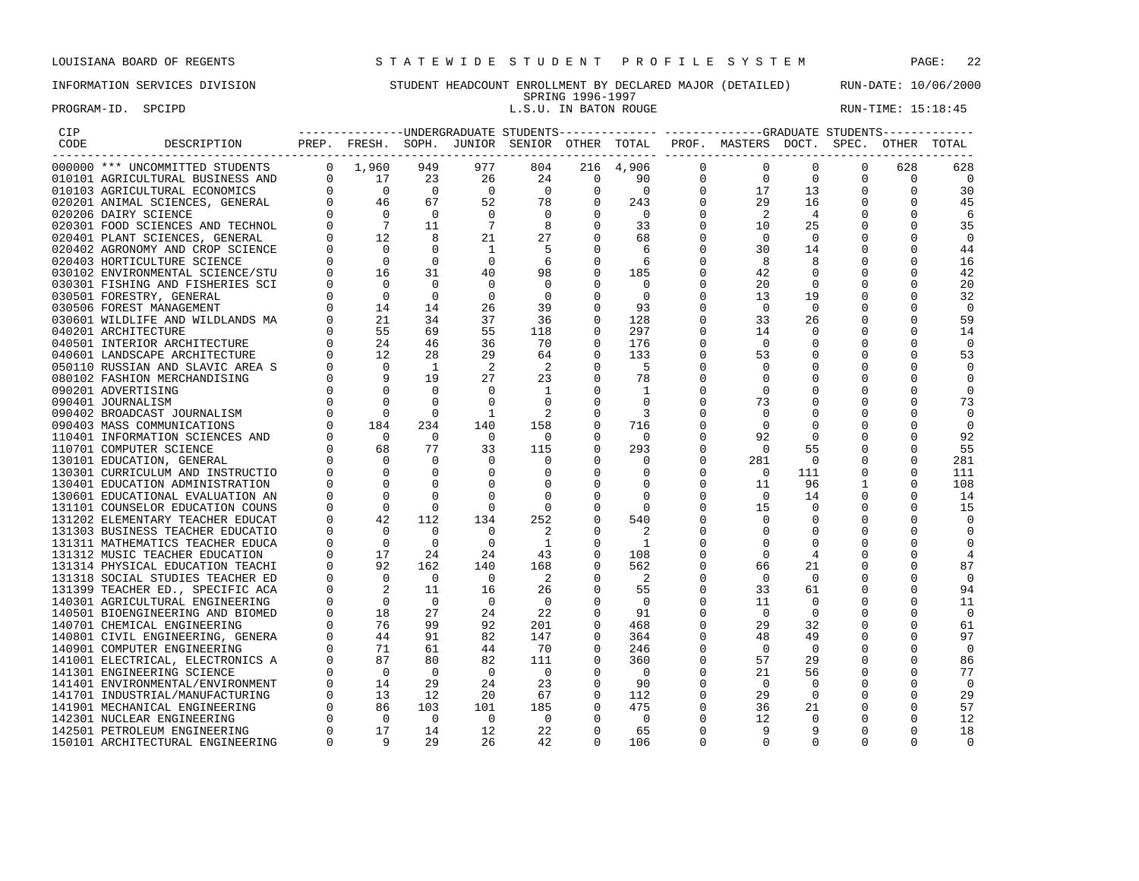## INFORMATION SERVICES DIVISION STUDENT HEADCOUNT ENROLLMENT BY DECLARED MAJOR (DETAILED) RUN-DATE: 10/06/2000

## SPRING 1996-1997<br>L.S.U. IN BATON ROUGE PROGRAM-ID. SPCIPD **EXECUTE:** 15:18:45

| CIP  |                                                                                                                                                                                                                                            |                |                                                                                                                      |                |                            |                                         |                          |                            |                |                                                                                    |                |             |              |                |
|------|--------------------------------------------------------------------------------------------------------------------------------------------------------------------------------------------------------------------------------------------|----------------|----------------------------------------------------------------------------------------------------------------------|----------------|----------------------------|-----------------------------------------|--------------------------|----------------------------|----------------|------------------------------------------------------------------------------------|----------------|-------------|--------------|----------------|
| CODE | DESCRIPTION                                                                                                                                                                                                                                |                | ---------------------                                                                                                |                |                            |                                         |                          |                            |                | PREP. FRESH. SOPH. JUNIOR SENIOR OTHER TOTAL PROF. MASTERS DOCT. SPEC. OTHER TOTAL |                |             |              |                |
|      | 000000 *** UNCOMMITTED STUDENTS                                                                                                                                                                                                            |                | $0 \t 1,960$                                                                                                         | 949            | 977                        | 804                                     |                          | 216 4,906                  | $\mathbf 0$    | $\mathbf 0$                                                                        | $\Omega$       | $\Omega$    | 628          | 628            |
|      | 010101 AGRICULTURAL BUSINESS AND 0 17                                                                                                                                                                                                      |                |                                                                                                                      | 23             | 26                         | 24                                      | $\overline{\phantom{0}}$ | 90                         | $\mathbf 0$    | $\Omega$                                                                           | $\Omega$       | $\Omega$    | $\Omega$     | $\overline{0}$ |
|      |                                                                                                                                                                                                                                            |                |                                                                                                                      | $\overline{0}$ | $\overline{0}$             | $\overline{0}$                          | $\mathbf 0$              | $\overline{0}$             | $\overline{0}$ | 17                                                                                 | 13             | $\mathbf 0$ | $\mathbf 0$  | 30             |
|      |                                                                                                                                                                                                                                            |                |                                                                                                                      | 67             | 52                         |                                         | $\mathbf 0$              | 243                        | $\mathbf 0$    | 29                                                                                 | 16             | $\mathbf 0$ | $\mathbf 0$  | 45             |
|      |                                                                                                                                                                                                                                            |                |                                                                                                                      | $\overline{0}$ | $\overline{0}$             | $\begin{bmatrix} 78 \\ 0 \end{bmatrix}$ | $\Omega$                 | $\overline{0}$             | $\mathbf{0}$   | $\overline{2}$                                                                     | $\overline{4}$ | $\Omega$    | $\Omega$     | 6              |
|      |                                                                                                                                                                                                                                            |                |                                                                                                                      | 11             | $\overline{7}$             | 8                                       | $\Omega$                 | 33                         | $\mathbf{0}$   | 10                                                                                 | 25             |             | $\Omega$     | 35             |
|      | 010103 AGRICULTURAL ECONOMICS 0<br>0 0 0<br>020201 ANIMAL SCIENCES, GENERAL 0 46<br>020206 DAIRY SCIENCES AND TECHNOL 0 0<br>020301 FOOD SCIENCES AND TECHNOL 0 7<br>020401 PLANT SCIENCES, GENERAL 0 12<br>020402 AGRONOMY AND CROP SCIEN |                |                                                                                                                      | 8              | 21                         | 27                                      | $\Omega$                 | 68                         | $\Omega$       | $\Omega$                                                                           | $\Omega$       |             | $\Omega$     | $\mathbf 0$    |
|      |                                                                                                                                                                                                                                            |                |                                                                                                                      | $\overline{0}$ | $\overline{1}$             | -5                                      | $\Omega$                 | -6                         | $\Omega$       | 30                                                                                 | 14             |             | $\Omega$     | 44             |
|      |                                                                                                                                                                                                                                            |                |                                                                                                                      | $\overline{0}$ | $\overline{0}$             | 6                                       | $\Omega$                 | 6                          | $\Omega$       | 8                                                                                  | 8              | $\Omega$    | $\Omega$     | 16             |
|      |                                                                                                                                                                                                                                            |                |                                                                                                                      | 31             | 40                         | 98                                      | $\overline{0}$           | 185                        | $\mathbf 0$    | 42                                                                                 | $\overline{0}$ | 0           |              | 42             |
|      |                                                                                                                                                                                                                                            |                |                                                                                                                      | $\overline{0}$ | $\overline{0}$             | $\overline{0}$                          | $\mathbf 0$              | $\overline{0}$             | $\mathbf 0$    | 20                                                                                 | $\overline{0}$ | $\mathbf 0$ | 0            | 20             |
|      | 030501 FORESTRY, GENERAL                                                                                                                                                                                                                   |                |                                                                                                                      | $\overline{0}$ | $\overline{0}$             | $\overline{0}$                          | $\overline{0}$           | $\Omega$                   | $\mathbf 0$    | 13                                                                                 | 19             | $\mathbf 0$ | $\Omega$     | 32             |
|      | 030506 FOREST MANAGEMENT                                                                                                                                                                                                                   |                |                                                                                                                      | 14             | 26                         | 39                                      | $\Omega$                 | 93                         | $\Omega$       | $\Omega$                                                                           | $\Omega$       |             |              | $\mathbf 0$    |
|      | 030601 WILDLIFE AND WILDLANDS MA                                                                                                                                                                                                           |                |                                                                                                                      | 34             | 37                         | 36                                      | $\Omega$                 | 128                        | $\Omega$       | 33                                                                                 | 26             | $\Omega$    | $\Omega$     | 59             |
|      | 040201 ARCHITECTURE                                                                                                                                                                                                                        |                |                                                                                                                      | 69             | 55                         | 118                                     | $\Omega$                 | 297                        | $\Omega$       | 14                                                                                 | $\Omega$       | $\Omega$    | $\Omega$     | 14             |
|      | 040501 INTERIOR ARCHITECTURE                                                                                                                                                                                                               |                |                                                                                                                      | 46             | 36                         | 70                                      | $\Omega$                 | 176                        | $\mathbf 0$    | $\overline{0}$                                                                     | 0              | $\Omega$    | $\Omega$     | $\mathbf 0$    |
|      | 040601 LANDSCAPE ARCHITECTURE                                                                                                                                                                                                              |                |                                                                                                                      | 28             | 29                         | 64                                      | $\overline{0}$           | 133                        | $\mathbf 0$    | 53                                                                                 | $\mathbf 0$    | $\mathbf 0$ | $\Omega$     | 53             |
|      | 050110 RUSSIAN AND SLAVIC AREA S                                                                                                                                                                                                           |                |                                                                                                                      | $\overline{1}$ | $\overline{\phantom{0}}^2$ | -2                                      | $\Omega$                 | $-5$                       | 0              | $\Omega$                                                                           | 0              |             |              | $\Omega$       |
|      | 080102 FASHION MERCHANDISING                                                                                                                                                                                                               |                |                                                                                                                      | 19             | 27                         | 23                                      | $\Omega$                 | 78                         | $\Omega$       | $\Omega$                                                                           | $\Omega$       |             | $\Omega$     | $\overline{0}$ |
|      | 090201 ADVERTISING                                                                                                                                                                                                                         |                |                                                                                                                      | $\overline{0}$ | $\Omega$                   | $\mathbf{1}$                            | $\Omega$                 | 1                          | 0              | $\Omega$                                                                           | $\Omega$       | $\Omega$    | $\Omega$     | $\Omega$       |
|      | 090401 JOURNALISM                                                                                                                                                                                                                          |                |                                                                                                                      | $\Omega$       | $\mathbf 0$                | $\overline{0}$                          | $\Omega$                 | $\Omega$                   | 0              | 73                                                                                 | 0              | $\Omega$    | $\Omega$     | 73             |
|      | 090402 BROADCAST JOURNALISM                                                                                                                                                                                                                |                |                                                                                                                      | $\Omega$       | - 1                        | $\overline{2}$                          | $\Omega$                 | $\overline{\mathbf{3}}$    |                | $\Omega$                                                                           | $\Omega$       | $\Omega$    | <sup>0</sup> | $\overline{0}$ |
|      | 090403 MASS COMMUNICATIONS                                                                                                                                                                                                                 |                |                                                                                                                      | 234            | 140                        | 158                                     | $\mathbf 0$              | 716                        | 0              | $\mathbf 0$                                                                        | 0              | 0           | 0            | $\mathbf 0$    |
|      | 110401 INFORMATION SCIENCES AND                                                                                                                                                                                                            |                |                                                                                                                      | $\overline{0}$ | $\overline{0}$             | $\overline{0}$                          | $\Omega$                 | $\overline{0}$             | $\mathbf 0$    | 92                                                                                 | $\overline{0}$ | $\mathbf 0$ | $\Omega$     | 92             |
|      | 110701 COMPUTER SCIENCE                                                                                                                                                                                                                    |                |                                                                                                                      | 77             | 33                         | 115                                     | $\Omega$                 | 293                        | $\Omega$       | $\Omega$                                                                           | 55             | $\mathbf 0$ | $\Omega$     | 55             |
|      | 130101 EDUCATION, GENERAL                                                                                                                                                                                                                  |                |                                                                                                                      | $\Omega$       | $\overline{0}$             | $\overline{0}$                          | 0                        | $\overline{0}$             | 0              | 281                                                                                | $\overline{0}$ | $\mathbf 0$ | 0            | 281            |
|      | 130301 CURRICULUM AND INSTRUCTIO                                                                                                                                                                                                           |                |                                                                                                                      | $\mathbf 0$    | $\mathbf 0$                | $\overline{0}$                          | $\overline{0}$           | 0                          | $\mathbf 0$    | $\Omega$                                                                           | 111            | $\mathbf 0$ | $\Omega$     | 111            |
|      | 130401 EDUCATION ADMINISTRATION                                                                                                                                                                                                            |                | $\begin{bmatrix} 0 & 0 & 0 \ 0 & 0 & 184 \ 0 & 0 & 68 \ 0 & 0 & 0 \ 0 & 0 & 0 \ 0 & 0 & 0 \ 0 & 0 & 0 \end{bmatrix}$ | $\Omega$       | $\mathbf 0$                | $\mathbf 0$                             | $\overline{0}$           | $\Omega$                   | 0              | 11                                                                                 | 96             | 1           | $\Omega$     | 108            |
|      | 130601 EDUCATIONAL EVALUATION AN                                                                                                                                                                                                           |                |                                                                                                                      | $\Omega$       | $\Omega$                   | $\bigcirc$                              | $\Omega$                 | $\Omega$                   | $\Omega$       | $\bigcirc$                                                                         | 14             | $\Omega$    | $\Omega$     | 14             |
|      | 131101 COUNSELOR EDUCATION COUNS                                                                                                                                                                                                           | $\overline{0}$ | $\frac{0}{42}$                                                                                                       | $\Omega$       | $\overline{0}$             | $\overline{0}$                          | $\overline{0}$           | $\overline{\phantom{0}}$   | $\mathbf 0$    | 15                                                                                 | 0              | 0           | $\Omega$     | 15             |
|      | 131202 ELEMENTARY TEACHER EDUCAT                                                                                                                                                                                                           | $\Omega$       |                                                                                                                      | 112            | 134                        | 252                                     | $\overline{0}$           | 540                        | $\mathbf 0$    | $\overline{0}$                                                                     | 0              | $\Omega$    | $\Omega$     | $\Omega$       |
|      | 131303 BUSINESS TEACHER EDUCATIO                                                                                                                                                                                                           | $\mathbf{0}$   | $\overline{0}$                                                                                                       | $\overline{0}$ | $\overline{0}$             | $\overline{\phantom{0}}^2$              | $\mathbf 0$              | 2                          | 0              | $\mathbf 0$                                                                        | $\mathbf 0$    | $\Omega$    | $\Omega$     | $\mathbf 0$    |
|      |                                                                                                                                                                                                                                            |                |                                                                                                                      | $\overline{0}$ | $\overline{0}$             | $\overline{1}$                          | $\mathbf 0$              | $\overline{\phantom{0}}$   | 0              | 0                                                                                  | 0              |             | <sup>0</sup> | 0              |
|      |                                                                                                                                                                                                                                            |                |                                                                                                                      | 2.4            | 24                         | 43                                      | $\Omega$                 | 108                        | $\Omega$       | $\Omega$                                                                           | 4              | $\Omega$    | $\Omega$     | 4              |
|      |                                                                                                                                                                                                                                            |                |                                                                                                                      | 162            | 140                        | 168                                     | $\Omega$                 | 562                        | 0              | 66                                                                                 | 21             |             | $\Omega$     | 87             |
|      |                                                                                                                                                                                                                                            |                |                                                                                                                      | $\overline{0}$ | $\overline{0}$             | $\overline{\phantom{0}}^2$              | $\Omega$                 | $\overline{\phantom{0}}^2$ | $\Omega$       | $\overline{0}$                                                                     | $\mathbf 0$    | 0           | $\Omega$     | $\mathbf 0$    |
|      |                                                                                                                                                                                                                                            |                |                                                                                                                      | 11             | 16                         | 26                                      | $\overline{0}$           | 55                         | $\mathbf 0$    | 33                                                                                 | 61             | $\mathbf 0$ | $\Omega$     | 94             |
|      |                                                                                                                                                                                                                                            |                |                                                                                                                      | $\overline{0}$ | $\overline{0}$             | $\overline{0}$                          | $\overline{0}$           | $\overline{0}$             | $\mathbf 0$    | 11                                                                                 | $\mathbf 0$    | 0           | 0            | 11             |
|      |                                                                                                                                                                                                                                            |                |                                                                                                                      | 27             | 24                         | 22                                      | $\Omega$                 | 91                         | $\mathbf 0$    | $\overline{0}$                                                                     | 0              | $\Omega$    | $\Omega$     | $\overline{0}$ |
|      |                                                                                                                                                                                                                                            |                |                                                                                                                      | 99             | 92                         | 201                                     | $\Omega$                 | 468                        | 0              | 29                                                                                 | 32             | 0           | $\Omega$     | 61             |
|      |                                                                                                                                                                                                                                            |                |                                                                                                                      | 91             | 82                         | 147                                     | $\Omega$                 | 364                        | $\mathbf 0$    | 48                                                                                 | 49             | $\Omega$    | $\Omega$     | 97             |
|      |                                                                                                                                                                                                                                            |                |                                                                                                                      | 61             | 44                         | 70                                      | $\Omega$                 | 246                        | $\Omega$       | $\Omega$                                                                           | $\Omega$       |             |              | $\Omega$       |
|      |                                                                                                                                                                                                                                            |                |                                                                                                                      | 80             | 82                         | 111                                     | $\mathbf 0$              | 360                        | $\mathbf 0$    | 57                                                                                 | 29             | 0           | 0            | 86             |
|      |                                                                                                                                                                                                                                            |                |                                                                                                                      | $\overline{0}$ | $\overline{0}$             | $\overline{\phantom{0}}$                | $\mathbf 0$              | $\overline{0}$             | 0              | 21                                                                                 | 56             | $\mathbf 0$ | $\Omega$     | 77             |
|      |                                                                                                                                                                                                                                            |                |                                                                                                                      | 29             | 24                         | 23                                      | $\mathbf 0$              | 90                         | $\mathbf 0$    | $\overline{0}$                                                                     | $\mathbf 0$    | $\mathbf 0$ | 0            | $\overline{0}$ |
|      |                                                                                                                                                                                                                                            |                |                                                                                                                      | 12             | 20                         | 67                                      | $\overline{0}$           | 112                        | 0              | 29                                                                                 | $\overline{0}$ | $\Omega$    | $\Omega$     | 29             |
|      |                                                                                                                                                                                                                                            |                |                                                                                                                      | 103            | 101                        | 185                                     | $\Omega$                 | 475                        | 0              | 36                                                                                 | 21             | $\Omega$    | $\Omega$     | 57             |
|      |                                                                                                                                                                                                                                            |                |                                                                                                                      | $\overline{0}$ | $\bigcirc$                 | $\bigcirc$                              | $\Omega$                 | $\overline{0}$             | $\Omega$       | 12                                                                                 | $\Omega$       | $\Omega$    | $\Omega$     | 12             |
|      |                                                                                                                                                                                                                                            |                |                                                                                                                      | 14             | 12                         | 22                                      | $\overline{0}$           | 65                         | $\mathbf 0$    | 9                                                                                  | 9              | $\Omega$    | $\Omega$     | 18             |
|      | 150101 ARCHITECTURAL ENGINEERING                                                                                                                                                                                                           | $\Omega$       | $\overline{9}$                                                                                                       | 29             | 26                         | 42                                      | $\Omega$                 | 106                        | $\Omega$       | $\Omega$                                                                           | $\Omega$       | $\Omega$    | $\Omega$     | $\Omega$       |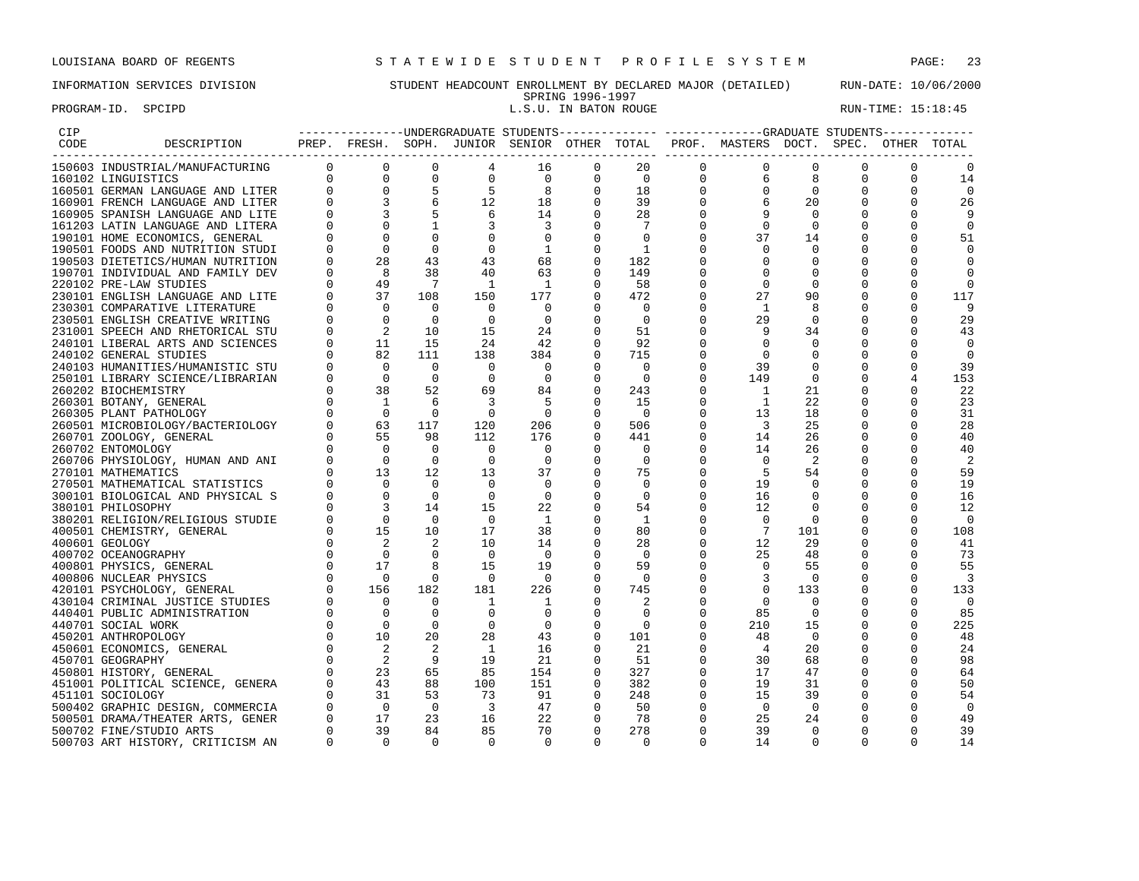### PROGRAM-ID. SPCIPD **EXECUTE:** 15:18:45

## INFORMATION SERVICES DIVISION STUDENT HEADCOUNT ENROLLMENT BY DECLARED MAJOR (DETAILED) RUN-DATE: 10/06/2000 SPRING 1996-1997<br>L.S.U. IN BATON ROUGE

| CIP  |                                  |          |                                                                                                                                                                                                                                                                                                                                                                                                                                                  |                          |                                        |                          |                |                          |                | -----------------UNDERGRADUATE STUDENTS-------------- ------------GRADUATE STUDENTS------------ |                         |             |             |                          |
|------|----------------------------------|----------|--------------------------------------------------------------------------------------------------------------------------------------------------------------------------------------------------------------------------------------------------------------------------------------------------------------------------------------------------------------------------------------------------------------------------------------------------|--------------------------|----------------------------------------|--------------------------|----------------|--------------------------|----------------|-------------------------------------------------------------------------------------------------|-------------------------|-------------|-------------|--------------------------|
| CODE | DESCRIPTION                      |          |                                                                                                                                                                                                                                                                                                                                                                                                                                                  |                          |                                        |                          |                |                          |                | PREP. FRESH. SOPH. JUNIOR SENIOR OTHER TOTAL PROF. MASTERS DOCT. SPEC. OTHER TOTAL              |                         |             |             |                          |
|      | 150603 INDUSTRIAL/MANUFACTURING  |          |                                                                                                                                                                                                                                                                                                                                                                                                                                                  |                          | $4\overline{ }$                        | 16                       | $\mathbf 0$    | 20                       | $\overline{0}$ | 0                                                                                               | $\mathbf{0}$            | 0           | $\mathbf 0$ |                          |
|      | 160102 LINGUISTICS               |          |                                                                                                                                                                                                                                                                                                                                                                                                                                                  |                          | $\mathbf 0$                            | $\overline{0}$           | $\mathbf{0}$   | $\overline{0}$           | $\mathbf 0$    | 6                                                                                               | 8                       | $\mathbf 0$ | 0           | 14                       |
|      | 160501 GERMAN LANGUAGE AND LITER |          |                                                                                                                                                                                                                                                                                                                                                                                                                                                  |                          | $\begin{array}{c} 5 \\ 12 \end{array}$ | $_{\rm 8}$               | $\Omega$       | 18                       | $\mathbf 0$    | $\mathbf 0$                                                                                     | $\overline{0}$          | $\Omega$    | $\Omega$    | $\mathbf 0$              |
|      | 160901 FRENCH LANGUAGE AND LITER |          |                                                                                                                                                                                                                                                                                                                                                                                                                                                  |                          |                                        | $\frac{18}{18}$          | $\Omega$       | 39                       |                | 6                                                                                               | 20                      | $\Omega$    | $\Omega$    | 26                       |
|      | 160905 SPANISH LANGUAGE AND LITE |          |                                                                                                                                                                                                                                                                                                                                                                                                                                                  |                          | $6^{\circ}$                            | 14                       | $\overline{0}$ | 28                       | 0              |                                                                                                 | 0                       | 0           |             | 9                        |
|      | 161203 LATIN LANGUAGE AND LITERA |          | $0 \qquad \qquad$<br>$\Omega$                                                                                                                                                                                                                                                                                                                                                                                                                    |                          | $\overline{3}$                         | $\overline{3}$           | $\mathbf 0$    | $7\phantom{.0}$          |                | $\mathbf 0$                                                                                     | $\mathbf 0$             | 0           |             | 0                        |
|      | 190101 HOME ECONOMICS, GENERAL   | $\Omega$ | $\Omega$                                                                                                                                                                                                                                                                                                                                                                                                                                         | $\Omega$                 | $\Omega$                               | $\overline{\phantom{0}}$ | $\mathbf 0$    | $\Omega$                 | 0              | 37                                                                                              | 14                      | 0           | O           | 51                       |
|      | 190501 FOODS AND NUTRITION STUDI | $\Omega$ | $\bigcirc$                                                                                                                                                                                                                                                                                                                                                                                                                                       | $\Omega$                 | $\Omega$                               | $\overline{1}$           | $\Omega$       | $\mathbf{1}$             |                |                                                                                                 | $\Omega$                |             |             | O                        |
|      | 190503 DIETETICS/HUMAN NUTRITION | $\Omega$ | 28                                                                                                                                                                                                                                                                                                                                                                                                                                               | 43                       | 43                                     | 68                       | $\mathbf 0$    | 182                      |                | $\mathbf 0$                                                                                     | $\mathbf 0$             | 0           |             | $\Omega$                 |
|      | 190701 INDIVIDUAL AND FAMILY DEV |          |                                                                                                                                                                                                                                                                                                                                                                                                                                                  | 38                       | 40                                     | 63                       | $\mathbf 0$    | 149                      | 0              | $\mathbf 0$                                                                                     | 0                       | 0           | O           | 0                        |
|      | 220102 PRE-LAW STUDIES           |          |                                                                                                                                                                                                                                                                                                                                                                                                                                                  | $\overline{7}$           | $\overline{1}$                         | $\overline{\phantom{a}}$ | $\mathbf 0$    | 58                       | 0              | $\mathbf 0$                                                                                     | $\mathbf 0$             | 0           | 0           | $\Omega$                 |
|      | 230101 ENGLISH LANGUAGE AND LITE |          |                                                                                                                                                                                                                                                                                                                                                                                                                                                  | 108                      | 150                                    | 177                      | $\mathbf 0$    | 472                      | 0              | 27                                                                                              | 90                      | 0           | $\Omega$    | 117                      |
|      | 230301 COMPARATIVE LITERATURE    |          |                                                                                                                                                                                                                                                                                                                                                                                                                                                  | $\Omega$                 | $\overline{0}$                         | $\overline{0}$           | $\mathbf 0$    | 0                        | 0              | 1                                                                                               | 8                       | 0           | $\Omega$    | 9                        |
|      | 230501 ENGLISH CREATIVE WRITING  |          |                                                                                                                                                                                                                                                                                                                                                                                                                                                  | $\overline{0}$           | $\overline{0}$                         | $\overline{\phantom{0}}$ | $\mathbf 0$    | $\overline{\phantom{0}}$ |                | 29                                                                                              | 0                       | 0           | O           | 29                       |
|      | 231001 SPEECH AND RHETORICAL STU |          |                                                                                                                                                                                                                                                                                                                                                                                                                                                  | 10                       | 15                                     | 24                       | $\mathbf 0$    | 51                       |                | 9                                                                                               | 34                      | 0           | O           | 43                       |
|      | 240101 LIBERAL ARTS AND SCIENCES |          |                                                                                                                                                                                                                                                                                                                                                                                                                                                  | 15                       | 24                                     | 42                       | $\mathbf 0$    | 92                       | 0              | 0                                                                                               | 0                       | 0           | 0           | $\mathbf 0$              |
|      | 240102 GENERAL STUDIES           |          |                                                                                                                                                                                                                                                                                                                                                                                                                                                  | 111                      | 138                                    | 384                      | $\overline{0}$ | 715                      |                | $\mathbf 0$                                                                                     | $\mathbf 0$             | $\mathbf 0$ | $\Omega$    | $\Omega$                 |
|      | 240103 HUMANITIES/HUMANISTIC STU |          |                                                                                                                                                                                                                                                                                                                                                                                                                                                  | $\overline{0}$           | $\overline{0}$                         | $\overline{0}$           | $\Omega$       | $\overline{0}$           | 0              | 39                                                                                              | 0                       | 0           | 0           | 39                       |
|      | 250101 LIBRARY SCIENCE/LIBRARIAN |          |                                                                                                                                                                                                                                                                                                                                                                                                                                                  | $\overline{0}$           | $\overline{\phantom{0}}$               | $\overline{0}$           | $\Omega$       | $\overline{0}$           | $\Omega$       | 149                                                                                             | $\Omega$                | $\Omega$    | 4           | 153                      |
|      | 260202 BIOCHEMISTRY              |          | $\begin{array}{cccc} 0 & 28 \ 0 & 8 \ 0 & 49 \ 0 & 37 \ 0 & 0 \ 0 & 0 & 2 \ 0 & 0 & 11 \ 0 & 82 \ 0 & 0 & 0 \ 0 & 0 & 38 \ 0 & 0 & 0 \ 0 & 0 & 55 \ 0 & 0 & 0 \ 0 & 0 & 13 \ 0 & 0 & 0 \ 0 & 0 & 13 \ 0 & 0 & 0 \ 0 & 0 & 13 \ 0 & 0 & 0 \end{array}$                                                                                                                                                                                            | 52                       | 69                                     | 84                       | $\overline{0}$ | 243                      | 0              | $\mathbf{1}$                                                                                    | 21                      | $\mathbf 0$ | $\Omega$    | 22                       |
|      | 260301 BOTANY, GENERAL           |          |                                                                                                                                                                                                                                                                                                                                                                                                                                                  | 6                        | $\overline{3}$                         | $-5$                     | $\mathbf 0$    | 15                       | 0              | 1                                                                                               | 22                      | 0           | 0           | 23                       |
|      | 260305 PLANT PATHOLOGY           |          |                                                                                                                                                                                                                                                                                                                                                                                                                                                  | $\Omega$                 | $\overline{0}$                         | $\overline{0}$           | $\Omega$       | $\overline{0}$           | $\Omega$       | 13                                                                                              | 18                      | $\Omega$    | 0           | 31                       |
|      | 260501 MICROBIOLOGY/BACTERIOLOGY |          |                                                                                                                                                                                                                                                                                                                                                                                                                                                  | 117                      | 120                                    | 206                      | $\mathbf 0$    | 506                      | 0              | $\overline{3}$                                                                                  | 25                      | 0           | 0           | 28                       |
|      | 260701 ZOOLOGY, GENERAL          |          |                                                                                                                                                                                                                                                                                                                                                                                                                                                  | 98                       | 112                                    | 176                      | $\Omega$       | 441                      | $\Omega$       | 14                                                                                              | 26                      | 0           |             | 40                       |
|      | 260702 ENTOMOLOGY                |          |                                                                                                                                                                                                                                                                                                                                                                                                                                                  | $\overline{0}$           | $\overline{0}$                         | $\overline{\phantom{0}}$ | $\Omega$       | $\overline{0}$           |                | 14                                                                                              | 26                      | $\Omega$    | $\Omega$    | 40                       |
|      | 260706 PHYSIOLOGY, HUMAN AND ANI |          |                                                                                                                                                                                                                                                                                                                                                                                                                                                  | $\overline{\phantom{0}}$ | $\overline{0}$                         | $\overline{0}$           | 0              | $\Omega$                 | 0              | $\overline{0}$                                                                                  | -2                      | 0           | O           | 2                        |
|      | 270101 MATHEMATICS               |          |                                                                                                                                                                                                                                                                                                                                                                                                                                                  | 12                       | 13                                     | 37                       | $\mathbf 0$    | 75                       |                | 5                                                                                               | 54                      | 0           | $\Omega$    | 59                       |
|      | 270501 MATHEMATICAL STATISTICS   |          |                                                                                                                                                                                                                                                                                                                                                                                                                                                  | $\bigcirc$               | $\overline{0}$                         | $\overline{0}$           | $\mathbf 0$    | 0                        | $\Omega$       | 19                                                                                              | $\mathbf 0$             | 0           | $\Omega$    | 19                       |
|      | 300101 BIOLOGICAL AND PHYSICAL S | $\Omega$ | $\overline{0}$                                                                                                                                                                                                                                                                                                                                                                                                                                   | $\overline{0}$           | $\bigcirc$                             | $\overline{0}$           | $\Omega$       | $\Omega$                 | 0              | 16                                                                                              | $\Omega$                | 0           | O           | 16                       |
|      | 380101 PHILOSOPHY                |          |                                                                                                                                                                                                                                                                                                                                                                                                                                                  | 14                       | 15                                     | 22                       | $\Omega$       | 54                       | O              | 12                                                                                              | $\Omega$                | $\Omega$    | U           | 12                       |
|      | 380201 RELIGION/RELIGIOUS STUDIE |          |                                                                                                                                                                                                                                                                                                                                                                                                                                                  | $\overline{0}$           | $\overline{\phantom{0}}$               | $\overline{1}$           | 0              | $\mathbf{1}$             | 0              | $\mathbf 0$                                                                                     | 0                       | 0           | 0           | $\overline{\phantom{0}}$ |
|      | 400501 CHEMISTRY, GENERAL        |          |                                                                                                                                                                                                                                                                                                                                                                                                                                                  | 10                       | 17                                     | 38                       | $\overline{0}$ | 80                       | $\Omega$       | 7                                                                                               | 101                     | $\mathbf 0$ |             | 108                      |
|      | 400601 GEOLOGY                   |          |                                                                                                                                                                                                                                                                                                                                                                                                                                                  | 2                        | 10                                     | 14                       | $\Omega$       | 28                       | 0              | 12                                                                                              | 29                      | 0           |             | 41                       |
|      | 400702 OCEANOGRAPHY              |          |                                                                                                                                                                                                                                                                                                                                                                                                                                                  | $\Omega$                 | $\overline{0}$                         | $\bigcirc$               | $\Omega$       | $\Omega$                 | $\Omega$       | 25                                                                                              | 48                      | 0           | O           | 73                       |
|      | 400801 PHYSICS, GENERAL          |          |                                                                                                                                                                                                                                                                                                                                                                                                                                                  | 8                        | 15                                     | 19                       | $\overline{0}$ | 59                       |                | $\mathbf 0$                                                                                     | 55                      | 0           |             | 55                       |
|      | 400806 NUCLEAR PHYSICS           |          |                                                                                                                                                                                                                                                                                                                                                                                                                                                  | $\overline{0}$           | $\overline{\phantom{0}}$               | $\overline{0}$           | $\mathbf 0$    | $\overline{\phantom{0}}$ | 0              | 3                                                                                               | 0                       | 0           | 0           | 3                        |
|      | 420101 PSYCHOLOGY, GENERAL       |          |                                                                                                                                                                                                                                                                                                                                                                                                                                                  | 182                      | 181                                    | 226                      | $\mathbf 0$    | 745                      | $\Omega$       | $\mathbf 0$                                                                                     | 133                     | 0           | O           | 133                      |
|      | 430104 CRIMINAL JUSTICE STUDIES  |          |                                                                                                                                                                                                                                                                                                                                                                                                                                                  | $\mathbf 0$              | $\overline{1}$                         | $\overline{\phantom{a}}$ | $\overline{0}$ | 2                        |                | $\overline{0}$                                                                                  | - 0                     | 0           |             | $\overline{0}$           |
|      | 440401 PUBLIC ADMINISTRATION     |          |                                                                                                                                                                                                                                                                                                                                                                                                                                                  | $\Omega$                 | $\mathbf 0$                            | $\overline{\phantom{0}}$ | $\mathbf 0$    | 0                        | 0              | 85                                                                                              | 0                       | 0           | O           | 85                       |
|      | 440701 SOCIAL WORK               |          |                                                                                                                                                                                                                                                                                                                                                                                                                                                  | $\Omega$                 | $\overline{0}$                         | $\overline{0}$           | $\mathbf 0$    | $\overline{\phantom{0}}$ | $\Omega$       | 210                                                                                             | 15                      | 0           |             | 225                      |
|      | 450201 ANTHROPOLOGY              |          |                                                                                                                                                                                                                                                                                                                                                                                                                                                  | 20                       | 28                                     | 43                       | $\mathbf 0$    | 101                      | $\Omega$       | 48                                                                                              | $\overline{\mathbf{0}}$ | 0           | O           | 48                       |
|      | 450601 ECONOMICS, GENERAL        |          |                                                                                                                                                                                                                                                                                                                                                                                                                                                  | 2                        | $\overline{1}$                         | 16                       | 0              | 21                       | 0              | 4                                                                                               | 20                      | 0           | 0           | 24                       |
|      | 450701 GEOGRAPHY                 |          |                                                                                                                                                                                                                                                                                                                                                                                                                                                  | 9                        | 19                                     | 21                       | $\mathbf 0$    | 51                       | 0              | 30                                                                                              | 68                      | 0           |             | 98                       |
|      | 450801 HISTORY, GENERAL          |          |                                                                                                                                                                                                                                                                                                                                                                                                                                                  | 65                       | 85                                     | 154                      | 0              | 327                      | 0              | 17                                                                                              | 47                      | 0           | 0           | 64                       |
|      | 451001 POLITICAL SCIENCE, GENERA |          |                                                                                                                                                                                                                                                                                                                                                                                                                                                  | 88                       | 100                                    | 151                      | $\Omega$       | 382                      | $\Omega$       | 19                                                                                              | 31                      | $\Omega$    |             | 50                       |
|      | 451101 SOCIOLOGY                 |          | $\begin{array}{cccc} \texttt{CAL} & \texttt{S} & \texttt{O} \\ \texttt{UDIE} & \texttt{O} \\ \texttt{O} & \texttt{O} \\ \texttt{O} & \texttt{O} \\ \texttt{O} & \texttt{O} \\ \texttt{O} & \texttt{O} \\ \texttt{O} & \texttt{O} \\ \texttt{O} & \texttt{O} \\ \texttt{O} & \texttt{O} \\ \texttt{O} & \texttt{O} \\ \texttt{O} & \texttt{O} \\ \texttt{O} & \texttt{O} \\ \texttt{O} & \texttt{O} \\ \texttt{O} & \texttt{O} \\ \texttt{O} & \$ | 53                       | 73                                     | 91                       | $\mathbf 0$    | 248                      | $\mathbf 0$    | 15                                                                                              | 39                      | $\mathbf 0$ | 0           | 54                       |
|      | 500402 GRAPHIC DESIGN, COMMERCIA |          |                                                                                                                                                                                                                                                                                                                                                                                                                                                  | $\overline{0}$           | $\overline{\phantom{a}}$               | 47                       | $\overline{0}$ | 50                       | 0              | $\overline{0}$                                                                                  | $\overline{0}$          | 0           | 0           | 0                        |
|      | 500501 DRAMA/THEATER ARTS, GENER |          |                                                                                                                                                                                                                                                                                                                                                                                                                                                  | 23                       | 16                                     | $\frac{22}{70}$          | $\mathbf 0$    | -78                      | 0              | 25                                                                                              | 24                      | 0           | 0           | 49                       |
|      | 500702 FINE/STUDIO ARTS          |          |                                                                                                                                                                                                                                                                                                                                                                                                                                                  | 84                       | 85                                     |                          | $\overline{0}$ | 278                      | 0              | 39                                                                                              | $\mathbf 0$             | $\mathbf 0$ | 0           | 39                       |
|      | 500703 ART HISTORY, CRITICISM AN | $\Omega$ | $\overline{0}$                                                                                                                                                                                                                                                                                                                                                                                                                                   | $\Omega$                 | $\Omega$                               | $\Omega$                 | $\Omega$       | $\Omega$                 | $\Omega$       | 14                                                                                              | $\Omega$                | $\Omega$    | $\Omega$    | 14                       |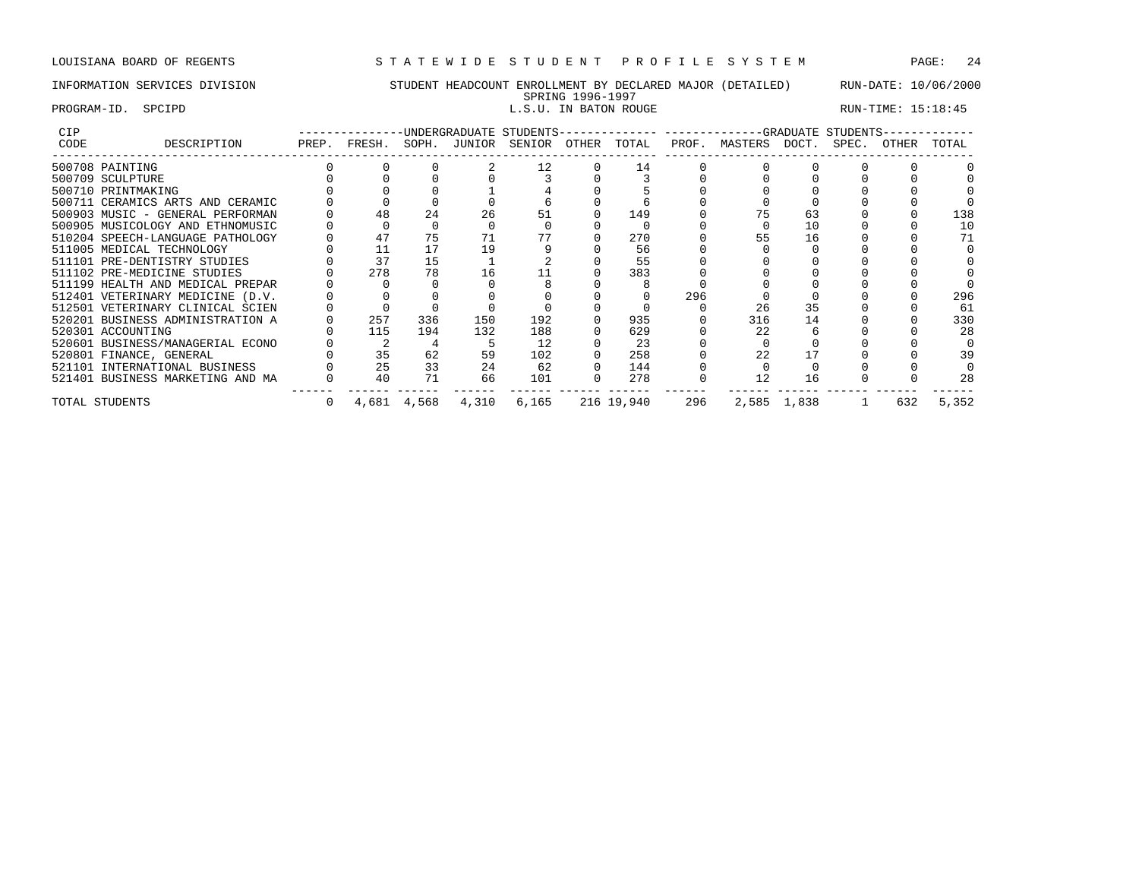## INFORMATION SERVICES DIVISION STUDENT HEADCOUNT ENROLLMENT BY DECLARED MAJOR (DETAILED) RUN-DATE: 10/06/2000

### SPRING 1996-1997<br>L.S.U. IN BATON ROUGE PROGRAM-ID. SPCIPD **EXECUTE:** 15:18:45

| <b>CIP</b> |                                  |     |             |       | -------------UNDERGRADUATE STUDENTS--        |          |            |     | -------------GRADUATE STUDENTS- |             |       |       |       |
|------------|----------------------------------|-----|-------------|-------|----------------------------------------------|----------|------------|-----|---------------------------------|-------------|-------|-------|-------|
| CODE       | DESCRIPTION                      |     |             |       | PREP. FRESH. SOPH. JUNIOR SENIOR OTHER TOTAL |          |            |     | PROF. MASTERS DOCT.             |             | SPEC. | OTHER | TOTAL |
|            | 500708 PAINTING                  |     |             |       | 12                                           |          | 14         |     |                                 |             |       |       |       |
|            | 500709 SCULPTURE                 |     |             |       |                                              |          |            |     |                                 |             |       |       |       |
|            | 500710 PRINTMAKING               |     |             |       |                                              |          |            |     |                                 |             |       |       |       |
|            | 500711 CERAMICS ARTS AND CERAMIC |     |             |       |                                              |          |            |     |                                 |             |       |       |       |
|            | 500903 MUSIC - GENERAL PERFORMAN |     | 24          | 26    |                                              |          | 149        |     |                                 | 63          |       |       | 138   |
|            | 500905 MUSICOLOGY AND ETHNOMUSIC |     |             |       |                                              |          |            |     |                                 | 10          |       |       | 10    |
|            | 510204 SPEECH-LANGUAGE PATHOLOGY | 47  | 75          |       |                                              |          | 270        |     | 55                              | 16          |       |       |       |
|            | 511005 MEDICAL TECHNOLOGY        | 11  | 17          | 19    |                                              |          | 56         |     |                                 |             |       |       |       |
|            | 511101 PRE-DENTISTRY STUDIES     | 37  | 15          |       |                                              |          | 55         |     |                                 |             |       |       |       |
|            | 511102 PRE-MEDICINE STUDIES      | 278 | 78          | 16    |                                              |          | 383        |     |                                 |             |       |       |       |
|            | 511199 HEALTH AND MEDICAL PREPAR |     |             |       |                                              |          |            |     |                                 |             |       |       |       |
|            | 512401 VETERINARY MEDICINE (D.V. |     |             |       |                                              |          |            | 296 |                                 |             |       |       | 296   |
|            | 512501 VETERINARY CLINICAL SCIEN |     |             |       |                                              |          |            |     | 26                              | 35          |       |       | 61    |
|            | 520201 BUSINESS ADMINISTRATION A | 257 | 336         | 150   | 192                                          |          | 935        |     | 316                             | 14          |       |       | 330   |
|            | 520301 ACCOUNTING                | 115 | 194         | 132   | 188                                          |          | 629        |     | 22                              |             |       |       | 28    |
|            | 520601 BUSINESS/MANAGERIAL ECONO |     |             |       | 12                                           |          | 23         |     |                                 |             |       |       |       |
|            | 520801 FINANCE, GENERAL          | 35  | 62          | 59    | 102                                          |          | 258        |     | 2.2                             |             |       |       |       |
|            | 521101 INTERNATIONAL BUSINESS    | 25  | 33          | 24    | 62                                           | $\Omega$ | 144        |     |                                 |             |       |       |       |
|            | 521401 BUSINESS MARKETING AND MA | 40  | 71          | 66    | 101                                          |          | 278        |     | 12                              | 16          |       |       | 28    |
|            | TOTAL STUDENTS                   |     | 4,681 4,568 | 4,310 | 6,165                                        |          | 216 19,940 | 296 |                                 | 2,585 1,838 |       | 632   | 5,352 |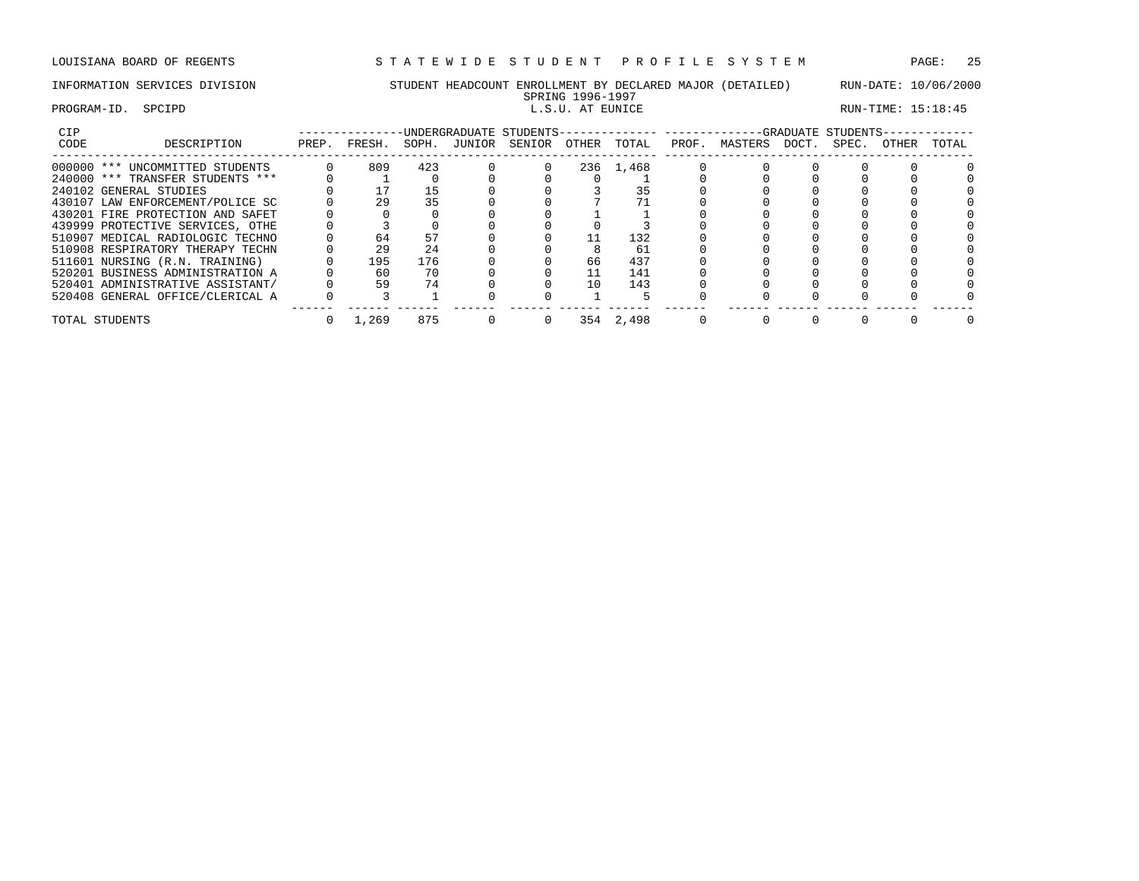## INFORMATION SERVICES DIVISION STUDENT HEADCOUNT ENROLLMENT BY DECLARED MAJOR (DETAILED) RUN-DATE: 10/06/2000

## SPRING 1996-1997<br>L.S.U. AT EUNICE ا 1990–1991 | EROGRAM-ID. SPCIPD | ES.U. AT EUNICE FOORAM-ID. SPCIPD | ELS.U. AT EUNICE RUN-TIME: 15:18:45

| RUN-TIME: 15:18:45 |  |
|--------------------|--|
|--------------------|--|

| CIP  |                                  |       |        |       |        | UNDERGRADUATE STUDENTS- |          |       |       |         |       | -GRADUATE STUDENTS- |       |       |
|------|----------------------------------|-------|--------|-------|--------|-------------------------|----------|-------|-------|---------|-------|---------------------|-------|-------|
| CODE | DESCRIPTION                      | PREP. | FRESH. | SOPH. | JUNIOR | SENIOR                  | OTHER    | TOTAL | PROF. | MASTERS | DOCT. | SPEC.               | OTHER | TOTAL |
|      | 000000 *** UNCOMMITTED STUDENTS  |       | 809    | 423   |        |                         | 236      | 1,468 |       |         |       |                     |       |       |
|      | 240000 *** TRANSFER STUDENTS *** |       |        |       |        |                         |          |       |       |         |       |                     |       |       |
|      | 240102 GENERAL STUDIES           |       | 17     |       |        |                         |          |       |       |         |       |                     |       |       |
|      | 430107 LAW ENFORCEMENT/POLICE SC |       | 29     | 35    |        |                         |          |       |       |         |       |                     |       |       |
|      | 430201 FIRE PROTECTION AND SAFET |       |        |       |        |                         |          |       |       |         |       |                     |       |       |
|      | 439999 PROTECTIVE SERVICES, OTHE |       |        |       |        |                         |          |       |       |         |       |                     |       |       |
|      | 510907 MEDICAL RADIOLOGIC TECHNO |       | 64     |       |        |                         |          | 132   |       |         |       |                     |       |       |
|      | 510908 RESPIRATORY THERAPY TECHN |       | 29     | 24    |        |                         |          | 61    |       |         |       |                     |       |       |
|      | 511601 NURSING (R.N. TRAINING)   |       | 195    | 176   |        |                         | 66       | 437   |       |         |       |                     |       |       |
|      | 520201 BUSINESS ADMINISTRATION A |       | 60     | 70    |        |                         |          | 141   |       |         |       |                     |       |       |
|      | 520401 ADMINISTRATIVE ASSISTANT/ |       | 59     | 74    |        |                         | $10^{-}$ | 143   |       |         |       |                     |       |       |
|      | 520408 GENERAL OFFICE/CLERICAL A |       |        |       |        |                         |          |       |       |         |       |                     |       |       |
|      | TOTAL STUDENTS                   |       | 1,269  | 875   |        |                         | 354      | 2,498 |       |         |       |                     |       |       |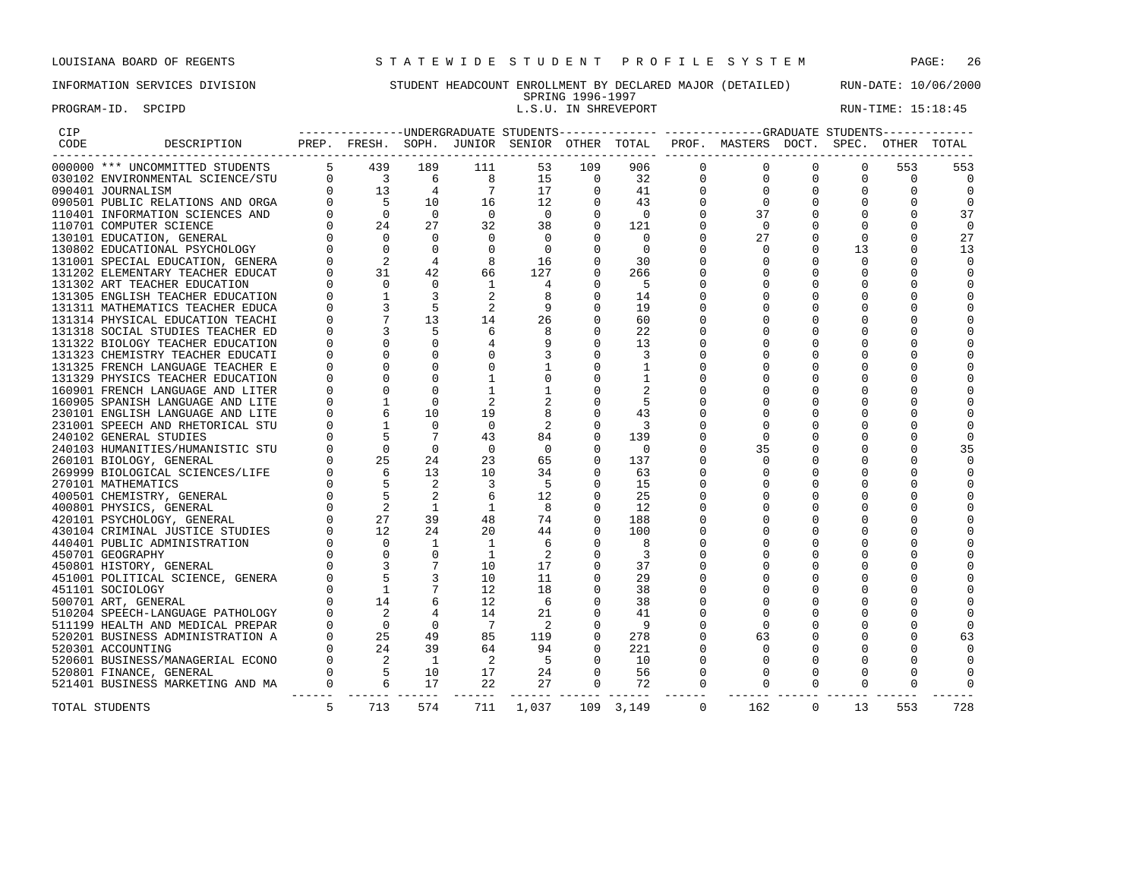## INFORMATION SERVICES DIVISION STUDENT HEADCOUNT ENROLLMENT BY DECLARED MAJOR (DETAILED) RUN-DATE: 10/06/2000 SPRING 1996-1997<br>L.S.U. IN SHREVEPORT

PROGRAM-ID. SPCIPD **EXECUTE:** 15:18:45

| CIP  |                                  |                |                                                                   |                |                |              |                      |                |             | ---------------UNDERGRADUATE STUDENTS-------------- ------------GRADUATE STUDENTS------------ |             |              |              |          |
|------|----------------------------------|----------------|-------------------------------------------------------------------|----------------|----------------|--------------|----------------------|----------------|-------------|-----------------------------------------------------------------------------------------------|-------------|--------------|--------------|----------|
| CODE | DESCRIPTION                      |                |                                                                   |                |                |              |                      |                |             | PREP. FRESH. SOPH. JUNIOR SENIOR OTHER TOTAL PROF. MASTERS DOCT. SPEC.                        |             |              | OTHER TOTAL  |          |
|      | 000000 *** UNCOMMITTED STUDENTS  | 5 <sup>5</sup> | 439                                                               | 189            | 111            | 53           | 109                  | 906            | $\mathbf 0$ | 0                                                                                             | 0           | 0            | 553          | 553      |
|      | 030102 ENVIRONMENTAL SCIENCE/STU |                |                                                                   | 6              | 8              | 15           | 0                    | 32             | 0           | 0                                                                                             | 0           | 0            | 0            | 0        |
|      | 090401 JOURNALISM                |                | $\begin{bmatrix} 0 & 3 \\ 0 & 13 \\ 0 & 5 \\ 0 & 0 \end{bmatrix}$ | 4              | 7              | 17           | $\mathbf 0$          | 41             | 0           | $\mathbf 0$                                                                                   | $\mathbf 0$ | 0            | 0            |          |
|      | 090501 PUBLIC RELATIONS AND ORGA |                |                                                                   | 10             | 16             | 12           | 0                    | 43             | 0           | $\mathbf 0$                                                                                   | $\mathbf 0$ | $\mathbf 0$  | 0            | $\Omega$ |
|      | 110401 INFORMATION SCIENCES AND  |                |                                                                   | $\Omega$       | $\Omega$       | $\Omega$     | $\Omega$             | $\Omega$       | $\Omega$    | 37                                                                                            | $\mathbf 0$ | $\mathbf 0$  | $\Omega$     | 37       |
|      | 110701 COMPUTER SCIENCE          |                | 24                                                                | 27             | 32             | 38           | $\mathbf 0$          | 121            | $\Omega$    | $\Omega$                                                                                      | $\Omega$    | $\Omega$     | $\Omega$     | 0        |
|      | 130101 EDUCATION, GENERAL        |                | $\Omega$                                                          | $\Omega$       | $\Omega$       | $\Omega$     | $\Omega$             | $\Omega$       | $\Omega$    | 27                                                                                            | 0           | $\Omega$     | $\Omega$     | 27       |
|      | 130802 EDUCATIONAL PSYCHOLOGY    |                | $\Omega$                                                          | $\Omega$       | $\Omega$       | $\Omega$     | 0                    | $\Omega$       | $\Omega$    | $\Omega$                                                                                      | $\Omega$    | 13           | $\Omega$     | 13       |
|      | 131001 SPECIAL EDUCATION, GENERA |                | 2                                                                 | 4              | 8              | 16           | $\mathbf 0$          | 30             | $\Omega$    | $\mathbf 0$                                                                                   | 0           | $\mathbf{0}$ | 0            | $\Omega$ |
|      | 131202 ELEMENTARY TEACHER EDUCAT | 0              | 31                                                                | 42             | 66             | 127          | $\mathbf 0$          | 266            | 0           | $\mathbf 0$                                                                                   | 0           | $\mathbf{0}$ | 0            |          |
|      | 131302 ART TEACHER EDUCATION     |                | $\Omega$                                                          | $\overline{0}$ | 1              | 4            | $\Omega$             | -5             | 0           | $\mathbf 0$                                                                                   | $\Omega$    | 0            | O            |          |
|      | 131305 ENGLISH TEACHER EDUCATION |                |                                                                   |                | 2              | 8            | $\mathbf 0$          | 14             | 0           | $\Omega$                                                                                      | 0           | 0            |              |          |
|      | 131311 MATHEMATICS TEACHER EDUCA |                | 3                                                                 | 5              | 2              | 9            | $\Omega$             | 19             |             | $\Omega$                                                                                      | $\Omega$    | 0            |              |          |
|      | 131314 PHYSICAL EDUCATION TEACHI |                | 7                                                                 | 13             | 14             | 26           | $\Omega$             | 60             | $\Omega$    | $\Omega$                                                                                      | $\Omega$    | $\Omega$     |              |          |
|      | 131318 SOCIAL STUDIES TEACHER ED |                | 3                                                                 | .5             | 6              | 8            | $\Omega$             | 22             | O           | $\Omega$                                                                                      | $\Omega$    | $\Omega$     |              |          |
|      | 131322 BIOLOGY TEACHER EDUCATION |                | $\Omega$                                                          | $\Omega$       |                | 9            | $\Omega$             | 13             | 0           | $\Omega$                                                                                      | $\Omega$    | $\Omega$     |              |          |
|      | 131323 CHEMISTRY TEACHER EDUCATI |                | $\Omega$                                                          | 0              |                | 3            | 0                    | 3              | O           | $\Omega$                                                                                      | $\Omega$    | $\Omega$     |              |          |
|      | 131325 FRENCH LANGUAGE TEACHER E |                | O                                                                 | $\mathbf 0$    | 0              | 1            | 0                    | 1              | $\Omega$    | $\Omega$                                                                                      | $\Omega$    | 0            | <sup>0</sup> |          |
|      | 131329 PHYSICS TEACHER EDUCATION |                | $\Omega$                                                          | $\mathbf 0$    | $\mathbf{1}$   | $\mathbf 0$  | 0                    | $\mathbf{1}$   | $\Omega$    | $\Omega$                                                                                      | $\Omega$    | $\Omega$     | <sup>0</sup> |          |
|      | 160901 FRENCH LANGUAGE AND LITER |                | $\Omega$                                                          | $\Omega$       | $\mathbf{1}$   | $\mathbf{1}$ | $\Omega$             | $\overline{2}$ | $\Omega$    | $\Omega$                                                                                      | $\Omega$    | $\Omega$     |              |          |
|      |                                  |                | $\mathbf{1}$                                                      | $\Omega$       | 2              | 2            | $\Omega$             | 5              | $\Omega$    | $\Omega$                                                                                      | $\Omega$    | $\Omega$     | <sup>0</sup> |          |
|      | 160905 SPANISH LANGUAGE AND LITE |                | 6                                                                 | 10             | 19             | 8            | $\Omega$             | 43             | 0           | $\mathbf 0$                                                                                   | $\Omega$    | 0            | <sup>0</sup> |          |
|      | 230101 ENGLISH LANGUAGE AND LITE |                |                                                                   | $\Omega$       |                |              |                      |                | $\Omega$    | $\Omega$                                                                                      | $\Omega$    |              |              |          |
|      | 231001 SPEECH AND RHETORICAL STU |                |                                                                   |                | $\mathbf 0$    | 2            | $\Omega$<br>$\Omega$ | 3              |             |                                                                                               |             | $\Omega$     |              |          |
|      | 240102 GENERAL STUDIES           |                | 5                                                                 | 7              | 43             | 84           |                      | 139            | 0           | $\mathbf{0}$                                                                                  | 0           | 0            | $\Omega$     |          |
|      | 240103 HUMANITIES/HUMANISTIC STU |                | $\mathbf 0$                                                       | 0              | $\overline{0}$ | 0            | 0                    | $\overline{0}$ | 0           | 35                                                                                            | 0           | 0            | 0            | 35       |
|      | 260101 BIOLOGY, GENERAL          |                | 25                                                                | 24             | 23             | 65           | $\Omega$             | 137            | 0           | 0                                                                                             | $\mathbf 0$ | 0            | $\Omega$     | $\Omega$ |
|      | 269999 BIOLOGICAL SCIENCES/LIFE  |                | $\begin{array}{c} 6 \\ 5 \\ 5 \end{array}$                        | 13             | 10             | 34           | $\mathbf 0$          | 63             | 0           | $\Omega$                                                                                      | 0           | 0            | $\Omega$     |          |
|      | 270101 MATHEMATICS               |                |                                                                   | 2              | 3              | 5            | $\Omega$             | 15             | $\Omega$    | $\Omega$                                                                                      | 0           | $\mathbf 0$  | $\Omega$     |          |
|      | 400501 CHEMISTRY, GENERAL        | $\Omega$       |                                                                   | 2              | 6              | 12           | $\Omega$             | 25             | $\Omega$    | $\Omega$                                                                                      | $\Omega$    | $\Omega$     | $\Omega$     |          |
|      | 400801 PHYSICS, GENERAL          |                | 2                                                                 | 1              | 1              | 8            | $\Omega$             | 12             |             | $\Omega$                                                                                      | $\Omega$    | $\Omega$     | $\Omega$     |          |
|      | 420101 PSYCHOLOGY, GENERAL       |                | 27                                                                | 39             | 48             | 74           | 0                    | 188            |             | $\Omega$                                                                                      | $\Omega$    | $\Omega$     | $\Omega$     |          |
|      | 430104 CRIMINAL JUSTICE STUDIES  |                | 12                                                                | 24             | 20             | 44           | $\Omega$             | 100            |             | $\mathbf 0$                                                                                   | $\Omega$    | 0            | $\Omega$     |          |
|      | 440401 PUBLIC ADMINISTRATION     |                | $\circ$                                                           | 1              | 1              | 6            | 0                    | 8              | 0           | $\Omega$                                                                                      | 0           | 0            | $\Omega$     |          |
|      | 450701 GEOGRAPHY                 |                | $\overline{0}$                                                    | 0              | 1              | 2            | 0                    | 3              | 0           | $\Omega$                                                                                      | $\Omega$    | $\mathbf 0$  | <sup>0</sup> |          |
|      | 450801 HISTORY, GENERAL          |                | 3                                                                 |                | 10             | 17           | $\Omega$             | 37             | O           | $\Omega$                                                                                      | $\Omega$    | $\Omega$     |              |          |
|      | 451001 POLITICAL SCIENCE, GENERA |                | 5                                                                 |                | 10             | 11           | $\Omega$             | 29             | O           | $\Omega$                                                                                      | $\Omega$    | $\Omega$     |              |          |
|      | 451101 SOCIOLOGY                 |                | $\mathbf{1}$                                                      |                | 12             | 18           | $\Omega$             | 38             | $\Omega$    | $\Omega$                                                                                      | $\Omega$    | $\Omega$     |              |          |
|      | 500701 ART, GENERAL              |                | 14                                                                | 6              | 12             | 6            | $\Omega$             | 38             | $\Omega$    | $\Omega$                                                                                      | $\Omega$    | $\Omega$     |              |          |
|      | 510204 SPEECH-LANGUAGE PATHOLOGY |                | 2                                                                 | 4              | 14             | 21           | $\Omega$             | 41             | $\Omega$    | $\Omega$                                                                                      | $\Omega$    | $\Omega$     |              |          |
|      | 511199 HEALTH AND MEDICAL PREPAR | $\Omega$       | $\overline{0}$                                                    | $\overline{0}$ | 7              | 2            | 0                    | 9              | $\Omega$    | $\Omega$                                                                                      | $\Omega$    | $\Omega$     | <sup>0</sup> | $\Omega$ |
|      | 520201 BUSINESS ADMINISTRATION A | $\Omega$       | 25                                                                | 49             | 85             | 119          | $\Omega$             | 278            | $\Omega$    | 63                                                                                            | 0           | 0            | $\Omega$     | 63       |
|      | 520301 ACCOUNTING                |                |                                                                   | 39             | 64             | 94           | 0                    | 221            | $\Omega$    | $\Omega$                                                                                      | $\Omega$    | $\Omega$     |              |          |
|      | 520601 BUSINESS/MANAGERIAL ECONO | $\sim$ 0       |                                                                   | <sup>1</sup>   | -2             | -5           | $\Omega$             | 10             | $\Omega$    | $\mathbf{0}$                                                                                  | 0           | 0            | <sup>0</sup> |          |
|      | 520801 FINANCE, GENERAL          |                | $\begin{array}{c}\n 24 \\  2 \\  5 \\  6\n \end{array}$           | 10             | 17             | 24           | $\mathbf 0$          | 56             | 0           | $\mathbf 0$                                                                                   | $\Omega$    | $\Omega$     | <sup>0</sup> |          |
|      | 521401 BUSINESS MARKETING AND MA | $\overline{0}$ | $\overline{6}$                                                    | 17             | 22             | 27           | $\mathbf 0$          | 72             | $\mathbf 0$ | $\mathbf 0$                                                                                   | 0           | $\mathbf{0}$ | 0            |          |
|      | TOTAL STUDENTS                   | 5              | 713                                                               | 574            | 711            | 1,037        |                      | 109 3,149      | $\Omega$    | 162                                                                                           | $\mathbf 0$ | 13           | 553          | 728      |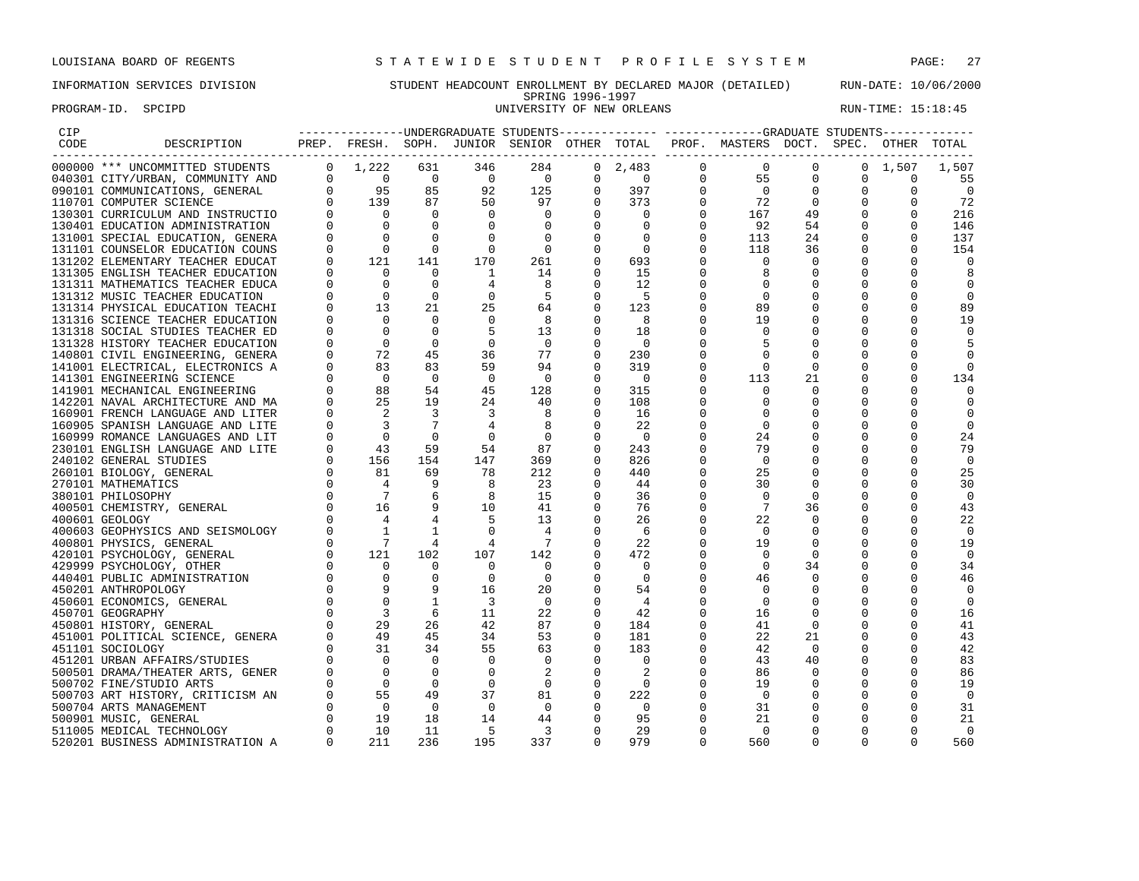## INFORMATION SERVICES DIVISION STUDENT HEADCOUNT ENROLLMENT BY DECLARED MAJOR (DETAILED) RUN-DATE: 10/06/2000 SPRING 1996-1997<br>UNIVERSITY OF NEW ORLEANS PROGRAM-ID. SPCIPD SECTED SECTED SERVICE SUBSEXTION OF NEW ORLEANS RUN-TIME: 15:18:45

| CIP  |                                         |                                                                                                                                                                                                                                                                                      |                |                          |                          |             |                          |                | --------------UNDERGRADUATE STUDENTS-------------- ------------GRADUATE STUDENTS------------ |                |             |                 |                |
|------|-----------------------------------------|--------------------------------------------------------------------------------------------------------------------------------------------------------------------------------------------------------------------------------------------------------------------------------------|----------------|--------------------------|--------------------------|-------------|--------------------------|----------------|----------------------------------------------------------------------------------------------|----------------|-------------|-----------------|----------------|
| CODE | DESCRIPTION                             |                                                                                                                                                                                                                                                                                      |                |                          |                          |             |                          |                | PREP. FRESH. SOPH. JUNIOR SENIOR OTHER TOTAL PROF. MASTERS DOCT. SPEC.                       |                |             | OTHER TOTAL     |                |
|      | 000000 *** UNCOMMITTED STUDENTS         |                                                                                                                                                                                                                                                                                      |                | 346                      | 284                      |             | $0 \quad 2,483$          | $\overline{0}$ | $\Omega$                                                                                     | $\Omega$       |             | $0 \quad 1,507$ | 1,507          |
|      | 040301 CITY/URBAN, COMMUNITY AND        |                                                                                                                                                                                                                                                                                      |                | $\sim$ 0                 | $\overline{0}$           | $\Omega$    | $\overline{0}$           |                | $\overline{0}$<br>55                                                                         | 0              | 0           | $\mathbf 0$     | 55             |
|      | 090101 COMMUNICATIONS, GENERAL          |                                                                                                                                                                                                                                                                                      |                | 92                       | 125                      | $\mathbf 0$ | 397                      | $\overline{0}$ | $\overline{0}$                                                                               | 0              | 0           | 0               | $\mathbf 0$    |
|      | 110701 COMPUTER SCIENCE                 |                                                                                                                                                                                                                                                                                      |                | 50                       | 97                       |             | 373                      | $\Omega$       | 72                                                                                           | $\overline{0}$ |             | $\Omega$        | 72             |
|      | 130301 CURRICULUM AND INSTRUCTIO        |                                                                                                                                                                                                                                                                                      |                | $\Omega$                 | $\Omega$                 |             | $\overline{0}$           | $\Omega$       | 167                                                                                          | 49             | $\Omega$    | $\Omega$        | 216            |
|      | 130401 EDUCATION ADMINISTRATION         |                                                                                                                                                                                                                                                                                      |                | $\mathbf 0$              | $\mathbf 0$              |             | 0                        | $\mathbf{0}$   | 92                                                                                           | 54             | 0           | 0               | 146            |
|      | 131001 SPECIAL EDUCATION, GENERA        |                                                                                                                                                                                                                                                                                      |                |                          | $\overline{0}$           |             | $\overline{\phantom{0}}$ | $\Omega$       | 113                                                                                          | 24             | $\mathbf 0$ | 0               | 137            |
|      | 131101 COUNSELOR EDUCATION COUNS        |                                                                                                                                                                                                                                                                                      |                | $\mathbf 0$              | $\overline{0}$           |             | $\overline{0}$           | 0              | 118                                                                                          | 36             |             | $\Omega$        | 154            |
|      | 131202 ELEMENTARY TEACHER EDUCAT        |                                                                                                                                                                                                                                                                                      |                | 170                      | 261                      | $\Omega$    | 693                      |                | $\Omega$                                                                                     | $\Omega$       |             | <sup>0</sup>    |                |
|      | 131305 ENGLISH TEACHER EDUCATION        |                                                                                                                                                                                                                                                                                      |                | <sup>1</sup>             | 14                       | $\Omega$    | 15                       |                | 8                                                                                            | $\Omega$       |             | $\Omega$        |                |
|      | 131311 MATHEMATICS TEACHER EDUCA        |                                                                                                                                                                                                                                                                                      | $\Omega$       | 4                        | -8                       | 0           | 12                       |                | 0                                                                                            | 0              |             | 0               |                |
|      | 131312 MUSIC TEACHER EDUCATION          |                                                                                                                                                                                                                                                                                      | $\Omega$       |                          | $-5$                     |             | 5                        |                | $\mathbf 0$                                                                                  |                |             | 0               | 0              |
|      | 131314 PHYSICAL EDUCATION TEACHI        |                                                                                                                                                                                                                                                                                      | 21             | 25                       | 64                       |             | 123                      |                | 89                                                                                           |                |             |                 | 89             |
|      | 131316 SCIENCE TEACHER EDUCATION        |                                                                                                                                                                                                                                                                                      | $\Omega$       | $\Omega$                 | - 8                      |             | 8                        |                | 19                                                                                           |                |             | $\Omega$        | 19             |
|      | 131318 SOCIAL STUDIES TEACHER ED        |                                                                                                                                                                                                                                                                                      | $\Omega$       |                          | 13                       | $\mathbf 0$ | 18                       |                | $\mathbf 0$                                                                                  |                |             |                 | $\Omega$       |
|      | 131328 HISTORY TEACHER EDUCATION        |                                                                                                                                                                                                                                                                                      | 0              | 0                        | $\overline{0}$           | 0           | $\overline{\phantom{0}}$ |                | 5                                                                                            | 0              |             | $\Omega$        |                |
|      | 140801 CIVIL ENGINEERING, GENERA        |                                                                                                                                                                                                                                                                                      | 45             | 36                       | 77                       | 0           | 230                      |                | 0                                                                                            | 0              |             |                 | 0              |
|      | 141001 ELECTRICAL, ELECTRONICS A        |                                                                                                                                                                                                                                                                                      | 83             | 59                       | 94                       |             | 319                      |                | $\mathbf 0$                                                                                  | $\Omega$       |             |                 |                |
|      | 141301 ENGINEERING SCIENCE              |                                                                                                                                                                                                                                                                                      | $\overline{0}$ | $\Omega$                 | $\overline{\phantom{0}}$ |             | $\overline{\phantom{0}}$ |                | 113                                                                                          | 21             |             | 0               | 134            |
|      | 141901 MECHANICAL ENGINEERING           |                                                                                                                                                                                                                                                                                      | 54             | 45                       | 128                      |             | 315                      |                | $\Omega$                                                                                     |                |             |                 |                |
|      | 142201 NAVAL ARCHITECTURE AND MA        |                                                                                                                                                                                                                                                                                      | 19             | 24                       | 40                       |             | 108                      |                | 0                                                                                            | $\Omega$       |             |                 |                |
|      | 160901 FRENCH LANGUAGE AND LITER        |                                                                                                                                                                                                                                                                                      | 3              | $\overline{\phantom{a}}$ | 8                        |             | 16                       |                | 0                                                                                            |                |             | O               | $\Omega$       |
|      | 160905 SPANISH LANGUAGE AND LITE        |                                                                                                                                                                                                                                                                                      |                |                          | 8                        |             | 22                       |                | $\Omega$                                                                                     |                |             | 0               |                |
|      | 160999 ROMANCE LANGUAGES AND LIT        | NOTE 1<br>NOTE 1<br>NOTE 1<br>NOTE 1<br>NOTE 1<br>NOTE 1<br>NOTE 1<br>NOTE 1<br>NOTE 1<br>NOTE 1<br>NOTE 1<br>NOTE 1<br>NOTE 1<br>NOTE 1<br>NOTE 1<br>NOTE 1<br>NOTE 1<br>NOTE 1<br>NOTE 1<br>NOTE 1<br>NOTE 1<br>NOTE 1<br>NOTE 1<br>NOTE 1<br>NOTE 1<br>NOTE 1<br>NOTE 1<br>NOTE 1 | $\mathbf 0$    | 0                        | $\overline{0}$           |             | $\overline{0}$           |                | 24                                                                                           |                |             | 0               | 24             |
|      | 230101 ENGLISH LANGUAGE AND LITE        |                                                                                                                                                                                                                                                                                      | 59             | 54                       | 87                       |             | 243                      |                | 79                                                                                           |                |             | $\Omega$        | 79<br>$\Omega$ |
|      | 240102 GENERAL STUDIES                  |                                                                                                                                                                                                                                                                                      | 154            | 147<br>78                | 369                      | $\Omega$    | 826                      |                | 0                                                                                            | U              |             | 0               |                |
|      | 260101 BIOLOGY, GENERAL                 |                                                                                                                                                                                                                                                                                      | 69<br>9        |                          | 212                      |             | 440                      |                | 25<br>30                                                                                     |                |             | $\Omega$        | 25<br>30       |
|      | 270101 MATHEMATICS<br>380101 PHILOSOPHY |                                                                                                                                                                                                                                                                                      |                | 8                        | 23<br>15                 | $\mathbf 0$ | 44<br>36                 |                | $\mathbf 0$                                                                                  | 0<br>$\Omega$  |             | 0<br>0          | $\mathbf 0$    |
|      | 400501 CHEMISTRY, GENERAL               |                                                                                                                                                                                                                                                                                      | 9              | 10                       | 41                       |             | 76                       |                | 7                                                                                            | 36             |             | $\Omega$        | 43             |
|      | 400601 GEOLOGY                          | $\overline{4}$                                                                                                                                                                                                                                                                       |                | -5                       | 13                       |             | 26                       |                | 22                                                                                           | $\Omega$       |             |                 | 22             |
|      | 400603 GEOPHYSICS AND SEISMOLOGY        |                                                                                                                                                                                                                                                                                      |                |                          | 4                        | $\mathbf 0$ | -6                       |                | 0                                                                                            | 0              |             | 0               | $\mathbf 0$    |
|      | 400801 PHYSICS, GENERAL                 |                                                                                                                                                                                                                                                                                      |                | 4                        | $\overline{7}$           | 0           | 22                       |                | 19                                                                                           | 0              |             | 0               | 19             |
|      | 420101 PSYCHOLOGY, GENERAL              |                                                                                                                                                                                                                                                                                      | 102            | 107                      | 142                      |             | 472                      |                | $\mathbf 0$                                                                                  | $\Omega$       |             | $\Omega$        | $\mathbf 0$    |
|      | 429999 PSYCHOLOGY, OTHER                |                                                                                                                                                                                                                                                                                      | $\Omega$       |                          | $\overline{0}$           |             | $\Omega$                 |                | $\mathbf 0$                                                                                  | 34             |             | 0               | 34             |
|      | 440401 PUBLIC ADMINISTRATION            |                                                                                                                                                                                                                                                                                      | $\Omega$       | $\Omega$                 | $\Omega$                 |             | $\Omega$                 |                | 46                                                                                           | $\Omega$       |             | $\Omega$        | 46             |
|      | 450201 ANTHROPOLOGY                     |                                                                                                                                                                                                                                                                                      |                | 16                       | 20                       | 0           | 54                       |                | $\mathbf 0$                                                                                  |                |             |                 | $\Omega$       |
|      | 450601 ECONOMICS, GENERAL               |                                                                                                                                                                                                                                                                                      |                | $\overline{\mathbf{3}}$  | $\overline{0}$           |             | - 4                      |                | $\overline{0}$                                                                               | 0              | $\Omega$    | 0               | 0              |
|      | 450701 GEOGRAPHY                        |                                                                                                                                                                                                                                                                                      | 6              | 11                       | 22                       |             | 42                       |                | 16                                                                                           |                |             |                 | 16             |
|      | 450801 HISTORY, GENERAL                 |                                                                                                                                                                                                                                                                                      | 26             | 42                       | 87                       |             | 184                      |                | 41                                                                                           | $\Omega$       |             | 0               | 41             |
|      | 451001 POLITICAL SCIENCE, GENERA        |                                                                                                                                                                                                                                                                                      | 45             | 34                       | 53                       |             | 181                      |                | 22                                                                                           | 21             | $\Omega$    | 0               | 43             |
|      | 451101 SOCIOLOGY                        |                                                                                                                                                                                                                                                                                      | 34             | 55                       | 63                       | $\Omega$    | 183                      |                | 42                                                                                           | $\Omega$       |             |                 | 42             |
|      | 451201 URBAN AFFAIRS/STUDIES            |                                                                                                                                                                                                                                                                                      | $\Omega$       | $\Omega$                 | 0                        | 0           | $\Omega$                 |                | 43                                                                                           | 40             | $\Omega$    | 0               | 83             |
|      | 500501 DRAMA/THEATER ARTS, GENER        |                                                                                                                                                                                                                                                                                      | $\Omega$       | $\Omega$                 | 2                        | $\mathbf 0$ | 2                        |                | 86                                                                                           | $\Omega$       |             | $\Omega$        | 86             |
|      | 500702 FINE/STUDIO ARTS                 | $\begin{array}{cccc} 0 & & 4 \ 0 & & 1 \ 0 & & 7 \ 0 & & 121 \ 0 & & 0 \ 0 & & 0 \ 0 & & 0 \ 0 & & 0 \ 0 & & 0 \ 0 & & 0 \ 0 & & 0 \ 0 & & 0 \ 0 & & 0 \ 0 & & 0 \ 0 & & 0 \ 0 & & 0 \ 0 & & 0 \ 0 & & 0 \ 0 & & 0 \ 0 & & 1 \ 0 & & 211 \end{array}$                                | $\mathbf 0$    |                          | $\overline{0}$           |             | $\overline{0}$           |                | 19                                                                                           |                |             |                 | 19             |
|      | 500703 ART HISTORY, CRITICISM AN        |                                                                                                                                                                                                                                                                                      | 49             | 37                       | 81                       | $\mathbf 0$ | 222                      |                | $\overline{0}$                                                                               |                | 0           | 0               | $\mathbf 0$    |
|      | 500704 ARTS MANAGEMENT                  |                                                                                                                                                                                                                                                                                      | $\mathbf 0$    | $\Omega$                 | $\overline{0}$           | $\Omega$    | $\overline{\phantom{0}}$ |                | 31                                                                                           |                |             | $\Omega$        | 31             |
|      | 500901 MUSIC, GENERAL                   |                                                                                                                                                                                                                                                                                      | 18             | 14                       | 44                       | $\mathbf 0$ | 95                       |                | 21                                                                                           | $\Omega$       | O           |                 | 21             |
|      | 511005 MEDICAL TECHNOLOGY               |                                                                                                                                                                                                                                                                                      | 11             | 5                        | $\overline{\phantom{a}}$ | $\Omega$    | 29                       |                | $\Omega$                                                                                     | $\Omega$       | O           | O               | $\mathbf 0$    |
|      | 520201 BUSINESS ADMINISTRATION A        | 211                                                                                                                                                                                                                                                                                  | 236            | 195                      | 337                      |             | 979                      | $\Omega$       | 560                                                                                          | $\Omega$       | $\Omega$    |                 | 560            |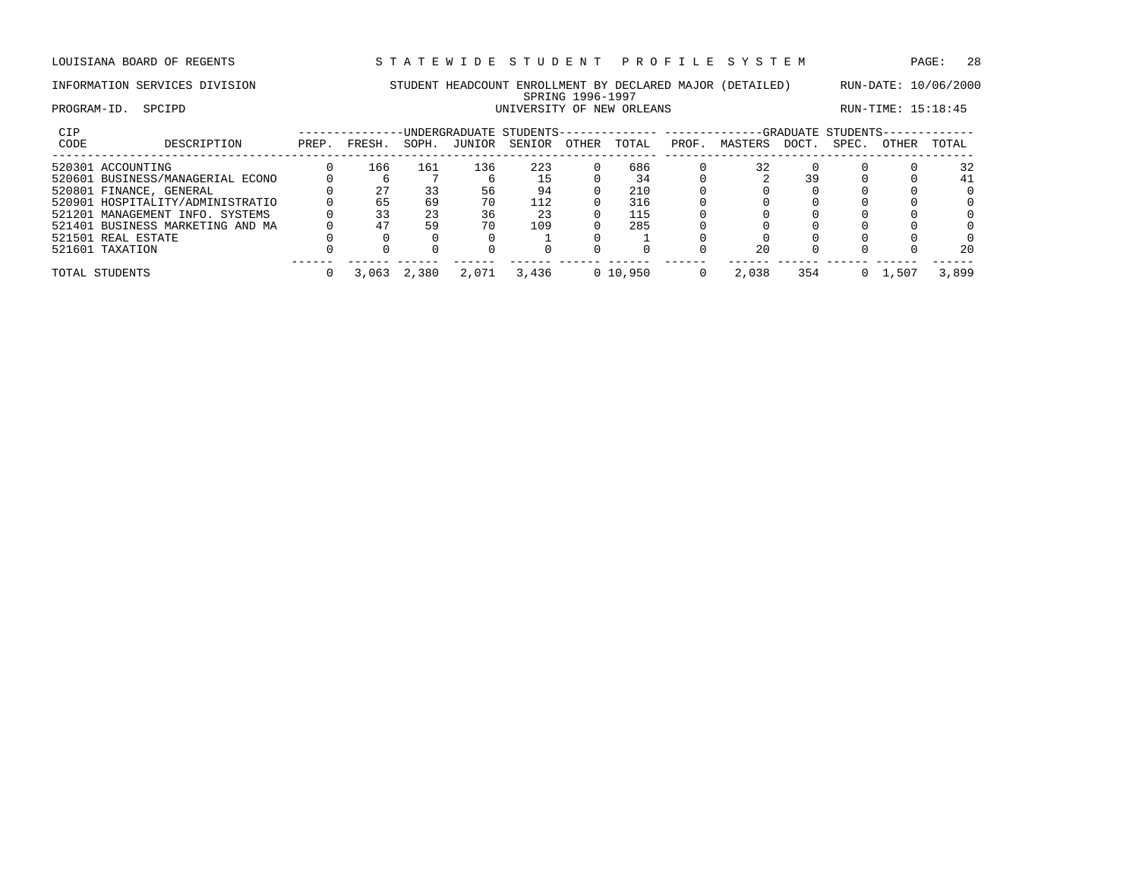### INFORMATION SERVICES DIVISION STUDENT HEADCOUNT ENROLLMENT BY DECLARED MAJOR (DETAILED) RUN-DATE: 10/06/2000 SPRING 1996-1997<br>UNIVERSITY OF NEW ORLEANS PROGRAM-ID. SPCIPD SERVICE SOME SERVICE OF NEW ORLEANS RUN-TIME: 15:18:45

| CIP  |                                  |       |        |       |        | -UNDERGRADUATE STUDENTS-------------- ----------- |       |            |       |         |      | -GRADUATE STUDENTS- |       |          |
|------|----------------------------------|-------|--------|-------|--------|---------------------------------------------------|-------|------------|-------|---------|------|---------------------|-------|----------|
| CODE | DESCRIPTION                      | PREP. | FRESH. | SOPH. | JUNIOR | SENIOR                                            | OTHER | TOTAL      | PROF. | MASTERS | DOCT | SPEC.               | OTHER | TOTAL    |
|      | 520301 ACCOUNTING                |       | 166    | 161   | 136    | 223                                               |       | 686        |       | 32      |      |                     |       | 32       |
|      | 520601 BUSINESS/MANAGERIAL ECONO |       |        |       |        | 15                                                |       | 34         |       |         | 39   |                     |       | 41       |
|      | 520801 FINANCE, GENERAL          |       | 27     | 33    | 56     | 94                                                |       | 210        |       |         |      |                     |       | $\Omega$ |
|      | 520901 HOSPITALITY/ADMINISTRATIO |       | 65     | 69    | 70     | 112                                               |       | 316        |       |         |      |                     |       | 0        |
|      | 521201 MANAGEMENT INFO. SYSTEMS  |       | 33     | 23    | 36     | 23                                                |       | 115        |       |         |      |                     |       | 0        |
|      | 521401 BUSINESS MARKETING AND MA |       | 47     | 59    | 70     | 109                                               |       | 285        |       |         |      |                     |       | 0        |
|      | 521501 REAL ESTATE               |       |        |       |        |                                                   |       |            |       |         |      |                     |       | 0        |
|      | 521601 TAXATION                  |       |        |       |        |                                                   |       |            |       | 20      |      |                     |       | 20       |
|      | TOTAL STUDENTS                   |       | 3,063  | 2,380 | 2,071  | 3,436                                             |       | 0, 10, 950 |       | 2,038   | 354  |                     | , 501 | 3,899    |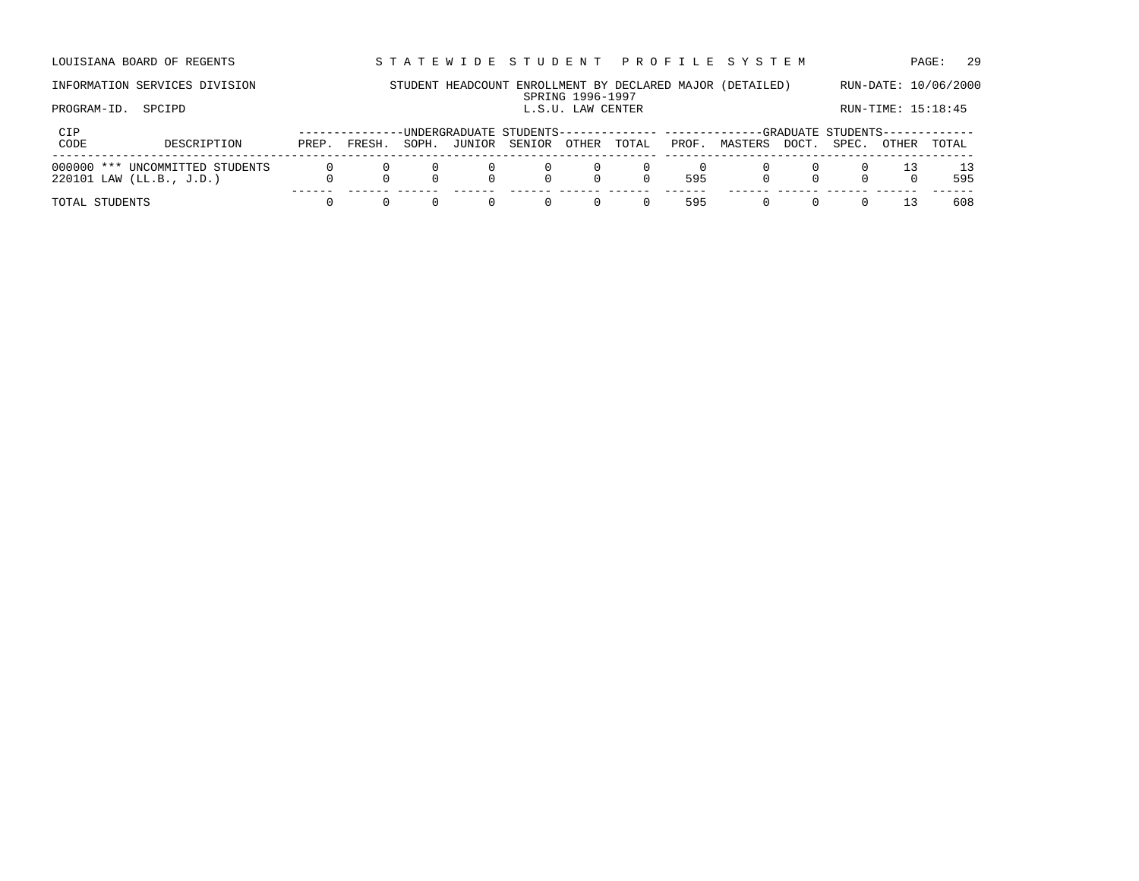LOUISIANA BOARD OF REGENTS STA TEWIDE STUDENT PROFILE SYSTEM PAGE: 29

## INFORMATION SERVICES DIVISION STUDENT HEADCOUNT ENROLLMENT BY DECLARED MAJOR (DETAILED) RUN-DATE: 10/06/2000 SPRING 1996-1997<br>L.S.U. LAW CENTER PROGRAM-ID. SPCIPD SPORE SECTION CENTER L.S.U. LAW CENTER LOOK RUN-TIME: 15:18:45

| CIP<br>CODE<br>DESCRIPTION      |       | FRESH. |       |        |              |        |                                            |       | --------------UNDERGRADUATE STUDENTS-------------- ------------GRADUATE STUDENTS------------- |             |               | TOTAL |
|---------------------------------|-------|--------|-------|--------|--------------|--------|--------------------------------------------|-------|-----------------------------------------------------------------------------------------------|-------------|---------------|-------|
|                                 | PREP. |        | SOPH. | JUNIOR | SENIOR OTHER |        | TOTAL                                      | PROF. | MASTERS                                                                                       | DOCT. SPEC. | OTHER         |       |
| 000000 *** UNCOMMITTED STUDENTS |       |        |       |        | $\Box$       |        | $\begin{array}{ccc} 0 & 0 & 0 \end{array}$ |       |                                                                                               |             | $\sim$ $\sim$ | 13    |
| $220101$ LAW (LL.B., J.D.)      |       |        |       |        |              | $\cap$ |                                            | 595   |                                                                                               |             |               | 595   |
|                                 |       |        |       |        |              |        |                                            |       |                                                                                               |             |               |       |
| TOTAL STUDENTS                  |       |        |       |        |              | $\Box$ | $\Omega$ and $\Omega$<br>(1)               | 595   |                                                                                               |             | - 13          | 608   |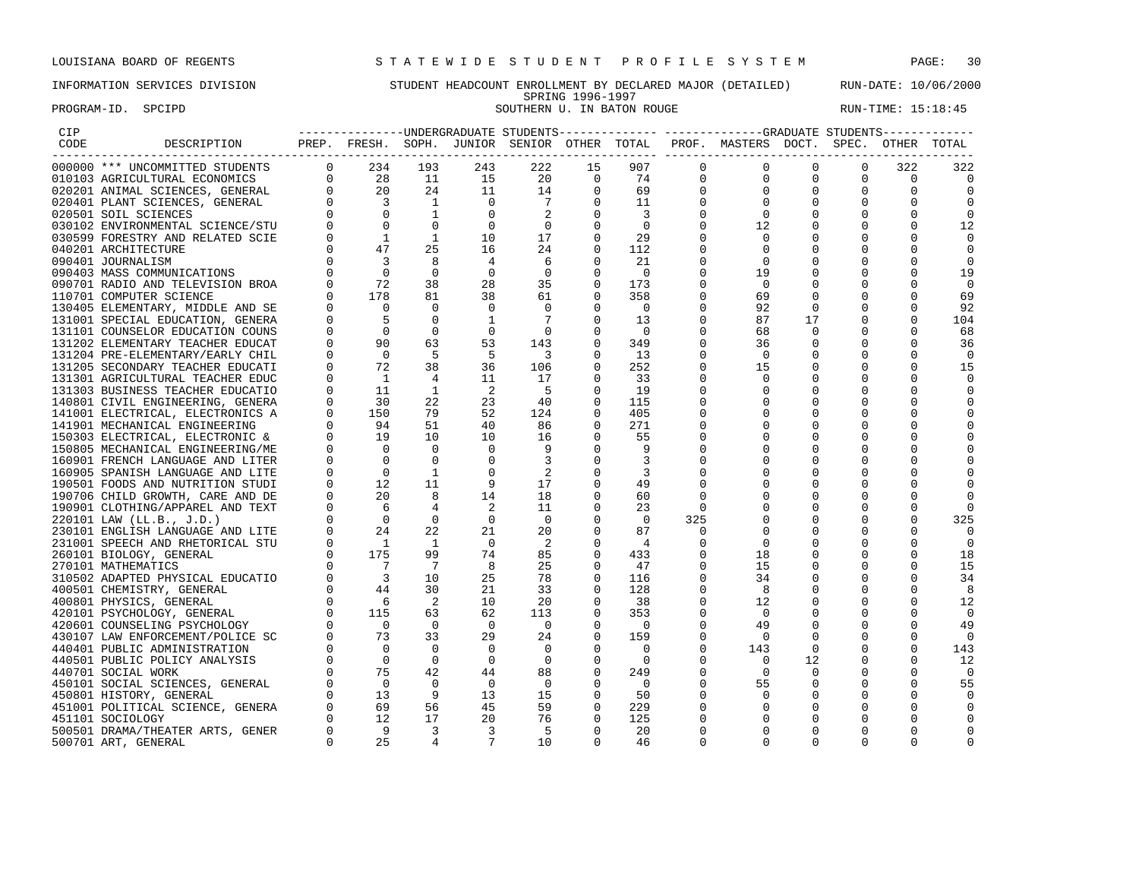PROGRAM-ID. SPCIPD SOUTHERN U. IN BATON ROUGE SOUTHERN U. THE SET OF RUN-TIME: 15:18:45

## INFORMATION SERVICES DIVISION STUDENT HEADCOUNT ENROLLMENT BY DECLARED MAJOR (DETAILED) RUN-DATE: 10/06/2000 SPRING 1996-1997<br>SOUTHERN U. IN BATON ROUGE

| CIP  |                                                                                                                                                                                                                                                                                                                                                                                                                                                                                        |                |                                             |                           |                          |                            |                                                                                                                                                                     |                          |              | --------------UNDERGRADUATE STUDENTS-------------- ------------GRADUATE STUDENTS------------ |                |             |             |                |
|------|----------------------------------------------------------------------------------------------------------------------------------------------------------------------------------------------------------------------------------------------------------------------------------------------------------------------------------------------------------------------------------------------------------------------------------------------------------------------------------------|----------------|---------------------------------------------|---------------------------|--------------------------|----------------------------|---------------------------------------------------------------------------------------------------------------------------------------------------------------------|--------------------------|--------------|----------------------------------------------------------------------------------------------|----------------|-------------|-------------|----------------|
| CODE | DESCRIPTION                                                                                                                                                                                                                                                                                                                                                                                                                                                                            |                |                                             | . _ _ _ _ _ _ _ _ _ _ _ _ |                          |                            |                                                                                                                                                                     |                          |              | PREP. FRESH. SOPH. JUNIOR SENIOR OTHER TOTAL PROF. MASTERS DOCT. SPEC.                       |                |             | OTHER TOTAL |                |
|      | 000000 *** UNCOMMITTED STUDENTS                                                                                                                                                                                                                                                                                                                                                                                                                                                        |                | $0 \t 234$                                  | 193                       | 243                      |                            | $\begin{array}{ccccc} & & & 15 & & & \\ & & & & 0 & & \\ -4 & & & 0 & & & \\ 7 & & & 0 & & & \\ 2 & & & 0 & & & \\ & & & & & 0 & & \\ & & & & & & & \\ \end{array}$ | 907                      | $\Omega$     | $\Omega$                                                                                     | $\Omega$       | $\Omega$    | 322         | 322            |
|      |                                                                                                                                                                                                                                                                                                                                                                                                                                                                                        |                |                                             |                           | 15                       |                            |                                                                                                                                                                     | 74                       | $\mathbf{0}$ | $\mathbf 0$                                                                                  | $\Omega$       | $\Omega$    | $\Omega$    | $\Omega$       |
|      |                                                                                                                                                                                                                                                                                                                                                                                                                                                                                        |                |                                             |                           | 11                       |                            |                                                                                                                                                                     | 69                       | $\mathbf 0$  | $\mathbf 0$                                                                                  | $\mathbf 0$    | $\mathbf 0$ | $\mathbf 0$ | 0              |
|      |                                                                                                                                                                                                                                                                                                                                                                                                                                                                                        |                |                                             |                           | $\overline{\phantom{0}}$ |                            |                                                                                                                                                                     | 11                       | $\mathbf 0$  | $\Omega$                                                                                     | $\mathbf 0$    | $\mathbf 0$ | 0           |                |
|      |                                                                                                                                                                                                                                                                                                                                                                                                                                                                                        |                |                                             |                           | $\overline{0}$           |                            |                                                                                                                                                                     | $\sim$ 3                 | $\Omega$     | $\Omega$                                                                                     | $\mathbf 0$    | $\Omega$    | $\mathbf 0$ | 0              |
|      |                                                                                                                                                                                                                                                                                                                                                                                                                                                                                        |                |                                             |                           | $\overline{0}$           |                            |                                                                                                                                                                     | $\overline{0}$           | 0            | 12                                                                                           |                | $\Omega$    | 0           | 12             |
|      | $\begin{tabular}{cccc} 0.00000 & *** & UNCOMMITTED STUDENTS & 0 & 254 & 195 \\ 0.10103 & AGRCULTUTRAL ECONOMICS & 0 & 28 & 11 \\ 0.20201 & ANIMAL SCIENCES, GENERAL & 0 & 20 & 24 \\ 0.20401 & PLANT SCIENCES, GENERAL & 0 & 3 & 1 \\ 0.20501 & SOIL SCIENCES & 0 & 0 & 1 \\ 0.30102 & ENVIRONMENTAL SCIERCE/STU & 0 & 0 & 0 \\ 0.30102 & ENVIRONMENTAL SCIERCE/STU & 0 & 0 & 1 \\ $                                                                                                   |                |                                             |                           | 10                       | 17                         | $\Omega$                                                                                                                                                            | 29                       | $\Omega$     | $\Omega$                                                                                     |                | $\Omega$    | $\Omega$    |                |
|      | 040201 ARCHITECTURE                                                                                                                                                                                                                                                                                                                                                                                                                                                                    | $\Omega$       | 47                                          | 25                        | 16                       | 24                         | $\Omega$                                                                                                                                                            | 112                      | $\Omega$     | $\Omega$                                                                                     |                | $\Omega$    | $\Omega$    | $\Omega$       |
|      | 090401 JOURNALISM                                                                                                                                                                                                                                                                                                                                                                                                                                                                      | $\Omega$       | $\overline{\mathbf{3}}$                     | 8                         | $\overline{4}$           | - 6                        | $\Omega$                                                                                                                                                            | 21                       | $\Omega$     | $\Omega$                                                                                     |                | $\Omega$    | $\Omega$    | $\Omega$       |
|      | 090403 MASS COMMUNICATIONS                                                                                                                                                                                                                                                                                                                                                                                                                                                             | $\Omega$       | $\overline{0}$                              | $\Omega$                  | $\overline{0}$           | $\overline{0}$             | $\overline{0}$                                                                                                                                                      | $\overline{0}$           | $\Omega$     | 19                                                                                           |                | $\mathbf 0$ | 0           | 19             |
|      | 090701 RADIO AND TELEVISION BROA                                                                                                                                                                                                                                                                                                                                                                                                                                                       |                | 72                                          | 38                        | 28                       | 35                         | $\overline{0}$                                                                                                                                                      | 173                      | 0            | $\mathbf 0$                                                                                  |                | $\mathbf 0$ | 0           | $\mathbf 0$    |
|      | 110701 COMPUTER SCIENCE                                                                                                                                                                                                                                                                                                                                                                                                                                                                |                | $\begin{matrix} 0 \\ 0 \end{matrix}$<br>178 | 81                        | 38                       | 61                         | $\overline{0}$                                                                                                                                                      | 358                      | $\Omega$     | 69                                                                                           | $\mathbf 0$    | $\mathbf 0$ | $\mathbf 0$ | 69             |
|      | 130405 ELEMENTARY, MIDDLE AND SE                                                                                                                                                                                                                                                                                                                                                                                                                                                       | $\Omega$       | $\bigcap$                                   | $\Omega$                  | $\overline{0}$           | $\Omega$                   | $\Omega$                                                                                                                                                            | $\overline{\phantom{0}}$ | $\Omega$     | 92                                                                                           | $\Omega$       | $\Omega$    | $\Omega$    | 92             |
|      | 131001 SPECIAL EDUCATION, GENERA                                                                                                                                                                                                                                                                                                                                                                                                                                                       | $\Omega$       | $-5$                                        | $\Omega$                  | <sup>1</sup>             | $\overline{7}$             | $\Omega$                                                                                                                                                            | 13                       | $\Omega$     | 87                                                                                           | 17             | $\mathbf 0$ | $\Omega$    | 104            |
|      | 131101 COUNSELOR EDUCATION COUNS                                                                                                                                                                                                                                                                                                                                                                                                                                                       |                | $\overline{0}$                              | $\overline{0}$            | $\overline{0}$           | $\overline{0}$             | $\overline{0}$                                                                                                                                                      | $\overline{0}$           | $\Omega$     | 68                                                                                           | $\Omega$       | $\Omega$    | $\Omega$    | 68             |
|      | 131202 ELEMENTARY TEACHER EDUCAT                                                                                                                                                                                                                                                                                                                                                                                                                                                       | $\Omega$       | 90                                          | 63                        | 53                       | 143                        | $\Omega$                                                                                                                                                            | 349                      | $\Omega$     | 36                                                                                           | $\mathbf 0$    |             | $\Omega$    | 36             |
|      | 131204 PRE-ELEMENTARY/EARLY CHIL                                                                                                                                                                                                                                                                                                                                                                                                                                                       | $\Omega$       | $\overline{0}$                              | $-5$                      | - 5                      | $\overline{\phantom{a}}$ 3 | $\overline{0}$                                                                                                                                                      | 13                       | $\mathbf 0$  | $\Omega$                                                                                     | 0              | $\mathbf 0$ | $\mathbf 0$ | $\overline{0}$ |
|      | 131205 SECONDARY TEACHER EDUCATI                                                                                                                                                                                                                                                                                                                                                                                                                                                       | $\mathbf{0}$   | 72                                          | 38                        | 36                       | 106                        | $\Omega$                                                                                                                                                            | 252                      | 0            | 15                                                                                           |                | $\Omega$    | $\Omega$    | 15             |
|      | 131301 AGRICULTURAL TEACHER EDUC                                                                                                                                                                                                                                                                                                                                                                                                                                                       | $\Omega$       | $\overline{1}$                              | $\overline{4}$            | 11                       | 17                         | $\Omega$                                                                                                                                                            | 33                       | $\Omega$     | $\Omega$                                                                                     |                | $\Omega$    | $\Omega$    | $\Omega$       |
|      | 131303 BUSINESS TEACHER EDUCATIO                                                                                                                                                                                                                                                                                                                                                                                                                                                       | $\Omega$       | 11                                          | $\mathbf{1}$              | $\overline{2}$           | - 5                        | $\Omega$                                                                                                                                                            | 19                       | $\Omega$     | $\Omega$                                                                                     | $\Omega$       | $\Omega$    | $\Omega$    | $\Omega$       |
|      | 140801 CIVIL ENGINEERING, GENERA                                                                                                                                                                                                                                                                                                                                                                                                                                                       | $\overline{0}$ | 30                                          | 22                        | 23                       | 40                         | $\Omega$                                                                                                                                                            | 115                      | $\Omega$     | $\Omega$                                                                                     | $\Omega$       | $\Omega$    | $\Omega$    |                |
|      | 141001 ELECTRICAL, ELECTRONICS A                                                                                                                                                                                                                                                                                                                                                                                                                                                       | $\Omega$       | 150                                         | 79                        | 52                       | 124                        | $\Omega$                                                                                                                                                            | 405                      | $\Omega$     | $\Omega$                                                                                     | $\mathbf 0$    | $\Omega$    | $\Omega$    | $\Omega$       |
|      | 141901 MECHANICAL ENGINEERING                                                                                                                                                                                                                                                                                                                                                                                                                                                          | $\overline{0}$ | 94                                          | 51                        | 40                       | 86                         | $\mathbf 0$                                                                                                                                                         | 271                      | $\Omega$     | $\mathbf 0$                                                                                  | 0              | $\mathbf 0$ | 0           |                |
|      | 150303 ELECTRICAL, ELECTRONIC &                                                                                                                                                                                                                                                                                                                                                                                                                                                        |                | 19                                          | 10                        | 10                       | 16                         | $\Omega$                                                                                                                                                            | 55                       | $\Omega$     | $\Omega$                                                                                     |                | $\Omega$    | $\Omega$    |                |
|      | 150805 MECHANICAL ENGINEERING/ME                                                                                                                                                                                                                                                                                                                                                                                                                                                       | $\Omega$       | $\bigcirc$                                  | $\bigcirc$                | $\Omega$                 | 9                          | $\Omega$                                                                                                                                                            | 9                        |              |                                                                                              |                | $\Omega$    | $\Omega$    |                |
|      | 160901 FRENCH LANGUAGE AND LITER                                                                                                                                                                                                                                                                                                                                                                                                                                                       |                | $\bigcirc$                                  | $\Omega$                  | $\mathbf 0$              |                            | $\mathbf 0$                                                                                                                                                         | 3                        | $\Omega$     | $\Omega$                                                                                     | $\Omega$       | O           | 0           |                |
|      |                                                                                                                                                                                                                                                                                                                                                                                                                                                                                        |                |                                             |                           |                          | 2                          | $\Omega$                                                                                                                                                            | 3                        | $\Omega$     |                                                                                              | $\Omega$       | $\Omega$    | $\Omega$    |                |
|      |                                                                                                                                                                                                                                                                                                                                                                                                                                                                                        |                |                                             |                           |                          | 17                         | $\Omega$                                                                                                                                                            | 49                       | $\Omega$     |                                                                                              |                | $\Omega$    | $\Omega$    |                |
|      |                                                                                                                                                                                                                                                                                                                                                                                                                                                                                        |                |                                             |                           |                          | 18                         | $\Omega$                                                                                                                                                            | 60                       | $\Omega$     | $\Omega$                                                                                     | 0              | $\Omega$    | $\Omega$    |                |
|      |                                                                                                                                                                                                                                                                                                                                                                                                                                                                                        |                |                                             |                           |                          | 11                         | $\Omega$                                                                                                                                                            | 23                       | $\Omega$     |                                                                                              |                | $\Omega$    | 0           |                |
|      |                                                                                                                                                                                                                                                                                                                                                                                                                                                                                        |                |                                             |                           |                          | $\overline{0}$             | $\overline{0}$                                                                                                                                                      | $\overline{0}$           | 325          | $\mathbf 0$                                                                                  |                | $\mathbf 0$ | $\mathbf 0$ | 325            |
|      |                                                                                                                                                                                                                                                                                                                                                                                                                                                                                        |                |                                             |                           |                          | 20                         | $\overline{0}$                                                                                                                                                      | 87                       | $\mathbf 0$  | $\Omega$                                                                                     | $\mathbf 0$    | $\Omega$    | $\Omega$    | $\Omega$       |
|      |                                                                                                                                                                                                                                                                                                                                                                                                                                                                                        |                |                                             |                           |                          | $\overline{\phantom{0}}^2$ | $\Omega$                                                                                                                                                            | 4                        | $\Omega$     | $\Omega$                                                                                     | $\Omega$       | $\mathbf 0$ | 0           | 0              |
|      |                                                                                                                                                                                                                                                                                                                                                                                                                                                                                        |                |                                             |                           |                          | 85                         | $\Omega$                                                                                                                                                            | 433                      | $\Omega$     | 18                                                                                           | 0              | $\Omega$    | $\Omega$    | 18             |
|      |                                                                                                                                                                                                                                                                                                                                                                                                                                                                                        |                |                                             |                           |                          | 25                         | $\Omega$                                                                                                                                                            | 47                       | $\Omega$     | 15                                                                                           |                | $\Omega$    | $\Omega$    | 15             |
|      |                                                                                                                                                                                                                                                                                                                                                                                                                                                                                        |                |                                             |                           |                          | 78                         | $\overline{0}$                                                                                                                                                      | 116                      | $\mathbf 0$  | 34                                                                                           |                | $\mathbf 0$ | $\Omega$    | 34             |
|      |                                                                                                                                                                                                                                                                                                                                                                                                                                                                                        |                |                                             |                           |                          | 33                         | $\overline{0}$                                                                                                                                                      | 128                      | $\mathbf 0$  | 8                                                                                            |                | $\mathbf 0$ | $\Omega$    | 8              |
|      |                                                                                                                                                                                                                                                                                                                                                                                                                                                                                        |                |                                             |                           |                          | 20                         | $\overline{0}$                                                                                                                                                      | 38                       | $\mathbf 0$  | 12                                                                                           | 0              | $\mathbf 0$ | 0           | 12             |
|      |                                                                                                                                                                                                                                                                                                                                                                                                                                                                                        |                |                                             |                           |                          | 113                        | $\Omega$                                                                                                                                                            | 353                      | 0            | $\overline{0}$                                                                               | 0              | 0           | $\Omega$    | $\overline{0}$ |
|      |                                                                                                                                                                                                                                                                                                                                                                                                                                                                                        |                |                                             |                           |                          | $\overline{0}$             | $\mathbf 0$                                                                                                                                                         | $\overline{0}$           | 0            | 49                                                                                           | $\mathbf 0$    | 0           | 0           | 49             |
|      |                                                                                                                                                                                                                                                                                                                                                                                                                                                                                        |                |                                             |                           |                          | 24                         | $\overline{0}$                                                                                                                                                      | 159                      | 0            | $\Omega$                                                                                     | $\Omega$       | $\Omega$    | $\Omega$    | $\Omega$       |
|      |                                                                                                                                                                                                                                                                                                                                                                                                                                                                                        |                |                                             |                           |                          | $\Omega$                   | $\Omega$                                                                                                                                                            | $\bigcap$                | $\Omega$     | 143                                                                                          | $\Omega$       | $\Omega$    | $\Omega$    | 143            |
|      |                                                                                                                                                                                                                                                                                                                                                                                                                                                                                        |                |                                             |                           |                          | $\overline{0}$             | $\overline{0}$                                                                                                                                                      | $\overline{0}$           | $\mathbf 0$  | $\Omega$                                                                                     | 12             | $\mathbf 0$ | $\mathbf 0$ | 12             |
|      |                                                                                                                                                                                                                                                                                                                                                                                                                                                                                        |                |                                             |                           |                          | 88                         | $\overline{0}$                                                                                                                                                      | 249                      | $\mathbf 0$  | $\mathbf 0$                                                                                  | $\overline{0}$ | $\mathbf 0$ | $\Omega$    | 0              |
|      |                                                                                                                                                                                                                                                                                                                                                                                                                                                                                        |                |                                             |                           |                          | $\overline{0}$             | $\overline{0}$                                                                                                                                                      | $\bigcirc$               | $\mathbf 0$  | 55                                                                                           | 0              | $\mathbf 0$ | $\mathbf 0$ | 55             |
|      |                                                                                                                                                                                                                                                                                                                                                                                                                                                                                        |                |                                             |                           |                          | 15                         | $\overline{\phantom{0}}$                                                                                                                                            | 50                       | $\Omega$     | $\mathbf 0$                                                                                  | $\mathbf 0$    | $\Omega$    | $\Omega$    | $\Omega$       |
|      |                                                                                                                                                                                                                                                                                                                                                                                                                                                                                        |                |                                             |                           |                          | 59                         | $\overline{0}$                                                                                                                                                      | 229                      |              | $\Omega$                                                                                     |                | $\Omega$    | $\Omega$    |                |
|      |                                                                                                                                                                                                                                                                                                                                                                                                                                                                                        |                |                                             |                           |                          | 76                         | $\Omega$                                                                                                                                                            | 125                      |              | $\Omega$                                                                                     | $\Omega$       | $\Omega$    | $\Omega$    |                |
|      | $\begin{tabular}{cccc} &\color{red}{\color{blue}\text{AD DE}}&0\\ &\color{red}{\color{blue}\text{AD DE}}&0\\ &\color{blue}\text{AD DE}&0\\ &\color{blue}\text{AD DE}&0\\ &\color{blue}\text{AD FERT}&0&0\\ &\color{blue}\text{AD E} &0\\ &\color{blue}\text{AD E} &0&0\\ &\color{blue}\text{AD E} &0&0\\ &\color{blue}\text{AD E} &0&0\\ &\color{blue}\text{AD E} &0&0\\ &\color{blue}\text{A PETD} &0&1\\ &\color{blue}\text{A HETORICAL FTO} &0&1\\ &\color{blue}\text{A ATICS}&0&1$ |                |                                             |                           |                          | - 5                        | $\overline{0}$                                                                                                                                                      | 20                       | 0            | $\Omega$                                                                                     | $\Omega$       | $\Omega$    | 0           |                |
|      |                                                                                                                                                                                                                                                                                                                                                                                                                                                                                        |                |                                             |                           |                          | 10                         | $\Omega$                                                                                                                                                            | 46                       | $\Omega$     | $\Omega$                                                                                     | $\Omega$       | $\Omega$    | $\Omega$    |                |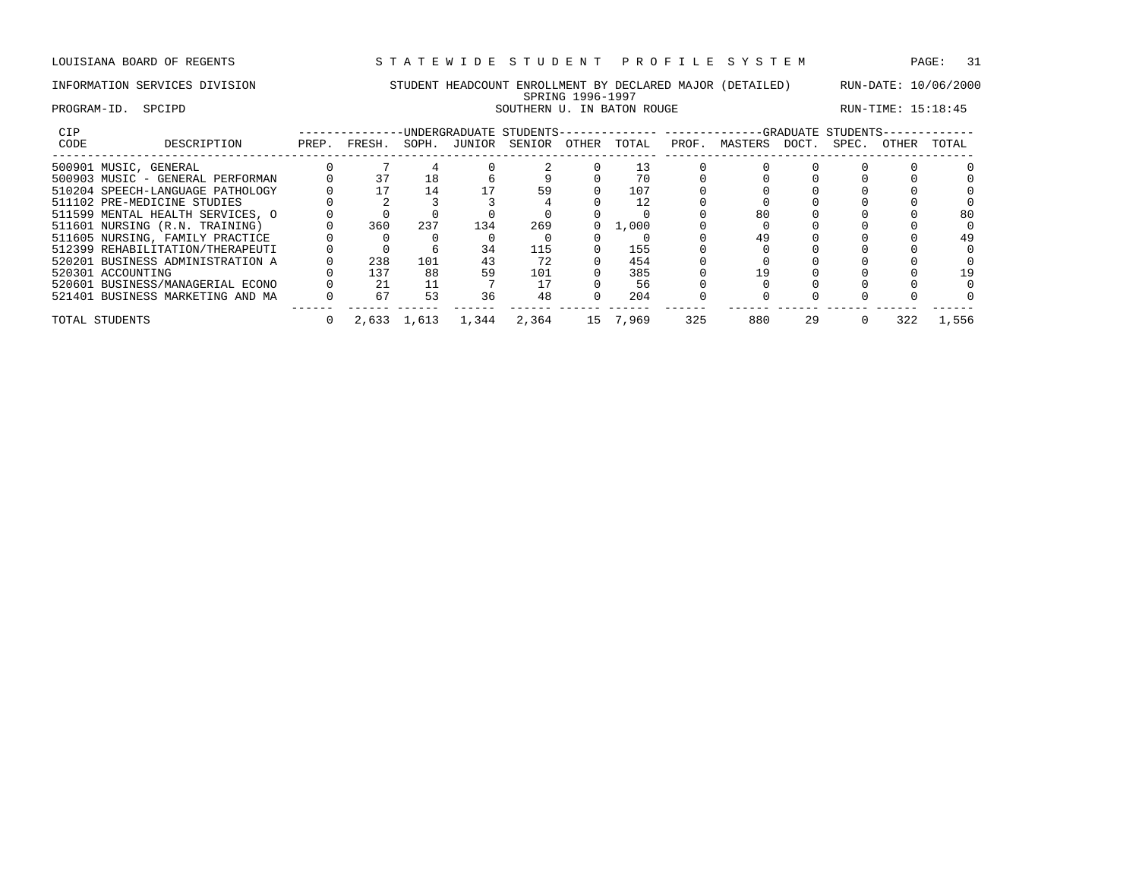## INFORMATION SERVICES DIVISION STUDENT HEADCOUNT ENROLLMENT BY DECLARED MAJOR (DETAILED) RUN-DATE: 10/06/2000 SPRING 1996-1997 PROGRAM-ID. SPCIPD SOUTHERN U. IN BATON ROUGE SOUTHERN U. THE SET OF RUN-TIME: 15:18:45

| CIP  |                                  |       |        |             | UNDERGRADUATE STUDENTS- |        |       |       |       |         |       | -GRADUATE STUDENTS |              |       |
|------|----------------------------------|-------|--------|-------------|-------------------------|--------|-------|-------|-------|---------|-------|--------------------|--------------|-------|
| CODE | DESCRIPTION                      | PREP. | FRESH. | SOPH.       | JUNIOR                  | SENIOR | OTHER | TOTAL | PROF. | MASTERS | DOCT. | SPEC.              | <b>OTHER</b> | TOTAL |
|      | 500901 MUSIC, GENERAL            |       |        |             |                         |        |       |       |       |         |       |                    |              |       |
|      | 500903 MUSIC - GENERAL PERFORMAN |       | 37     | 18          |                         |        |       |       |       |         |       |                    |              |       |
|      | 510204 SPEECH-LANGUAGE PATHOLOGY |       | 17     | 14          |                         |        |       | 107   |       |         |       |                    |              |       |
|      | 511102 PRE-MEDICINE STUDIES      |       |        |             |                         |        |       |       |       |         |       |                    |              |       |
|      | 511599 MENTAL HEALTH SERVICES, O |       |        |             |                         |        |       |       |       |         |       |                    |              | 80    |
|      | 511601 NURSING (R.N. TRAINING)   |       | 360    | 237         | 134                     | 269    |       | 1,000 |       |         |       |                    |              |       |
|      | 511605 NURSING, FAMILY PRACTICE  |       |        |             |                         |        |       |       |       |         |       |                    |              | 49    |
|      | 512399 REHABILITATION/THERAPEUTI |       |        |             | 34                      | 115    |       | 155   |       |         |       |                    |              |       |
|      | 520201 BUSINESS ADMINISTRATION A |       | 238    | 101         | 43                      | 72     |       | 454   |       |         |       |                    |              |       |
|      | 520301 ACCOUNTING                |       | 137    | 88          | 59                      | 101    |       | 385   |       |         |       |                    |              |       |
|      | 520601 BUSINESS/MANAGERIAL ECONO |       | 21     | 11          |                         |        |       | 56    |       |         |       |                    |              |       |
|      | 521401 BUSINESS MARKETING AND MA |       | 67     | 53          | 36                      | 48     |       | 204   |       |         |       |                    |              |       |
|      | TOTAL STUDENTS                   |       |        | 2,633 1,613 | 1,344                   | 2,364  | 15    | 7,969 | 325   | 880     | 29    |                    | 322          | 1,556 |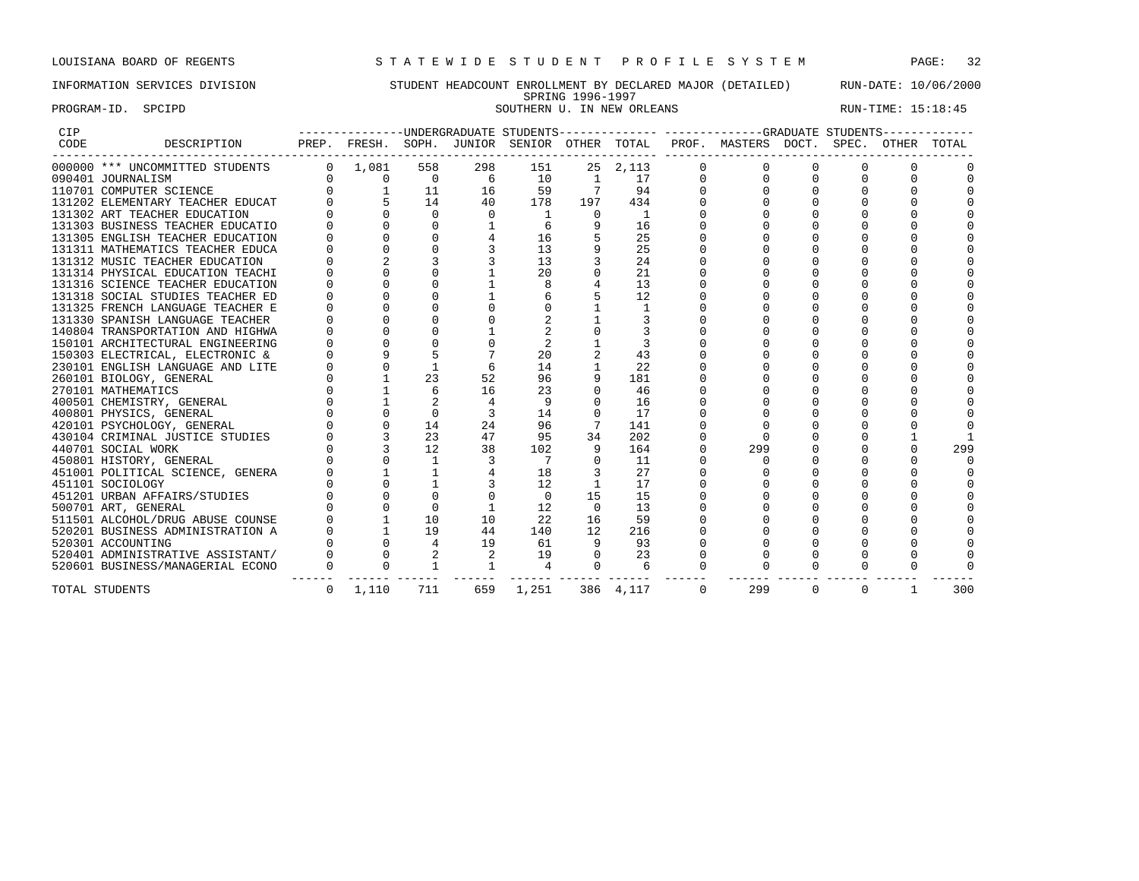### INFORMATION SERVICES DIVISION STUDENT HEADCOUNT ENROLLMENT BY DECLARED MAJOR (DETAILED) RUN-DATE: 10/06/2000 SPRING 1996-1997<br>SOUTHERN U. IN NEW ORLEANS PROGRAM-ID. SPCIPD SOUTHERN U. IN NEW ORLEANS RUN-TIME: 15:18:45

| CIP  |                                  |              |                 |              |                |          |             |              |          | ------------UNDERGRADUATE STUDENTS-------------- ------------GRADUATE STUDENTS------------ |          |          |              |     |
|------|----------------------------------|--------------|-----------------|--------------|----------------|----------|-------------|--------------|----------|--------------------------------------------------------------------------------------------|----------|----------|--------------|-----|
| CODE | DESCRIPTION                      |              |                 |              |                |          |             |              |          | PREP. FRESH. SOPH. JUNIOR SENIOR OTHER TOTAL PROF. MASTERS DOCT. SPEC. OTHER TOTAL         |          |          |              |     |
|      | 000000 *** UNCOMMITTED STUDENTS  |              | $0 \quad 1,081$ | 558          | 298            | 151      |             | 25 2,113     |          |                                                                                            |          |          |              |     |
|      | 090401 JOURNALISM                |              | 0               | $\Omega$     | -6             | 10       | 1           | 17           |          |                                                                                            |          |          |              |     |
|      | 110701 COMPUTER SCIENCE          |              |                 | 11           | 16             | 59       |             | 94           |          |                                                                                            |          |          |              |     |
|      | 131202 ELEMENTARY TEACHER EDUCAT |              |                 | 14           | 40             | 178      | 197         | 434          |          |                                                                                            |          |          |              |     |
|      | 131302 ART TEACHER EDUCATION     |              |                 | $\Omega$     | $\Omega$       |          | $\Omega$    | $\mathbf{1}$ |          |                                                                                            |          |          |              |     |
|      | 131303 BUSINESS TEACHER EDUCATIO |              |                 | $\Omega$     |                |          |             | 16           |          |                                                                                            |          |          |              |     |
|      | 131305 ENGLISH TEACHER EDUCATION |              |                 |              |                | 16       |             | 25           |          |                                                                                            |          |          |              |     |
|      | 131311 MATHEMATICS TEACHER EDUCA |              |                 |              |                | 13       |             | 25           |          |                                                                                            |          |          |              |     |
|      | 131312 MUSIC TEACHER EDUCATION   |              |                 |              |                | 13       |             | 24           |          |                                                                                            |          |          |              |     |
|      | 131314 PHYSICAL EDUCATION TEACHI |              |                 |              |                | 20       |             | 21           |          |                                                                                            |          |          |              |     |
|      | 131316 SCIENCE TEACHER EDUCATION |              |                 |              |                |          |             | 13           |          |                                                                                            |          |          |              |     |
|      | 131318 SOCIAL STUDIES TEACHER ED |              |                 |              |                |          |             | 12           |          |                                                                                            |          |          |              |     |
|      | 131325 FRENCH LANGUAGE TEACHER E |              |                 |              |                |          |             | $\mathbf{1}$ |          |                                                                                            |          |          |              |     |
|      | 131330 SPANISH LANGUAGE TEACHER  |              |                 |              |                |          |             |              |          |                                                                                            |          | $\Omega$ |              |     |
|      | 140804 TRANSPORTATION AND HIGHWA |              |                 |              |                |          |             |              |          |                                                                                            |          |          |              |     |
|      | 150101 ARCHITECTURAL ENGINEERING |              |                 |              |                |          |             |              |          |                                                                                            |          |          |              |     |
|      | 150303 ELECTRICAL, ELECTRONIC &  |              |                 |              |                | 20       |             | 43           |          |                                                                                            |          |          |              |     |
|      | 230101 ENGLISH LANGUAGE AND LITE |              |                 |              |                | 14       |             | 2.2.         |          |                                                                                            |          |          |              |     |
|      | 260101 BIOLOGY, GENERAL          |              |                 | 23           | 52             | 96       |             | 181          |          |                                                                                            |          |          |              |     |
|      | 270101 MATHEMATICS               |              |                 | б.           | 16             | 23       | $\Omega$    | 46           |          |                                                                                            |          |          |              |     |
|      | 400501 CHEMISTRY, GENERAL        |              |                 |              | $\overline{4}$ | 9        | $\Omega$    | 16           |          |                                                                                            |          |          |              |     |
|      | 400801 PHYSICS, GENERAL          |              | $\Omega$        | $\Omega$     |                | 14       | $\Omega$    | 17           |          |                                                                                            |          |          |              |     |
|      | 420101 PSYCHOLOGY, GENERAL       |              |                 | 14           | 24             | 96       |             | 141          |          |                                                                                            |          |          |              |     |
|      | 430104 CRIMINAL JUSTICE STUDIES  |              |                 | 23           | 47             | 95       | 34          | 202          |          |                                                                                            |          |          |              |     |
|      | 440701 SOCIAL WORK               |              |                 | 12           | 38             | 102      | 9           | 164          |          | 299                                                                                        |          |          |              | 299 |
|      | 450801 HISTORY, GENERAL          |              |                 | $\mathbf{1}$ |                | 7        | $\Omega$    | 11           |          |                                                                                            |          |          |              |     |
|      | 451001 POLITICAL SCIENCE, GENERA |              |                 |              |                | 18       |             | 27           |          |                                                                                            |          |          |              |     |
|      | 451101 SOCIOLOGY                 |              |                 |              |                | 12       |             | 17           |          |                                                                                            |          |          |              |     |
|      | 451201 URBAN AFFAIRS/STUDIES     |              |                 |              |                | $\Omega$ | 15          | 15           |          |                                                                                            |          |          |              |     |
|      | 500701 ART, GENERAL              |              |                 |              |                | 12       | $\Omega$    | 13           |          |                                                                                            |          |          |              |     |
|      | 511501 ALCOHOL/DRUG ABUSE COUNSE |              |                 | 10           | 10             | 22       | 16          | 59           |          |                                                                                            |          |          |              |     |
|      | 520201 BUSINESS ADMINISTRATION A |              |                 | 19           | 44             | 140      | 12          | 216          |          |                                                                                            |          |          |              |     |
|      | 520301 ACCOUNTING                |              |                 | 4            | 19             | 61       |             | 93           |          |                                                                                            |          | $\Omega$ |              |     |
|      | 520401 ADMINISTRATIVE ASSISTANT/ |              |                 | 2            | 2              | 19       | $\Omega$    | 23           |          |                                                                                            | $\Omega$ | $\Omega$ |              |     |
|      | 520601 BUSINESS/MANAGERIAL ECONO | $\mathbf 0$  | $\Omega$        | $\mathbf{1}$ |                | 4        | $\mathbf 0$ | 6            | $\Omega$ |                                                                                            | $\Omega$ | $\Omega$ |              |     |
|      | TOTAL STUDENTS                   | $\mathbf{0}$ | 1,110           | 711          | 659            | 1,251    |             | 386 4, 117   | $\Omega$ | 299                                                                                        | $\Omega$ | $\Omega$ | $\mathbf{1}$ | 300 |